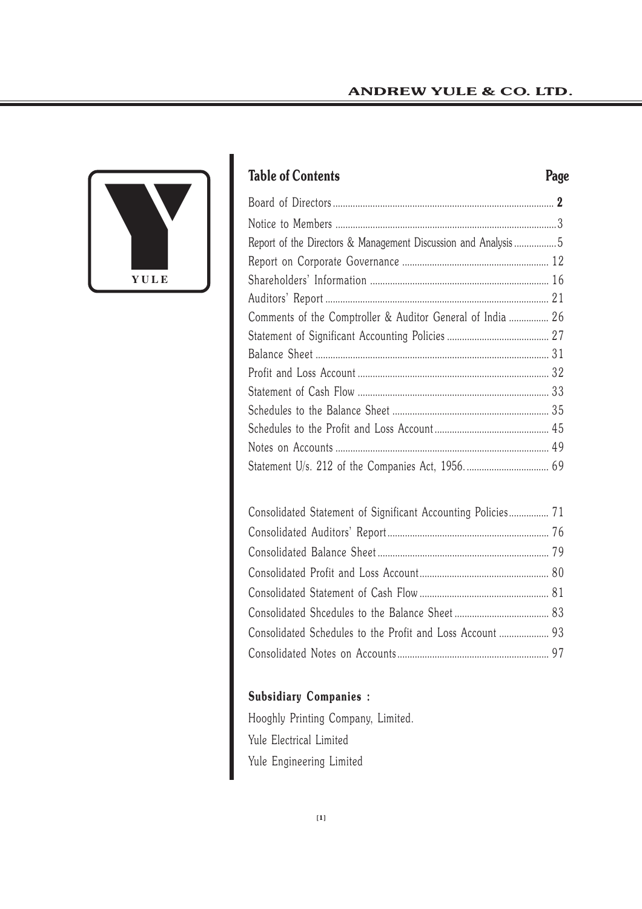

# **Table of Contents Page**

| Report of the Directors & Management Discussion and Analysis 5 |  |
|----------------------------------------------------------------|--|
|                                                                |  |
|                                                                |  |
|                                                                |  |
| Comments of the Comptroller & Auditor General of India  26     |  |
|                                                                |  |
|                                                                |  |
|                                                                |  |
|                                                                |  |
|                                                                |  |
|                                                                |  |
|                                                                |  |
|                                                                |  |
|                                                                |  |

| Consolidated Statement of Significant Accounting Policies 71 |  |
|--------------------------------------------------------------|--|
|                                                              |  |
|                                                              |  |
|                                                              |  |
|                                                              |  |
|                                                              |  |
| Consolidated Schedules to the Profit and Loss Account  93    |  |
|                                                              |  |

# **Subsidiary Companies :**

Hooghly Printing Company, Limited. Yule Electrical Limited Yule Engineering Limited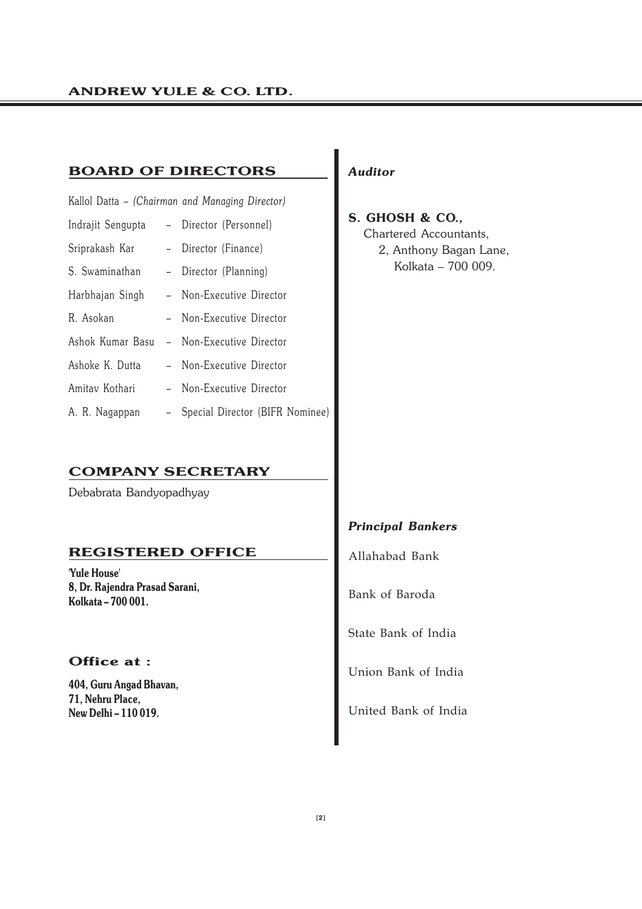### **BOARD OF DIRECTORS**

|                                      | Kallol Datta - (Chairman and Managing Director) |
|--------------------------------------|-------------------------------------------------|
|                                      | Indrajit Sengupta - Director (Personnel)        |
| Sriprakash Kar - Director (Finance)  |                                                 |
| S. Swaminathan - Director (Planning) |                                                 |
|                                      | Harbhajan Singh - Non-Executive Director        |
| R. Asokan                            | - Non-Executive Director                        |
|                                      | Ashok Kumar Basu - Non-Executive Director       |
| Ashoke K. Dutta                      | - Non-Executive Director                        |
| Amitav Kothari                       | - Non-Executive Director                        |
| A. R. Nagappan                       | - Special Director (BIFR Nominee)               |

### **COMPANY SECRETARY**

Debabrata Bandyopadhyay

### **REGISTERED OFFICE**

**'Yule House' 8, Dr. Rajendra Prasad Sarani, Kolkata – 700 001.**

### **Office at :**

**404, Guru Angad Bhavan, 71, Nehru Place, New Delhi – 110 019.**

### *Auditor*

**S. GHOSH & CO.,** Chartered Accountants, 2, Anthony Bagan Lane, Kolkata – 700 009.

### *Principal Bankers*

Allahabad Bank

Bank of Baroda

State Bank of India

Union Bank of India

United Bank of India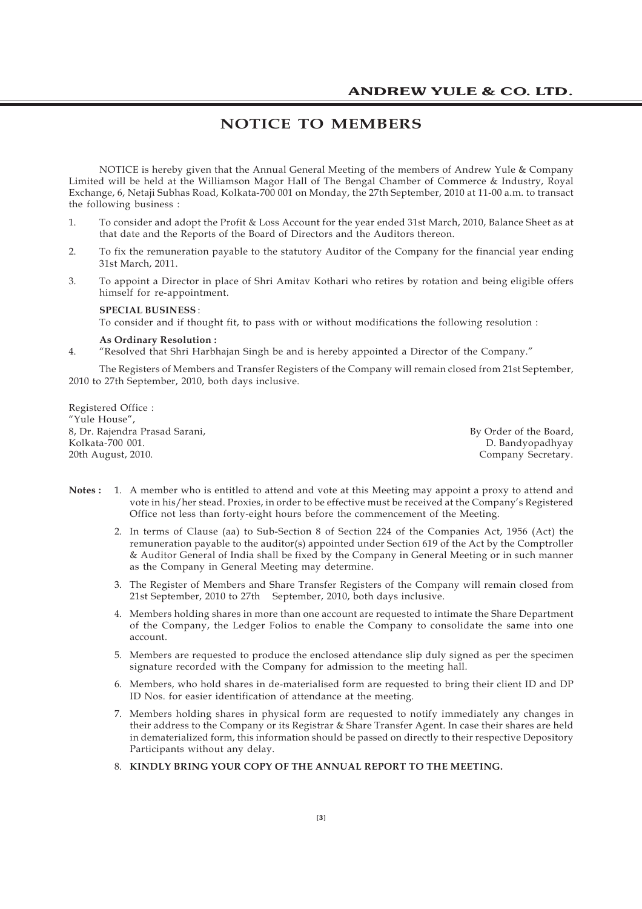### **NOTICE TO MEMBERS**

NOTICE is hereby given that the Annual General Meeting of the members of Andrew Yule & Company Limited will be held at the Williamson Magor Hall of The Bengal Chamber of Commerce & Industry, Royal Exchange, 6, Netaji Subhas Road, Kolkata-700 001 on Monday, the 27th September, 2010 at 11-00 a.m. to transact the following business :

- 1. To consider and adopt the Profit & Loss Account for the year ended 31st March, 2010, Balance Sheet as at that date and the Reports of the Board of Directors and the Auditors thereon.
- 2. To fix the remuneration payable to the statutory Auditor of the Company for the financial year ending 31st March, 2011.
- 3. To appoint a Director in place of Shri Amitav Kothari who retires by rotation and being eligible offers himself for re-appointment.

#### **SPECIAL BUSINESS** : To consider and if thought fit, to pass with or without modifications the following resolution :

#### **As Ordinary Resolution :**

4. "Resolved that Shri Harbhajan Singh be and is hereby appointed a Director of the Company."

The Registers of Members and Transfer Registers of the Company will remain closed from 21st September, 2010 to 27th September, 2010, both days inclusive.

Registered Office : "Yule House", 8, Dr. Rajendra Prasad Sarani, Sarani, By Order of the Board, By Order of the Board, By Order of the Board, By Order of the Board, By Order of the Board, By Order of the Board, By Order of the Board, By Order of the Board, 20th August, 2010. Company Secretary.

D. Bandyopadhyay

- **Notes :** 1. A member who is entitled to attend and vote at this Meeting may appoint a proxy to attend and vote in his/her stead. Proxies, in order to be effective must be received at the Company's Registered Office not less than forty-eight hours before the commencement of the Meeting.
	- 2. In terms of Clause (aa) to Sub-Section 8 of Section 224 of the Companies Act, 1956 (Act) the remuneration payable to the auditor(s) appointed under Section 619 of the Act by the Comptroller & Auditor General of India shall be fixed by the Company in General Meeting or in such manner as the Company in General Meeting may determine.
	- 3. The Register of Members and Share Transfer Registers of the Company will remain closed from 21st September, 2010 to 27th September, 2010, both days inclusive.
	- 4. Members holding shares in more than one account are requested to intimate the Share Department of the Company, the Ledger Folios to enable the Company to consolidate the same into one account.
	- 5. Members are requested to produce the enclosed attendance slip duly signed as per the specimen signature recorded with the Company for admission to the meeting hall.
	- 6. Members, who hold shares in de-materialised form are requested to bring their client ID and DP ID Nos. for easier identification of attendance at the meeting.
	- 7. Members holding shares in physical form are requested to notify immediately any changes in their address to the Company or its Registrar & Share Transfer Agent. In case their shares are held in dematerialized form, this information should be passed on directly to their respective Depository Participants without any delay.
	- 8. **KINDLY BRING YOUR COPY OF THE ANNUAL REPORT TO THE MEETING.**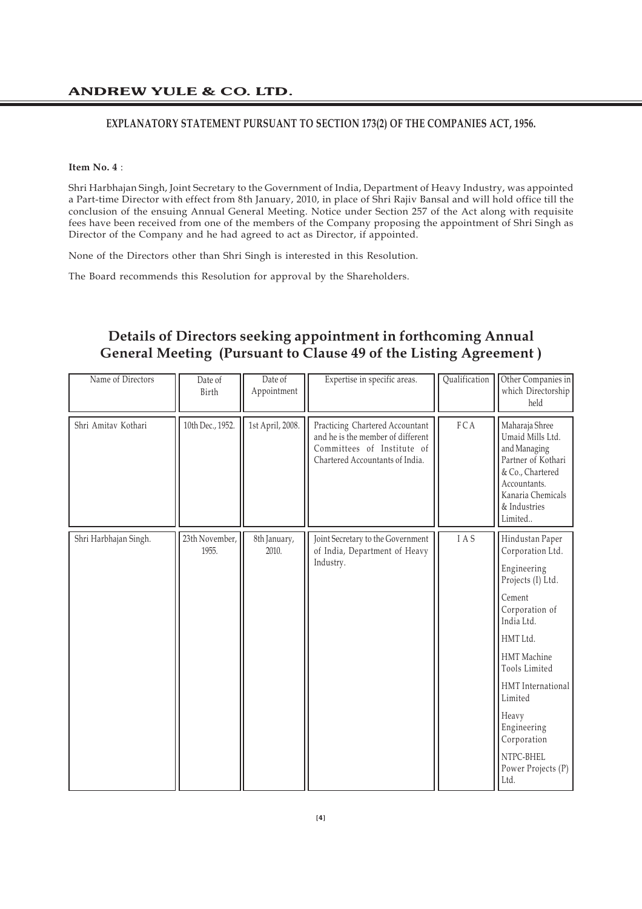#### **EXPLANATORY STATEMENT PURSUANT TO SECTION 173(2) OF THE COMPANIES ACT, 1956.**

#### **Item No. 4** :

Shri Harbhajan Singh, Joint Secretary to the Government of India, Department of Heavy Industry, was appointed a Part-time Director with effect from 8th January, 2010, in place of Shri Rajiv Bansal and will hold office till the conclusion of the ensuing Annual General Meeting. Notice under Section 257 of the Act along with requisite fees have been received from one of the members of the Company proposing the appointment of Shri Singh as Director of the Company and he had agreed to act as Director, if appointed.

None of the Directors other than Shri Singh is interested in this Resolution.

The Board recommends this Resolution for approval by the Shareholders.

### **Details of Directors seeking appointment in forthcoming Annual General Meeting (Pursuant to Clause 49 of the Listing Agreement )**

| Name of Directors     | Date of<br>Birth        | Date of<br>Appointment | Expertise in specific areas.                                                                                                          | Qualification | Other Companies in<br>which Directorship<br>held                                                                                                                                                                                                                                |
|-----------------------|-------------------------|------------------------|---------------------------------------------------------------------------------------------------------------------------------------|---------------|---------------------------------------------------------------------------------------------------------------------------------------------------------------------------------------------------------------------------------------------------------------------------------|
| Shri Amitav Kothari   | 10th Dec., 1952.        | 1st April, 2008.       | Practicing Chartered Accountant<br>and he is the member of different<br>Committees of Institute of<br>Chartered Accountants of India. | FCA           | Maharaja Shree<br>Umaid Mills Ltd.<br>and Managing<br>Partner of Kothari<br>& Co., Chartered<br>Accountants.<br>Kanaria Chemicals<br>& Industries<br>Limited                                                                                                                    |
| Shri Harbhajan Singh. | 23th November,<br>1955. | 8th January,<br>2010.  | Joint Secretary to the Government<br>of India, Department of Heavy<br>Industry.                                                       | IAS           | Hindustan Paper<br>Corporation Ltd.<br>Engineering<br>Projects (I) Ltd.<br>Cement<br>Corporation of<br>India Ltd.<br>HMT Ltd.<br>HMT Machine<br>Tools Limited<br>HMT International<br>Limited<br>Heavy<br>Engineering<br>Corporation<br>NTPC-BHEL<br>Power Projects (P)<br>Ltd. |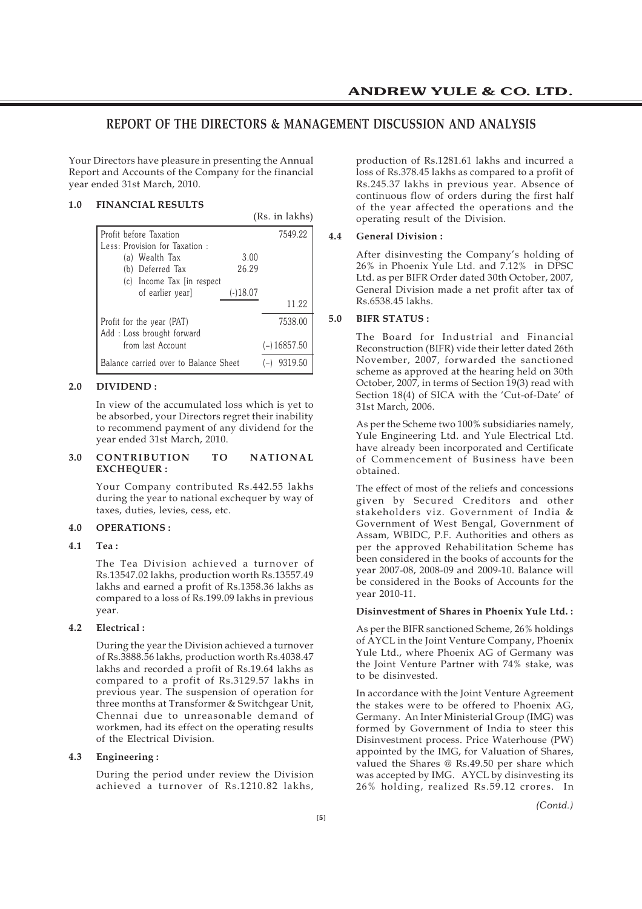### **REPORT OF THE DIRECTORS & MANAGEMENT DISCUSSION AND ANALYSIS**

 $(D<sub>c</sub>$  in lakhs)

Your Directors have pleasure in presenting the Annual Report and Accounts of the Company for the financial year ended 31st March, 2010.

#### **1.0 FINANCIAL RESULTS**

|                                       | (RS. III IARIIS) |
|---------------------------------------|------------------|
| Profit before Taxation                | 7549.22          |
| Less: Provision for Taxation:         |                  |
| 3.00<br>(a) Wealth Tax                |                  |
| 26.29<br>Deferred Tax<br>(b)          |                  |
| (c) Income Tax (in respect)           |                  |
| of earlier yearl<br>$(-)18.07$        |                  |
|                                       | 11.22            |
| Profit for the year (PAT)             | 7538.00          |
| Add: Loss brought forward             |                  |
| from last Account                     | $(-)$ 16857.50   |
| Balance carried over to Balance Sheet | 9319.50          |

#### **2.0 DIVIDEND :**

In view of the accumulated loss which is yet to be absorbed, your Directors regret their inability to recommend payment of any dividend for the year ended 31st March, 2010.

#### **3.0 CONTRIBUTION TO NATIONAL EXCHEQUER :**

Your Company contributed Rs.442.55 lakhs during the year to national exchequer by way of taxes, duties, levies, cess, etc.

#### **4.0 OPERATIONS :**

**4.1 Tea :**

The Tea Division achieved a turnover of Rs.13547.02 lakhs, production worth Rs.13557.49 lakhs and earned a profit of Rs.1358.36 lakhs as compared to a loss of Rs.199.09 lakhs in previous year.

#### **4.2 Electrical :**

During the year the Division achieved a turnover of Rs.3888.56 lakhs, production worth Rs.4038.47 lakhs and recorded a profit of Rs.19.64 lakhs as compared to a profit of Rs.3129.57 lakhs in previous year. The suspension of operation for three months at Transformer & Switchgear Unit, Chennai due to unreasonable demand of workmen, had its effect on the operating results of the Electrical Division.

#### **4.3 Engineering :**

During the period under review the Division achieved a turnover of Rs.1210.82 lakhs,

production of Rs.1281.61 lakhs and incurred a loss of Rs.378.45 lakhs as compared to a profit of Rs.245.37 lakhs in previous year. Absence of continuous flow of orders during the first half of the year affected the operations and the operating result of the Division.

#### **4.4 General Division :**

After disinvesting the Company's holding of 26% in Phoenix Yule Ltd. and 7.12% in DPSC Ltd. as per BIFR Order dated 30th October, 2007, General Division made a net profit after tax of Rs.6538.45 lakhs.

#### **5.0 BIFR STATUS :**

The Board for Industrial and Financial Reconstruction (BIFR) vide their letter dated 26th November, 2007, forwarded the sanctioned scheme as approved at the hearing held on 30th October, 2007, in terms of Section 19(3) read with Section 18(4) of SICA with the 'Cut-of-Date' of 31st March, 2006.

As per the Scheme two 100% subsidiaries namely, Yule Engineering Ltd. and Yule Electrical Ltd. have already been incorporated and Certificate of Commencement of Business have been obtained.

The effect of most of the reliefs and concessions given by Secured Creditors and other stakeholders viz. Government of India & Government of West Bengal, Government of Assam, WBIDC, P.F. Authorities and others as per the approved Rehabilitation Scheme has been considered in the books of accounts for the year 2007-08, 2008-09 and 2009-10. Balance will be considered in the Books of Accounts for the year 2010-11.

#### **Disinvestment of Shares in Phoenix Yule Ltd. :**

As per the BIFR sanctioned Scheme, 26% holdings of AYCL in the Joint Venture Company, Phoenix Yule Ltd., where Phoenix AG of Germany was the Joint Venture Partner with 74% stake, was to be disinvested.

In accordance with the Joint Venture Agreement the stakes were to be offered to Phoenix AG, Germany. An Inter Ministerial Group (IMG) was formed by Government of India to steer this Disinvestment process. Price Waterhouse (PW) appointed by the IMG, for Valuation of Shares, valued the Shares @ Rs.49.50 per share which was accepted by IMG. AYCL by disinvesting its 26% holding, realized Rs.59.12 crores. In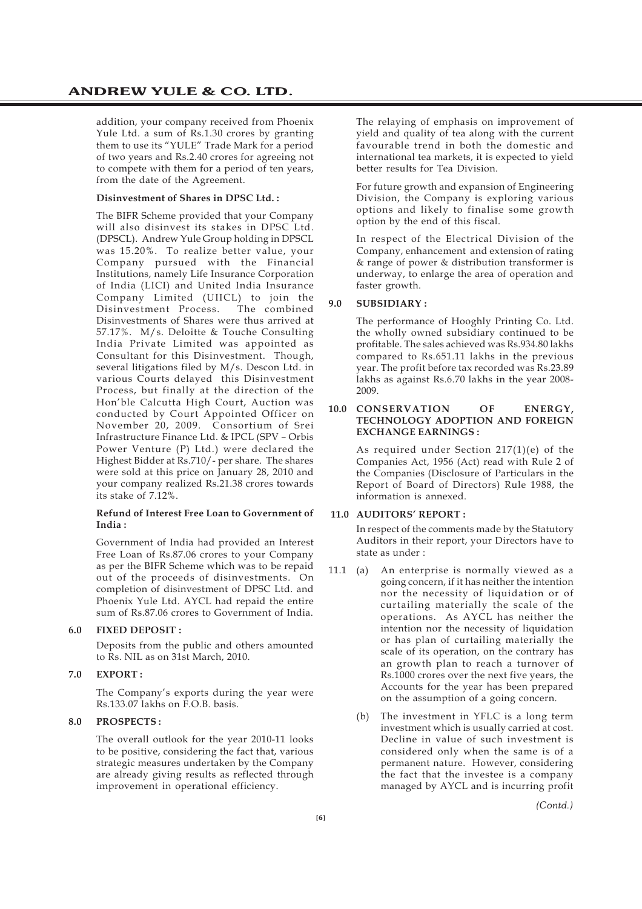addition, your company received from Phoenix Yule Ltd. a sum of Rs.1.30 crores by granting them to use its "YULE" Trade Mark for a period of two years and Rs.2.40 crores for agreeing not to compete with them for a period of ten years, from the date of the Agreement.

#### **Disinvestment of Shares in DPSC Ltd. :**

The BIFR Scheme provided that your Company will also disinvest its stakes in DPSC Ltd. (DPSCL). Andrew Yule Group holding in DPSCL was 15.20%. To realize better value, your Company pursued with the Financial Institutions, namely Life Insurance Corporation of India (LICI) and United India Insurance Company Limited (UIICL) to join the Disinvestment Process. The combined Disinvestments of Shares were thus arrived at 57.17%. M/s. Deloitte & Touche Consulting India Private Limited was appointed as Consultant for this Disinvestment. Though, several litigations filed by M/s. Descon Ltd. in various Courts delayed this Disinvestment Process, but finally at the direction of the Hon'ble Calcutta High Court, Auction was conducted by Court Appointed Officer on November 20, 2009. Consortium of Srei Infrastructure Finance Ltd. & IPCL (SPV – Orbis Power Venture (P) Ltd.) were declared the Highest Bidder at Rs.710/- per share. The shares were sold at this price on January 28, 2010 and your company realized Rs.21.38 crores towards its stake of 7.12%.

#### **Refund of Interest Free Loan to Government of India :**

Government of India had provided an Interest Free Loan of Rs.87.06 crores to your Company as per the BIFR Scheme which was to be repaid out of the proceeds of disinvestments. On completion of disinvestment of DPSC Ltd. and Phoenix Yule Ltd. AYCL had repaid the entire sum of Rs.87.06 crores to Government of India.

#### **6.0 FIXED DEPOSIT :**

Deposits from the public and others amounted to Rs. NIL as on 31st March, 2010.

#### **7.0 EXPORT :**

The Company's exports during the year were Rs.133.07 lakhs on F.O.B. basis.

### **8.0 PROSPECTS :**

The overall outlook for the year 2010-11 looks to be positive, considering the fact that, various strategic measures undertaken by the Company are already giving results as reflected through improvement in operational efficiency.

The relaying of emphasis on improvement of yield and quality of tea along with the current favourable trend in both the domestic and international tea markets, it is expected to yield better results for Tea Division.

For future growth and expansion of Engineering Division, the Company is exploring various options and likely to finalise some growth option by the end of this fiscal.

In respect of the Electrical Division of the Company, enhancement and extension of rating & range of power & distribution transformer is underway, to enlarge the area of operation and faster growth.

#### **9.0 SUBSIDIARY :**

The performance of Hooghly Printing Co. Ltd. the wholly owned subsidiary continued to be profitable. The sales achieved was Rs.934.80 lakhs compared to Rs.651.11 lakhs in the previous year. The profit before tax recorded was Rs.23.89 lakhs as against Rs.6.70 lakhs in the year 2008- 2009.

#### **10.0 CONSERVATION OF ENERGY, TECHNOLOGY ADOPTION AND FOREIGN EXCHANGE EARNINGS :**

As required under Section 217(1)(e) of the Companies Act, 1956 (Act) read with Rule 2 of the Companies (Disclosure of Particulars in the Report of Board of Directors) Rule 1988, the information is annexed.

#### **11.0 AUDITORS' REPORT :**

In respect of the comments made by the Statutory Auditors in their report, your Directors have to state as under :

- 11.1 (a) An enterprise is normally viewed as a going concern, if it has neither the intention nor the necessity of liquidation or of curtailing materially the scale of the operations. As AYCL has neither the intention nor the necessity of liquidation or has plan of curtailing materially the scale of its operation, on the contrary has an growth plan to reach a turnover of Rs.1000 crores over the next five years, the Accounts for the year has been prepared on the assumption of a going concern.
	- (b) The investment in YFLC is a long term investment which is usually carried at cost. Decline in value of such investment is considered only when the same is of a permanent nature. However, considering the fact that the investee is a company managed by AYCL and is incurring profit

*(Contd.)*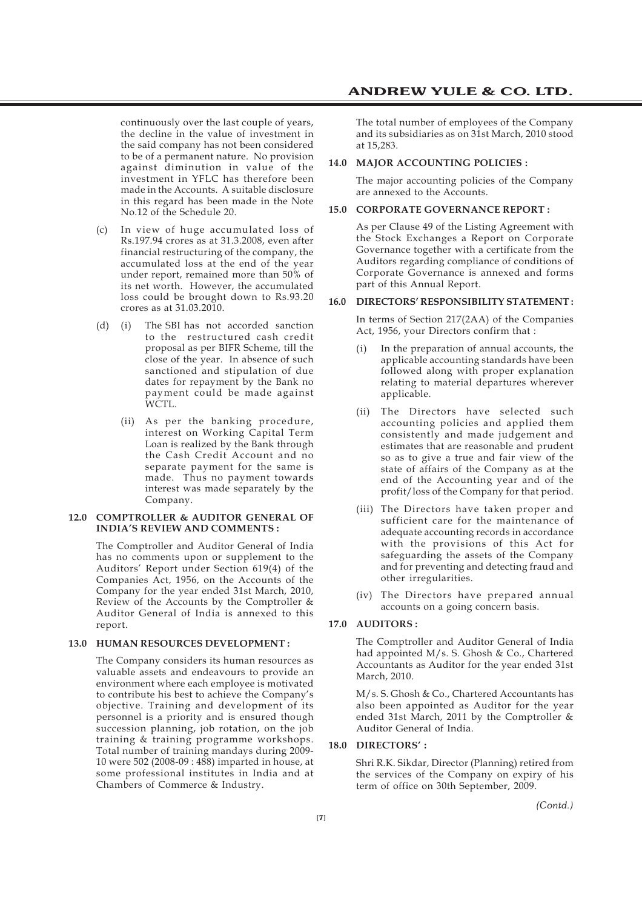continuously over the last couple of years, the decline in the value of investment in the said company has not been considered to be of a permanent nature. No provision against diminution in value of the investment in YFLC has therefore been made in the Accounts. A suitable disclosure in this regard has been made in the Note No.12 of the Schedule 20.

- (c) In view of huge accumulated loss of Rs.197.94 crores as at 31.3.2008, even after financial restructuring of the company, the accumulated loss at the end of the year under report, remained more than 50% of its net worth. However, the accumulated loss could be brought down to Rs.93.20 crores as at 31.03.2010.
- (d) (i) The SBI has not accorded sanction to the restructured cash credit proposal as per BIFR Scheme, till the close of the year. In absence of such sanctioned and stipulation of due dates for repayment by the Bank no payment could be made against WCTL.
	- (ii) As per the banking procedure, interest on Working Capital Term Loan is realized by the Bank through the Cash Credit Account and no separate payment for the same is made. Thus no payment towards interest was made separately by the Company.

#### **12.0 COMPTROLLER & AUDITOR GENERAL OF INDIA'S REVIEW AND COMMENTS :**

The Comptroller and Auditor General of India has no comments upon or supplement to the Auditors' Report under Section 619(4) of the Companies Act, 1956, on the Accounts of the Company for the year ended 31st March, 2010, Review of the Accounts by the Comptroller & Auditor General of India is annexed to this report.

#### **13.0 HUMAN RESOURCES DEVELOPMENT :**

The Company considers its human resources as valuable assets and endeavours to provide an environment where each employee is motivated to contribute his best to achieve the Company's objective. Training and development of its personnel is a priority and is ensured though succession planning, job rotation, on the job training & training programme workshops. Total number of training mandays during 2009- 10 were 502 (2008-09 : 488) imparted in house, at some professional institutes in India and at Chambers of Commerce & Industry.

The total number of employees of the Company and its subsidiaries as on 31st March, 2010 stood at 15,283.

#### **14.0 MAJOR ACCOUNTING POLICIES :**

The major accounting policies of the Company are annexed to the Accounts.

#### **15.0 CORPORATE GOVERNANCE REPORT :**

As per Clause 49 of the Listing Agreement with the Stock Exchanges a Report on Corporate Governance together with a certificate from the Auditors regarding compliance of conditions of Corporate Governance is annexed and forms part of this Annual Report.

#### **16.0 DIRECTORS' RESPONSIBILITY STATEMENT :**

In terms of Section 217(2AA) of the Companies Act, 1956, your Directors confirm that :

- In the preparation of annual accounts, the applicable accounting standards have been followed along with proper explanation relating to material departures wherever applicable.
- (ii) The Directors have selected such accounting policies and applied them consistently and made judgement and estimates that are reasonable and prudent so as to give a true and fair view of the state of affairs of the Company as at the end of the Accounting year and of the profit/loss of the Company for that period.
- (iii) The Directors have taken proper and sufficient care for the maintenance of adequate accounting records in accordance with the provisions of this Act for safeguarding the assets of the Company and for preventing and detecting fraud and other irregularities.
- (iv) The Directors have prepared annual accounts on a going concern basis.

#### **17.0 AUDITORS :**

The Comptroller and Auditor General of India had appointed M/s. S. Ghosh & Co., Chartered Accountants as Auditor for the year ended 31st March, 2010.

M/s. S. Ghosh & Co., Chartered Accountants has also been appointed as Auditor for the year ended 31st March, 2011 by the Comptroller & Auditor General of India.

#### **18.0 DIRECTORS' :**

Shri R.K. Sikdar, Director (Planning) retired from the services of the Company on expiry of his term of office on 30th September, 2009.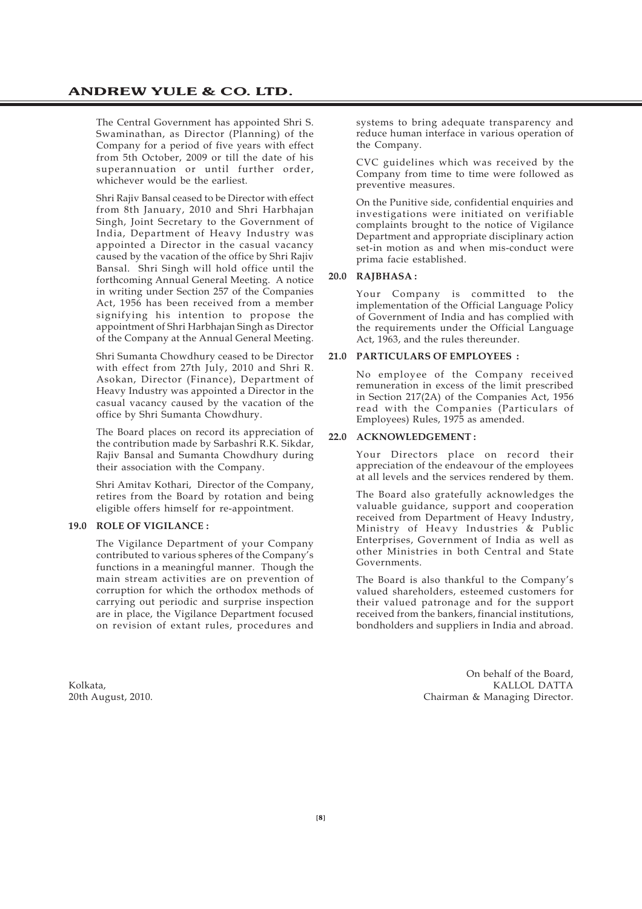The Central Government has appointed Shri S. Swaminathan, as Director (Planning) of the Company for a period of five years with effect from 5th October, 2009 or till the date of his superannuation or until further order, whichever would be the earliest.

Shri Rajiv Bansal ceased to be Director with effect from 8th January, 2010 and Shri Harbhajan Singh, Joint Secretary to the Government of India, Department of Heavy Industry was appointed a Director in the casual vacancy caused by the vacation of the office by Shri Rajiv Bansal. Shri Singh will hold office until the forthcoming Annual General Meeting. A notice in writing under Section 257 of the Companies Act, 1956 has been received from a member signifying his intention to propose the appointment of Shri Harbhajan Singh as Director of the Company at the Annual General Meeting.

Shri Sumanta Chowdhury ceased to be Director with effect from 27th July, 2010 and Shri R. Asokan, Director (Finance), Department of Heavy Industry was appointed a Director in the casual vacancy caused by the vacation of the office by Shri Sumanta Chowdhury.

The Board places on record its appreciation of the contribution made by Sarbashri R.K. Sikdar, Rajiv Bansal and Sumanta Chowdhury during their association with the Company.

Shri Amitav Kothari, Director of the Company, retires from the Board by rotation and being eligible offers himself for re-appointment.

#### **19.0 ROLE OF VIGILANCE :**

The Vigilance Department of your Company contributed to various spheres of the Company's functions in a meaningful manner. Though the main stream activities are on prevention of corruption for which the orthodox methods of carrying out periodic and surprise inspection are in place, the Vigilance Department focused on revision of extant rules, procedures and

systems to bring adequate transparency and reduce human interface in various operation of the Company.

CVC guidelines which was received by the Company from time to time were followed as preventive measures.

On the Punitive side, confidential enquiries and investigations were initiated on verifiable complaints brought to the notice of Vigilance Department and appropriate disciplinary action set-in motion as and when mis-conduct were prima facie established.

#### **20.0 RAJBHASA :**

Your Company is committed to the implementation of the Official Language Policy of Government of India and has complied with the requirements under the Official Language Act, 1963, and the rules thereunder.

#### **21.0 PARTICULARS OF EMPLOYEES :**

No employee of the Company received remuneration in excess of the limit prescribed in Section 217(2A) of the Companies Act, 1956 read with the Companies (Particulars of Employees) Rules, 1975 as amended.

#### **22.0 ACKNOWLEDGEMENT :**

Your Directors place on record their appreciation of the endeavour of the employees at all levels and the services rendered by them.

The Board also gratefully acknowledges the valuable guidance, support and cooperation received from Department of Heavy Industry, Ministry of Heavy Industries & Public Enterprises, Government of India as well as other Ministries in both Central and State Governments.

The Board is also thankful to the Company's valued shareholders, esteemed customers for their valued patronage and for the support received from the bankers, financial institutions, bondholders and suppliers in India and abroad.

On behalf of the Board, Kolkata, Kali dhaqaan KALLOL DATTA (Kali dhaqaan KALLOL DATTA) waxaa ah ay dhaqaan KALLOL DATTA (Kali dhaqaan K<br>Qoob Ayaast, 2010, Chairman & Managing Director, Chairman & Managing Director, Chairman & Managing Director, C Chairman & Managing Director.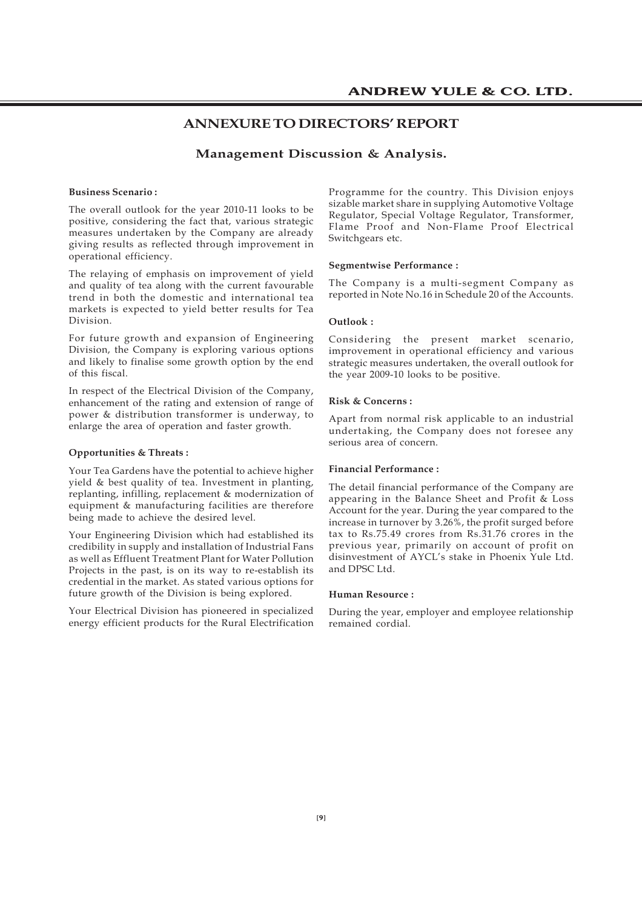### **ANNEXURE TO DIRECTORS' REPORT**

#### **Management Discussion & Analysis.**

#### **Business Scenario :**

The overall outlook for the year 2010-11 looks to be positive, considering the fact that, various strategic measures undertaken by the Company are already giving results as reflected through improvement in operational efficiency.

The relaying of emphasis on improvement of yield and quality of tea along with the current favourable trend in both the domestic and international tea markets is expected to yield better results for Tea Division.

For future growth and expansion of Engineering Division, the Company is exploring various options and likely to finalise some growth option by the end of this fiscal.

In respect of the Electrical Division of the Company, enhancement of the rating and extension of range of power & distribution transformer is underway, to enlarge the area of operation and faster growth.

#### **Opportunities & Threats :**

Your Tea Gardens have the potential to achieve higher yield & best quality of tea. Investment in planting, replanting, infilling, replacement & modernization of equipment & manufacturing facilities are therefore being made to achieve the desired level.

Your Engineering Division which had established its credibility in supply and installation of Industrial Fans as well as Effluent Treatment Plant for Water Pollution Projects in the past, is on its way to re-establish its credential in the market. As stated various options for future growth of the Division is being explored.

Your Electrical Division has pioneered in specialized energy efficient products for the Rural Electrification Programme for the country. This Division enjoys sizable market share in supplying Automotive Voltage Regulator, Special Voltage Regulator, Transformer, Flame Proof and Non-Flame Proof Electrical Switchgears etc.

#### **Segmentwise Performance :**

The Company is a multi-segment Company as reported in Note No.16 in Schedule 20 of the Accounts.

#### **Outlook :**

Considering the present market scenario, improvement in operational efficiency and various strategic measures undertaken, the overall outlook for the year 2009-10 looks to be positive.

#### **Risk & Concerns :**

Apart from normal risk applicable to an industrial undertaking, the Company does not foresee any serious area of concern.

#### **Financial Performance :**

The detail financial performance of the Company are appearing in the Balance Sheet and Profit & Loss Account for the year. During the year compared to the increase in turnover by 3.26%, the profit surged before tax to Rs.75.49 crores from Rs.31.76 crores in the previous year, primarily on account of profit on disinvestment of AYCL's stake in Phoenix Yule Ltd. and DPSC Ltd.

#### **Human Resource :**

During the year, employer and employee relationship remained cordial.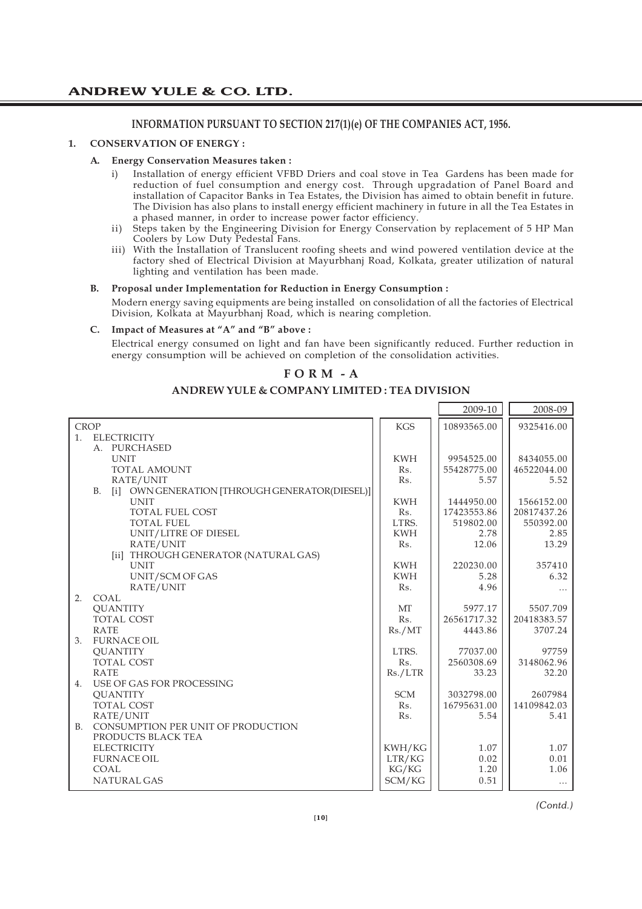### **INFORMATION PURSUANT TO SECTION 217(1)(e) OF THE COMPANIES ACT, 1956.**

#### **1. CONSERVATION OF ENERGY :**

#### **A. Energy Conservation Measures taken :**

- i) Installation of energy efficient VFBD Driers and coal stove in Tea Gardens has been made for reduction of fuel consumption and energy cost. Through upgradation of Panel Board and installation of Capacitor Banks in Tea Estates, the Division has aimed to obtain benefit in future. The Division has also plans to install energy efficient machinery in future in all the Tea Estates in a phased manner, in order to increase power factor efficiency.
- ii) Steps taken by the Engineering Division for Energy Conservation by replacement of 5 HP Man Coolers by Low Duty Pedestal Fans.
- iii) With the Installation of Translucent roofing sheets and wind powered ventilation device at the factory shed of Electrical Division at Mayurbhanj Road, Kolkata, greater utilization of natural lighting and ventilation has been made.

#### **B. Proposal under Implementation for Reduction in Energy Consumption :**

Modern energy saving equipments are being installed on consolidation of all the factories of Electrical Division, Kolkata at Mayurbhanj Road, which is nearing completion.

#### **C. Impact of Measures at "A" and "B" above :**

Electrical energy consumed on light and fan have been significantly reduced. Further reduction in energy consumption will be achieved on completion of the consolidation activities.

#### **F O R M - A**

#### **ANDREW YULE & COMPANY LIMITED : TEA DIVISION**

|                                                      |                | 2009-10     | 2008-09     |
|------------------------------------------------------|----------------|-------------|-------------|
| <b>CROP</b>                                          | <b>KGS</b>     | 10893565.00 | 9325416.00  |
| <b>ELECTRICITY</b><br>1.                             |                |             |             |
| A. PURCHASED                                         |                |             |             |
| <b>UNIT</b>                                          | <b>KWH</b>     | 9954525.00  | 8434055.00  |
| <b>TOTAL AMOUNT</b>                                  | Rs.            | 55428775.00 | 46522044.00 |
| RATE/UNIT                                            | Rs.            | 5.57        | 5.52        |
| B. [i] OWN GENERATION [THROUGH GENERATOR(DIESEL)]    |                |             |             |
| <b>UNIT</b>                                          | <b>KWH</b>     | 1444950.00  | 1566152.00  |
| <b>TOTAL FUEL COST</b>                               | Rs.            | 17423553.86 | 20817437.26 |
| <b>TOTAL FUEL</b>                                    | LTRS.          | 519802.00   | 550392.00   |
| UNIT/LITRE OF DIESEL                                 | <b>KWH</b>     | 2.78        | 2.85        |
| RATE/UNIT                                            | Rs.            | 12.06       | 13.29       |
| [ii] THROUGH GENERATOR (NATURAL GAS)                 |                |             |             |
| <b>UNIT</b>                                          | <b>KWH</b>     | 220230.00   | 357410      |
| UNIT/SCM OF GAS                                      | <b>KWH</b>     | 5.28        | 6.32        |
| RATE/UNIT                                            | R <sub>S</sub> | 4.96        | .           |
| 2.<br>COAL.                                          |                |             |             |
| <b>OUANTITY</b>                                      | <b>MT</b>      | 5977.17     | 5507.709    |
| <b>TOTAL COST</b>                                    | Rs.            | 26561717.32 | 20418383.57 |
| <b>RATE</b>                                          | Rs./MT         | 4443.86     | 3707.24     |
| FURNACE OIL<br>3.                                    |                |             |             |
| <b>QUANTITY</b>                                      | LTRS.          | 77037.00    | 97759       |
| <b>TOTAL COST</b>                                    | Rs.            | 2560308.69  | 3148062.96  |
| <b>RATE</b>                                          | Rs./LTR        | 33.23       | 32.20       |
| USE OF GAS FOR PROCESSING<br>4.                      |                |             |             |
| <b>OUANTITY</b>                                      | <b>SCM</b>     | 3032798.00  | 2607984     |
| TOTAL COST                                           | Rs.            | 16795631.00 | 14109842.03 |
| RATE/UNIT                                            | Rs.            | 5.54        | 5.41        |
| CONSUMPTION PER UNIT OF PRODUCTION<br>B <sub>1</sub> |                |             |             |
| PRODUCTS BLACK TEA                                   |                |             |             |
| <b>ELECTRICITY</b>                                   | KWH/KG         | 1.07        | 1.07        |
| <b>FURNACE OIL</b><br>COAL.                          | LTR/KG         | 0.02        | 0.01        |
|                                                      | KG/KG          | 1.20        | 1.06        |
| <b>NATURAL GAS</b>                                   | SCM/KG         | 0.51        | $\cdots$    |

*(Contd.)*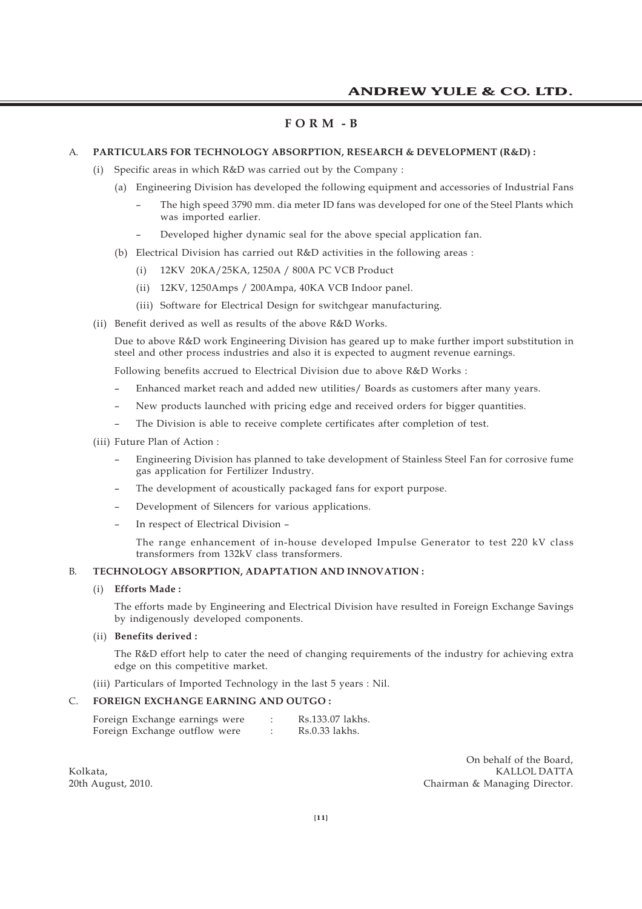#### **F O R M - B**

#### A. **PARTICULARS FOR TECHNOLOGY ABSORPTION, RESEARCH & DEVELOPMENT (R&D) :**

- (i) Specific areas in which R&D was carried out by the Company :
	- (a) Engineering Division has developed the following equipment and accessories of Industrial Fans
		- The high speed 3790 mm. dia meter ID fans was developed for one of the Steel Plants which was imported earlier.
		- Developed higher dynamic seal for the above special application fan.
	- (b) Electrical Division has carried out R&D activities in the following areas :
		- (i) 12KV 20KA/25KA, 1250A / 800A PC VCB Product
		- (ii) 12KV, 1250Amps / 200Ampa, 40KA VCB Indoor panel.
		- (iii) Software for Electrical Design for switchgear manufacturing.
- (ii) Benefit derived as well as results of the above R&D Works.

Due to above R&D work Engineering Division has geared up to make further import substitution in steel and other process industries and also it is expected to augment revenue earnings.

Following benefits accrued to Electrical Division due to above R&D Works :

- Enhanced market reach and added new utilities/ Boards as customers after many years.
- New products launched with pricing edge and received orders for bigger quantities.
- The Division is able to receive complete certificates after completion of test.
- (iii) Future Plan of Action :
	- Engineering Division has planned to take development of Stainless Steel Fan for corrosive fume gas application for Fertilizer Industry.
	- The development of acoustically packaged fans for export purpose.
	- Development of Silencers for various applications.
	- In respect of Electrical Division –

The range enhancement of in-house developed Impulse Generator to test 220 kV class transformers from 132kV class transformers.

#### B. **TECHNOLOGY ABSORPTION, ADAPTATION AND INNOVATION :**

#### (i) **Efforts Made :**

The efforts made by Engineering and Electrical Division have resulted in Foreign Exchange Savings by indigenously developed components.

#### (ii) **Benefits derived :**

The R&D effort help to cater the need of changing requirements of the industry for achieving extra edge on this competitive market.

(iii) Particulars of Imported Technology in the last 5 years : Nil.

#### C. **FOREIGN EXCHANGE EARNING AND OUTGO :**

| Foreign Exchange earnings were |  | Rs.133.07 lakhs. |
|--------------------------------|--|------------------|
| Foreign Exchange outflow were  |  | Rs.0.33 lakhs.   |

On behalf of the Board, Kolkata, Kalendari dan kecamatan ing Kalendari Kalendari Kalendari Kalendari Kalendari Kalendari Kalendari Kalendari Kalendari Kalendari Kalendari Kalendari Kalendari Kalendari Kalendari Kalendari Kalendari Kalendari Kalen 20th August, 2010. Chairman & Managing Director.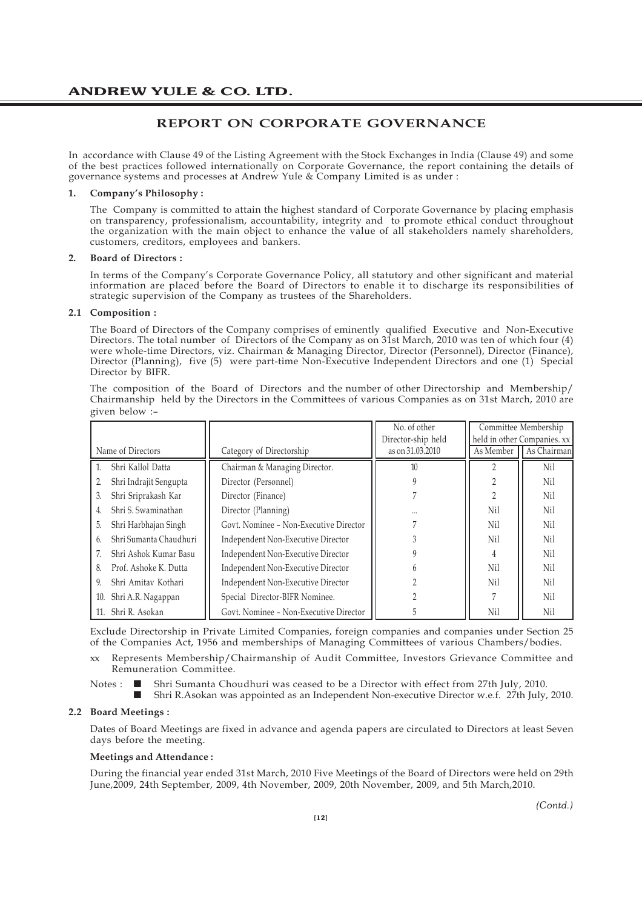### **REPORT ON CORPORATE GOVERNANCE**

In accordance with Clause 49 of the Listing Agreement with the Stock Exchanges in India (Clause 49) and some of the best practices followed internationally on Corporate Governance, the report containing the details of governance systems and processes at Andrew Yule  $\&$  Company Limited is as under :

#### **1. Company's Philosophy :**

The Company is committed to attain the highest standard of Corporate Governance by placing emphasis on transparency, professionalism, accountability, integrity and to promote ethical conduct throughout the organization with the main object to enhance the value of all stakeholders namely shareholders, customers, creditors, employees and bankers.

#### **2. Board of Directors :**

In terms of the Company's Corporate Governance Policy, all statutory and other significant and material information are placed before the Board of Directors to enable it to discharge its responsibilities of strategic supervision of the Company as trustees of the Shareholders.

#### **2.1 Composition :**

The Board of Directors of the Company comprises of eminently qualified Executive and Non-Executive Directors. The total number of Directors of the Company as on 31st March, 2010 was ten of which four (4) were whole-time Directors, viz. Chairman & Managing Director, Director (Personnel), Director (Finance), Director (Planning), five (5) were part-time Non-Executive Independent Directors and one (1) Special Director by BIFR.

The composition of the Board of Directors and the number of other Directorship and Membership/ Chairmanship held by the Directors in the Committees of various Companies as on 31st March, 2010 are given below :–

|                              |                                        | No. of other       |                | Committee Membership        |
|------------------------------|----------------------------------------|--------------------|----------------|-----------------------------|
|                              |                                        | Director-ship held |                | held in other Companies. xx |
| Name of Directors            | Category of Directorship               | as on 31,03,2010   | As Member      | As Chairman                 |
| Shri Kallol Datta            | Chairman & Managing Director.          | 10                 |                | Nil                         |
| Shri Indrajit Sengupta       | Director (Personnel)                   |                    |                | Nil                         |
| Shri Sriprakash Kar<br>3.    | Director (Finance)                     |                    |                | Nil                         |
| Shri S. Swaminathan<br>4.    | Director (Planning)                    |                    | Nil            | Nil                         |
| 5.<br>Shri Harbhajan Singh   | Govt. Nominee - Non-Executive Director |                    | Nil            | N <sub>i</sub>              |
| Shri Sumanta Chaudhuri<br>6. | Independent Non-Executive Director     |                    | Nil            | Nil                         |
| Shri Ashok Kumar Basu        | Independent Non-Executive Director     |                    | 4              | Nil                         |
| Prof. Ashoke K. Dutta<br>8.  | Independent Non-Executive Director     |                    | N <sub>i</sub> | N <sub>i</sub>              |
| Shri Amitav Kothari<br>9     | Independent Non-Executive Director     |                    | Nil            | N <sub>i</sub>              |
| Shri A.R. Nagappan<br>10.    | Special Director-BIFR Nominee.         |                    |                | Nil                         |
| Shri R. Asokan<br>11.        | Govt. Nominee - Non-Executive Director |                    | Nil            | Nil                         |

Exclude Directorship in Private Limited Companies, foreign companies and companies under Section 25 of the Companies Act, 1956 and memberships of Managing Committees of various Chambers/bodies.

xx Represents Membership/Chairmanship of Audit Committee, Investors Grievance Committee and Remuneration Committee.

Notes :  $\Box$  Shri Sumanta Choudhuri was ceased to be a Director with effect from 27th July, 2010.

¢ Shri R.Asokan was appointed as an Independent Non-executive Director w.e.f. 27th July, 2010.

#### **2.2 Board Meetings :**

Dates of Board Meetings are fixed in advance and agenda papers are circulated to Directors at least Seven days before the meeting.

#### **Meetings and Attendance :**

During the financial year ended 31st March, 2010 Five Meetings of the Board of Directors were held on 29th June,2009, 24th September, 2009, 4th November, 2009, 20th November, 2009, and 5th March,2010.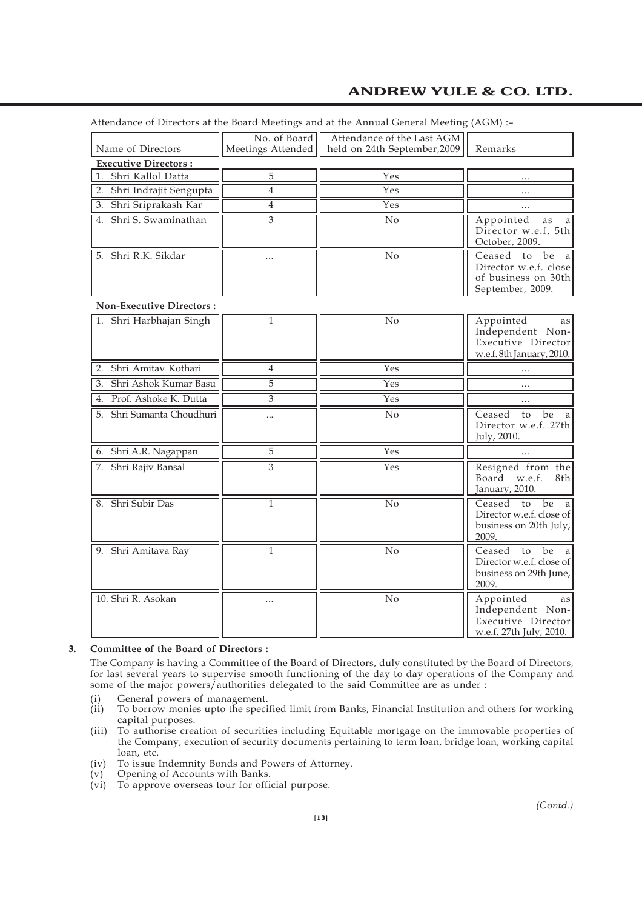|                                 |                                   | Attendance of Directors at the Board Meetings and at the Annual General Meeting (AGM) :- |                                                                                                     |
|---------------------------------|-----------------------------------|------------------------------------------------------------------------------------------|-----------------------------------------------------------------------------------------------------|
| Name of Directors               | No. of Board<br>Meetings Attended | Attendance of the Last AGM<br>held on 24th September, 2009                               | Remarks                                                                                             |
| <b>Executive Directors:</b>     |                                   |                                                                                          |                                                                                                     |
| 1.<br>Shri Kallol Datta         | 5                                 | Yes                                                                                      |                                                                                                     |
| 2. Shri Indrajit Sengupta       | $\overline{4}$                    | $\overline{\mathrm{Yes}}$                                                                |                                                                                                     |
| 3. Shri Sriprakash Kar          | $\overline{4}$                    | Yes                                                                                      |                                                                                                     |
| 4. Shri S. Swaminathan          | $\overline{3}$                    | No                                                                                       | Appointed<br>as<br>a<br>Director w.e.f. 5th<br>October, 2009.                                       |
| 5. Shri R.K. Sikdar             |                                   | $\overline{No}$                                                                          | Ceased to<br>be<br><sub>a</sub><br>Director w.e.f. close<br>of business on 30th<br>September, 2009. |
| <b>Non-Executive Directors:</b> |                                   |                                                                                          |                                                                                                     |
| 1. Shri Harbhajan Singh         | $\overline{1}$                    | $\overline{No}$                                                                          | Appointed<br>as<br>Independent Non-<br>Executive Director<br>w.e.f. 8th January, 2010.              |
| Shri Amitav Kothari<br>2.       | $\overline{4}$                    | Yes                                                                                      | .                                                                                                   |
| Shri Ashok Kumar Basu<br>3.     | 5                                 | Yes                                                                                      |                                                                                                     |
| 4. Prof. Ashoke K. Dutta        | 3                                 | Yes                                                                                      |                                                                                                     |
| 5. Shri Sumanta Choudhuri       | $\ddotsc$                         | $\overline{No}$                                                                          | Ceased<br>be<br>to<br>a<br>Director w.e.f. 27th<br>July, 2010.                                      |
| 6. Shri A.R. Nagappan           | 5                                 | Yes                                                                                      |                                                                                                     |
| 7. Shri Rajiv Bansal            | 3                                 | Yes                                                                                      | Resigned from the<br>w.e.f.<br>8th<br>Board<br>January, 2010.                                       |
| 8. Shri Subir Das               | 1                                 | No                                                                                       | Ceased<br>be<br>to<br>a<br>Director w.e.f. close of<br>business on 20th July,<br>2009.              |
| 9. Shri Amitava Ray             | $\mathbf{1}$                      | No                                                                                       | Ceased to<br>be<br>Director w.e.f. close of<br>business on 29th June,<br>2009.                      |
| 10. Shri R. Asokan              | .                                 | No                                                                                       | Appointed<br>as<br>Independent Non-<br>Executive Director<br>w.e.f. 27th July, 2010.                |

Attendance of Directors at the Board Meetings and at the Annual General Meeting (AGM) :–

#### **3. Committee of the Board of Directors :**

The Company is having a Committee of the Board of Directors, duly constituted by the Board of Directors, for last several years to supervise smooth functioning of the day to day operations of the Company and some of the major powers/authorities delegated to the said Committee are as under :

- (i) General powers of management.<br>(ii) To borrow monies upto the speci-
- To borrow monies upto the specified limit from Banks, Financial Institution and others for working capital purposes.
- (iii) To authorise creation of securities including Equitable mortgage on the immovable properties of the Company, execution of security documents pertaining to term loan, bridge loan, working capital loan, etc.
- (iv) To issue Indemnity Bonds and Powers of Attorney.
- (v) Opening of Accounts with Banks.
- (vi) To approve overseas tour for official purpose.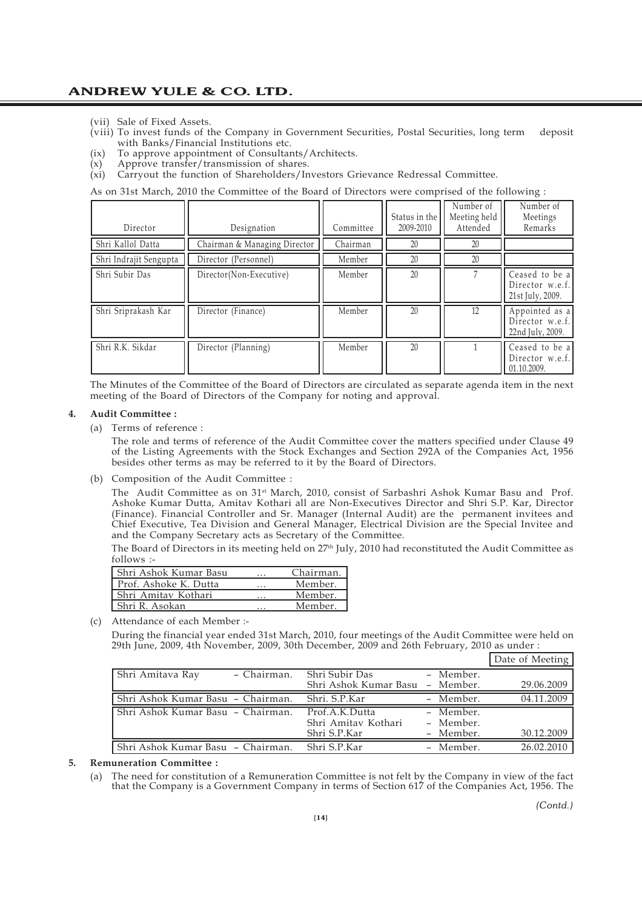- (vii) Sale of Fixed Assets.
- (viii) To invest funds of the Company in Government Securities, Postal Securities, long term deposit with Banks/Financial Institutions etc.
- (ix) To approve appointment of Consultants/Architects.
- (x) Approve transfer/transmission of shares.
- (xi) Carryout the function of Shareholders/Investors Grievance Redressal Committee.

As on 31st March, 2010 the Committee of the Board of Directors were comprised of the following :

| Director               | Designation                  | Committee | Status in the<br>2009-2010 | Number of<br>Meeting held<br>Attended | Number of<br>Meetings<br>Remarks                      |
|------------------------|------------------------------|-----------|----------------------------|---------------------------------------|-------------------------------------------------------|
| Shri Kallol Datta      | Chairman & Managing Director | Chairman  | 20                         | 20                                    |                                                       |
| Shri Indrajit Sengupta | Director (Personnel)         | Member    | 20                         | 20                                    |                                                       |
| Shri Subir Das         | Director(Non-Executive)      | Member    | 20                         |                                       | Ceased to be a<br>Director w.e.f.<br>21st July, 2009. |
| Shri Sriprakash Kar    | Director (Finance)           | Member    | 20                         | 12                                    | Appointed as a<br>Director w.e.f.<br>22nd July, 2009. |
| Shri R.K. Sikdar       | Director (Planning)          | Member    | 20                         |                                       | Ceased to be a<br>Director w.e.f.<br>01.10.2009.      |

The Minutes of the Committee of the Board of Directors are circulated as separate agenda item in the next meeting of the Board of Directors of the Company for noting and approval.

#### **4. Audit Committee :**

(a) Terms of reference :

The role and terms of reference of the Audit Committee cover the matters specified under Clause 49 of the Listing Agreements with the Stock Exchanges and Section 292A of the Companies Act, 1956 besides other terms as may be referred to it by the Board of Directors.

(b) Composition of the Audit Committee :

The Audit Committee as on 31st March, 2010, consist of Sarbashri Ashok Kumar Basu and Prof. Ashoke Kumar Dutta, Amitav Kothari all are Non-Executives Director and Shri S.P. Kar, Director (Finance). Financial Controller and Sr. Manager (Internal Audit) are the permanent invitees and Chief Executive, Tea Division and General Manager, Electrical Division are the Special Invitee and and the Company Secretary acts as Secretary of the Committee.

The Board of Directors in its meeting held on 27<sup>th</sup> July, 2010 had reconstituted the Audit Committee as follows :-

| Shri Ashok Kumar Basu | $\cdots$ | Chairman. |
|-----------------------|----------|-----------|
| Prof. Ashoke K. Dutta |          | Member.   |
| Shri Amitay Kothari   |          | Member.   |
| Shri R. Asokan        |          | Member.   |

(c) Attendance of each Member :-

During the financial year ended 31st March, 2010, four meetings of the Audit Committee were held on 29th June, 2009, 4th November, 2009, 30th December, 2009 and 26th February, 2010 as under :

|                                   |                                       |                        | Date of Meeting |
|-----------------------------------|---------------------------------------|------------------------|-----------------|
| Shri Amitava Ray<br>- Chairman.   | Shri Subir Das                        | - Member.              |                 |
|                                   | Shri Ashok Kumar Basu - Member.       |                        | 29.06.2009      |
| Shri Ashok Kumar Basu - Chairman. | Shri, S.P.Kar                         | - Member.              | 04.11.2009      |
|                                   |                                       |                        |                 |
| Shri Ashok Kumar Basu - Chairman. | Prof.A.K.Dutta<br>Shri Amitav Kothari | - Member.<br>- Member. |                 |
|                                   | Shri S.P.Kar                          | - Member.              | 30.12.2009      |

#### **5. Remuneration Committee :**

(a) The need for constitution of a Remuneration Committee is not felt by the Company in view of the fact that the Company is a Government Company in terms of Section 617 of the Companies Act, 1956. The

*(Contd.)*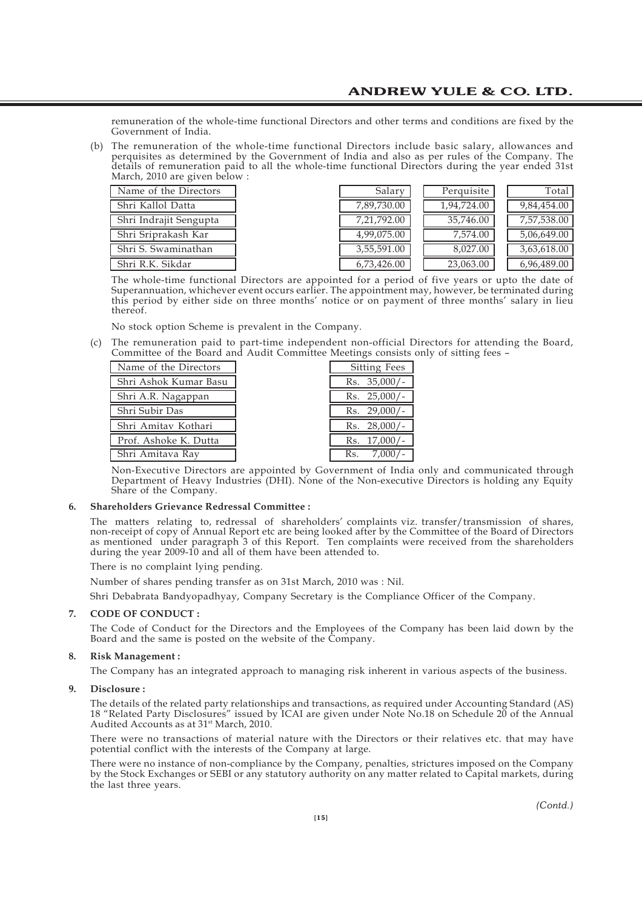remuneration of the whole-time functional Directors and other terms and conditions are fixed by the Government of India.

(b) The remuneration of the whole-time functional Directors include basic salary, allowances and perquisites as determined by the Government of India and also as per rules of the Company. The details of remuneration paid to all the whole-time functional Directors during the year ended 31st March, 2010 are given below :

| Name of the Directors  |
|------------------------|
| Shri Kallol Datta      |
| Shri Indrajit Sengupta |
| Shri Sriprakash Kar    |
| Shri S. Swaminathan    |
| Shri R.K. Sikdar       |

| Name of the Directors  | Salary      | Perquisite  | Total                    |
|------------------------|-------------|-------------|--------------------------|
| Shri Kallol Datta      | 7,89,730.00 | 1,94,724.00 | $9,84,454.\overline{00}$ |
| Shri Indrajit Sengupta | 7,21,792.00 | 35,746.00   | 7,57,538.00              |
| Shri Sriprakash Kar    | 4,99,075.00 | 7.574.00    | 5,06,649.00              |
| Shri S. Swaminathan    | 3,55,591.00 | 8.027.00    | 3,63,618.00              |
| Shri R.K. Sikdar       | 6,73,426.00 | 23,063.00   | 6,96,489.00              |

The whole-time functional Directors are appointed for a period of five years or upto the date of Superannuation, whichever event occurs earlier. The appointment may, however, be terminated during this period by either side on three months' notice or on payment of three months' salary in lieu thereof.

No stock option Scheme is prevalent in the Company.

(c) The remuneration paid to part-time independent non-official Directors for attending the Board, Committee of the Board and Audit Committee Meetings consists only of sitting fees –

| Name of the Directors | <b>Sitting Fees</b> |
|-----------------------|---------------------|
| Shri Ashok Kumar Basu | $35,000/-$<br>Rs.   |
| Shri A.R. Nagappan    | $Rs. 25,000/-$      |
| Shri Subir Das        | $Rs. 29,000/-$      |
| Shri Amitav Kothari   | $28,000/-$<br>Rs.   |
| Prof. Ashoke K. Dutta | $Rs. 17,000/-$      |
| Shri Amitava Ray      | Rs                  |

Non-Executive Directors are appointed by Government of India only and communicated through Department of Heavy Industries (DHI). None of the Non-executive Directors is holding any Equity Share of the Company.

#### **6. Shareholders Grievance Redressal Committee :**

The matters relating to, redressal of shareholders' complaints viz. transfer/transmission of shares, non-receipt of copy of Annual Report etc are being looked after by the Committee of the Board of Directors as mentioned under paragraph 3 of this Report. Ten complaints were received from the shareholders during the year 2009-10 and all of them have been attended to.

There is no complaint lying pending.

Number of shares pending transfer as on 31st March, 2010 was : Nil.

Shri Debabrata Bandyopadhyay, Company Secretary is the Compliance Officer of the Company.

#### **7. CODE OF CONDUCT :**

The Code of Conduct for the Directors and the Employees of the Company has been laid down by the Board and the same is posted on the website of the Company.

#### **8. Risk Management :**

The Company has an integrated approach to managing risk inherent in various aspects of the business.

#### **9. Disclosure :**

The details of the related party relationships and transactions, as required under Accounting Standard (AS) 18 "Related Party Disclosures" issued by ICAI are given under Note No.18 on Schedule 20 of the Annual Audited Accounts as at 31<sup>st</sup> March, 2010.

There were no transactions of material nature with the Directors or their relatives etc. that may have potential conflict with the interests of the Company at large.

There were no instance of non-compliance by the Company, penalties, strictures imposed on the Company by the Stock Exchanges or SEBI or any statutory authority on any matter related to Capital markets, during the last three years.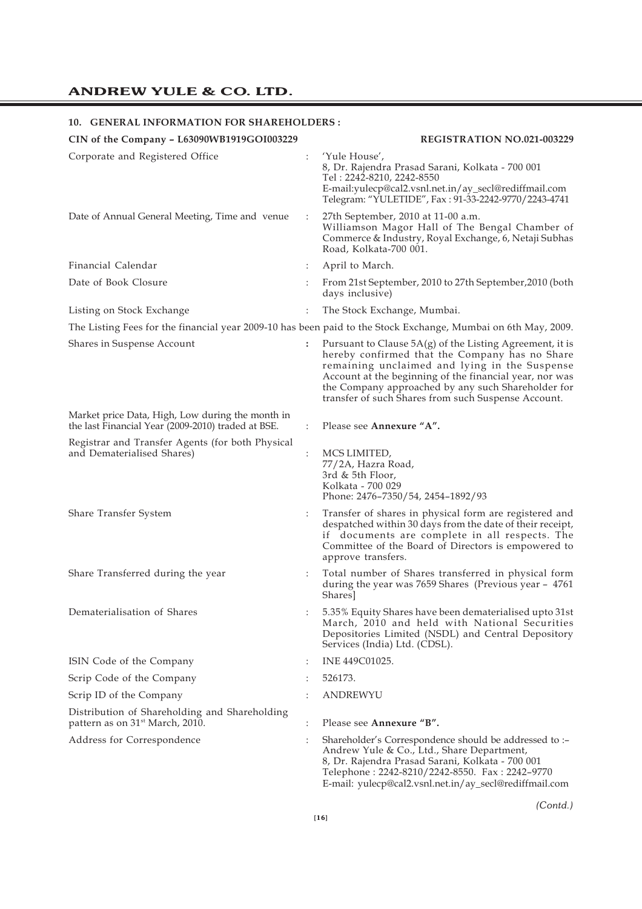### **10. GENERAL INFORMATION FOR SHAREHOLDERS :**

| 10. GENERAL INFORMATION FOR SHAREHOLDERS.                                                              |                |                                                                                                                                                                                                                                                                                                                                       |
|--------------------------------------------------------------------------------------------------------|----------------|---------------------------------------------------------------------------------------------------------------------------------------------------------------------------------------------------------------------------------------------------------------------------------------------------------------------------------------|
| CIN of the Company - L63090WB1919GOI003229                                                             |                | <b>REGISTRATION NO.021-003229</b>                                                                                                                                                                                                                                                                                                     |
| Corporate and Registered Office                                                                        |                | 'Yule House',<br>8, Dr. Rajendra Prasad Sarani, Kolkata - 700 001<br>Tel: 2242-8210, 2242-8550<br>E-mail:yulecp@cal2.vsnl.net.in/ay_secl@rediffmail.com<br>Telegram: "YULETIDE", Fax: 91-33-2242-9770/2243-4741                                                                                                                       |
| Date of Annual General Meeting, Time and venue                                                         | $\ddot{\cdot}$ | 27th September, 2010 at 11-00 a.m.<br>Williamson Magor Hall of The Bengal Chamber of<br>Commerce & Industry, Royal Exchange, 6, Netaji Subhas<br>Road, Kolkata-700 001.                                                                                                                                                               |
| Financial Calendar                                                                                     | ÷              | April to March.                                                                                                                                                                                                                                                                                                                       |
| Date of Book Closure                                                                                   |                | From 21st September, 2010 to 27th September, 2010 (both<br>days inclusive)                                                                                                                                                                                                                                                            |
| Listing on Stock Exchange                                                                              |                | The Stock Exchange, Mumbai.                                                                                                                                                                                                                                                                                                           |
|                                                                                                        |                | The Listing Fees for the financial year 2009-10 has been paid to the Stock Exchange, Mumbai on 6th May, 2009.                                                                                                                                                                                                                         |
| Shares in Suspense Account                                                                             | :              | Pursuant to Clause $5A(g)$ of the Listing Agreement, it is<br>hereby confirmed that the Company has no Share<br>remaining unclaimed and lying in the Suspense<br>Account at the beginning of the financial year, nor was<br>the Company approached by any such Shareholder for<br>transfer of such Shares from such Suspense Account. |
| Market price Data, High, Low during the month in<br>the last Financial Year (2009-2010) traded at BSE. | $\vdots$       | Please see Annexure "A".                                                                                                                                                                                                                                                                                                              |
| Registrar and Transfer Agents (for both Physical<br>and Dematerialised Shares)                         |                | MCS LIMITED,<br>77/2A, Hazra Road,<br>3rd & 5th Floor,<br>Kolkata - 700 029<br>Phone: 2476-7350/54, 2454-1892/93                                                                                                                                                                                                                      |
| Share Transfer System                                                                                  | :              | Transfer of shares in physical form are registered and<br>despatched within 30 days from the date of their receipt,<br>if documents are complete in all respects. The<br>Committee of the Board of Directors is empowered to<br>approve transfers.                                                                                    |
| Share Transferred during the year                                                                      | :              | Total number of Shares transferred in physical form<br>during the year was 7659 Shares (Previous year - 4761<br>Shares]                                                                                                                                                                                                               |
| Dematerialisation of Shares                                                                            |                | 5.35% Equity Shares have been dematerialised upto 31st<br>March, 2010 and held with National Securities<br>Depositories Limited (NSDL) and Central Depository<br>Services (India) Ltd. (CDSL).                                                                                                                                        |
| ISIN Code of the Company                                                                               | $\ddot{\cdot}$ | INE 449C01025.                                                                                                                                                                                                                                                                                                                        |
| Scrip Code of the Company                                                                              |                | 526173.                                                                                                                                                                                                                                                                                                                               |
| Scrip ID of the Company                                                                                |                | ANDREWYU                                                                                                                                                                                                                                                                                                                              |
| Distribution of Shareholding and Shareholding<br>pattern as on 31 <sup>st</sup> March, 2010.           | $\ddot{\cdot}$ | Please see Annexure "B".                                                                                                                                                                                                                                                                                                              |
| Address for Correspondence                                                                             |                | Shareholder's Correspondence should be addressed to :-<br>Andrew Yule & Co., Ltd., Share Department,<br>8, Dr. Rajendra Prasad Sarani, Kolkata - 700 001<br>Telephone: 2242-8210/2242-8550. Fax: 2242-9770                                                                                                                            |

E-mail: yulecp@cal2.vsnl.net.in/ay\_secl@rediffmail.com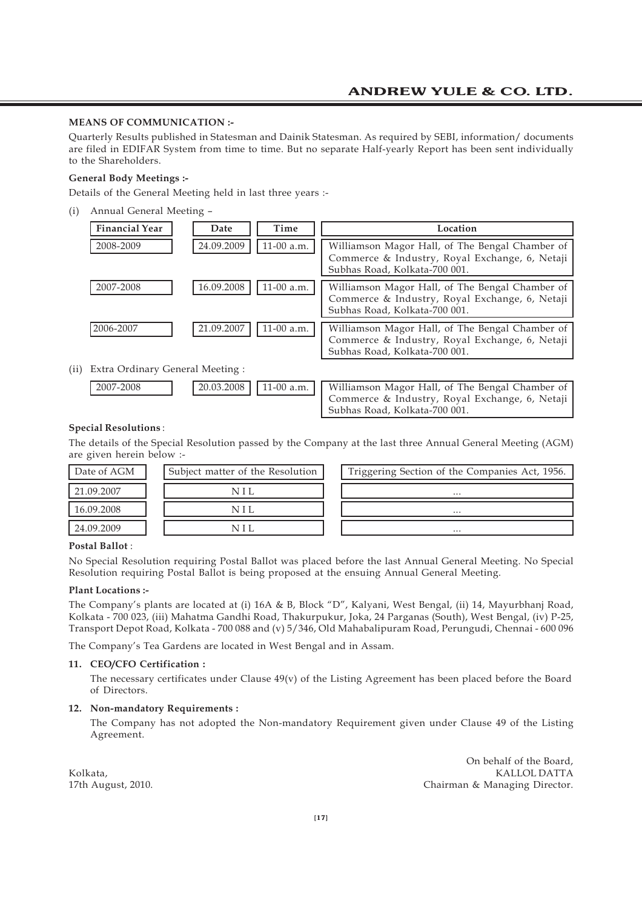#### **MEANS OF COMMUNICATION :-**

Quarterly Results published in Statesman and Dainik Statesman. As required by SEBI, information/ documents are filed in EDIFAR System from time to time. But no separate Half-yearly Report has been sent individually to the Shareholders.

#### **General Body Meetings :-**

Details of the General Meeting held in last three years :-

(i) Annual General Meeting –

| <b>Financial Year</b> | Date       | Time       | Location                                                                                                                           |
|-----------------------|------------|------------|------------------------------------------------------------------------------------------------------------------------------------|
| 2008-2009             | 24.09.2009 | 11-00 a.m. | Williamson Magor Hall, of The Bengal Chamber of<br>Commerce & Industry, Royal Exchange, 6, Netaji<br>Subhas Road, Kolkata-700 001. |
| 2007-2008             | 16.09.2008 | 11-00 a.m. | Williamson Magor Hall, of The Bengal Chamber of<br>Commerce & Industry, Royal Exchange, 6, Netaji<br>Subhas Road, Kolkata-700 001. |
| 2006-2007             | 21.09.2007 | 11-00 a.m. | Williamson Magor Hall, of The Bengal Chamber of<br>Commerce & Industry, Royal Exchange, 6, Netaji<br>Subhas Road, Kolkata-700 001. |

#### (ii) Extra Ordinary General Meeting :

| 7-2008 | $(11.03.2008)$ 1.1.3. | $11-00$ a.m. |  |
|--------|-----------------------|--------------|--|
|        |                       |              |  |

| 2007-2008 |  | [20.03.2008]   11-00 a.m.     Williamson Magor Hall, of The Bengal Chamber of   |
|-----------|--|---------------------------------------------------------------------------------|
|           |  | Commerce & Industry, Royal Exchange, 6, Netaji<br>Subhas Road, Kolkata-700 001. |

#### **Special Resolutions** :

The details of the Special Resolution passed by the Company at the last three Annual General Meeting (AGM) are given herein below :-

| Date of AGM | Subject matter of the Resolution | Triggering Section of the Companies Act, 1956. |
|-------------|----------------------------------|------------------------------------------------|
| 21.09.2007  |                                  | $\cdots$                                       |
| 16.09.2008  |                                  | $\cdots$                                       |
| 24.09.2009  |                                  | $\cdots$                                       |

#### **Postal Ballot** :

No Special Resolution requiring Postal Ballot was placed before the last Annual General Meeting. No Special Resolution requiring Postal Ballot is being proposed at the ensuing Annual General Meeting.

#### **Plant Locations :-**

The Company's plants are located at (i) 16A & B, Block "D", Kalyani, West Bengal, (ii) 14, Mayurbhanj Road, Kolkata - 700 023, (iii) Mahatma Gandhi Road, Thakurpukur, Joka, 24 Parganas (South), West Bengal, (iv) P-25, Transport Depot Road, Kolkata - 700 088 and (v) 5/346, Old Mahabalipuram Road, Perungudi, Chennai - 600 096

The Company's Tea Gardens are located in West Bengal and in Assam.

#### **11. CEO/CFO Certification :**

The necessary certificates under Clause  $49(v)$  of the Listing Agreement has been placed before the Board of Directors.

#### **12. Non-mandatory Requirements :**

The Company has not adopted the Non-mandatory Requirement given under Clause 49 of the Listing Agreement.

On behalf of the Board, Kolkata, KALLOL DATTA Chairman & Managing Director.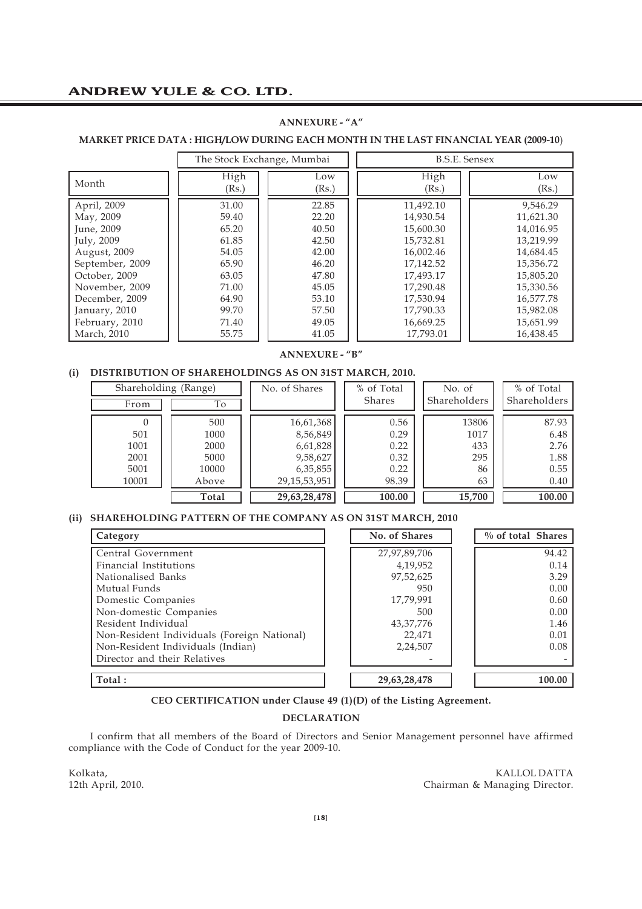#### **ANNEXURE - "A"**

#### **MARKET PRICE DATA : HIGH/LOW DURING EACH MONTH IN THE LAST FINANCIAL YEAR (2009-10**)

|                 | The Stock Exchange, Mumbai |       |           | <b>B.S.E. Sensex</b> |
|-----------------|----------------------------|-------|-----------|----------------------|
| Month           | High                       | Low   | High      | Low                  |
|                 | (Rs.)                      | (Rs.) | (Rs.)     | (Rs.)                |
| April, 2009     | 31.00                      | 22.85 | 11,492.10 | 9,546.29             |
| May, 2009       | 59.40                      | 22.20 | 14,930.54 | 11,621.30            |
| June, 2009      | 65.20                      | 40.50 | 15,600.30 | 14,016.95            |
| July, 2009      | 61.85                      | 42.50 | 15,732.81 | 13,219.99            |
| August, 2009    | 54.05                      | 42.00 | 16,002.46 | 14,684.45            |
| September, 2009 | 65.90                      | 46.20 | 17.142.52 | 15,356.72            |
| October, 2009   | 63.05                      | 47.80 | 17,493.17 | 15,805.20            |
| November, 2009  | 71.00                      | 45.05 | 17,290.48 | 15,330.56            |
| December, 2009  | 64.90                      | 53.10 | 17,530.94 | 16,577.78            |
| January, 2010   | 99.70                      | 57.50 | 17,790.33 | 15,982.08            |
| February, 2010  | 71.40                      | 49.05 | 16,669.25 | 15,651.99            |
| March, 2010     | 55.75                      | 41.05 | 17,793.01 | 16,438.45            |

#### **ANNEXURE - "B"**

#### **(i) DISTRIBUTION OF SHAREHOLDINGS AS ON 31ST MARCH, 2010.**

| Shareholding (Range) |       | No. of Shares   | % of Total    | No. of       | % of Total   |
|----------------------|-------|-----------------|---------------|--------------|--------------|
| From                 | To    |                 | <b>Shares</b> | Shareholders | Shareholders |
|                      | 500   | 16,61,368       | 0.56          | 13806        | 87.93        |
| 501                  | 1000  | 8,56,849        | 0.29          | 1017         | 6.48         |
| 1001                 | 2000  | 6,61,828        | 0.22          | 433          | 2.76         |
| 2001                 | 5000  | 9,58,627        | 0.32          | 295          | 1.88         |
| 5001                 | 10000 | 6,35,855        | 0.22          | 86           | 0.55         |
| 10001                | Above | 29, 15, 53, 951 | 98.39         | 63           | 0.40         |
|                      | Total | 29,63,28,478    | 100.00        | 15,700       | 100.00       |

### **(ii) SHAREHOLDING PATTERN OF THE COMPANY AS ON 31ST MARCH, 2010**

| Category                                    | No. of Shares | % of total Shares |
|---------------------------------------------|---------------|-------------------|
| Central Government                          | 27,97,89,706  | 94.42             |
| Financial Institutions                      | 4,19,952      | 0.14              |
| Nationalised Banks                          | 97,52,625     | 3.29              |
| Mutual Funds                                | 950           | 0.00              |
| Domestic Companies                          | 17,79,991     | 0.60              |
| Non-domestic Companies                      | 500           | 0.00              |
| Resident Individual                         | 43, 37, 776   | 1.46              |
| Non-Resident Individuals (Foreign National) | 22,471        | 0.01              |
| Non-Resident Individuals (Indian)           | 2,24,507      | 0.08              |
| Director and their Relatives                |               |                   |
| Total:                                      | 29,63,28,478  | 100.00            |

**CEO CERTIFICATION under Clause 49 (1)(D) of the Listing Agreement.**

### **DECLARATION**

I confirm that all members of the Board of Directors and Senior Management personnel have affirmed compliance with the Code of Conduct for the year 2009-10.

Kolkata, KALLOL DATTA Chairman & Managing Director.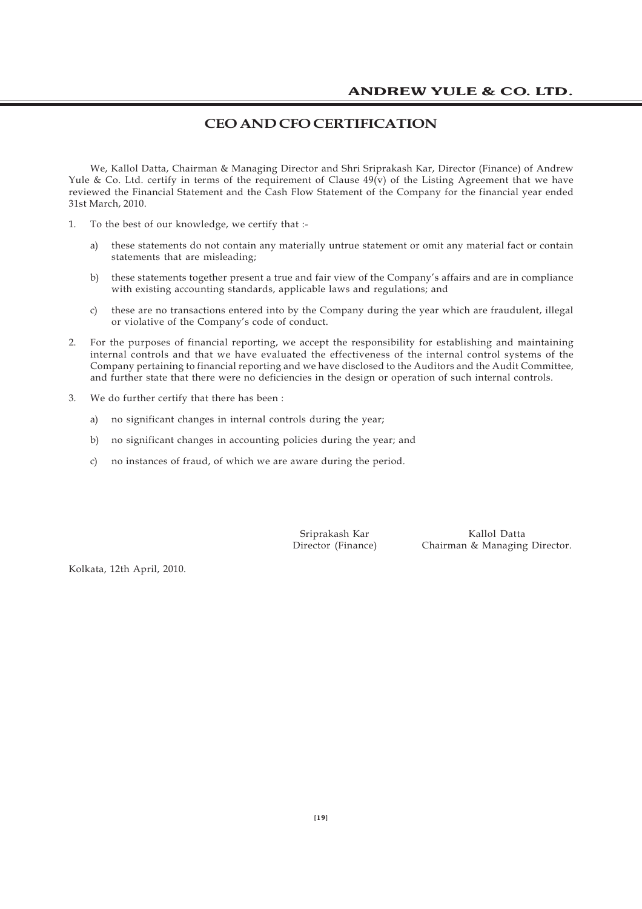### **CEO AND CFO CERTIFICATION**

We, Kallol Datta, Chairman & Managing Director and Shri Sriprakash Kar, Director (Finance) of Andrew Yule & Co. Ltd. certify in terms of the requirement of Clause  $49(v)$  of the Listing Agreement that we have reviewed the Financial Statement and the Cash Flow Statement of the Company for the financial year ended 31st March, 2010.

- 1. To the best of our knowledge, we certify that :
	- a) these statements do not contain any materially untrue statement or omit any material fact or contain statements that are misleading;
	- b) these statements together present a true and fair view of the Company's affairs and are in compliance with existing accounting standards, applicable laws and regulations; and
	- c) these are no transactions entered into by the Company during the year which are fraudulent, illegal or violative of the Company's code of conduct.
- 2. For the purposes of financial reporting, we accept the responsibility for establishing and maintaining internal controls and that we have evaluated the effectiveness of the internal control systems of the Company pertaining to financial reporting and we have disclosed to the Auditors and the Audit Committee, and further state that there were no deficiencies in the design or operation of such internal controls.
- 3. We do further certify that there has been :
	- a) no significant changes in internal controls during the year;
	- b) no significant changes in accounting policies during the year; and
	- c) no instances of fraud, of which we are aware during the period.

Sriprakash Kar Kallol Datta Director (Finance) Chairman & Managing Director.

Kolkata, 12th April, 2010.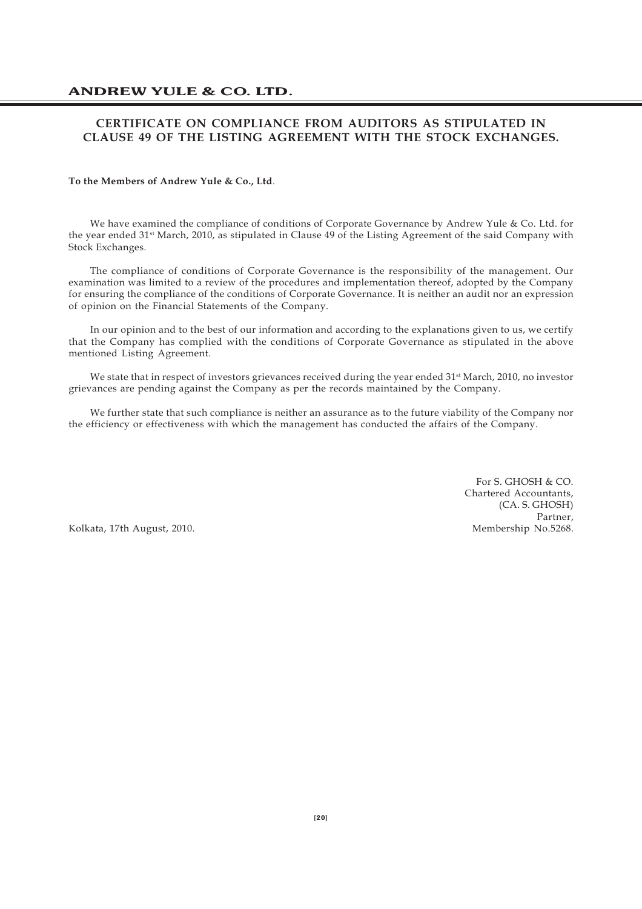### **CERTIFICATE ON COMPLIANCE FROM AUDITORS AS STIPULATED IN CLAUSE 49 OF THE LISTING AGREEMENT WITH THE STOCK EXCHANGES.**

#### **To the Members of Andrew Yule & Co., Ltd**.

We have examined the compliance of conditions of Corporate Governance by Andrew Yule & Co. Ltd. for the year ended 31st March, 2010, as stipulated in Clause 49 of the Listing Agreement of the said Company with Stock Exchanges.

The compliance of conditions of Corporate Governance is the responsibility of the management. Our examination was limited to a review of the procedures and implementation thereof, adopted by the Company for ensuring the compliance of the conditions of Corporate Governance. It is neither an audit nor an expression of opinion on the Financial Statements of the Company.

In our opinion and to the best of our information and according to the explanations given to us, we certify that the Company has complied with the conditions of Corporate Governance as stipulated in the above mentioned Listing Agreement.

We state that in respect of investors grievances received during the year ended 31<sup>st</sup> March, 2010, no investor grievances are pending against the Company as per the records maintained by the Company.

We further state that such compliance is neither an assurance as to the future viability of the Company nor the efficiency or effectiveness with which the management has conducted the affairs of the Company.

> For S. GHOSH & CO. Chartered Accountants, (CA. S. GHOSH) Partner,<br>Membership No.5268.

Kolkata, 17th August, 2010.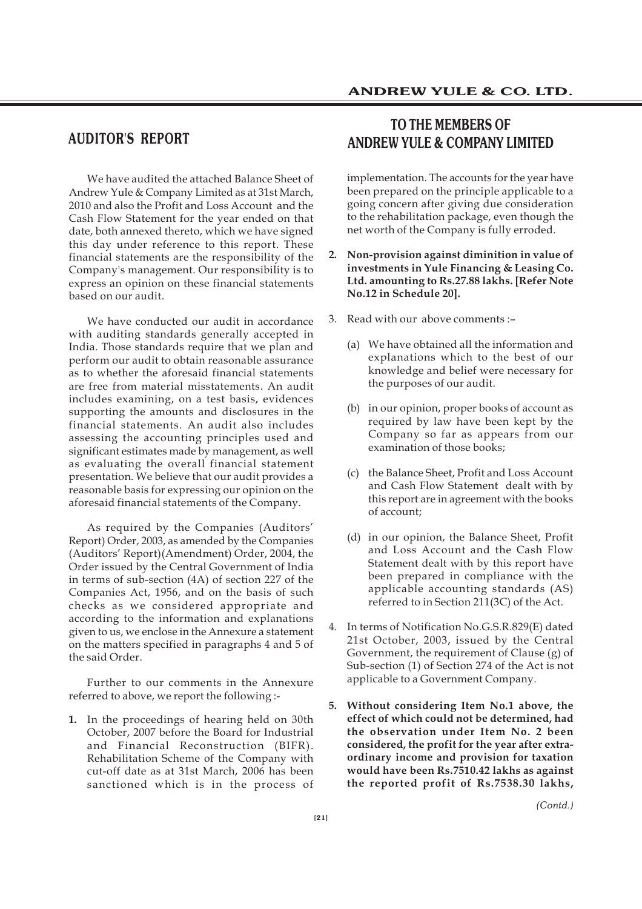### **AUDITOR'S REPORT**

We have audited the attached Balance Sheet of Andrew Yule & Company Limited as at 31st March, 2010 and also the Profit and Loss Account and the Cash Flow Statement for the year ended on that date, both annexed thereto, which we have signed this day under reference to this report. These financial statements are the responsibility of the Company's management. Our responsibility is to express an opinion on these financial statements based on our audit.

We have conducted our audit in accordance with auditing standards generally accepted in India. Those standards require that we plan and perform our audit to obtain reasonable assurance as to whether the aforesaid financial statements are free from material misstatements. An audit includes examining, on a test basis, evidences supporting the amounts and disclosures in the financial statements. An audit also includes assessing the accounting principles used and significant estimates made by management, as well as evaluating the overall financial statement presentation. We believe that our audit provides a reasonable basis for expressing our opinion on the aforesaid financial statements of the Company.

As required by the Companies (Auditors' Report) Order, 2003, as amended by the Companies (Auditors' Report)(Amendment) Order, 2004, the Order issued by the Central Government of India in terms of sub-section (4A) of section 227 of the Companies Act, 1956, and on the basis of such checks as we considered appropriate and according to the information and explanations given to us, we enclose in the Annexure a statement on the matters specified in paragraphs 4 and 5 of the said Order.

Further to our comments in the Annexure referred to above, we report the following :-

**1.** In the proceedings of hearing held on 30th October, 2007 before the Board for Industrial and Financial Reconstruction (BIFR). Rehabilitation Scheme of the Company with cut-off date as at 31st March, 2006 has been sanctioned which is in the process of

### **TO THE MEMBERS OF ANDREW YULE & COMPANY LIMITED**

implementation. The accounts for the year have been prepared on the principle applicable to a going concern after giving due consideration to the rehabilitation package, even though the net worth of the Company is fully erroded.

- **2. Non-provision against diminition in value of investments in Yule Financing & Leasing Co. Ltd. amounting to Rs.27.88 lakhs. [Refer Note No.12 in Schedule 20].**
- 3. Read with our above comments :–
	- (a) We have obtained all the information and explanations which to the best of our knowledge and belief were necessary for the purposes of our audit.
	- (b) in our opinion, proper books of account as required by law have been kept by the Company so far as appears from our examination of those books;
	- (c) the Balance Sheet, Profit and Loss Account and Cash Flow Statement dealt with by this report are in agreement with the books of account;
	- (d) in our opinion, the Balance Sheet, Profit and Loss Account and the Cash Flow Statement dealt with by this report have been prepared in compliance with the applicable accounting standards (AS) referred to in Section 211(3C) of the Act.
- 4. In terms of Notification No.G.S.R.829(E) dated 21st October, 2003, issued by the Central Government, the requirement of Clause (g) of Sub-section (1) of Section 274 of the Act is not applicable to a Government Company.
- **5. Without considering Item No.1 above, the effect of which could not be determined, had the observation under Item No. 2 been considered, the profit for the year after extraordinary income and provision for taxation would have been Rs.7510.42 lakhs as against the reported profit of Rs.7538.30 lakhs,**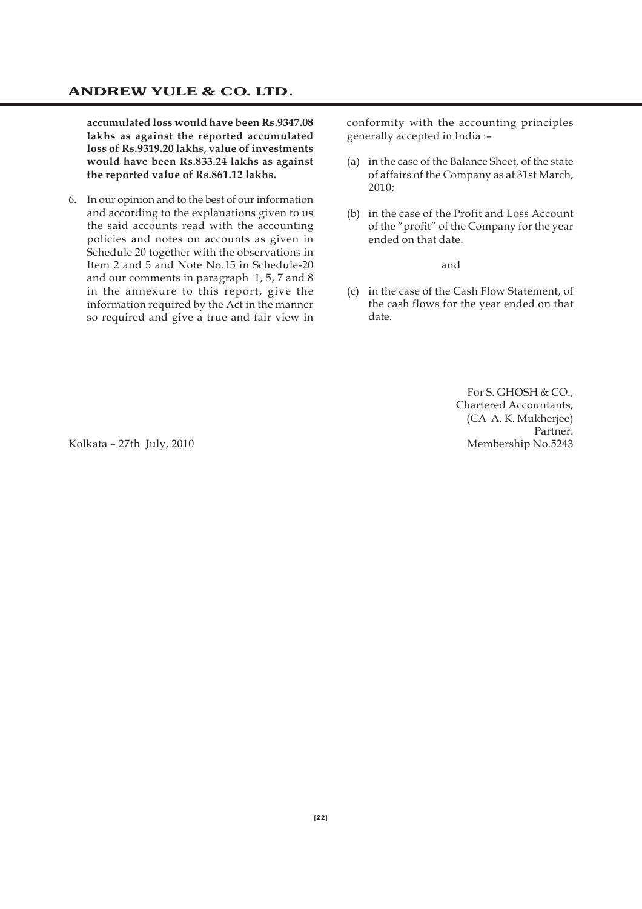**accumulated loss would have been Rs.9347.08 lakhs as against the reported accumulated loss of Rs.9319.20 lakhs, value of investments would have been Rs.833.24 lakhs as against the reported value of Rs.861.12 lakhs.**

6. In our opinion and to the best of our information and according to the explanations given to us the said accounts read with the accounting policies and notes on accounts as given in Schedule 20 together with the observations in Item 2 and 5 and Note No.15 in Schedule-20 and our comments in paragraph 1, 5, 7 and 8 in the annexure to this report, give the information required by the Act in the manner so required and give a true and fair view in

conformity with the accounting principles generally accepted in India :–

- (a) in the case of the Balance Sheet, of the state of affairs of the Company as at 31st March, 2010;
- (b) in the case of the Profit and Loss Account of the "profit" of the Company for the year ended on that date.

and

(c) in the case of the Cash Flow Statement, of the cash flows for the year ended on that date.

For S. GHOSH & CO., Chartered Accountants, (CA A. K. Mukherjee) Partner. Kolkata – 27th July, 2010 Membership No.5243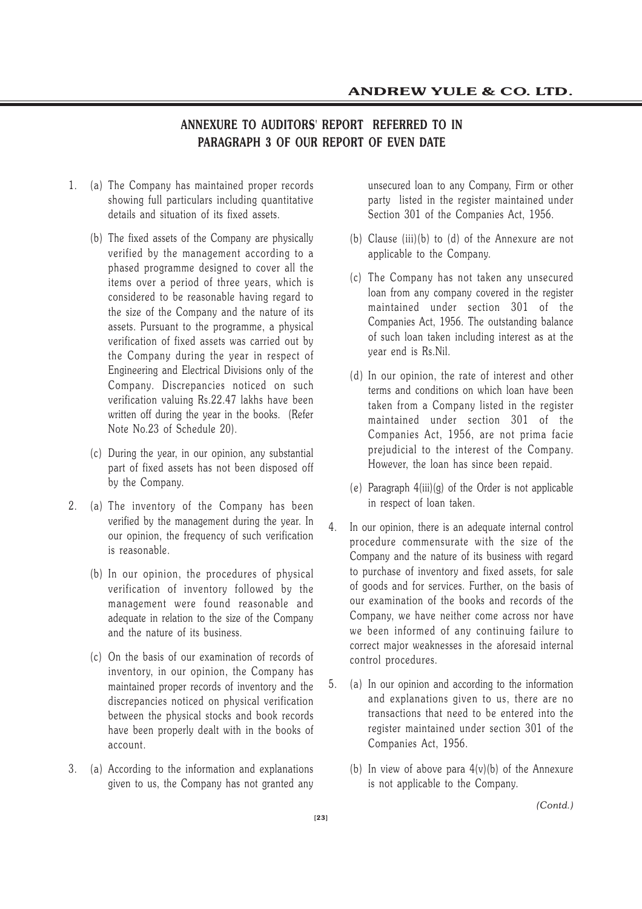### **ANNEXURE TO AUDITORS' REPORT REFERRED TO IN PARAGRAPH 3 OF OUR REPORT OF EVEN DATE**

- 1. (a) The Company has maintained proper records showing full particulars including quantitative details and situation of its fixed assets.
	- (b) The fixed assets of the Company are physically verified by the management according to a phased programme designed to cover all the items over a period of three years, which is considered to be reasonable having regard to the size of the Company and the nature of its assets. Pursuant to the programme, a physical verification of fixed assets was carried out by the Company during the year in respect of Engineering and Electrical Divisions only of the Company. Discrepancies noticed on such verification valuing Rs.22.47 lakhs have been written off during the year in the books. (Refer Note No.23 of Schedule 20).
	- (c) During the year, in our opinion, any substantial part of fixed assets has not been disposed off by the Company.
- 2. (a) The inventory of the Company has been verified by the management during the year. In our opinion, the frequency of such verification is reasonable.
	- (b) In our opinion, the procedures of physical verification of inventory followed by the management were found reasonable and adequate in relation to the size of the Company and the nature of its business.
	- (c) On the basis of our examination of records of inventory, in our opinion, the Company has maintained proper records of inventory and the discrepancies noticed on physical verification between the physical stocks and book records have been properly dealt with in the books of account.
- 3. (a) According to the information and explanations given to us, the Company has not granted any

unsecured loan to any Company, Firm or other party listed in the register maintained under Section 301 of the Companies Act, 1956.

- (b) Clause (iii)(b) to (d) of the Annexure are not applicable to the Company.
- (c) The Company has not taken any unsecured loan from any company covered in the register maintained under section 301 of the Companies Act, 1956. The outstanding balance of such loan taken including interest as at the year end is Rs.Nil.
- (d) In our opinion, the rate of interest and other terms and conditions on which loan have been taken from a Company listed in the register maintained under section 301 of the Companies Act, 1956, are not prima facie prejudicial to the interest of the Company. However, the loan has since been repaid.
- (e) Paragraph  $4(iii)(g)$  of the Order is not applicable in respect of loan taken.
- 4. In our opinion, there is an adequate internal control procedure commensurate with the size of the Company and the nature of its business with regard to purchase of inventory and fixed assets, for sale of goods and for services. Further, on the basis of our examination of the books and records of the Company, we have neither come across nor have we been informed of any continuing failure to correct major weaknesses in the aforesaid internal control procedures.
- 5. (a) In our opinion and according to the information and explanations given to us, there are no transactions that need to be entered into the register maintained under section 301 of the Companies Act, 1956.
	- (b) In view of above para  $4(v)(b)$  of the Annexure is not applicable to the Company.

*(Contd.)*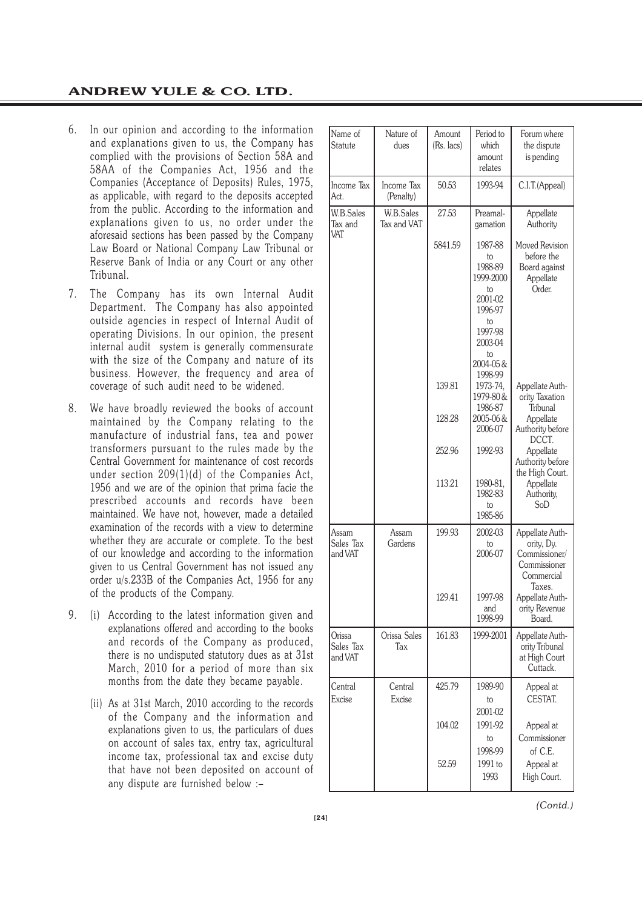- 6. In our opinion and according to the information and explanations given to us, the Company has complied with the provisions of Section 58A and 58AA of the Companies Act, 1956 and the Companies (Acceptance of Deposits) Rules, 1975, as applicable, with regard to the deposits accepted from the public. According to the information and explanations given to us, no order under the aforesaid sections has been passed by the Company Law Board or National Company Law Tribunal or Reserve Bank of India or any Court or any other Tribunal.
- 7. The Company has its own Internal Audit Department. The Company has also appointed outside agencies in respect of Internal Audit of operating Divisions. In our opinion, the present internal audit system is generally commensurate with the size of the Company and nature of its business. However, the frequency and area of coverage of such audit need to be widened.
- 8. We have broadly reviewed the books of account maintained by the Company relating to the manufacture of industrial fans, tea and power transformers pursuant to the rules made by the Central Government for maintenance of cost records under section 209(1)(d) of the Companies Act, 1956 and we are of the opinion that prima facie the prescribed accounts and records have been maintained. We have not, however, made a detailed examination of the records with a view to determine whether they are accurate or complete. To the best of our knowledge and according to the information given to us Central Government has not issued any order u/s.233B of the Companies Act, 1956 for any of the products of the Company.
- 9. (i) According to the latest information given and explanations offered and according to the books and records of the Company as produced, there is no undisputed statutory dues as at 31st March, 2010 for a period of more than six months from the date they became payable.
	- (ii) As at 31st March, 2010 according to the records of the Company and the information and explanations given to us, the particulars of dues on account of sales tax, entry tax, agricultural income tax, professional tax and excise duty that have not been deposited on account of any dispute are furnished below :–

| Name of                            | Nature of                | Amount     | Period to                        | Forum where                                   |
|------------------------------------|--------------------------|------------|----------------------------------|-----------------------------------------------|
| <b>Statute</b>                     | dues                     | (Rs. lacs) | which<br>amount                  | the dispute<br>is pending                     |
|                                    |                          |            | relates                          |                                               |
| Income Tax<br>Act.                 | Income Tax<br>(Penalty)  | 50.53      | 1993-94                          | C.I.T.(Appeal)                                |
| <b>W.B.Sales</b><br>Tax and<br>VAT | W.B.Sales<br>Tax and VAT | 27.53      | Preamal-<br>gamation             | Appellate<br>Authority                        |
|                                    |                          | 5841.59    | 1987-88<br>to                    | Moved Revision<br>before the                  |
|                                    |                          |            | 1988-89<br>1999-2000<br>to       | Board against<br>Appellate<br>Order.          |
|                                    |                          |            | 2001-02<br>1996-97               |                                               |
|                                    |                          |            | to<br>1997-98<br>2003-04         |                                               |
|                                    |                          |            | to<br>2004-05&<br>1998-99        |                                               |
|                                    |                          | 139.81     | 1973-74,<br>1979-80 &<br>1986-87 | Appellate Auth-<br>ority Taxation<br>Tribunal |
|                                    |                          | 128.28     | 2005-06&<br>2006-07              | Appellate<br>Authority before<br>DCCT.        |
|                                    |                          | 252.96     | 1992-93                          | Appellate<br>Authority before                 |
|                                    |                          | 113.21     | 1980-81,<br>1982-83              | the High Court.<br>Appellate<br>Authority,    |
|                                    |                          |            | to<br>1985-86                    | SoD                                           |
| Assam                              | Assam                    | 199.93     | 2002-03                          | Appellate Auth-                               |
| Sales Tax<br>and VAT               | Gardens                  |            | to<br>2006-07                    | ority, Dy.<br>Commissioner/<br>Commissioner   |
|                                    |                          |            |                                  | Commercial<br>Taxes.                          |
|                                    |                          | 129.41     | 1997-98                          | Appellate Auth-                               |
|                                    |                          |            | and<br>1998-99                   | ority Revenue<br>Board.                       |
| Orissa<br>Sales Tax                | Orissa Sales<br>Tax      | 161.83     | 1999-2001                        | Appellate Auth-<br>ority Tribunal             |
| and VAT                            |                          |            |                                  | at High Court<br>Cuttack.                     |
| Central<br>Excise                  | Central<br>Excise        | 425.79     | 1989-90<br>to                    | Appeal at<br>CESTAT.                          |
|                                    |                          |            | 2001-02                          |                                               |
|                                    |                          | 104.02     | 1991-92                          | Appeal at                                     |
|                                    |                          |            | to                               | Commissioner                                  |
|                                    |                          |            | 1998-99                          | of C.E.                                       |
|                                    |                          | 52.59      | 1991 to                          | Appeal at                                     |
|                                    |                          |            | 1993                             | High Court.                                   |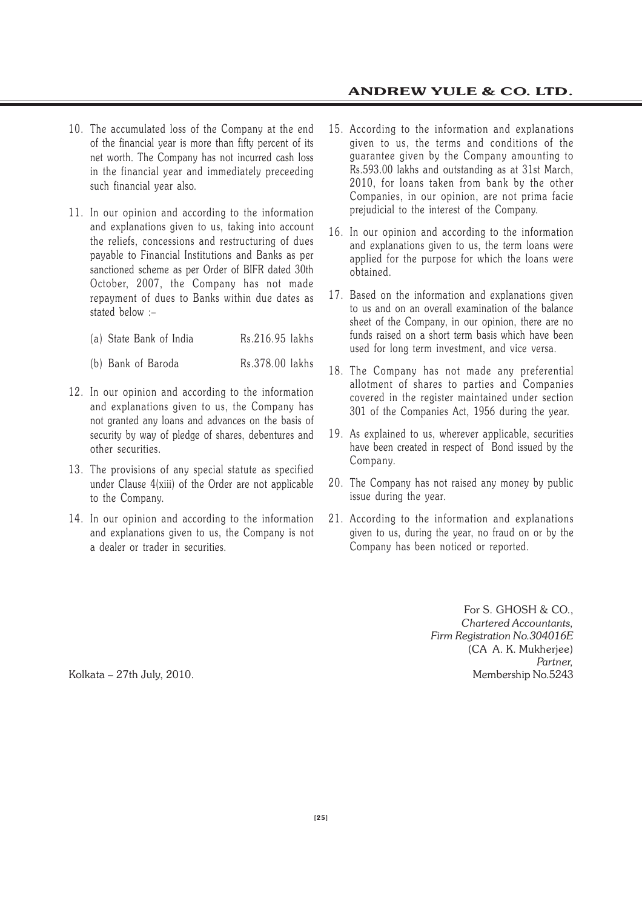- 10. The accumulated loss of the Company at the end of the financial year is more than fifty percent of its net worth. The Company has not incurred cash loss in the financial year and immediately preceeding such financial year also.
- 11. In our opinion and according to the information and explanations given to us, taking into account the reliefs, concessions and restructuring of dues payable to Financial Institutions and Banks as per sanctioned scheme as per Order of BIFR dated 30th October, 2007, the Company has not made repayment of dues to Banks within due dates as stated below :–
	- (a) State Bank of India Rs.216.95 lakhs
	- (b) Bank of Baroda Rs.378.00 lakhs
- 12. In our opinion and according to the information and explanations given to us, the Company has not granted any loans and advances on the basis of security by way of pledge of shares, debentures and other securities.
- 13. The provisions of any special statute as specified under Clause 4(xiii) of the Order are not applicable to the Company.
- 14. In our opinion and according to the information and explanations given to us, the Company is not a dealer or trader in securities.
- 15. According to the information and explanations given to us, the terms and conditions of the guarantee given by the Company amounting to Rs.593.00 lakhs and outstanding as at 31st March, 2010, for loans taken from bank by the other Companies, in our opinion, are not prima facie prejudicial to the interest of the Company.
- 16. In our opinion and according to the information and explanations given to us, the term loans were applied for the purpose for which the loans were obtained.
- 17. Based on the information and explanations given to us and on an overall examination of the balance sheet of the Company, in our opinion, there are no funds raised on a short term basis which have been used for long term investment, and vice versa.
- 18. The Company has not made any preferential allotment of shares to parties and Companies covered in the register maintained under section 301 of the Companies Act, 1956 during the year.
- 19. As explained to us, wherever applicable, securities have been created in respect of Bond issued by the Company.
- 20. The Company has not raised any money by public issue during the year.
- 21. According to the information and explanations given to us, during the year, no fraud on or by the Company has been noticed or reported.

For S. GHOSH & CO., *Chartered Accountants, Firm Registration No.304016E* (CA A. K. Mukherjee) *Partner,* Kolkata – 27th July, 2010. Newsletter and the state of the Membership No.5243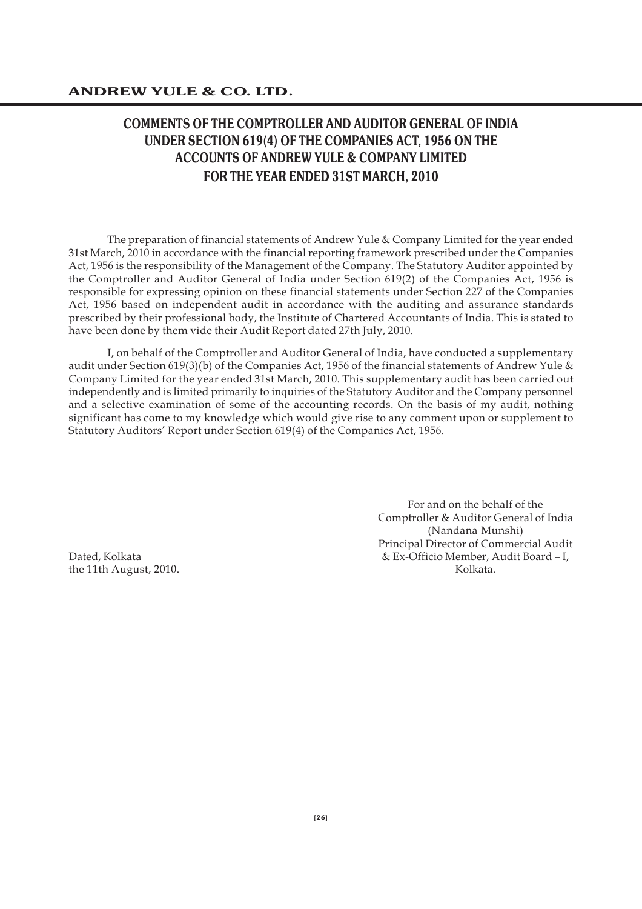## **COMMENTS OF THE COMPTROLLER AND AUDITOR GENERAL OF INDIA UNDER SECTION 619(4) OF THE COMPANIES ACT, 1956 ON THE ACCOUNTS OF ANDREW YULE & COMPANY LIMITED FOR THE YEAR ENDED 31ST MARCH, 2010**

The preparation of financial statements of Andrew Yule & Company Limited for the year ended 31st March, 2010 in accordance with the financial reporting framework prescribed under the Companies Act, 1956 is the responsibility of the Management of the Company. The Statutory Auditor appointed by the Comptroller and Auditor General of India under Section 619(2) of the Companies Act, 1956 is responsible for expressing opinion on these financial statements under Section 227 of the Companies Act, 1956 based on independent audit in accordance with the auditing and assurance standards prescribed by their professional body, the Institute of Chartered Accountants of India. This is stated to have been done by them vide their Audit Report dated 27th July, 2010.

I, on behalf of the Comptroller and Auditor General of India, have conducted a supplementary audit under Section 619(3)(b) of the Companies Act, 1956 of the financial statements of Andrew Yule & Company Limited for the year ended 31st March, 2010. This supplementary audit has been carried out independently and is limited primarily to inquiries of the Statutory Auditor and the Company personnel and a selective examination of some of the accounting records. On the basis of my audit, nothing significant has come to my knowledge which would give rise to any comment upon or supplement to Statutory Auditors' Report under Section 619(4) of the Companies Act, 1956.

For and on the behalf of the Comptroller & Auditor General of India (Nandana Munshi) Principal Director of Commercial Audit Dated, Kolkata & Ex-Officio Member, Audit Board – I, the 11th August, 2010. The contraction of the test of the Solid Kolkata.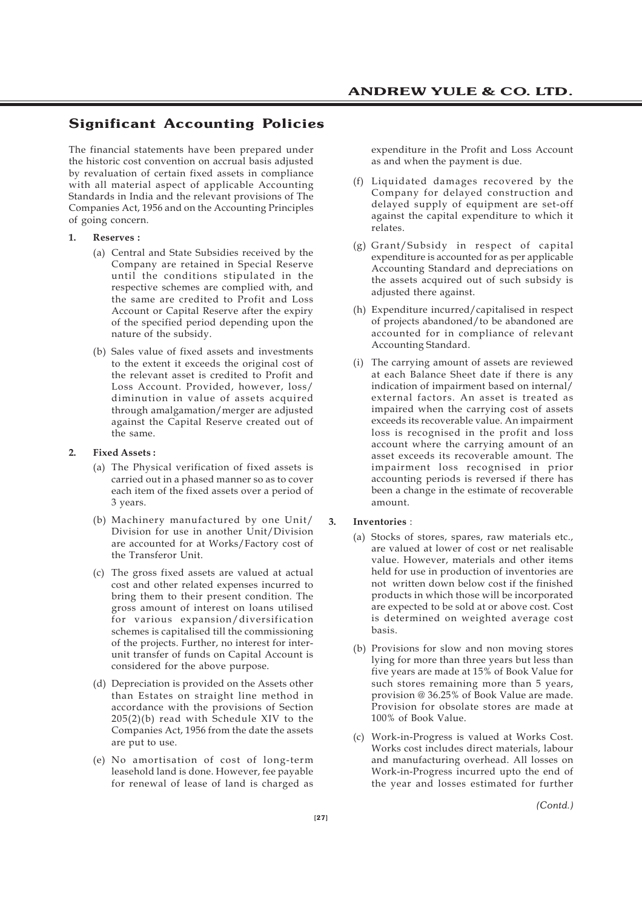### **Significant Accounting Policies**

The financial statements have been prepared under the historic cost convention on accrual basis adjusted by revaluation of certain fixed assets in compliance with all material aspect of applicable Accounting Standards in India and the relevant provisions of The Companies Act, 1956 and on the Accounting Principles of going concern.

#### **1. Reserves :**

- (a) Central and State Subsidies received by the Company are retained in Special Reserve until the conditions stipulated in the respective schemes are complied with, and the same are credited to Profit and Loss Account or Capital Reserve after the expiry of the specified period depending upon the nature of the subsidy.
- (b) Sales value of fixed assets and investments to the extent it exceeds the original cost of the relevant asset is credited to Profit and Loss Account. Provided, however, loss/ diminution in value of assets acquired through amalgamation/merger are adjusted against the Capital Reserve created out of the same.

#### **2. Fixed Assets :**

- (a) The Physical verification of fixed assets is carried out in a phased manner so as to cover each item of the fixed assets over a period of 3 years.
- (b) Machinery manufactured by one Unit/ Division for use in another Unit/Division are accounted for at Works/Factory cost of the Transferor Unit.
- (c) The gross fixed assets are valued at actual cost and other related expenses incurred to bring them to their present condition. The gross amount of interest on loans utilised for various expansion/diversification schemes is capitalised till the commissioning of the projects. Further, no interest for interunit transfer of funds on Capital Account is considered for the above purpose.
- (d) Depreciation is provided on the Assets other than Estates on straight line method in accordance with the provisions of Section 205(2)(b) read with Schedule XIV to the Companies Act, 1956 from the date the assets are put to use.
- (e) No amortisation of cost of long-term leasehold land is done. However, fee payable for renewal of lease of land is charged as

expenditure in the Profit and Loss Account as and when the payment is due.

- (f) Liquidated damages recovered by the Company for delayed construction and delayed supply of equipment are set-off against the capital expenditure to which it relates.
- (g) Grant/Subsidy in respect of capital expenditure is accounted for as per applicable Accounting Standard and depreciations on the assets acquired out of such subsidy is adjusted there against.
- (h) Expenditure incurred/capitalised in respect of projects abandoned/to be abandoned are accounted for in compliance of relevant Accounting Standard.
- (i) The carrying amount of assets are reviewed at each Balance Sheet date if there is any indication of impairment based on internal/ external factors. An asset is treated as impaired when the carrying cost of assets exceeds its recoverable value. An impairment loss is recognised in the profit and loss account where the carrying amount of an asset exceeds its recoverable amount. The impairment loss recognised in prior accounting periods is reversed if there has been a change in the estimate of recoverable amount.

#### **3. Inventories** :

- (a) Stocks of stores, spares, raw materials etc., are valued at lower of cost or net realisable value. However, materials and other items held for use in production of inventories are not written down below cost if the finished products in which those will be incorporated are expected to be sold at or above cost. Cost is determined on weighted average cost basis.
- (b) Provisions for slow and non moving stores lying for more than three years but less than five years are made at 15% of Book Value for such stores remaining more than 5 years, provision @ 36.25% of Book Value are made. Provision for obsolate stores are made at 100% of Book Value.
- (c) Work-in-Progress is valued at Works Cost. Works cost includes direct materials, labour and manufacturing overhead. All losses on Work-in-Progress incurred upto the end of the year and losses estimated for further

*(Contd.)*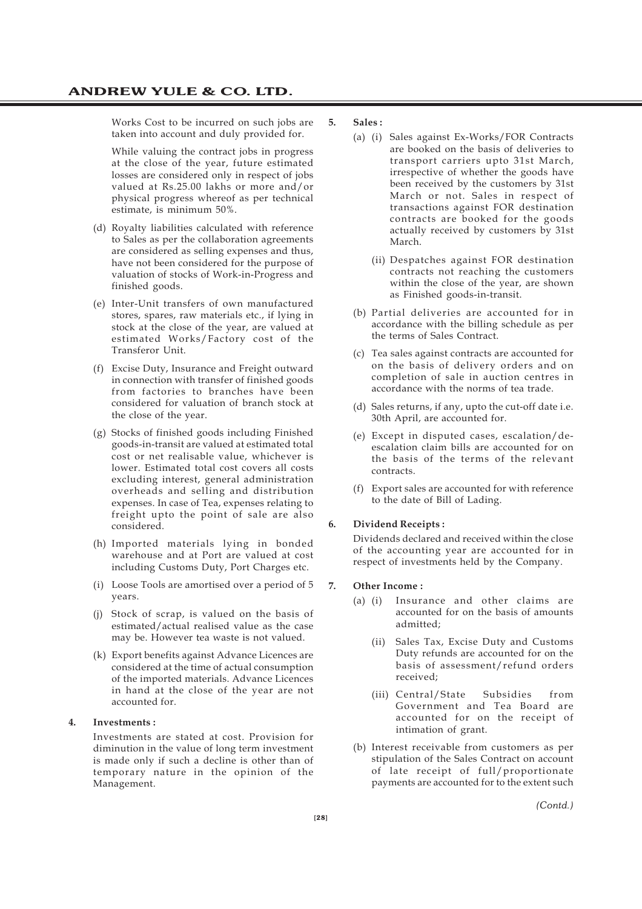Works Cost to be incurred on such jobs are taken into account and duly provided for.

While valuing the contract jobs in progress at the close of the year, future estimated losses are considered only in respect of jobs valued at Rs.25.00 lakhs or more and/or physical progress whereof as per technical estimate, is minimum 50%.

- (d) Royalty liabilities calculated with reference to Sales as per the collaboration agreements are considered as selling expenses and thus, have not been considered for the purpose of valuation of stocks of Work-in-Progress and finished goods.
- (e) Inter-Unit transfers of own manufactured stores, spares, raw materials etc., if lying in stock at the close of the year, are valued at estimated Works/Factory cost of the Transferor Unit.
- (f) Excise Duty, Insurance and Freight outward in connection with transfer of finished goods from factories to branches have been considered for valuation of branch stock at the close of the year.
- (g) Stocks of finished goods including Finished goods-in-transit are valued at estimated total cost or net realisable value, whichever is lower. Estimated total cost covers all costs excluding interest, general administration overheads and selling and distribution expenses. In case of Tea, expenses relating to freight upto the point of sale are also considered.
- (h) Imported materials lying in bonded warehouse and at Port are valued at cost including Customs Duty, Port Charges etc.
- (i) Loose Tools are amortised over a period of 5 years.
- (j) Stock of scrap, is valued on the basis of estimated/actual realised value as the case may be. However tea waste is not valued.
- (k) Export benefits against Advance Licences are considered at the time of actual consumption of the imported materials. Advance Licences in hand at the close of the year are not accounted for.

#### **4. Investments :**

Investments are stated at cost. Provision for diminution in the value of long term investment is made only if such a decline is other than of temporary nature in the opinion of the Management.

#### **5. Sales :**

- (a) (i) Sales against Ex-Works/FOR Contracts are booked on the basis of deliveries to transport carriers upto 31st March, irrespective of whether the goods have been received by the customers by 31st March or not. Sales in respect of transactions against FOR destination contracts are booked for the goods actually received by customers by 31st March.
	- (ii) Despatches against FOR destination contracts not reaching the customers within the close of the year, are shown as Finished goods-in-transit.
- (b) Partial deliveries are accounted for in accordance with the billing schedule as per the terms of Sales Contract.
- (c) Tea sales against contracts are accounted for on the basis of delivery orders and on completion of sale in auction centres in accordance with the norms of tea trade.
- (d) Sales returns, if any, upto the cut-off date i.e. 30th April, are accounted for.
- (e) Except in disputed cases, escalation/deescalation claim bills are accounted for on the basis of the terms of the relevant contracts.
- (f) Export sales are accounted for with reference to the date of Bill of Lading.

#### **6. Dividend Receipts :**

Dividends declared and received within the close of the accounting year are accounted for in respect of investments held by the Company.

#### **7. Other Income :**

- (a) (i) Insurance and other claims are accounted for on the basis of amounts admitted;
	- (ii) Sales Tax, Excise Duty and Customs Duty refunds are accounted for on the basis of assessment/refund orders received;
	- (iii) Central/State Subsidies from Government and Tea Board are accounted for on the receipt of intimation of grant.
- (b) Interest receivable from customers as per stipulation of the Sales Contract on account of late receipt of full/proportionate payments are accounted for to the extent such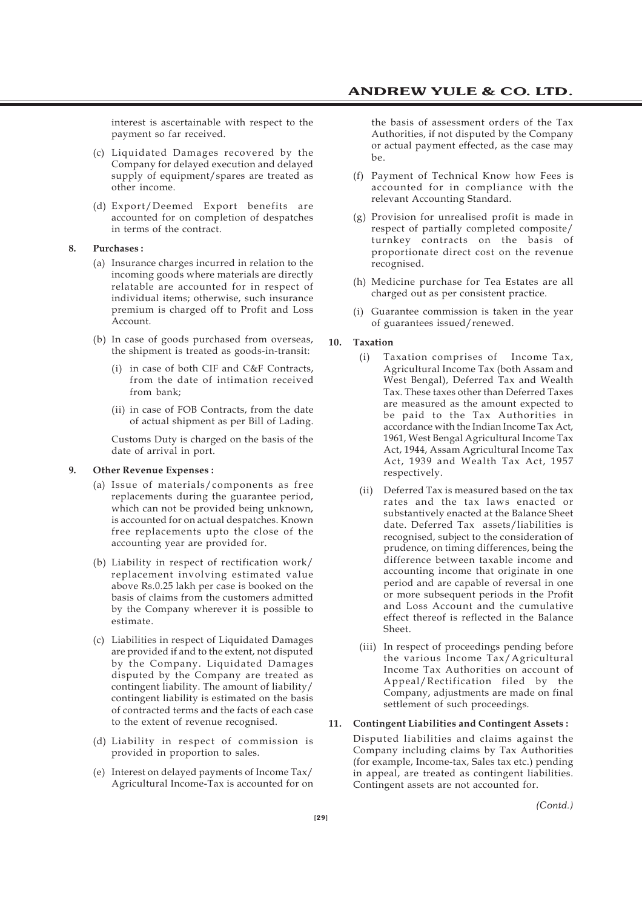interest is ascertainable with respect to the payment so far received.

- (c) Liquidated Damages recovered by the Company for delayed execution and delayed supply of equipment/spares are treated as other income.
- (d) Export/Deemed Export benefits are accounted for on completion of despatches in terms of the contract.

#### **8. Purchases :**

- (a) Insurance charges incurred in relation to the incoming goods where materials are directly relatable are accounted for in respect of individual items; otherwise, such insurance premium is charged off to Profit and Loss Account.
- (b) In case of goods purchased from overseas, the shipment is treated as goods-in-transit:
	- (i) in case of both CIF and C&F Contracts, from the date of intimation received from bank;
	- (ii) in case of FOB Contracts, from the date of actual shipment as per Bill of Lading.

Customs Duty is charged on the basis of the date of arrival in port.

#### **9. Other Revenue Expenses :**

- (a) Issue of materials/components as free replacements during the guarantee period, which can not be provided being unknown, is accounted for on actual despatches. Known free replacements upto the close of the accounting year are provided for.
- (b) Liability in respect of rectification work/ replacement involving estimated value above Rs.0.25 lakh per case is booked on the basis of claims from the customers admitted by the Company wherever it is possible to estimate.
- (c) Liabilities in respect of Liquidated Damages are provided if and to the extent, not disputed by the Company. Liquidated Damages disputed by the Company are treated as contingent liability. The amount of liability/ contingent liability is estimated on the basis of contracted terms and the facts of each case to the extent of revenue recognised.
- (d) Liability in respect of commission is provided in proportion to sales.
- (e) Interest on delayed payments of Income Tax/ Agricultural Income-Tax is accounted for on

the basis of assessment orders of the Tax Authorities, if not disputed by the Company or actual payment effected, as the case may be.

- (f) Payment of Technical Know how Fees is accounted for in compliance with the relevant Accounting Standard.
- (g) Provision for unrealised profit is made in respect of partially completed composite/ turnkey contracts on the basis of proportionate direct cost on the revenue recognised.
- (h) Medicine purchase for Tea Estates are all charged out as per consistent practice.
- (i) Guarantee commission is taken in the year of guarantees issued/renewed.

#### **10. Taxation**

- (i) Taxation comprises of Income Tax, Agricultural Income Tax (both Assam and West Bengal), Deferred Tax and Wealth Tax. These taxes other than Deferred Taxes are measured as the amount expected to be paid to the Tax Authorities in accordance with the Indian Income Tax Act, 1961, West Bengal Agricultural Income Tax Act, 1944, Assam Agricultural Income Tax Act, 1939 and Wealth Tax Act, 1957 respectively.
- (ii) Deferred Tax is measured based on the tax rates and the tax laws enacted or substantively enacted at the Balance Sheet date. Deferred Tax assets/liabilities is recognised, subject to the consideration of prudence, on timing differences, being the difference between taxable income and accounting income that originate in one period and are capable of reversal in one or more subsequent periods in the Profit and Loss Account and the cumulative effect thereof is reflected in the Balance Sheet.
- (iii) In respect of proceedings pending before the various Income Tax/Agricultural Income Tax Authorities on account of Appeal/Rectification filed by the Company, adjustments are made on final settlement of such proceedings.

#### **11. Contingent Liabilities and Contingent Assets :**

Disputed liabilities and claims against the Company including claims by Tax Authorities (for example, Income-tax, Sales tax etc.) pending in appeal, are treated as contingent liabilities. Contingent assets are not accounted for.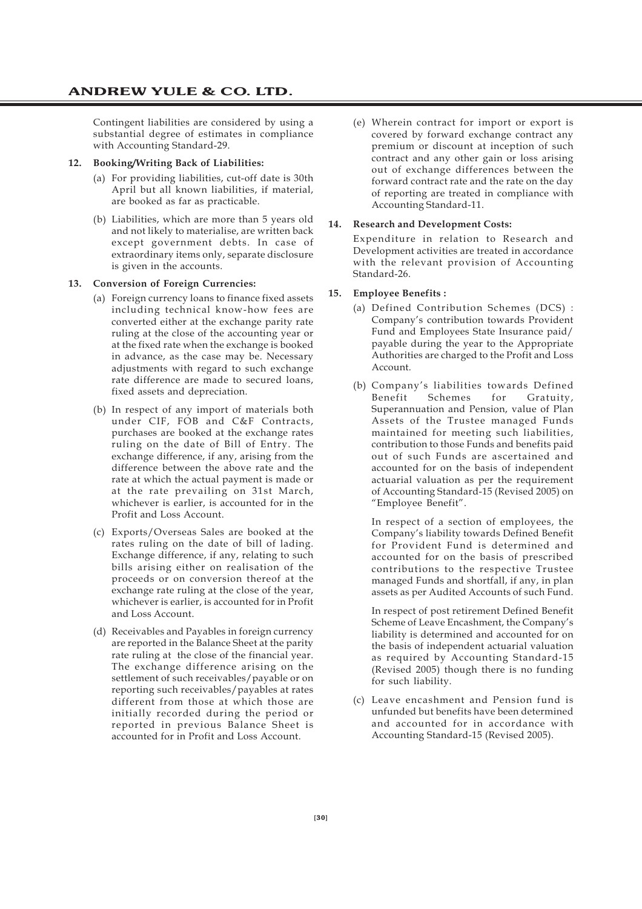Contingent liabilities are considered by using a substantial degree of estimates in compliance with Accounting Standard-29.

#### **12. Booking/Writing Back of Liabilities:**

- (a) For providing liabilities, cut-off date is 30th April but all known liabilities, if material, are booked as far as practicable.
- (b) Liabilities, which are more than 5 years old and not likely to materialise, are written back except government debts. In case of extraordinary items only, separate disclosure is given in the accounts.

#### **13. Conversion of Foreign Currencies:**

- (a) Foreign currency loans to finance fixed assets including technical know-how fees are converted either at the exchange parity rate ruling at the close of the accounting year or at the fixed rate when the exchange is booked in advance, as the case may be. Necessary adjustments with regard to such exchange rate difference are made to secured loans, fixed assets and depreciation.
- (b) In respect of any import of materials both under CIF, FOB and C&F Contracts, purchases are booked at the exchange rates ruling on the date of Bill of Entry. The exchange difference, if any, arising from the difference between the above rate and the rate at which the actual payment is made or at the rate prevailing on 31st March, whichever is earlier, is accounted for in the Profit and Loss Account.
- (c) Exports/Overseas Sales are booked at the rates ruling on the date of bill of lading. Exchange difference, if any, relating to such bills arising either on realisation of the proceeds or on conversion thereof at the exchange rate ruling at the close of the year, whichever is earlier, is accounted for in Profit and Loss Account.
- (d) Receivables and Payables in foreign currency are reported in the Balance Sheet at the parity rate ruling at the close of the financial year. The exchange difference arising on the settlement of such receivables/payable or on reporting such receivables/payables at rates different from those at which those are initially recorded during the period or reported in previous Balance Sheet is accounted for in Profit and Loss Account.

(e) Wherein contract for import or export is covered by forward exchange contract any premium or discount at inception of such contract and any other gain or loss arising out of exchange differences between the forward contract rate and the rate on the day of reporting are treated in compliance with Accounting Standard-11.

#### **14. Research and Development Costs:**

Expenditure in relation to Research and Development activities are treated in accordance with the relevant provision of Accounting Standard-26.

#### **15. Employee Benefits :**

- (a) Defined Contribution Schemes (DCS) : Company's contribution towards Provident Fund and Employees State Insurance paid/ payable during the year to the Appropriate Authorities are charged to the Profit and Loss Account.
- (b) Company's liabilities towards Defined Benefit Schemes for Gratuity, Superannuation and Pension, value of Plan Assets of the Trustee managed Funds maintained for meeting such liabilities, contribution to those Funds and benefits paid out of such Funds are ascertained and accounted for on the basis of independent actuarial valuation as per the requirement of Accounting Standard-15 (Revised 2005) on "Employee Benefit".

In respect of a section of employees, the Company's liability towards Defined Benefit for Provident Fund is determined and accounted for on the basis of prescribed contributions to the respective Trustee managed Funds and shortfall, if any, in plan assets as per Audited Accounts of such Fund.

In respect of post retirement Defined Benefit Scheme of Leave Encashment, the Company's liability is determined and accounted for on the basis of independent actuarial valuation as required by Accounting Standard-15 (Revised 2005) though there is no funding for such liability.

(c) Leave encashment and Pension fund is unfunded but benefits have been determined and accounted for in accordance with Accounting Standard-15 (Revised 2005).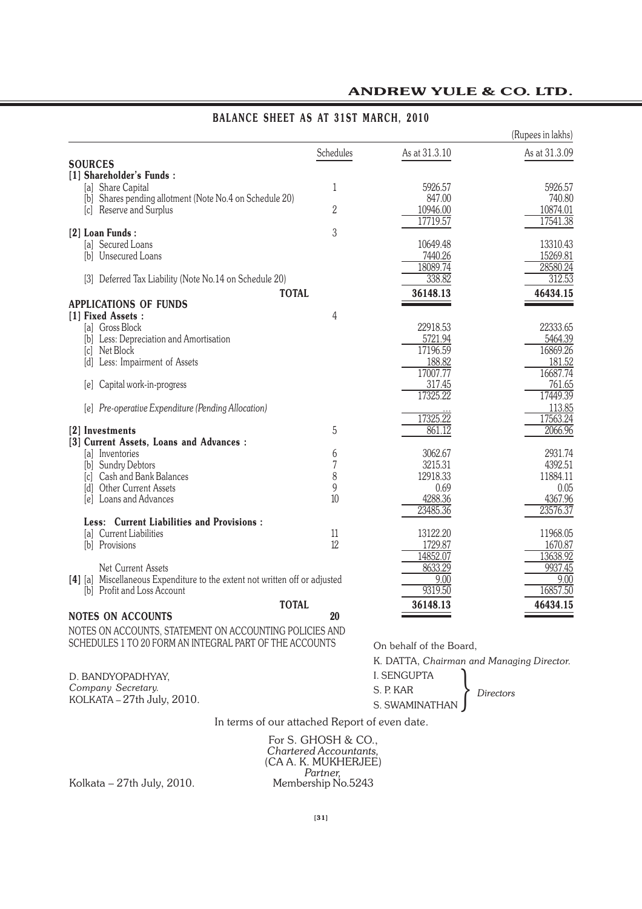|                                                                                    |           |                    | (Rupees in lakhs)  |
|------------------------------------------------------------------------------------|-----------|--------------------|--------------------|
|                                                                                    | Schedules | As at 31.3.10      | As at 31.3.09      |
| <b>SOURCES</b>                                                                     |           |                    |                    |
| [1] Shareholder's Funds:                                                           |           |                    |                    |
| [a] Share Capital                                                                  | 1         | 5926.57<br>847.00  | 5926.57<br>740.80  |
| [b] Shares pending allotment (Note No.4 on Schedule 20)<br>[c] Reserve and Surplus | 2         | 10946.00           | 10874.01           |
|                                                                                    |           | 17719.57           | 17541.38           |
| [2] Loan Funds:                                                                    | 3         |                    |                    |
| [a] Secured Loans                                                                  |           | 10649.48           | 13310.43           |
| [b] Unsecured Loans                                                                |           | 7440.26            | 15269.81           |
|                                                                                    |           | 18089.74           | 28580.24           |
| [3] Deferred Tax Liability (Note No.14 on Schedule 20)                             |           | 338.82             | 312.53             |
| <b>TOTAL</b>                                                                       |           | 36148.13           | 46434.15           |
| <b>APPLICATIONS OF FUNDS</b>                                                       |           |                    |                    |
| [1] Fixed Assets:                                                                  | 4         |                    |                    |
| [a] Gross Block                                                                    |           | 22918.53           | 22333.65           |
| [b] Less: Depreciation and Amortisation                                            |           | 5721.94            | 5464.39            |
| [c] Net Block                                                                      |           | 17196.59           | 16869.26           |
| [d] Less: Impairment of Assets                                                     |           | 188.82<br>17007.77 | 181.52<br>16687.74 |
| [e] Capital work-in-progress                                                       |           | 317.45             | 761.65             |
|                                                                                    |           | 17325.22           | 17449.39           |
| [e] Pre-operative Expenditure (Pending Allocation)                                 |           |                    | 113.85             |
|                                                                                    |           | 17325.22           | 17563.24           |
| [2] Investments                                                                    | 5         | 861.12             | 2066.96            |
| [3] Current Assets, Loans and Advances :                                           |           |                    |                    |
| [a] Inventories                                                                    | 6         | 3062.67            | 2931.74            |
| [b] Sundry Debtors                                                                 | 7         | 3215.31            | 4392.51            |
| [c] Cash and Bank Balances                                                         | 8         | 12918.33           | 11884.11           |
| [d] Other Current Assets                                                           | 9         | 0.69               | 0.05               |
| [e] Loans and Advances                                                             | 10        | 4288.36            | 4367.96            |
| Less: Current Liabilities and Provisions:                                          |           | 23485.36           | 23576.37           |
| [a] Current Liabilities                                                            | 11        | 13122.20           | 11968.05           |
| [b] Provisions                                                                     | 12        | 1729.87            | 1670.87            |
|                                                                                    |           | 14852.07           | 13638.92           |
| Net Current Assets                                                                 |           | 8633.29            | 9937.45            |
| [4] [a] Miscellaneous Expenditure to the extent not written off or adjusted        |           | 9.00               | 9.00               |
| [b] Profit and Loss Account                                                        |           | 9319.50            | 16857.50           |
| <b>TOTAL</b>                                                                       |           | 36148.13           | 46434.15           |
| <b>NOTES ON ACCOUNTS</b>                                                           | 20        |                    |                    |
| MOTEC ON ACCOUNTS CEATEMENT ON ACCOUNTING DOUGLES                                  | ANID      |                    |                    |

### **BALANCE SHEET AS AT 31ST MARCH, 2010**

NOTES ON ACCOUNTS, STATEMENT ON ACCOUNTING POLICIES AND SCHEDULES 1 TO 20 FORM AN INTEGRAL PART OF THE ACCOUNTS

On behalf of the Board,

K. DATTA, *Chairman and Managing Director.*

| D. BANDYOPADHYAY.          | I. SENGUPTA      |           |  |
|----------------------------|------------------|-----------|--|
| Company Secretary.         | S. P. KAR        | Directors |  |
| KOLKATA – 27th July, 2010. | S. SWAMINATHAN I |           |  |

In terms of our attached Report of even date.

For S. GHOSH & CO., *Chartered Accountants,* (CA A. K. MUKHERJEE) *Partner,*<br>*Partner,*<br>Membership No.5243

Kolkata –  $27th$  July,  $2010$ .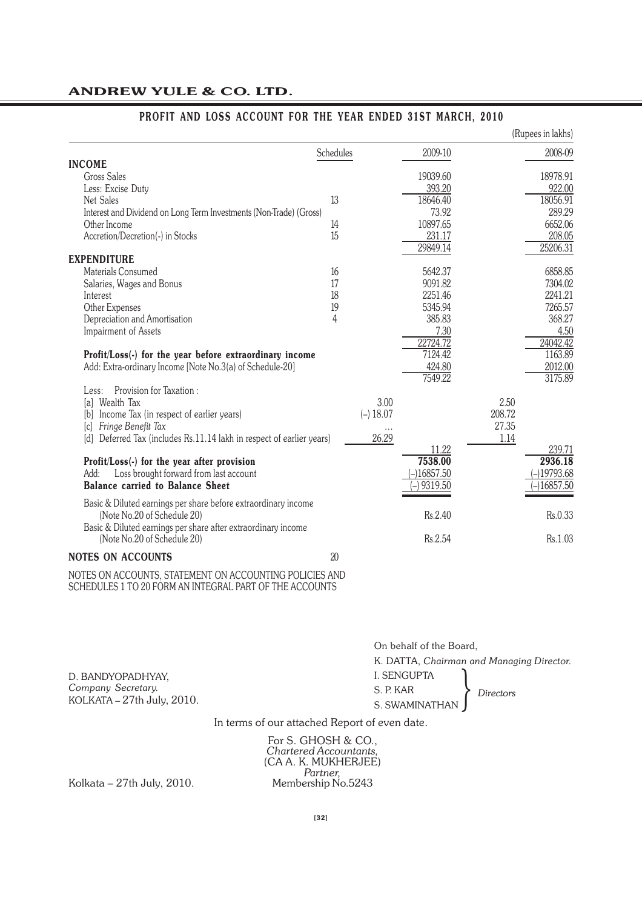| 2009-10<br>Schedules<br><b>INCOME</b><br><b>Gross Sales</b><br>19039.60<br>393.20<br>Less: Excise Duty<br>13<br>18646.40<br>Net Sales<br>73.92<br>Interest and Dividend on Long Term Investments (Non-Trade) (Gross)<br>10897.65<br>Other Income<br>14<br>15<br>Accretion/Decretion(-) in Stocks<br>231.17<br>29849.14<br><b>EXPENDITURE</b><br>Materials Consumed<br>5642.37<br>16<br>9091.82<br>17<br>Salaries, Wages and Bonus<br>2251.46<br>Interest<br>18<br>19<br>5345.94<br>Other Expenses<br>4<br>385.83<br>Depreciation and Amortisation<br>7.30<br><b>Impairment of Assets</b><br>22724.72<br>7124.42<br>Profit/Loss(-) for the year before extraordinary income<br>Add: Extra-ordinary Income [Note No.3(a) of Schedule-20]<br>424.80<br>7549.22<br>Provision for Taxation:<br>Less:<br>3.00<br>2.50<br>[a] Wealth Tax<br>$(-) 18.07$<br>208.72<br>[b] Income Tax (in respect of earlier years)<br>27.35<br>Fringe Benefit Tax<br>[c]<br>26.29<br>Deferred Tax (includes Rs.11.14 lakh in respect of earlier years)<br>1.14<br>[d]<br>11.22<br>7538.00<br>2936.18<br>Profit/Loss(-) for the year after provision<br>$-19793.68$<br>Loss brought forward from last account<br>$-16857.50$<br>Add:<br>-)16857.50<br><b>Balance carried to Balance Sheet</b><br>9319.50<br>Basic & Diluted earnings per share before extraordinary income<br>Rs.2.40<br>Rs.0.33<br>(Note No.20 of Schedule 20)<br>Basic & Diluted earnings per share after extraordinary income<br>Rs.2.54<br>Rs.1.03<br>(Note No.20 of Schedule 20)<br>20<br><b>NOTES ON ACCOUNTS</b> |  |  | (Rupees in lakhs) |
|----------------------------------------------------------------------------------------------------------------------------------------------------------------------------------------------------------------------------------------------------------------------------------------------------------------------------------------------------------------------------------------------------------------------------------------------------------------------------------------------------------------------------------------------------------------------------------------------------------------------------------------------------------------------------------------------------------------------------------------------------------------------------------------------------------------------------------------------------------------------------------------------------------------------------------------------------------------------------------------------------------------------------------------------------------------------------------------------------------------------------------------------------------------------------------------------------------------------------------------------------------------------------------------------------------------------------------------------------------------------------------------------------------------------------------------------------------------------------------------------------------------------------------------------------------------|--|--|-------------------|
|                                                                                                                                                                                                                                                                                                                                                                                                                                                                                                                                                                                                                                                                                                                                                                                                                                                                                                                                                                                                                                                                                                                                                                                                                                                                                                                                                                                                                                                                                                                                                                |  |  | 2008-09           |
|                                                                                                                                                                                                                                                                                                                                                                                                                                                                                                                                                                                                                                                                                                                                                                                                                                                                                                                                                                                                                                                                                                                                                                                                                                                                                                                                                                                                                                                                                                                                                                |  |  |                   |
|                                                                                                                                                                                                                                                                                                                                                                                                                                                                                                                                                                                                                                                                                                                                                                                                                                                                                                                                                                                                                                                                                                                                                                                                                                                                                                                                                                                                                                                                                                                                                                |  |  | 18978.91          |
|                                                                                                                                                                                                                                                                                                                                                                                                                                                                                                                                                                                                                                                                                                                                                                                                                                                                                                                                                                                                                                                                                                                                                                                                                                                                                                                                                                                                                                                                                                                                                                |  |  | 922.00            |
|                                                                                                                                                                                                                                                                                                                                                                                                                                                                                                                                                                                                                                                                                                                                                                                                                                                                                                                                                                                                                                                                                                                                                                                                                                                                                                                                                                                                                                                                                                                                                                |  |  | 18056.91          |
|                                                                                                                                                                                                                                                                                                                                                                                                                                                                                                                                                                                                                                                                                                                                                                                                                                                                                                                                                                                                                                                                                                                                                                                                                                                                                                                                                                                                                                                                                                                                                                |  |  | 289.29            |
|                                                                                                                                                                                                                                                                                                                                                                                                                                                                                                                                                                                                                                                                                                                                                                                                                                                                                                                                                                                                                                                                                                                                                                                                                                                                                                                                                                                                                                                                                                                                                                |  |  | 6652.06           |
|                                                                                                                                                                                                                                                                                                                                                                                                                                                                                                                                                                                                                                                                                                                                                                                                                                                                                                                                                                                                                                                                                                                                                                                                                                                                                                                                                                                                                                                                                                                                                                |  |  | 208.05            |
|                                                                                                                                                                                                                                                                                                                                                                                                                                                                                                                                                                                                                                                                                                                                                                                                                                                                                                                                                                                                                                                                                                                                                                                                                                                                                                                                                                                                                                                                                                                                                                |  |  | 25206.31          |
|                                                                                                                                                                                                                                                                                                                                                                                                                                                                                                                                                                                                                                                                                                                                                                                                                                                                                                                                                                                                                                                                                                                                                                                                                                                                                                                                                                                                                                                                                                                                                                |  |  |                   |
|                                                                                                                                                                                                                                                                                                                                                                                                                                                                                                                                                                                                                                                                                                                                                                                                                                                                                                                                                                                                                                                                                                                                                                                                                                                                                                                                                                                                                                                                                                                                                                |  |  | 6858.85           |
|                                                                                                                                                                                                                                                                                                                                                                                                                                                                                                                                                                                                                                                                                                                                                                                                                                                                                                                                                                                                                                                                                                                                                                                                                                                                                                                                                                                                                                                                                                                                                                |  |  | 7304.02           |
|                                                                                                                                                                                                                                                                                                                                                                                                                                                                                                                                                                                                                                                                                                                                                                                                                                                                                                                                                                                                                                                                                                                                                                                                                                                                                                                                                                                                                                                                                                                                                                |  |  | 2241.21           |
|                                                                                                                                                                                                                                                                                                                                                                                                                                                                                                                                                                                                                                                                                                                                                                                                                                                                                                                                                                                                                                                                                                                                                                                                                                                                                                                                                                                                                                                                                                                                                                |  |  | 7265.57           |
|                                                                                                                                                                                                                                                                                                                                                                                                                                                                                                                                                                                                                                                                                                                                                                                                                                                                                                                                                                                                                                                                                                                                                                                                                                                                                                                                                                                                                                                                                                                                                                |  |  | 368.27            |
|                                                                                                                                                                                                                                                                                                                                                                                                                                                                                                                                                                                                                                                                                                                                                                                                                                                                                                                                                                                                                                                                                                                                                                                                                                                                                                                                                                                                                                                                                                                                                                |  |  | 4.50              |
|                                                                                                                                                                                                                                                                                                                                                                                                                                                                                                                                                                                                                                                                                                                                                                                                                                                                                                                                                                                                                                                                                                                                                                                                                                                                                                                                                                                                                                                                                                                                                                |  |  | 24042.42          |
|                                                                                                                                                                                                                                                                                                                                                                                                                                                                                                                                                                                                                                                                                                                                                                                                                                                                                                                                                                                                                                                                                                                                                                                                                                                                                                                                                                                                                                                                                                                                                                |  |  | 1163.89           |
|                                                                                                                                                                                                                                                                                                                                                                                                                                                                                                                                                                                                                                                                                                                                                                                                                                                                                                                                                                                                                                                                                                                                                                                                                                                                                                                                                                                                                                                                                                                                                                |  |  | 2012.00           |
|                                                                                                                                                                                                                                                                                                                                                                                                                                                                                                                                                                                                                                                                                                                                                                                                                                                                                                                                                                                                                                                                                                                                                                                                                                                                                                                                                                                                                                                                                                                                                                |  |  | 3175.89           |
|                                                                                                                                                                                                                                                                                                                                                                                                                                                                                                                                                                                                                                                                                                                                                                                                                                                                                                                                                                                                                                                                                                                                                                                                                                                                                                                                                                                                                                                                                                                                                                |  |  |                   |
|                                                                                                                                                                                                                                                                                                                                                                                                                                                                                                                                                                                                                                                                                                                                                                                                                                                                                                                                                                                                                                                                                                                                                                                                                                                                                                                                                                                                                                                                                                                                                                |  |  |                   |
|                                                                                                                                                                                                                                                                                                                                                                                                                                                                                                                                                                                                                                                                                                                                                                                                                                                                                                                                                                                                                                                                                                                                                                                                                                                                                                                                                                                                                                                                                                                                                                |  |  |                   |
|                                                                                                                                                                                                                                                                                                                                                                                                                                                                                                                                                                                                                                                                                                                                                                                                                                                                                                                                                                                                                                                                                                                                                                                                                                                                                                                                                                                                                                                                                                                                                                |  |  |                   |
|                                                                                                                                                                                                                                                                                                                                                                                                                                                                                                                                                                                                                                                                                                                                                                                                                                                                                                                                                                                                                                                                                                                                                                                                                                                                                                                                                                                                                                                                                                                                                                |  |  |                   |
|                                                                                                                                                                                                                                                                                                                                                                                                                                                                                                                                                                                                                                                                                                                                                                                                                                                                                                                                                                                                                                                                                                                                                                                                                                                                                                                                                                                                                                                                                                                                                                |  |  | 239.71            |
|                                                                                                                                                                                                                                                                                                                                                                                                                                                                                                                                                                                                                                                                                                                                                                                                                                                                                                                                                                                                                                                                                                                                                                                                                                                                                                                                                                                                                                                                                                                                                                |  |  |                   |
|                                                                                                                                                                                                                                                                                                                                                                                                                                                                                                                                                                                                                                                                                                                                                                                                                                                                                                                                                                                                                                                                                                                                                                                                                                                                                                                                                                                                                                                                                                                                                                |  |  |                   |
|                                                                                                                                                                                                                                                                                                                                                                                                                                                                                                                                                                                                                                                                                                                                                                                                                                                                                                                                                                                                                                                                                                                                                                                                                                                                                                                                                                                                                                                                                                                                                                |  |  |                   |
|                                                                                                                                                                                                                                                                                                                                                                                                                                                                                                                                                                                                                                                                                                                                                                                                                                                                                                                                                                                                                                                                                                                                                                                                                                                                                                                                                                                                                                                                                                                                                                |  |  |                   |
|                                                                                                                                                                                                                                                                                                                                                                                                                                                                                                                                                                                                                                                                                                                                                                                                                                                                                                                                                                                                                                                                                                                                                                                                                                                                                                                                                                                                                                                                                                                                                                |  |  |                   |
|                                                                                                                                                                                                                                                                                                                                                                                                                                                                                                                                                                                                                                                                                                                                                                                                                                                                                                                                                                                                                                                                                                                                                                                                                                                                                                                                                                                                                                                                                                                                                                |  |  |                   |
|                                                                                                                                                                                                                                                                                                                                                                                                                                                                                                                                                                                                                                                                                                                                                                                                                                                                                                                                                                                                                                                                                                                                                                                                                                                                                                                                                                                                                                                                                                                                                                |  |  |                   |
|                                                                                                                                                                                                                                                                                                                                                                                                                                                                                                                                                                                                                                                                                                                                                                                                                                                                                                                                                                                                                                                                                                                                                                                                                                                                                                                                                                                                                                                                                                                                                                |  |  |                   |
|                                                                                                                                                                                                                                                                                                                                                                                                                                                                                                                                                                                                                                                                                                                                                                                                                                                                                                                                                                                                                                                                                                                                                                                                                                                                                                                                                                                                                                                                                                                                                                |  |  |                   |

### **PROFIT AND LOSS ACCOUNT FOR THE YEAR ENDED 31ST MARCH, 2010**

NOTES ON ACCOUNTS, STATEMENT ON ACCOUNTING POLICIES AND SCHEDULES 1 TO 20 FORM AN INTEGRAL PART OF THE ACCOUNTS

> On behalf of the Board, K. DATTA, *Chairman and Managing Director.* I. SENGUPTA S. P. KAR S. P. KAR<br>S. SWAMINATHAN *Directors*

In terms of our attached Report of even date.

For S. GHOSH & CO., *Chartered Accountants,* (CA A. K. MUKHERJEE) *Partner,*

Kolkata –  $27th$  July,  $2010$ .

KOLKATA – 27th July, 2010.

D. BANDYOPADHYAY, *Company Secretary.*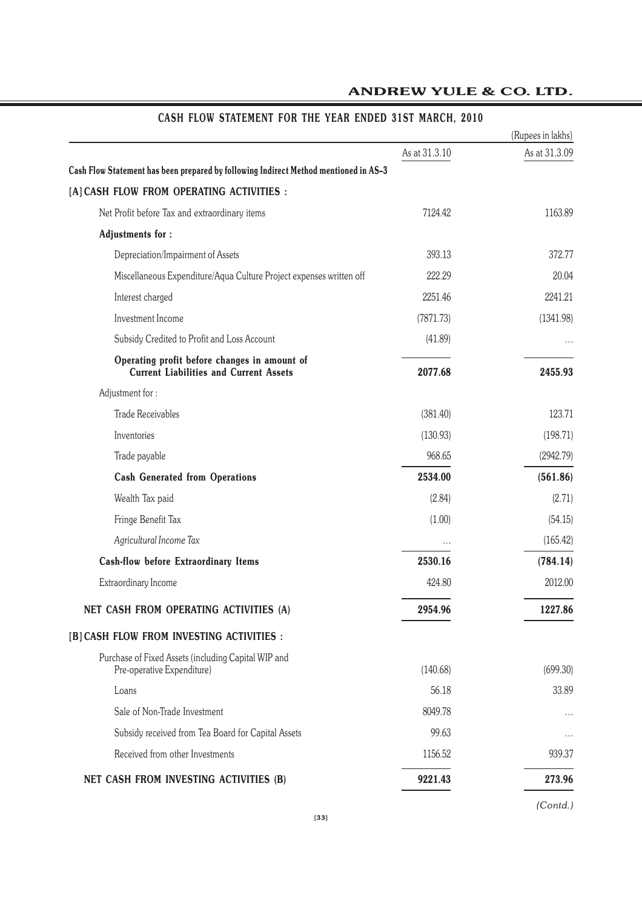|                                                                                               |               | (Rupees in lakhs) |
|-----------------------------------------------------------------------------------------------|---------------|-------------------|
|                                                                                               | As at 31.3.10 | As at 31.3.09     |
| Cash Flow Statement has been prepared by following Indirect Method mentioned in AS-3          |               |                   |
| [A] CASH FLOW FROM OPERATING ACTIVITIES :                                                     |               |                   |
| Net Profit before Tax and extraordinary items                                                 | 7124.42       | 1163.89           |
| <b>Adjustments for:</b>                                                                       |               |                   |
| Depreciation/Impairment of Assets                                                             | 393.13        | 372.77            |
| Miscellaneous Expenditure/Aqua Culture Project expenses written off                           | 222.29        | 20.04             |
| Interest charged                                                                              | 2251.46       | 2241.21           |
| Investment Income                                                                             | (7871.73)     | (1341.98)         |
| Subsidy Credited to Profit and Loss Account                                                   | (41.89)       |                   |
| Operating profit before changes in amount of<br><b>Current Liabilities and Current Assets</b> | 2077.68       | 2455.93           |
| Adjustment for:                                                                               |               |                   |
| <b>Trade Receivables</b>                                                                      | (381.40)      | 123.71            |
| Inventories                                                                                   | (130.93)      | (198.71)          |
| Trade payable                                                                                 | 968.65        | (2942.79)         |
| <b>Cash Generated from Operations</b>                                                         | 2534.00       | (561.86)          |
| Wealth Tax paid                                                                               | (2.84)        | (2.71)            |
| Fringe Benefit Tax                                                                            | (1.00)        | (54.15)           |
| Agricultural Income Tax                                                                       |               | (165.42)          |
| <b>Cash-flow before Extraordinary Items</b>                                                   | 2530.16       | (784.14)          |
| Extraordinary Income                                                                          | 424.80        | 2012.00           |
| NET CASH FROM OPERATING ACTIVITIES (A)                                                        | 2954.96       | 1227.86           |
| [B] CASH FLOW FROM INVESTING ACTIVITIES :                                                     |               |                   |
| Purchase of Fixed Assets (including Capital WIP and<br>Pre-operative Expenditure)             | (140.68)      | (699.30)          |
| Loans                                                                                         | 56.18         | 33.89             |
| Sale of Non-Trade Investment                                                                  | 8049.78       | $\cdots$          |
| Subsidy received from Tea Board for Capital Assets                                            | 99.63         | $\cdots$          |
| Received from other Investments                                                               | 1156.52       | 939.37            |
| NET CASH FROM INVESTING ACTIVITIES (B)                                                        | 9221.43       | 273.96            |

# **CASH FLOW STATEMENT FOR THE YEAR ENDED 31ST MARCH, 2010**

*(Contd.)*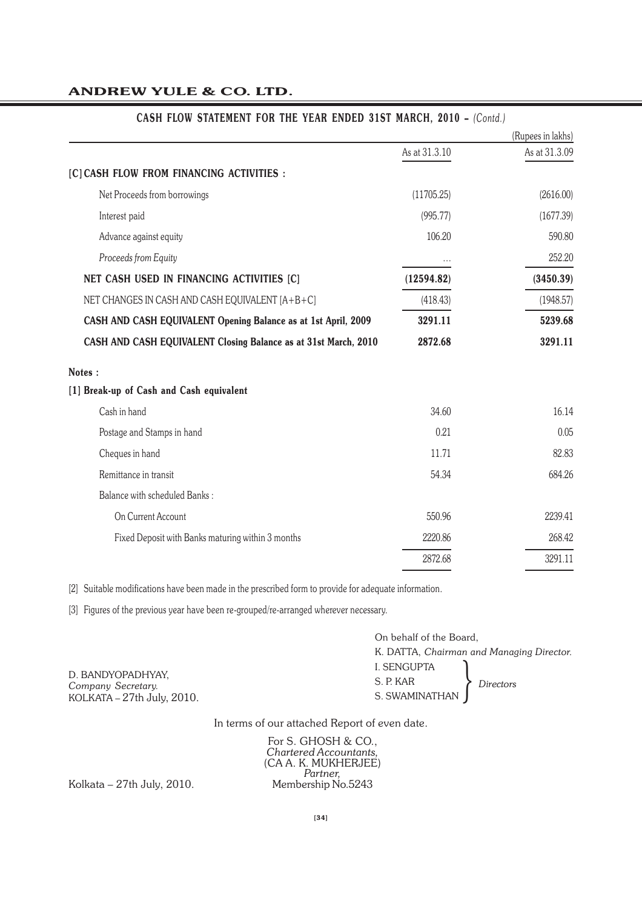|                                                                 |               | (Rupees in lakhs) |
|-----------------------------------------------------------------|---------------|-------------------|
|                                                                 | As at 31.3.10 | As at 31.3.09     |
| [C] CASH FLOW FROM FINANCING ACTIVITIES :                       |               |                   |
| Net Proceeds from borrowings                                    | (11705.25)    | (2616.00)         |
| Interest paid                                                   | (995.77)      | (1677.39)         |
| Advance against equity                                          | 106.20        | 590.80            |
| Proceeds from Equity                                            |               | 252.20            |
| NET CASH USED IN FINANCING ACTIVITIES [C]                       | (12594.82)    | (3450.39)         |
| NET CHANGES IN CASH AND CASH EQUIVALENT [A+B+C]                 | (418.43)      | (1948.57)         |
| CASH AND CASH EQUIVALENT Opening Balance as at 1st April, 2009  | 3291.11       | 5239.68           |
| CASH AND CASH EQUIVALENT Closing Balance as at 31st March, 2010 | 2872.68       | 3291.11           |
| Notes:                                                          |               |                   |
| [1] Break-up of Cash and Cash equivalent                        |               |                   |
| Cash in hand                                                    | 34.60         | 16.14             |
| Postage and Stamps in hand                                      | 0.21          | 0.05              |
| Cheques in hand                                                 | 11.71         | 82.83             |
| Remittance in transit                                           | 54.34         | 684.26            |
| Balance with scheduled Banks:                                   |               |                   |
| On Current Account                                              | 550.96        | 2239.41           |
| Fixed Deposit with Banks maturing within 3 months               | 2220.86       | 268.42            |
|                                                                 | 2872.68       | 3291.11           |

### **CASH FLOW STATEMENT FOR THE YEAR ENDED 31ST MARCH, 2010 –** *(Contd.)*

[2] Suitable modifications have been made in the prescribed form to provide for adequate information.

[3] Figures of the previous year have been re-grouped/re-arranged wherever necessary.

On behalf of the Board, K. DATTA, *Chairman and Managing Director.* I. SENGUPTA S. P. KAR S. P. KAR<br>S. SWAMINATHAN *Directors* 

D. BANDYOPADHYAY, *Company Secretary.* KOLKATA – 27th July, 2010.

In terms of our attached Report of even date.

For S. GHOSH & CO., *Chartered Accountants,* (CA A. K. MUKHERJEE) *Partner,*

Kolkata – 27th July, 2010. Membership No.5243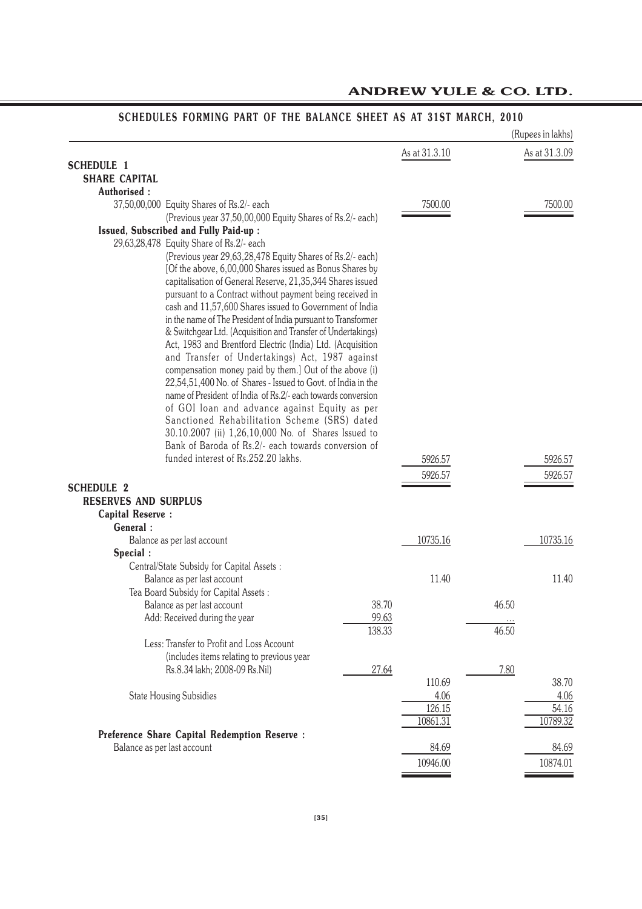|                             |                                                                                                                        |        |               |       | (Rupees in lakhs) |
|-----------------------------|------------------------------------------------------------------------------------------------------------------------|--------|---------------|-------|-------------------|
|                             |                                                                                                                        |        | As at 31.3.10 |       | As at 31.3.09     |
| <b>SCHEDULE 1</b>           |                                                                                                                        |        |               |       |                   |
| <b>SHARE CAPITAL</b>        |                                                                                                                        |        |               |       |                   |
| Authorised:                 |                                                                                                                        |        |               |       |                   |
|                             | 37,50,00,000 Equity Shares of Rs.2/- each                                                                              |        | 7500.00       |       | 7500.00           |
|                             | (Previous year 37,50,00,000 Equity Shares of Rs.2/- each)                                                              |        |               |       |                   |
|                             | Issued, Subscribed and Fully Paid-up :                                                                                 |        |               |       |                   |
|                             | 29,63,28,478 Equity Share of Rs.2/- each                                                                               |        |               |       |                   |
|                             | (Previous year 29,63,28,478 Equity Shares of Rs.2/- each)                                                              |        |               |       |                   |
|                             | [Of the above, 6,00,000 Shares issued as Bonus Shares by<br>capitalisation of General Reserve, 21,35,344 Shares issued |        |               |       |                   |
|                             | pursuant to a Contract without payment being received in                                                               |        |               |       |                   |
|                             | cash and 11,57,600 Shares issued to Government of India                                                                |        |               |       |                   |
|                             | in the name of The President of India pursuant to Transformer                                                          |        |               |       |                   |
|                             | & Switchgear Ltd. (Acquisition and Transfer of Undertakings)                                                           |        |               |       |                   |
|                             | Act, 1983 and Brentford Electric (India) Ltd. (Acquisition                                                             |        |               |       |                   |
|                             | and Transfer of Undertakings) Act, 1987 against                                                                        |        |               |       |                   |
|                             | compensation money paid by them.] Out of the above (i)                                                                 |        |               |       |                   |
|                             | 22,54,51,400 No. of Shares - Issued to Govt. of India in the                                                           |        |               |       |                   |
|                             | name of President of India of Rs.2/- each towards conversion                                                           |        |               |       |                   |
|                             | of GOI loan and advance against Equity as per                                                                          |        |               |       |                   |
|                             | Sanctioned Rehabilitation Scheme (SRS) dated                                                                           |        |               |       |                   |
|                             | 30.10.2007 (ii) 1,26,10,000 No. of Shares Issued to                                                                    |        |               |       |                   |
|                             | Bank of Baroda of Rs.2/- each towards conversion of                                                                    |        |               |       |                   |
|                             | funded interest of Rs.252.20 lakhs.                                                                                    |        | 5926.57       |       | 5926.57           |
|                             |                                                                                                                        |        | 5926.57       |       | 5926.57           |
| <b>SCHEDULE 2</b>           |                                                                                                                        |        |               |       |                   |
| <b>RESERVES AND SURPLUS</b> |                                                                                                                        |        |               |       |                   |
| <b>Capital Reserve:</b>     |                                                                                                                        |        |               |       |                   |
| General:                    |                                                                                                                        |        |               |       |                   |
|                             | Balance as per last account                                                                                            |        | 10735.16      |       | 10735.16          |
| Special :                   |                                                                                                                        |        |               |       |                   |
|                             | Central/State Subsidy for Capital Assets :                                                                             |        |               |       |                   |
|                             | Balance as per last account                                                                                            |        | 11.40         |       | 11.40             |
|                             | Tea Board Subsidy for Capital Assets:                                                                                  |        |               |       |                   |
|                             | Balance as per last account                                                                                            | 38.70  |               | 46.50 |                   |
|                             | Add: Received during the year                                                                                          | 99.63  |               |       |                   |
|                             | Less: Transfer to Profit and Loss Account                                                                              | 138.33 |               | 46.50 |                   |
|                             | (includes items relating to previous year                                                                              |        |               |       |                   |
|                             | Rs.8.34 lakh; 2008-09 Rs.Nil)                                                                                          | 27.64  |               | 7.80  |                   |
|                             |                                                                                                                        |        | 110.69        |       | 38.70             |
|                             | <b>State Housing Subsidies</b>                                                                                         |        | 4.06          |       | 4.06              |
|                             |                                                                                                                        |        | 126.15        |       | 54.16             |
|                             |                                                                                                                        |        | 10861.31      |       | 10789.32          |
|                             | <b>Preference Share Capital Redemption Reserve:</b>                                                                    |        |               |       |                   |
|                             | Balance as per last account                                                                                            |        | 84.69         |       | 84.69             |
|                             |                                                                                                                        |        | 10946.00      |       | 10874.01          |
|                             |                                                                                                                        |        |               |       |                   |

### **SCHEDULES FORMING PART OF THE BALANCE SHEET AS AT 31ST MARCH, 2010**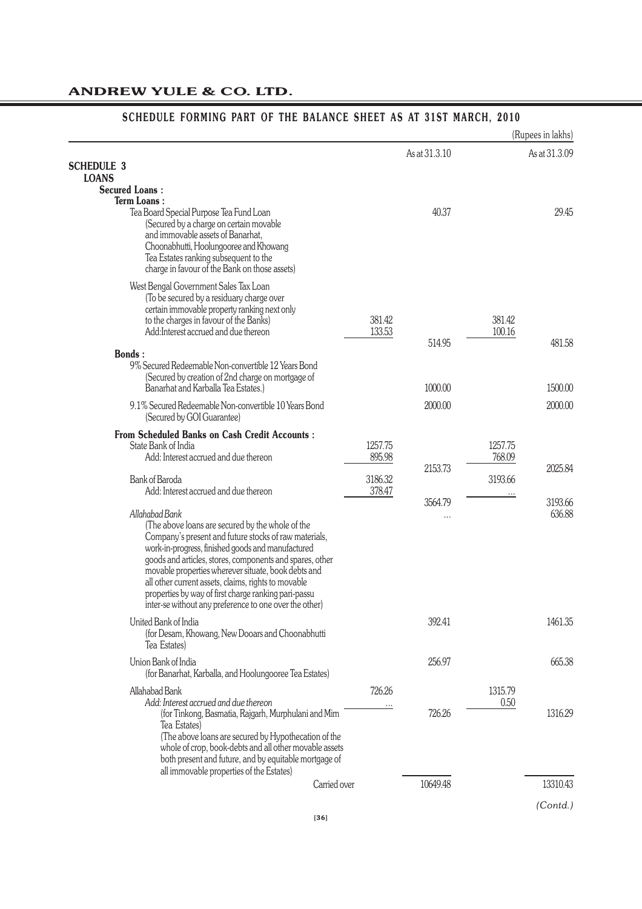#### (Rupees in lakhs) *(Contd.)* As at 31.3.10 As at 31.3.09 **SCHEDULE 3 LOANS Secured Loans : Term Loans :** Tea Board Special Purpose Tea Fund Loan **1998** 29.45 29.45 29.45 29.45 29.45 29.45 29.45 29.45 29.45 29.45 29.45 (Secured by a charge on certain movable and immovable assets of Banarhat, Choonabhutti, Hoolungooree and Khowang Tea Estates ranking subsequent to the charge in favour of the Bank on those assets) West Bengal Government Sales Tax Loan (To be secured by a residuary charge over certain immovable property ranking next only to the charges in favour of the Banks) 381.42 381.42 381.42<br>Add:Interest accrued and due thereon 313.53 381.42 Add:Interest accrued and due thereon 133.53 14.95 481.58 **Bonds :** 9% Secured Redeemable Non-convertible 12 Years Bond (Secured by creation of 2nd charge on mortgage of Banarhat and Karballa Tea Estates.) 1000.00 1500.00 9.1% Secured Redeemable Non-convertible 10 Years Bond 2000.00 2000.00 (Secured by GOI Guarantee) **From Scheduled Banks on Cash Credit Accounts :** State Bank of India 1257.75 1257.75<br>Add: Interest accrued and due thereon 895.98 1257.75 1257.75 Add: Interest accrued and due thereon 895.98 2153.73 2025.84 Bank of Baroda<br>Add: Interest accrued and due thereon and the state of the state 378.47 Add: Interest accrued and due thereon 3564.79 3193.66<br>
... 3393.66<br>
636.88 *Allahabad Bank* ... 636.88 (The above loans are secured by the whole of the Company's present and future stocks of raw materials, work-in-progress, finished goods and manufactured goods and articles, stores, components and spares, other movable properties wherever situate, book debts and all other current assets, claims, rights to movable properties by way of first charge ranking pari-passu inter-se without any preference to one over the other) United Bank of India 1461.35 (for Desam, Khowang, New Dooars and Choonabhutti Tea Estates) Union Bank of India 256.97 665.38 (for Banarhat, Karballa, and Hoolungooree Tea Estates) Allahabad Bank 1315.79<br>Add: Interest accrued and due thereon 1315.79<br>0.50 1.150 1.150 1.150 1.150 1.150 1.150 1.150 1.150 1.150 1.150 1.150 1.150 1.150 1.150 1.150 1.150 1.150 1.1 Add: Interest accrued and due thereon<br>(for Tinkong, Basmatia, Rajgarh, Murphulani and Mim (for Tinkong, Basmatia, Rajgarh, Murphulani and Mim 726.26 726.26 1316.29 Tea Estates) (The above loans are secured by Hypothecation of the whole of crop, book-debts and all other movable assets both present and future, and by equitable mortgage of all immovable properties of the Estates) Carried over 10649.48 13310.43

#### **SCHEDULE FORMING PART OF THE BALANCE SHEET AS AT 31ST MARCH, 2010**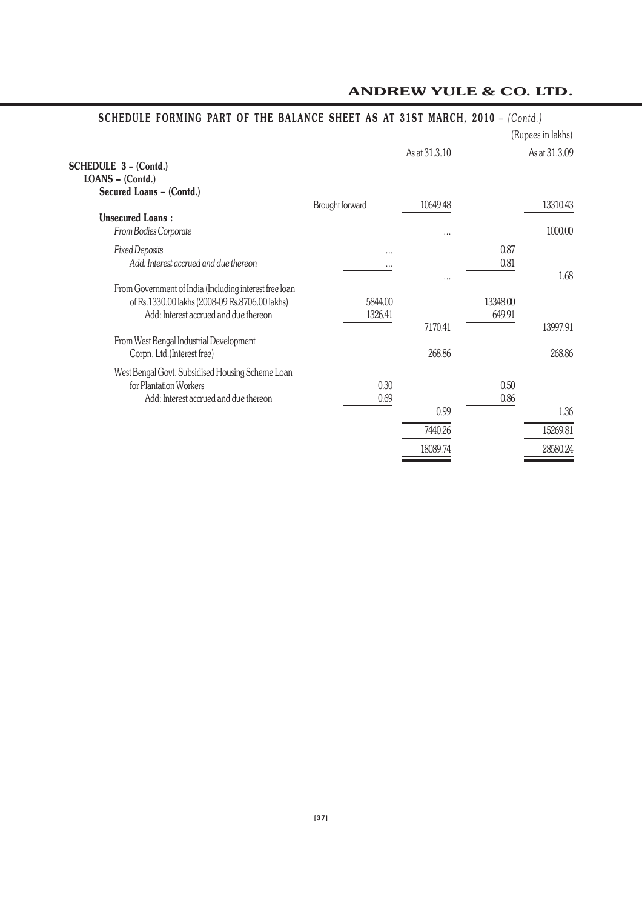|                                                                                                                                                   |                    |                   |                    | (Rupees in lakhs)  |
|---------------------------------------------------------------------------------------------------------------------------------------------------|--------------------|-------------------|--------------------|--------------------|
| <b>SCHEDULE 3 - (Contd.)</b><br>LOANS - (Contd.)                                                                                                  |                    | As at 31.3.10     |                    | As at 31.3.09      |
| Secured Loans - (Contd.)                                                                                                                          | Brought forward    | 10649.48          |                    | 13310.43           |
| <b>Unsecured Loans:</b><br>From Bodies Corporate                                                                                                  |                    |                   |                    | 1000.00            |
| <b>Fixed Deposits</b><br>Add: Interest accrued and due thereon                                                                                    | <br>               | $\cdots$          | 0.87<br>0.81       | 1.68               |
| From Government of India (Including interest free loan<br>of Rs.1330.00 lakhs (2008-09 Rs.8706.00 lakhs)<br>Add: Interest accrued and due thereon | 5844.00<br>1326.41 |                   | 13348.00<br>649.91 |                    |
| From West Bengal Industrial Development<br>Corpn. Ltd.(Interest free)                                                                             |                    | 7170.41<br>268.86 |                    | 13997.91<br>268.86 |
| West Bengal Govt. Subsidised Housing Scheme Loan<br>for Plantation Workers<br>Add: Interest accrued and due thereon                               | 0.30<br>0.69       | 0.99              | 0.50<br>0.86       | 1.36               |
|                                                                                                                                                   |                    | 7440.26           |                    | 15269.81           |
|                                                                                                                                                   |                    | 18089.74          |                    | 28580.24           |

# **SCHEDULE FORMING PART OF THE BALANCE SHEET AS AT 31ST MARCH, 2010** – *(Contd.)*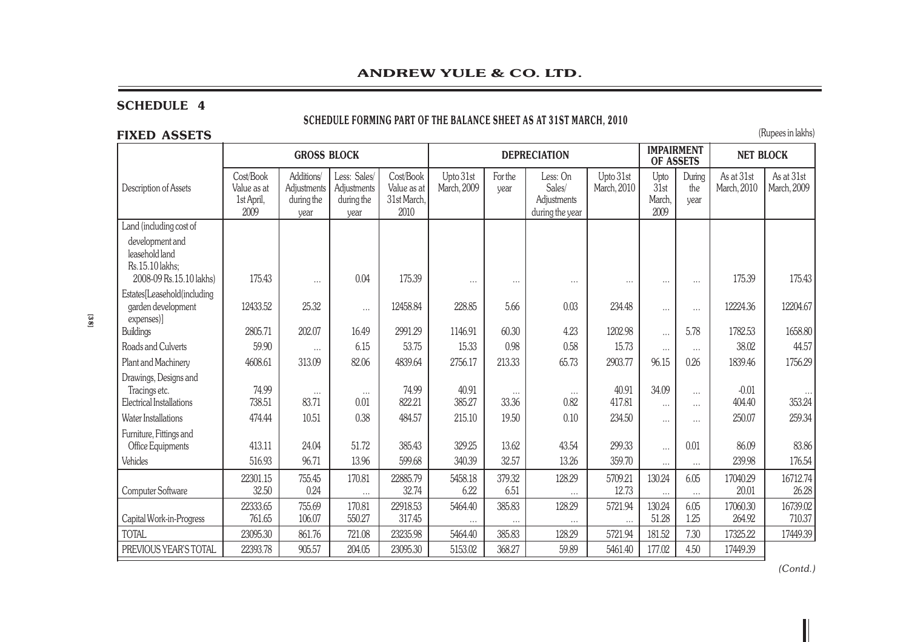| <b>ANDREW YULE &amp; CO. LTD.</b>                                               |                                                |                                                 |                                                   |                                                 |                          |                 |                                                                   |                          |                                |                       |                           |                           |
|---------------------------------------------------------------------------------|------------------------------------------------|-------------------------------------------------|---------------------------------------------------|-------------------------------------------------|--------------------------|-----------------|-------------------------------------------------------------------|--------------------------|--------------------------------|-----------------------|---------------------------|---------------------------|
| <b>SCHEDULE 4</b><br><b>FIXED ASSETS</b>                                        |                                                |                                                 |                                                   |                                                 |                          |                 | SCHEDULE FORMING PART OF THE BALANCE SHEET AS AT 31ST MARCH, 2010 |                          |                                |                       |                           | (Rupees in lakhs)         |
|                                                                                 |                                                | <b>GROSS BLOCK</b>                              |                                                   |                                                 |                          |                 | <b>DEPRECIATION</b>                                               |                          | <b>IMPAIRMENT</b><br>OF ASSETS |                       | <b>NET BLOCK</b>          |                           |
| Description of Assets                                                           | Cost/Book<br>Value as at<br>1st April,<br>2009 | Additions/<br>Adjustments<br>during the<br>year | Less: Sales/<br>Adjustments<br>during the<br>year | Cost/Book<br>Value as at<br>31st March,<br>2010 | Upto 31st<br>March, 2009 | For the<br>year | Less: On<br>Sales/<br>Adjustments<br>during the year              | Upto 31st<br>March, 2010 | Upto<br>31st<br>March,<br>2009 | During<br>the<br>year | As at 31st<br>March, 2010 | As at 31st<br>March, 2009 |
| Land (including cost of                                                         |                                                |                                                 |                                                   |                                                 |                          |                 |                                                                   |                          |                                |                       |                           |                           |
| development and<br>leasehold land<br>Rs.15.10 lakhs;<br>2008-09 Rs.15.10 lakhs) | 175.43                                         | $\cdots$                                        | 0.04                                              | 175.39                                          | $\cdots$                 | $\cdots$        | $\cdots$                                                          | $\cdots$                 | $\cdots$                       | $\cdots$              | 175.39                    | 175.43                    |
| Estates[Leasehold(including<br>garden development<br>expenses)]                 | 12433.52                                       | 25.32                                           | $\cdots$                                          | 12458.84                                        | 228.85                   | 5.66            | 0.03                                                              | 234.48                   | $\cdots$                       | $\cdots$              | 12224.36                  | 12204.67                  |
| <b>Buildings</b>                                                                | 2805.71                                        | 202.07                                          | 16.49                                             | 2991.29                                         | 1146.91                  | 60.30           | 4.23                                                              | 1202.98                  | $\cdots$                       | 5.78                  | 1782.53                   | 1658.80                   |
| Roads and Culverts                                                              | 59.90                                          | $\cdots$                                        | 6.15                                              | 53.75                                           | 15.33                    | 0.98            | 0.58                                                              | 15.73                    | $\cdots$                       | $\cdots$              | 38.02                     | 44.57                     |
| Plant and Machinery                                                             | 4608.61                                        | 313.09                                          | 82.06                                             | 4839.64                                         | 2756.17                  | 213.33          | 65.73                                                             | 2903.77                  | 96.15                          | 0.26                  | 1839.46                   | 1756.29                   |
| Drawings, Designs and<br>Tracings etc.                                          | 74.99                                          | $\cdots$                                        | $\cdots$                                          | 74.99                                           | 40.91                    | $\cdots$        | $\cdots$                                                          | 40.91                    | 34.09                          | $\cdots$              | $-0.01$                   |                           |
| Electrical Installations                                                        | 738.51                                         | 83.71                                           | 0.01                                              | 822.21                                          | 385.27                   | 33.36           | 0.82                                                              | 417.81                   | $\cdots$                       | $\cdots$              | 404.40                    | 353.24                    |
| <b>Water Installations</b>                                                      | 474.44                                         | 10.51                                           | 0.38                                              | 484.57                                          | 215.10                   | 19.50           | 0.10                                                              | 234.50                   | $\cdots$                       | $\cdots$              | 250.07                    | 259.34                    |
| Furniture, Fittings and<br>Office Equipments                                    | 413.11                                         | 24.04                                           | 51.72                                             | 385.43                                          | 329.25                   | 13.62           | 43.54                                                             | 299.33                   | $\cdots$                       | 0.01                  | 86.09                     | 83.86                     |
| Vehicles                                                                        | 516.93                                         | 96.71                                           | 13.96                                             | 599.68                                          | 340.39                   | 32.57           | 13.26                                                             | 359.70                   | $\cdots$                       | $\cdots$              | 239.98                    | 176.54                    |
| Computer Software                                                               | 22301.15<br>32.50                              | 755.45<br>0.24                                  | 170.81<br>$\cdots$                                | 22885.79<br>32.74                               | 5458.18<br>6.22          | 379.32<br>6.51  | 128.29                                                            | 5709.21<br>12.73         | 130.24<br>$\cdots$             | 6.05<br>$\cdots$      | 17040.29<br>20.01         | 16712.74<br>26.28         |
| Capital Work-in-Progress                                                        | 22333.65<br>761.65                             | 755.69<br>106.07                                | 170.81<br>550.27                                  | 22918.53<br>317.45                              | 5464.40                  | 385.83          | 128.29                                                            | 5721.94                  | 130.24<br>51.28                | 6.05<br>1.25          | 17060.30<br>264.92        | 16739.02<br>710.37        |
| <b>TOTAL</b>                                                                    | 23095.30                                       | 861.76                                          | 721.08                                            | 23235.98                                        | 5464.40                  | 385.83          | 128.29                                                            | 5721.94                  | 181.52                         | 7.30                  | 17325.22                  | 17449.39                  |
| PREVIOUS YEAR'S TOTAL                                                           | 22393.78                                       | 905.57                                          | 204.05                                            | 23095.30                                        | 5153.02                  | 368.27          | 59.89                                                             | 5461.40                  | 177.02                         | 4.50                  | 17449.39                  |                           |

**[38]**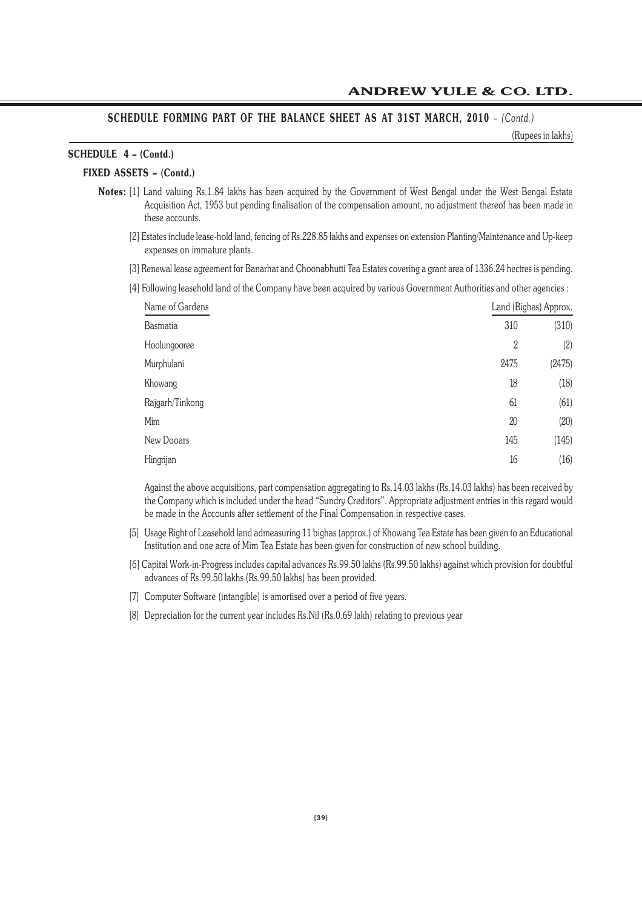# **SCHEDULE FORMING PART OF THE BALANCE SHEET AS AT 31ST MARCH, 2010** – *(Contd.)*

(Rupees in lakhs)

# **SCHEDULE 4 – (Contd.)**

# **FIXED ASSETS – (Contd.)**

- **Notes:** [1] Land valuing Rs.1.84 lakhs has been acquired by the Government of West Bengal under the West Bengal Estate Acquisition Act, 1953 but pending finalisation of the compensation amount, no adjustment thereof has been made in these accounts.
	- [2] Estates include lease-hold land, fencing of Rs.228.85 lakhs and expenses on extension Planting/Maintenance and Up-keep expenses on immature plants.
	- [3] Renewal lease agreement for Banarhat and Choonabhutti Tea Estates covering a grant area of 1336.24 hectres is pending.
	- [4] Following leasehold land of the Company have been acquired by various Government Authorities and other agencies :

| Name of Gardens |                | Land (Bighas) Approx. |
|-----------------|----------------|-----------------------|
| <b>Basmatia</b> | 310            | (310)                 |
| Hoolungooree    | $\overline{2}$ | (2)                   |
| Murphulani      | 2475           | (2475)                |
| Khowang         | 18             | (18)                  |
| Rajgarh/Tinkong | 61             | (61)                  |
| Mim             | 20             | (20)                  |
| New Dooars      | 145            | (145)                 |
| Hingrijan       | 16             | (16)                  |

Against the above acquisitions, part compensation aggregating to Rs.14.03 lakhs (Rs.14.03 lakhs) has been received by the Company which is included under the head "Sundry Creditors". Appropriate adjustment entries in this regard would be made in the Accounts after settlement of the Final Compensation in respective cases.

- [5] Usage Right of Leasehold land admeasuring 11 bighas (approx.) of Khowang Tea Estate has been given to an Educational Institution and one acre of Mim Tea Estate has been given for construction of new school building.
- [6] Capital Work-in-Progress includes capital advances Rs.99.50 lakhs (Rs.99.50 lakhs) against which provision for doubtful advances of Rs.99.50 lakhs (Rs.99.50 lakhs) has been provided.
- [7] Computer Software (intangible) is amortised over a period of five years.
- [8] Depreciation for the current year includes Rs.Nil (Rs.0.69 lakh) relating to previous year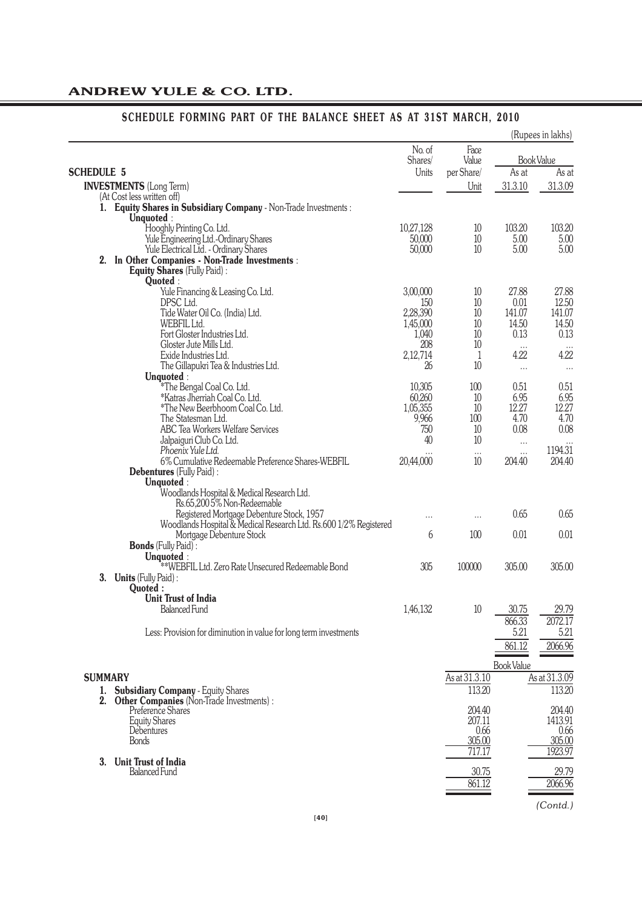|                   |                                                                                                |                   |                    |                   | (Rupees in lakhs) |
|-------------------|------------------------------------------------------------------------------------------------|-------------------|--------------------|-------------------|-------------------|
|                   |                                                                                                | No. of<br>Shares/ | Face<br>Value      |                   | <b>Book Value</b> |
| <b>SCHEDULE 5</b> |                                                                                                | Units             | per Share/         | As at             | As at             |
|                   | <b>INVESTMENTS</b> (Long Term)                                                                 |                   | Unit               | 31.3.10           | 31.3.09           |
|                   | (At Cost less written off)<br>1. Equity Shares in Subsidiary Company - Non-Trade Investments : |                   |                    |                   |                   |
|                   | Unquoted:                                                                                      |                   |                    |                   |                   |
|                   | Hooghly Printing Co. Ltd.                                                                      | 10,27,128         | 10                 | 103.20            | 103.20            |
|                   | Yule Engineering Ltd.-Ordinary Shares                                                          | 50,000            | 10                 | 5.00              | 5.00              |
|                   | Yule Electrical Ltd. - Ordinary Shares                                                         | 50,000            | 10                 | 5.00              | 5.00              |
|                   | 2. In Other Companies - Non-Trade Investments :                                                |                   |                    |                   |                   |
|                   | Equity Shares (Fully Paid):<br>Quoted:                                                         |                   |                    |                   |                   |
|                   | Yule Financing & Leasing Co. Ltd.                                                              | 3,00,000          | 10                 | 27.88             | 27.88             |
|                   | DPSC Ltd.                                                                                      | 150               | 10                 | 0.01              | 12.50             |
|                   | Tide Water Oil Co. (India) Ltd.                                                                | 2,28,390          | 10                 | 141.07            | 141.07            |
|                   | WEBFIL Ltd.                                                                                    | 1,45,000          | 10                 | 14.50             | 14.50             |
|                   | Fort Gloster Industries Ltd.                                                                   | 1,040             | 10                 | 0.13              | 0.13              |
|                   | Gloster Jute Mills Ltd.<br>Exide Industries Ltd.                                               | 208               | 10                 | 4.22              | 4.22              |
|                   | The Gillapukri Tea & Industries Ltd.                                                           | 2,12,714<br>26    | $\mathbf{1}$<br>10 |                   |                   |
|                   | Unquoted:                                                                                      |                   |                    | $\cdots$          | $\cdots$          |
|                   | *The Bengal Coal Co. Ltd.                                                                      | 10,305            | 100                | 0.51              | 0.51              |
|                   | *Katras Jherriah Coal Co. Ltd.                                                                 | 60,260            | 10                 | 6.95              | 6.95              |
|                   | *The New Beerbhoom Coal Co. Ltd.                                                               | 1,05,355          | 10                 | 12.27             | 12.27             |
|                   | The Statesman Ltd.                                                                             | 9,966             | 100                | 4.70              | 4.70              |
|                   | ABC Tea Workers Welfare Services                                                               | 750               | 10                 | 0.08              | 0.08              |
|                   | Jalpaiguri Club Co. Ltd.                                                                       | 40                | 10                 | $\cdots$          | $\cdots$          |
|                   | Phoenix Yule Ltd.<br>6% Cumulative Redeemable Preference Shares-WEBFIL                         | 20,44,000         | $\cdots$<br>10     | <br>204.40        | 1194.31<br>204.40 |
|                   | <b>Debentures</b> (Fully Paid):                                                                |                   |                    |                   |                   |
|                   | Unquoted:                                                                                      |                   |                    |                   |                   |
|                   | Woodlands Hospital & Medical Research Ltd.                                                     |                   |                    |                   |                   |
|                   | Rs.65,2005% Non-Redeemable                                                                     |                   |                    |                   |                   |
|                   | Registered Mortgage Debenture Stock, 1957                                                      | $\cdots$          | $\cdots$           | 0.65              | 0.65              |
|                   | Woodlands Hospital & Medical Research Ltd. Rs.600 1/2% Registered                              |                   |                    |                   |                   |
|                   | Mortgage Debenture Stock                                                                       | 6                 | 100                | 0.01              | 0.01              |
|                   | <b>Bonds</b> (Fully Paid):<br>Unquoted:                                                        |                   |                    |                   |                   |
|                   | **WEBFIL Ltd. Zero Rate Unsecured Redeemable Bond                                              | 305               | 100000             | 305.00            | 305.00            |
| 3.                | <b>Units</b> (Fully Paid):                                                                     |                   |                    |                   |                   |
|                   | Quoted:                                                                                        |                   |                    |                   |                   |
|                   | <b>Unit Trust of India</b>                                                                     |                   |                    |                   |                   |
|                   | <b>Balanced Fund</b>                                                                           | 1,46,132          | 10                 | 30.75             | 29.79             |
|                   |                                                                                                |                   |                    | 866.33            | 2072.17           |
|                   | Less: Provision for diminution in value for long term investments                              |                   |                    | 5.21              | 5.21              |
|                   |                                                                                                |                   |                    | 861.12            | 2066.96           |
|                   |                                                                                                |                   |                    |                   |                   |
|                   |                                                                                                |                   |                    | <b>Book Value</b> |                   |
| <b>SUMMARY</b>    |                                                                                                |                   | As at 31.3.10      |                   | As at 31.3.09     |
|                   | 1. Subsidiary Company - Equity Shares                                                          |                   | 113.20             |                   | 113.20            |
| 2.                | Other Companies (Non-Trade Investments) :<br>Preference Share's                                |                   | 204.40             |                   | 204.40            |
|                   | <b>Equity Shares</b>                                                                           |                   | 207.11             |                   | 1413.91           |
|                   | Debentures                                                                                     |                   | 0.66               |                   | 0.66              |
|                   | <b>Bonds</b>                                                                                   |                   | 305.00             |                   | 305.00            |
|                   |                                                                                                |                   | 717.17             |                   | 1923.97           |
| 3.                | <b>Unit Trust of India</b>                                                                     |                   |                    |                   |                   |
|                   | <b>Balanced Fund</b>                                                                           |                   | 30.75              |                   | 29.79             |
|                   |                                                                                                |                   | 861.12             |                   | 2066.96           |

# **SCHEDULE FORMING PART OF THE BALANCE SHEET AS AT 31ST MARCH, 2010**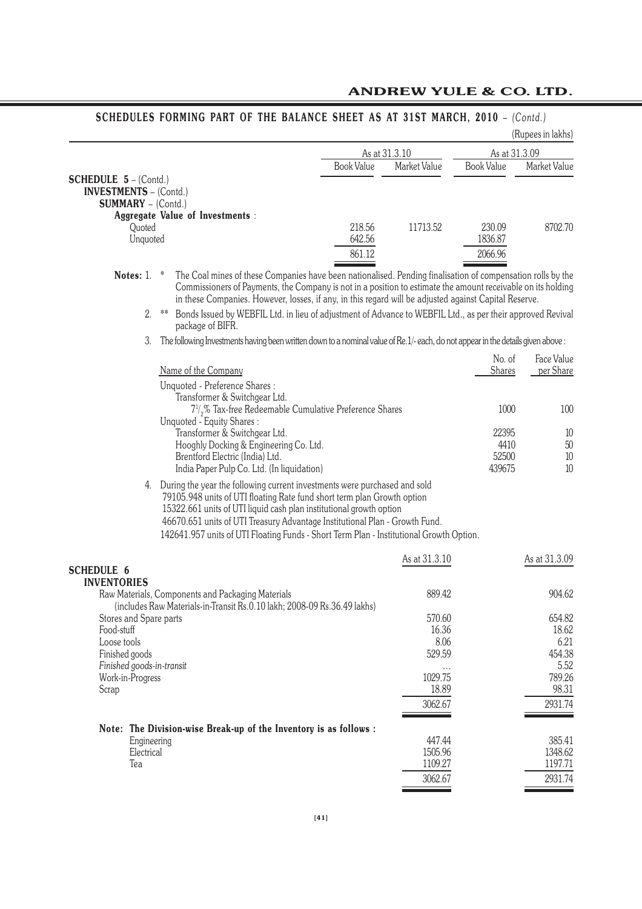|                                                                                                                                                                                                                                                                                                                                                                                                             |                   |                   |                   | (Rupees in lakhs) |
|-------------------------------------------------------------------------------------------------------------------------------------------------------------------------------------------------------------------------------------------------------------------------------------------------------------------------------------------------------------------------------------------------------------|-------------------|-------------------|-------------------|-------------------|
|                                                                                                                                                                                                                                                                                                                                                                                                             |                   | As at 31.3.10     | As at 31.3.09     |                   |
|                                                                                                                                                                                                                                                                                                                                                                                                             | <b>Book Value</b> | Market Value      | <b>Book Value</b> | Market Value      |
| <b>SCHEDULE 5</b> – (Contd.)                                                                                                                                                                                                                                                                                                                                                                                |                   |                   |                   |                   |
| <b>INVESTMENTS</b> - (Contd.)                                                                                                                                                                                                                                                                                                                                                                               |                   |                   |                   |                   |
| <b>SUMMARY</b> - (Contd.)                                                                                                                                                                                                                                                                                                                                                                                   |                   |                   |                   |                   |
| <b>Aggregate Value of Investments:</b>                                                                                                                                                                                                                                                                                                                                                                      | 218.56            | 11713.52          | 230.09            | 8702.70           |
| Quoted<br>Unquoted                                                                                                                                                                                                                                                                                                                                                                                          | 642.56            |                   | 1836.87           |                   |
|                                                                                                                                                                                                                                                                                                                                                                                                             | 861.12            |                   | 2066.96           |                   |
|                                                                                                                                                                                                                                                                                                                                                                                                             |                   |                   |                   |                   |
| Notes: 1.<br>The Coal mines of these Companies have been nationalised. Pending finalisation of compensation rolls by the<br>$\ast$<br>Commissioners of Payments, the Company is not in a position to estimate the amount receivable on its holding<br>in these Companies. However, losses, if any, in this regard will be adjusted against Capital Reserve.                                                 |                   |                   |                   |                   |
| Bonds Issued by WEBFIL Ltd. in lieu of adjustment of Advance to WEBFIL Ltd., as per their approved Revival<br>2.<br>$***$<br>package of BIFR.                                                                                                                                                                                                                                                               |                   |                   |                   |                   |
| The following Investments having been written down to a nominal value of Re. 1/- each, do not appear in the details given above:<br>3.                                                                                                                                                                                                                                                                      |                   |                   |                   |                   |
|                                                                                                                                                                                                                                                                                                                                                                                                             |                   |                   | No. of            | Face Value        |
| Name of the Company                                                                                                                                                                                                                                                                                                                                                                                         |                   |                   | Shares            | per Share         |
| Unquoted - Preference Shares:                                                                                                                                                                                                                                                                                                                                                                               |                   |                   |                   |                   |
| Transformer & Switchgear Ltd.                                                                                                                                                                                                                                                                                                                                                                               |                   |                   |                   |                   |
| 7 <sup>1</sup> / <sub>2</sub> % Tax-free Redeemable Cumulative Preference Shares                                                                                                                                                                                                                                                                                                                            |                   |                   | 1000              | 100               |
| Unquoted - Equity Shares:                                                                                                                                                                                                                                                                                                                                                                                   |                   |                   |                   |                   |
| Transformer & Switchgear Ltd.                                                                                                                                                                                                                                                                                                                                                                               |                   |                   | 22395             | 10                |
| Hooghly Docking & Engineering Co. Ltd.                                                                                                                                                                                                                                                                                                                                                                      |                   |                   | 4410              | $50\,$            |
| Brentford Electric (India) Ltd.                                                                                                                                                                                                                                                                                                                                                                             |                   |                   | 52500             | 10                |
| India Paper Pulp Co. Ltd. (In liquidation)                                                                                                                                                                                                                                                                                                                                                                  |                   |                   | 439675            | 10                |
| During the year the following current investments were purchased and sold<br>4.<br>79105.948 units of UTI floating Rate fund short term plan Growth option<br>15322.661 units of UTI liquid cash plan institutional growth option<br>46670.651 units of UTI Treasury Advantage Institutional Plan - Growth Fund.<br>142641.957 units of UTI Floating Funds - Short Term Plan - Institutional Growth Option. |                   |                   |                   |                   |
|                                                                                                                                                                                                                                                                                                                                                                                                             |                   | As at 31.3.10     |                   | As at 31.3.09     |
| <b>SCHEDULE 6</b>                                                                                                                                                                                                                                                                                                                                                                                           |                   |                   |                   |                   |
| <b>INVENTORIES</b>                                                                                                                                                                                                                                                                                                                                                                                          |                   |                   |                   |                   |
| Raw Materials, Components and Packaging Materials                                                                                                                                                                                                                                                                                                                                                           |                   | 889.42            |                   | 904.62            |
| (includes Raw Materials-in-Transit Rs.0.10 lakh; 2008-09 Rs.36.49 lakhs)<br>Stores and Spare parts                                                                                                                                                                                                                                                                                                          |                   | 570.60            |                   | 654.82            |
| Food-stuff                                                                                                                                                                                                                                                                                                                                                                                                  |                   | 16.36             |                   | 18.62             |
| Loose tools                                                                                                                                                                                                                                                                                                                                                                                                 |                   | 8.06              |                   | 6.21              |
| Finished goods                                                                                                                                                                                                                                                                                                                                                                                              |                   | 529.59            |                   | 454.38            |
| Finished goods-in-transit                                                                                                                                                                                                                                                                                                                                                                                   |                   |                   |                   | 5.52              |
| Work-in-Progress                                                                                                                                                                                                                                                                                                                                                                                            |                   | 1029.75           |                   | 789.26            |
| Scrap                                                                                                                                                                                                                                                                                                                                                                                                       |                   | 18.89             |                   | 98.31             |
|                                                                                                                                                                                                                                                                                                                                                                                                             |                   | 3062.67           |                   | 2931.74           |
|                                                                                                                                                                                                                                                                                                                                                                                                             |                   |                   |                   |                   |
| Note: The Division-wise Break-up of the Inventory is as follows :                                                                                                                                                                                                                                                                                                                                           |                   |                   |                   |                   |
| Engineering<br>Electrical                                                                                                                                                                                                                                                                                                                                                                                   |                   | 447.44<br>1505.96 |                   | 385.41<br>1348.62 |
| Tea                                                                                                                                                                                                                                                                                                                                                                                                         |                   | 1109.27           |                   | 1197.71           |
|                                                                                                                                                                                                                                                                                                                                                                                                             |                   | 3062.67           |                   | 2931.74           |
|                                                                                                                                                                                                                                                                                                                                                                                                             |                   |                   |                   |                   |

# **SCHEDULES FORMING PART OF THE BALANCE SHEET AS AT 31ST MARCH, 2010** – *(Contd.)*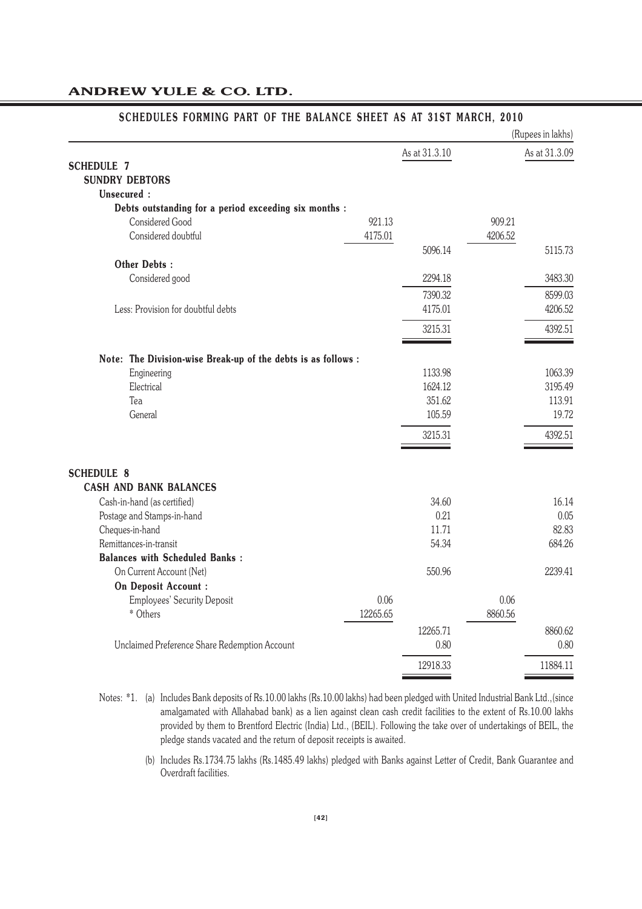|                                                               |          |               |         | (Rupees in lakhs) |
|---------------------------------------------------------------|----------|---------------|---------|-------------------|
|                                                               |          | As at 31.3.10 |         | As at 31.3.09     |
| <b>SCHEDULE 7</b>                                             |          |               |         |                   |
| <b>SUNDRY DEBTORS</b>                                         |          |               |         |                   |
| Unsecured:                                                    |          |               |         |                   |
| Debts outstanding for a period exceeding six months :         |          |               |         |                   |
| Considered Good                                               | 921.13   |               | 909.21  |                   |
| Considered doubtful                                           | 4175.01  |               | 4206.52 |                   |
|                                                               |          | 5096.14       |         | 5115.73           |
| <b>Other Debts:</b>                                           |          |               |         |                   |
| Considered good                                               |          | 2294.18       |         | 3483.30           |
|                                                               |          | 7390.32       |         | 8599.03           |
| Less: Provision for doubtful debts                            |          | 4175.01       |         | 4206.52           |
|                                                               |          | 3215.31       |         | 4392.51           |
|                                                               |          |               |         |                   |
| Note: The Division-wise Break-up of the debts is as follows : |          |               |         |                   |
| Engineering                                                   |          | 1133.98       |         | 1063.39           |
| Electrical                                                    |          | 1624.12       |         | 3195.49           |
| Tea                                                           |          | 351.62        |         | 113.91            |
| General                                                       |          | 105.59        |         | 19.72             |
|                                                               |          | 3215.31       |         | 4392.51           |
|                                                               |          |               |         |                   |
| <b>SCHEDULE 8</b>                                             |          |               |         |                   |
| <b>CASH AND BANK BALANCES</b>                                 |          |               |         |                   |
| Cash-in-hand (as certified)                                   |          | 34.60         |         | 16.14             |
| Postage and Stamps-in-hand                                    |          | 0.21          |         | 0.05              |
| Cheques-in-hand                                               |          | 11.71         |         | 82.83             |
| Remittances-in-transit                                        |          | 54.34         |         | 684.26            |
| <b>Balances with Scheduled Banks:</b>                         |          |               |         |                   |
| On Current Account (Net)                                      |          | 550.96        |         | 2239.41           |
| On Deposit Account :                                          |          |               |         |                   |
| <b>Employees' Security Deposit</b>                            | 0.06     |               | 0.06    |                   |
| * Others                                                      | 12265.65 |               | 8860.56 |                   |
|                                                               |          | 12265.71      |         | 8860.62           |
| Unclaimed Preference Share Redemption Account                 |          | 0.80          |         | 0.80              |
|                                                               |          | 12918.33      |         | 11884.11          |

### $\mathbf{r}$  $\sim$   $\sim$  $\mathbf{r}$  $\mathbf{r}$

(b) Includes Rs.1734.75 lakhs (Rs.1485.49 lakhs) pledged with Banks against Letter of Credit, Bank Guarantee and Overdraft facilities.

Notes: \*1. (a) Includes Bank deposits of Rs.10.00 lakhs (Rs.10.00 lakhs) had been pledged with United Industrial Bank Ltd.,(since amalgamated with Allahabad bank) as a lien against clean cash credit facilities to the extent of Rs.10.00 lakhs provided by them to Brentford Electric (India) Ltd., (BEIL). Following the take over of undertakings of BEIL, the pledge stands vacated and the return of deposit receipts is awaited.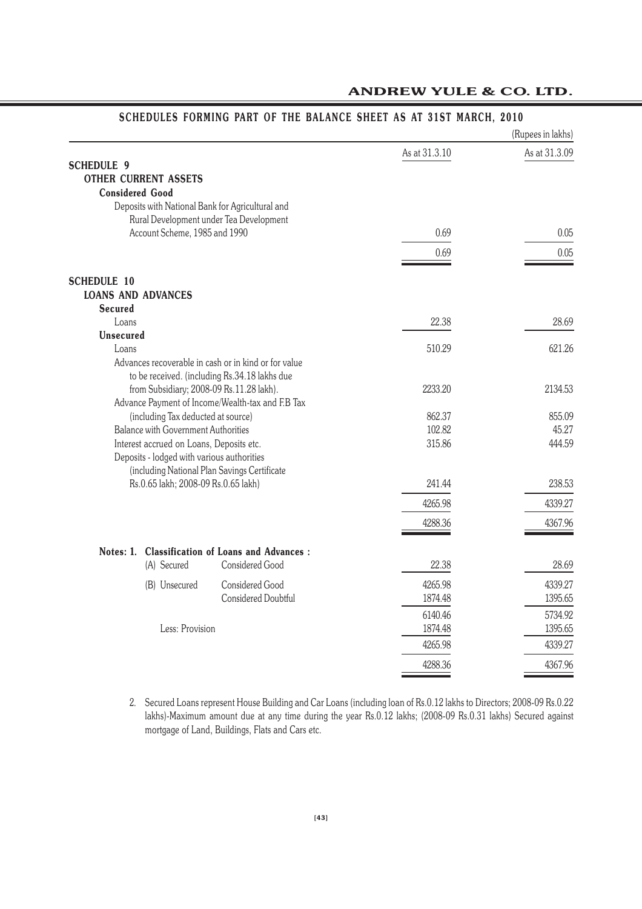| (Rupees in lakhs)                                |                                                      |               |               |
|--------------------------------------------------|------------------------------------------------------|---------------|---------------|
|                                                  |                                                      | As at 31.3.10 | As at 31.3.09 |
| <b>SCHEDULE 9</b>                                |                                                      |               |               |
| <b>OTHER CURRENT ASSETS</b>                      |                                                      |               |               |
| <b>Considered Good</b>                           |                                                      |               |               |
| Deposits with National Bank for Agricultural and |                                                      |               |               |
|                                                  | Rural Development under Tea Development              |               |               |
| Account Scheme, 1985 and 1990                    |                                                      | 0.69          | 0.05          |
|                                                  |                                                      | 0.69          | 0.05          |
| <b>SCHEDULE 10</b>                               |                                                      |               |               |
| <b>LOANS AND ADVANCES</b>                        |                                                      |               |               |
| <b>Secured</b>                                   |                                                      |               |               |
| Loans                                            |                                                      | 22.38         | 28.69         |
| <b>Unsecured</b>                                 |                                                      |               | 621.26        |
| Loans                                            | Advances recoverable in cash or in kind or for value | 510.29        |               |
|                                                  | to be received. (including Rs.34.18 lakhs due        |               |               |
| from Subsidiary; 2008-09 Rs.11.28 lakh).         |                                                      | 2233.20       | 2134.53       |
|                                                  | Advance Payment of Income/Wealth-tax and F.B Tax     |               |               |
| (including Tax deducted at source)               |                                                      | 862.37        | 855.09        |
| <b>Balance with Government Authorities</b>       |                                                      | 102.82        | 45.27         |
| Interest accrued on Loans, Deposits etc.         |                                                      | 315.86        | 444.59        |
| Deposits - lodged with various authorities       |                                                      |               |               |
|                                                  | (including National Plan Savings Certificate         |               |               |
| Rs.0.65 lakh; 2008-09 Rs.0.65 lakh)              |                                                      | 241.44        | 238.53        |
|                                                  |                                                      | 4265.98       | 4339.27       |
|                                                  |                                                      | 4288.36       | 4367.96       |
| Notes: 1.                                        | <b>Classification of Loans and Advances:</b>         |               |               |
| (A) Secured                                      | <b>Considered Good</b>                               | 22.38         | 28.69         |
| (B) Unsecured                                    | Considered Good                                      | 4265.98       | 4339.27       |
|                                                  | Considered Doubtful                                  | 1874.48       | 1395.65       |
|                                                  |                                                      | 6140.46       | 5734.92       |
| Less: Provision                                  |                                                      | 1874.48       | 1395.65       |
|                                                  |                                                      | 4265.98       | 4339.27       |
|                                                  |                                                      | 4288.36       | 4367.96       |

# **SCHEDULES FORMING PART OF THE BALANCE SHEET AS AT 31ST MARCH, 2010**

<sup>2.</sup> Secured Loans represent House Building and Car Loans (including loan of Rs.0.12 lakhs to Directors; 2008-09 Rs.0.22 lakhs)-Maximum amount due at any time during the year Rs.0.12 lakhs; (2008-09 Rs.0.31 lakhs) Secured against mortgage of Land, Buildings, Flats and Cars etc.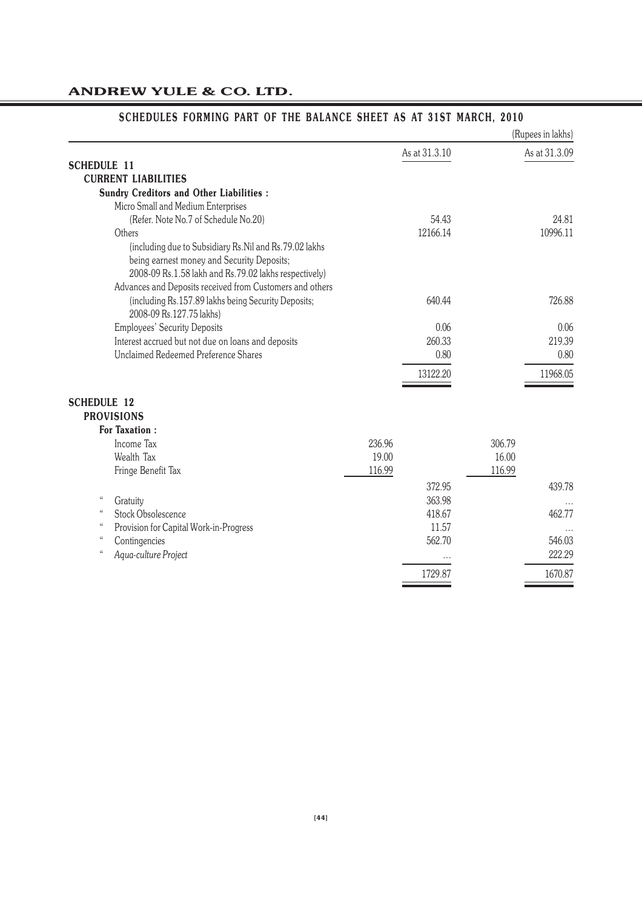|                                                          |               | (Rupees in lakhs) |
|----------------------------------------------------------|---------------|-------------------|
|                                                          | As at 31.3.10 | As at 31.3.09     |
| <b>SCHEDULE 11</b>                                       |               |                   |
| <b>CURRENT LIABILITIES</b>                               |               |                   |
| <b>Sundry Creditors and Other Liabilities:</b>           |               |                   |
| Micro Small and Medium Enterprises                       |               |                   |
| (Refer. Note No.7 of Schedule No.20)                     | 54.43         | 24.81             |
| Others                                                   | 12166.14      | 10996.11          |
| (including due to Subsidiary Rs.Nil and Rs.79.02 lakhs   |               |                   |
| being earnest money and Security Deposits;               |               |                   |
| 2008-09 Rs.1.58 lakh and Rs.79.02 lakhs respectively)    |               |                   |
| Advances and Deposits received from Customers and others |               |                   |
| (including Rs.157.89 lakhs being Security Deposits;      | 640.44        | 726.88            |
| 2008-09 Rs.127.75 lakhs)                                 |               |                   |
| <b>Employees' Security Deposits</b>                      | 0.06          | 0.06              |
| Interest accrued but not due on loans and deposits       | 260.33        | 219.39            |
| Unclaimed Redeemed Preference Shares                     | 0.80          | 0.80              |
|                                                          | 13122.20      | 11968.05          |
|                                                          |               |                   |
| <b>SCHEDULE 12</b>                                       |               |                   |
| <b>PROVISIONS</b>                                        |               |                   |
| <b>For Taxation:</b>                                     |               |                   |
| Income Tax                                               | 236.96        | 306.79            |
| Wealth Tax                                               | 19.00         | 16.00             |
| Fringe Benefit Tax                                       | 116.99        | 116.99            |
|                                                          | 372.95        | 439.78            |
| $\mathcal{C}$<br>Gratuity                                | 363.98        |                   |
| $\mathcal{C}$<br>Stock Obsolescence                      | 418.67        | 462.77            |
| $\mathcal{C}$<br>Provision for Capital Work-in-Progress  | 11.57         |                   |
| $\mathcal{C}$<br>Contingencies                           | 562.70        | 546.03            |
| $\mathcal{C}$<br>Aqua-culture Project                    |               | 222.29            |
|                                                          | 1729.87       | 1670.87           |
|                                                          |               |                   |

# **SCHEDULES FORMING PART OF THE BALANCE SHEET AS AT 31ST MARCH, 2010**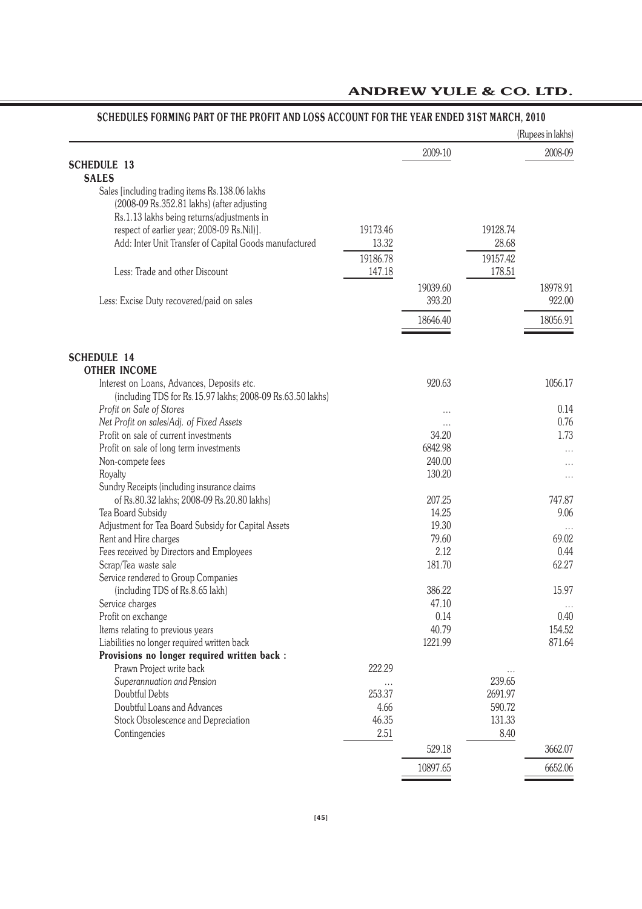|                                                                                          |          |          |          | (Rupees in lakhs) |
|------------------------------------------------------------------------------------------|----------|----------|----------|-------------------|
|                                                                                          |          | 2009-10  |          | 2008-09           |
| <b>SCHEDULE 13</b>                                                                       |          |          |          |                   |
| <b>SALES</b>                                                                             |          |          |          |                   |
| Sales [including trading items Rs.138.06 lakhs                                           |          |          |          |                   |
| (2008-09 Rs.352.81 lakhs) (after adjusting                                               |          |          |          |                   |
| Rs.1.13 lakhs being returns/adjustments in<br>respect of earlier year; 2008-09 Rs.Nil)]. | 19173.46 |          | 19128.74 |                   |
| Add: Inter Unit Transfer of Capital Goods manufactured                                   | 13.32    |          | 28.68    |                   |
|                                                                                          |          |          |          |                   |
|                                                                                          | 19186.78 |          | 19157.42 |                   |
| Less: Trade and other Discount                                                           | 147.18   |          | 178.51   |                   |
|                                                                                          |          | 19039.60 |          | 18978.91          |
| Less: Excise Duty recovered/paid on sales                                                |          | 393.20   |          | 922.00            |
|                                                                                          |          | 18646.40 |          | 18056.91          |
|                                                                                          |          |          |          |                   |
| <b>SCHEDULE 14</b>                                                                       |          |          |          |                   |
| <b>OTHER INCOME</b>                                                                      |          |          |          |                   |
| Interest on Loans, Advances, Deposits etc.                                               |          | 920.63   |          | 1056.17           |
| (including TDS for Rs.15.97 lakhs; 2008-09 Rs.63.50 lakhs)                               |          |          |          |                   |
| Profit on Sale of Stores                                                                 |          |          |          | 0.14              |
| Net Profit on sales/Adj. of Fixed Assets                                                 |          | $\cdots$ |          | 0.76              |
| Profit on sale of current investments                                                    |          | 34.20    |          | 1.73              |
| Profit on sale of long term investments                                                  |          | 6842.98  |          | $\cdots$          |
| Non-compete fees                                                                         |          | 240.00   |          | $\cdots$          |
| Royalty                                                                                  |          | 130.20   |          | $\cdots$          |
| Sundry Receipts (including insurance claims                                              |          |          |          |                   |
| of Rs.80.32 lakhs; 2008-09 Rs.20.80 lakhs)                                               |          | 207.25   |          | 747.87            |
| Tea Board Subsidy                                                                        |          | 14.25    |          | 9.06              |
| Adjustment for Tea Board Subsidy for Capital Assets                                      |          | 19.30    |          | $\cdots$          |
| Rent and Hire charges                                                                    |          | 79.60    |          | 69.02             |
| Fees received by Directors and Employees                                                 |          | 2.12     |          | 0.44              |
| Scrap/Tea waste sale                                                                     |          | 181.70   |          | 62.27             |
| Service rendered to Group Companies                                                      |          |          |          |                   |
| (including TDS of Rs.8.65 lakh)                                                          |          | 386.22   |          | 15.97             |
| Service charges                                                                          |          | 47.10    |          | $\cdots$          |
| Profit on exchange                                                                       |          | 0.14     |          | 0.40              |
| Items relating to previous years                                                         |          | 40.79    |          | 154.52            |
| Liabilities no longer required written back                                              |          | 1221.99  |          | 871.64            |
| Provisions no longer required written back :                                             |          |          |          |                   |
| Prawn Project write back                                                                 | 222.29   |          | .        |                   |
| Superannuation and Pension                                                               | $\cdots$ |          | 239.65   |                   |
| Doubtful Debts                                                                           | 253.37   |          | 2691.97  |                   |
| Doubtful Loans and Advances                                                              | 4.66     |          | 590.72   |                   |
| Stock Obsolescence and Depreciation                                                      | 46.35    |          | 131.33   |                   |
| Contingencies                                                                            | 2.51     |          | 8.40     |                   |
|                                                                                          |          | 529.18   |          | 3662.07           |
|                                                                                          |          | 10897.65 |          | 6652.06           |

# **SCHEDULES FORMING PART OF THE PROFIT AND LOSS ACCOUNT FOR THE YEAR ENDED 31ST MARCH, 2010**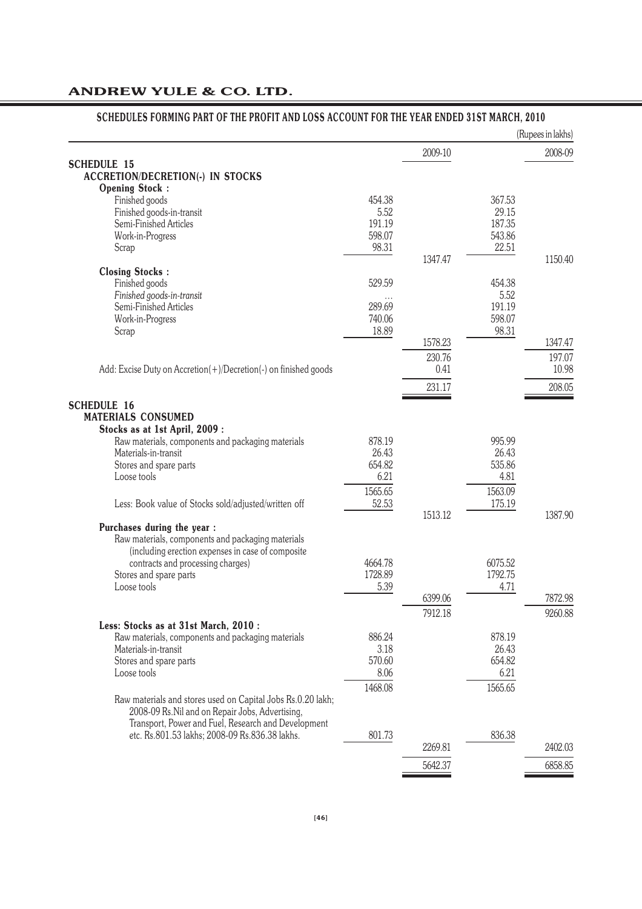|                                                                 |                    |         |                    | (Rupees in lakhs) |
|-----------------------------------------------------------------|--------------------|---------|--------------------|-------------------|
|                                                                 |                    | 2009-10 |                    | 2008-09           |
| <b>SCHEDULE 15</b>                                              |                    |         |                    |                   |
| <b>ACCRETION/DECRETION(-) IN STOCKS</b>                         |                    |         |                    |                   |
| <b>Opening Stock:</b><br>Finished goods                         | 454.38             |         | 367.53             |                   |
| Finished goods-in-transit                                       | 5.52               |         | 29.15              |                   |
| Semi-Finished Articles                                          | 191.19             |         | 187.35             |                   |
| Work-in-Progress                                                | 598.07             |         | 543.86             |                   |
| Scrap                                                           | 98.31              |         | 22.51              |                   |
|                                                                 |                    | 1347.47 |                    | 1150.40           |
| <b>Closing Stocks:</b>                                          |                    |         |                    |                   |
| Finished goods                                                  | 529.59             |         | 454.38             |                   |
| Finished goods-in-transit                                       | $\cdots$           |         | 5.52               |                   |
| Semi-Finished Articles                                          | 289.69             |         | 191.19             |                   |
| Work-in-Progress                                                | 740.06             |         | 598.07             |                   |
| Scrap                                                           | 18.89              | 1578.23 | 98.31              | 1347.47           |
|                                                                 |                    |         |                    |                   |
|                                                                 |                    | 230.76  |                    | 197.07            |
| Add: Excise Duty on Accretion(+)/Decretion(-) on finished goods |                    | 0.41    |                    | 10.98             |
|                                                                 |                    | 231.17  |                    | 208.05            |
| <b>SCHEDULE 16</b>                                              |                    |         |                    |                   |
| <b>MATERIALS CONSUMED</b>                                       |                    |         |                    |                   |
| Stocks as at 1st April, 2009:                                   |                    |         |                    |                   |
| Raw materials, components and packaging materials               | 878.19             |         | 995.99             |                   |
| Materials-in-transit                                            | 26.43              |         | 26.43              |                   |
| Stores and spare parts                                          | 654.82             |         | 535.86             |                   |
| Loose tools                                                     | 6.21               |         | 4.81               |                   |
|                                                                 | 1565.65            |         | 1563.09            |                   |
| Less: Book value of Stocks sold/adjusted/written off            | 52.53              |         | 175.19             |                   |
|                                                                 |                    | 1513.12 |                    | 1387.90           |
| Purchases during the year :                                     |                    |         |                    |                   |
| Raw materials, components and packaging materials               |                    |         |                    |                   |
| (including erection expenses in case of composite               |                    |         |                    |                   |
| contracts and processing charges)<br>Stores and spare parts     | 4664.78<br>1728.89 |         | 6075.52<br>1792.75 |                   |
| Loose tools                                                     | 5.39               |         | 4.71               |                   |
|                                                                 |                    | 6399.06 |                    | 7872.98           |
|                                                                 |                    | 7912.18 |                    | 9260.88           |
| Less: Stocks as at 31st March, 2010 :                           |                    |         |                    |                   |
| Raw materials, components and packaging materials               | 886.24             |         | 878.19             |                   |
| Materials-in-transit                                            | 3.18               |         | 26.43              |                   |
| Stores and spare parts                                          | 570.60             |         | 654.82             |                   |
| Loose tools                                                     | 8.06               |         | 6.21               |                   |
|                                                                 | 1468.08            |         | 1565.65            |                   |
| Raw materials and stores used on Capital Jobs Rs.0.20 lakh;     |                    |         |                    |                   |
| 2008-09 Rs. Nil and on Repair Jobs, Advertising,                |                    |         |                    |                   |
| Transport, Power and Fuel, Research and Development             |                    |         |                    |                   |
| etc. Rs.801.53 lakhs; 2008-09 Rs.836.38 lakhs.                  | 801.73             |         | 836.38             |                   |
|                                                                 |                    | 2269.81 |                    | 2402.03           |
|                                                                 |                    | 5642.37 |                    | 6858.85           |
|                                                                 |                    |         |                    |                   |

# **SCHEDULES FORMING PART OF THE PROFIT AND LOSS ACCOUNT FOR THE YEAR ENDED 31ST MARCH, 2010**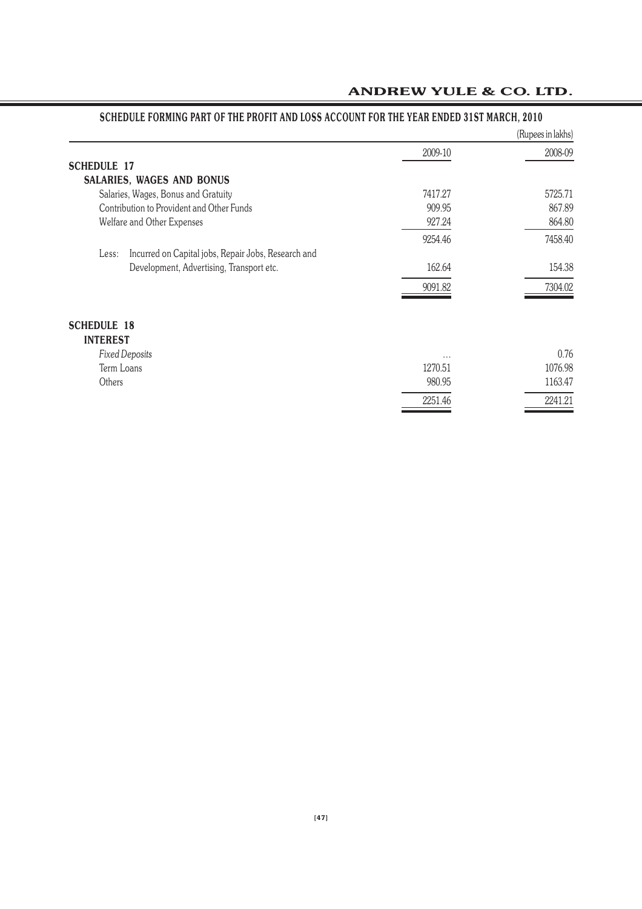|                                                              |                     | (Rupees in lakhs) |
|--------------------------------------------------------------|---------------------|-------------------|
|                                                              | 2009-10             | 2008-09           |
| <b>SCHEDULE 17</b>                                           |                     |                   |
| <b>SALARIES, WAGES AND BONUS</b>                             |                     |                   |
| Salaries, Wages, Bonus and Gratuity                          | 7417.27             | 5725.71           |
| Contribution to Provident and Other Funds                    | 909.95              | 867.89            |
| Welfare and Other Expenses                                   | 927.24              | 864.80            |
|                                                              | 9254.46             | 7458.40           |
| Incurred on Capital jobs, Repair Jobs, Research and<br>Less: |                     |                   |
| Development, Advertising, Transport etc.                     | 162.64              | 154.38            |
|                                                              | 9091.82             | 7304.02           |
| <b>SCHEDULE 18</b><br><b>INTEREST</b>                        |                     |                   |
| <b>Fixed Deposits</b>                                        |                     | 0.76              |
| Term Loans                                                   | $\cdots$<br>1270.51 | 1076.98           |
| Others                                                       | 980.95              | 1163.47           |
|                                                              |                     |                   |
|                                                              | 2251.46             | 2241.21           |

# **SCHEDULE FORMING PART OF THE PROFIT AND LOSS ACCOUNT FOR THE YEAR ENDED 31ST MARCH, 2010**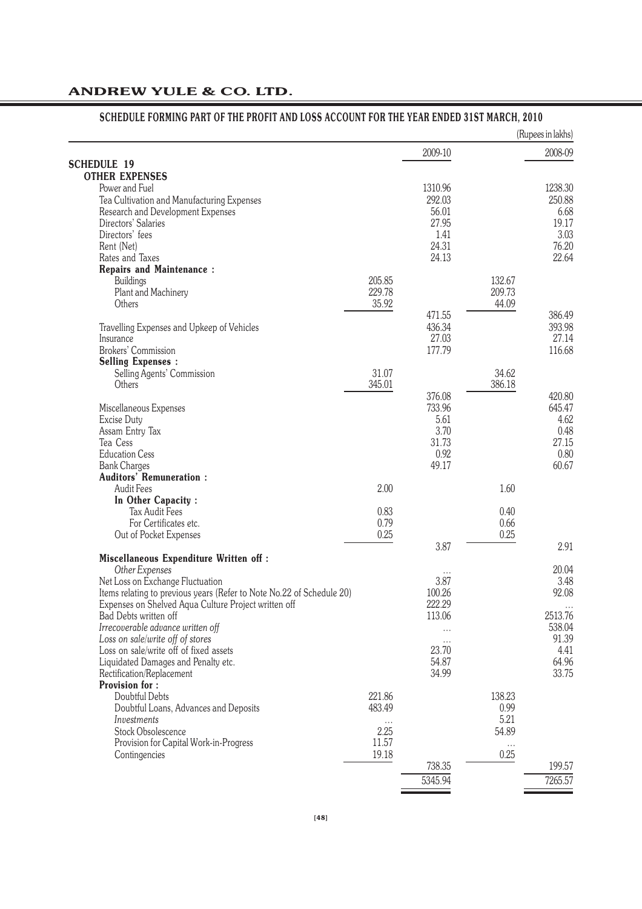# **SCHEDULE FORMING PART OF THE PROFIT AND LOSS ACCOUNT FOR THE YEAR ENDED 31ST MARCH, 2010**

|                                                                       |        |         |        | (Rupees in lakhs) |
|-----------------------------------------------------------------------|--------|---------|--------|-------------------|
|                                                                       |        | 2009-10 |        | 2008-09           |
| <b>SCHEDULE 19</b>                                                    |        |         |        |                   |
| <b>OTHER EXPENSES</b>                                                 |        |         |        |                   |
| Power and Fuel                                                        |        | 1310.96 |        | 1238.30           |
| Tea Cultivation and Manufacturing Expenses                            |        | 292.03  |        | 250.88            |
| Research and Development Expenses                                     |        | 56.01   |        | 6.68              |
| Directors' Salaries                                                   |        | 27.95   |        | 19.17             |
| Directors' fees                                                       |        | 1.41    |        | 3.03              |
| Rent (Net)                                                            |        | 24.31   |        | 76.20             |
| Rates and Taxes                                                       |        | 24.13   |        | 22.64             |
| <b>Repairs and Maintenance:</b>                                       |        |         |        |                   |
| Buildings                                                             | 205.85 |         | 132.67 |                   |
| Plant and Machinery                                                   | 229.78 |         | 209.73 |                   |
| Others                                                                | 35.92  |         | 44.09  |                   |
|                                                                       |        | 471.55  |        | 386.49            |
| Travelling Expenses and Upkeep of Vehicles                            |        | 436.34  |        | 393.98            |
| Insurance                                                             |        | 27.03   |        | 27.14             |
| Brokers' Commission                                                   |        | 177.79  |        | 116.68            |
| <b>Selling Expenses:</b>                                              |        |         |        |                   |
| Selling Agents' Commission                                            | 31.07  |         | 34.62  |                   |
| Others                                                                | 345.01 |         | 386.18 |                   |
|                                                                       |        | 376.08  |        | 420.80            |
| Miscellaneous Expenses                                                |        | 733.96  |        | 645.47            |
| Excise Duty                                                           |        | 5.61    |        | 4.62              |
| Assam Entry Tax                                                       |        | 3.70    |        | 0.48              |
| Tea Cess                                                              |        | 31.73   |        | 27.15             |
| <b>Education Cess</b>                                                 |        | 0.92    |        | 0.80              |
| <b>Bank Charges</b>                                                   |        | 49.17   |        | 60.67             |
| <b>Auditors' Remuneration:</b>                                        |        |         |        |                   |
| <b>Audit Fees</b>                                                     | 2.00   |         | 1.60   |                   |
| In Other Capacity:                                                    |        |         |        |                   |
| <b>Tax Audit Fees</b>                                                 | 0.83   |         | 0.40   |                   |
| For Certificates etc.                                                 | 0.79   |         | 0.66   |                   |
| Out of Pocket Expenses                                                | 0.25   |         | 0.25   |                   |
|                                                                       |        | 3.87    |        | 2.91              |
| <b>Miscellaneous Expenditure Written off:</b>                         |        |         |        |                   |
| Other Expenses                                                        |        |         |        | 20.04             |
| Net Loss on Exchange Fluctuation                                      |        | 3.87    |        | 3.48              |
| Items relating to previous years (Refer to Note No.22 of Schedule 20) |        | 100.26  |        | 92.08             |
| Expenses on Shelved Aqua Culture Project written off                  |        | 222.29  |        |                   |
| Bad Debts written off                                                 |        | 113.06  |        | 2513.76           |
| Irrecoverable advance written off                                     |        |         |        | 538.04            |
| Loss on sale/write off of stores                                      |        |         |        | 91.39             |
| Loss on sale/write off of fixed assets                                |        | 23.70   |        | 4.41              |
| Liquidated Damages and Penalty etc.                                   |        | 54.87   |        | 64.96             |
| Rectification/Replacement                                             |        | 34.99   |        | 33.75             |
| <b>Provision for:</b>                                                 |        |         |        |                   |
| Doubtful Debts                                                        | 221.86 |         | 138.23 |                   |
| Doubtful Loans, Advances and Deposits                                 | 483.49 |         | 0.99   |                   |
| Investments                                                           |        |         | 5.21   |                   |
| Stock Obsolescence                                                    | 2.25   |         | 54.89  |                   |
| Provision for Capital Work-in-Progress                                | 11.57  |         |        |                   |
| Contingencies                                                         | 19.18  |         | 0.25   |                   |
|                                                                       |        | 738.35  |        | 199.57            |
|                                                                       |        | 5345.94 |        | 7265.57           |
|                                                                       |        |         |        |                   |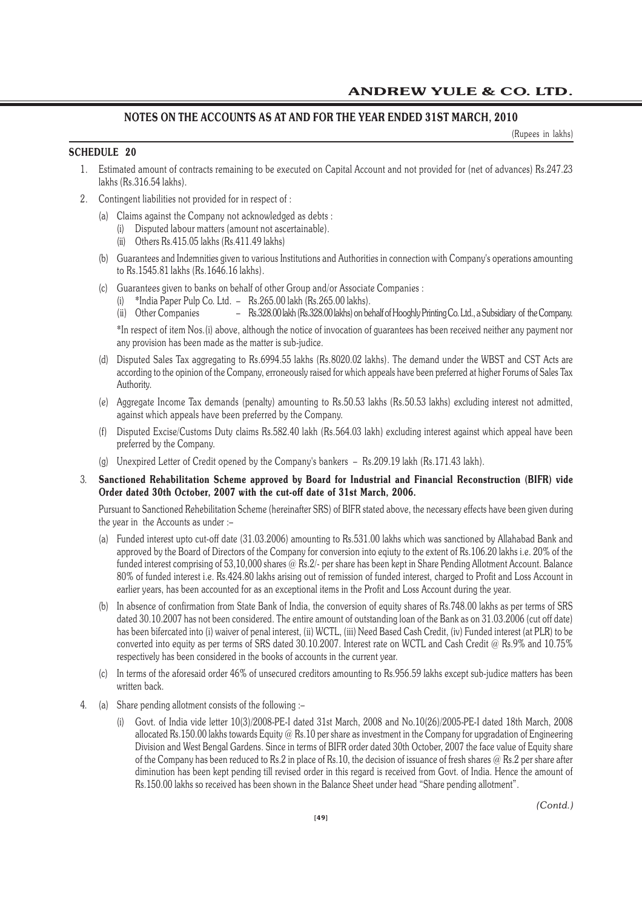# **NOTES ON THE ACCOUNTS AS AT AND FOR THE YEAR ENDED 31ST MARCH, 2010**

(Rupees in lakhs)

# **SCHEDULE 20**

- 1. Estimated amount of contracts remaining to be executed on Capital Account and not provided for (net of advances) Rs.247.23 lakhs (Rs.316.54 lakhs).
- 2. Contingent liabilities not provided for in respect of :
	- (a) Claims against the Company not acknowledged as debts :
		- (i) Disputed labour matters (amount not ascertainable).
		- (ii) Others Rs.415.05 lakhs (Rs.411.49 lakhs)
	- (b) Guarantees and Indemnities given to various Institutions and Authorities in connection with Company's operations amounting to Rs.1545.81 lakhs (Rs.1646.16 lakhs).
	- (c) Guarantees given to banks on behalf of other Group and/or Associate Companies :
		- (i) \*India Paper Pulp Co. Ltd. Rs.265.00 lakh (Rs.265.00 lakhs).
		- (ii) Other Companies Rs.328.00 lakh (Rs.328.00 lakhs) on behalf of Hooghly Printing Co. Ltd., a Subsidiary of the Company.

\*In respect of item Nos.(i) above, although the notice of invocation of guarantees has been received neither any payment nor any provision has been made as the matter is sub-judice.

- (d) Disputed Sales Tax aggregating to Rs.6994.55 lakhs (Rs.8020.02 lakhs). The demand under the WBST and CST Acts are according to the opinion of the Company, erroneously raised for which appeals have been preferred at higher Forums of Sales Tax Authority.
- (e) Aggregate Income Tax demands (penalty) amounting to Rs.50.53 lakhs (Rs.50.53 lakhs) excluding interest not admitted, against which appeals have been preferred by the Company.
- (f) Disputed Excise/Customs Duty claims Rs.582.40 lakh (Rs.564.03 lakh) excluding interest against which appeal have been preferred by the Company.
- (g) Unexpired Letter of Credit opened by the Company's bankers Rs.209.19 lakh (Rs.171.43 lakh).
- 3. **Sanctioned Rehabilitation Scheme approved by Board for Industrial and Financial Reconstruction (BIFR) vide Order dated 30th October, 2007 with the cut-off date of 31st March, 2006.**

Pursuant to Sanctioned Rehebilitation Scheme (hereinafter SRS) of BIFR stated above, the necessary effects have been given during the year in the Accounts as under :–

- (a) Funded interest upto cut-off date (31.03.2006) amounting to Rs.531.00 lakhs which was sanctioned by Allahabad Bank and approved by the Board of Directors of the Company for conversion into eqiuty to the extent of Rs.106.20 lakhs i.e. 20% of the funded interest comprising of 53,10,000 shares @ Rs.2/- per share has been kept in Share Pending Allotment Account. Balance 80% of funded interest i.e. Rs.424.80 lakhs arising out of remission of funded interest, charged to Profit and Loss Account in earlier years, has been accounted for as an exceptional items in the Profit and Loss Account during the year.
- (b) In absence of confirmation from State Bank of India, the conversion of equity shares of Rs.748.00 lakhs as per terms of SRS dated 30.10.2007 has not been considered. The entire amount of outstanding loan of the Bank as on 31.03.2006 (cut off date) has been bifercated into (i) waiver of penal interest, (ii) WCTL, (iii) Need Based Cash Credit, (iv) Funded interest (at PLR) to be converted into equity as per terms of SRS dated 30.10.2007. Interest rate on WCTL and Cash Credit @ Rs.9% and 10.75% respectively has been considered in the books of accounts in the current year.
- (c) In terms of the aforesaid order 46% of unsecured creditors amounting to Rs.956.59 lakhs except sub-judice matters has been written back.
- 4. (a) Share pending allotment consists of the following :-
	- (i) Govt. of India vide letter 10(3)/2008-PE-I dated 31st March, 2008 and No.10(26)/2005-PE-I dated 18th March, 2008 allocated Rs.150.00 lakhs towards Equity @ Rs.10 per share as investment in the Company for upgradation of Engineering Division and West Bengal Gardens. Since in terms of BIFR order dated 30th October, 2007 the face value of Equity share of the Company has been reduced to Rs.2 in place of Rs.10, the decision of issuance of fresh shares @ Rs.2 per share after diminution has been kept pending till revised order in this regard is received from Govt. of India. Hence the amount of Rs.150.00 lakhs so received has been shown in the Balance Sheet under head "Share pending allotment".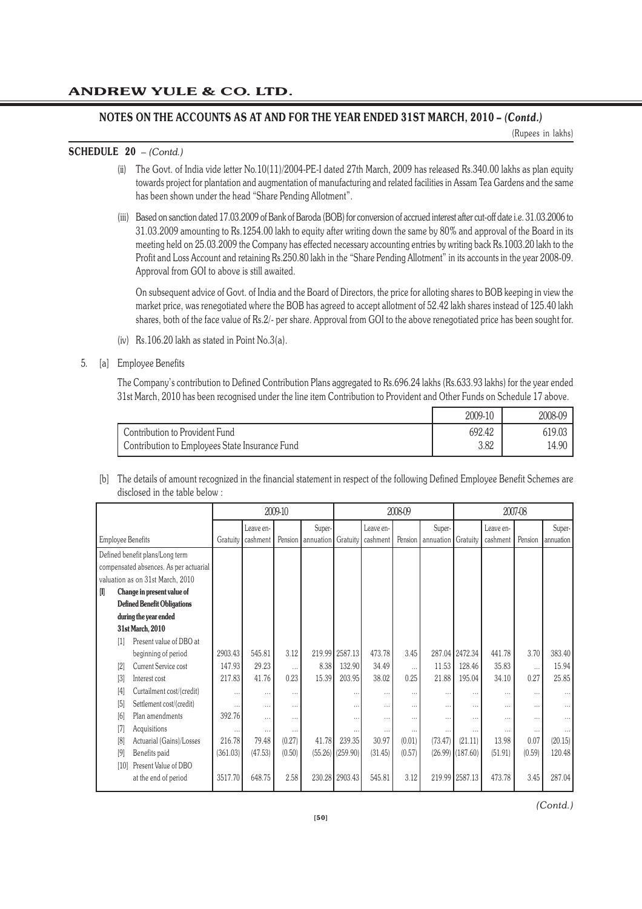(Rupees in lakhs)

# **SCHEDULE 20** *– (Contd.)*

- (ii) The Govt. of India vide letter No.10(11)/2004-PE-I dated 27th March, 2009 has released Rs.340.00 lakhs as plan equity towards project for plantation and augmentation of manufacturing and related facilities in Assam Tea Gardens and the same has been shown under the head "Share Pending Allotment".
- (iii) Based on sanction dated 17.03.2009 of Bank of Baroda (BOB) for conversion of accrued interest after cut-off date i.e. 31.03.2006 to 31.03.2009 amounting to Rs.1254.00 lakh to equity after writing down the same by 80% and approval of the Board in its meeting held on 25.03.2009 the Company has effected necessary accounting entries by writing back Rs.1003.20 lakh to the Profit and Loss Account and retaining Rs.250.80 lakh in the "Share Pending Allotment" in its accounts in the year 2008-09. Approval from GOI to above is still awaited.

On subsequent advice of Govt. of India and the Board of Directors, the price for alloting shares to BOB keeping in view the market price, was renegotiated where the BOB has agreed to accept allotment of 52.42 lakh shares instead of 125.40 lakh shares, both of the face value of Rs.2/- per share. Approval from GOI to the above renegotiated price has been sought for.

(iv) Rs.106.20 lakh as stated in Point No.3(a).

# 5. [a] Employee Benefits

The Company's contribution to Defined Contribution Plans aggregated to Rs.696.24 lakhs (Rs.633.93 lakhs) for the year ended 31st March, 2010 has been recognised under the line item Contribution to Provident and Other Funds on Schedule 17 above.

|                                                | 2009-10 | 2008-09 |
|------------------------------------------------|---------|---------|
| <b>Contribution to Provident Fund</b>          | 692.42  | 619.03  |
| Contribution to Employees State Insurance Fund | 3.82    | 14.90   |

[b] The details of amount recognized in the financial statement in respect of the following Defined Employee Benefit Schemes are disclosed in the table below :

|                          |                                        |          |           | 2009-10  |                                |                      |           | 2008-09  |                    |                    |           | 2007-08  |           |
|--------------------------|----------------------------------------|----------|-----------|----------|--------------------------------|----------------------|-----------|----------|--------------------|--------------------|-----------|----------|-----------|
|                          |                                        |          | Leave en- |          | Super-                         |                      | Leave en- |          | Super-             |                    | Leave en- |          | Super-    |
| <b>Employee Benefits</b> |                                        | Gratuity | cashment  |          | Pension   annuation   Gratuity |                      | cashment  | Pension  | annuation Gratuity |                    | cashment  | Pension  | annuation |
|                          | Defined benefit plans/Long term        |          |           |          |                                |                      |           |          |                    |                    |           |          |           |
|                          | compensated absences. As per actuarial |          |           |          |                                |                      |           |          |                    |                    |           |          |           |
|                          | valuation as on 31st March, 2010       |          |           |          |                                |                      |           |          |                    |                    |           |          |           |
| I                        | Change in present value of             |          |           |          |                                |                      |           |          |                    |                    |           |          |           |
|                          | <b>Defined Benefit Obligations</b>     |          |           |          |                                |                      |           |          |                    |                    |           |          |           |
|                          | during the year ended                  |          |           |          |                                |                      |           |          |                    |                    |           |          |           |
|                          | 31st March, 2010                       |          |           |          |                                |                      |           |          |                    |                    |           |          |           |
| $\lceil 1 \rceil$        | Present value of DBO at                |          |           |          |                                |                      |           |          |                    |                    |           |          |           |
|                          | beginning of period                    | 2903.43  | 545.81    | 3.12     |                                | 219.99 2587.13       | 473.78    | 3.45     |                    | 287.04 2472.34     | 441.78    | 3.70     | 383.40    |
| [2]                      | Current Service cost                   | 147.93   | 29.23     | .        | 8.38                           | 132.90               | 34.49     | $\cdots$ | 11.53              | 128.46             | 35.83     |          | 15.94     |
| $\lceil 3 \rceil$        | Interest cost                          | 217.83   | 41.76     | 0.23     | 15.39                          | 203.95               | 38.02     | 0.25     | 21.88              | 195.04             | 34.10     | 0.27     | 25.85     |
| [4]                      | Curtailment cost/(credit)              |          | $\cdots$  | .        |                                | $\cdots$             |           | .        | .                  | .                  | $\cdots$  | $\cdots$ |           |
| [5]                      | Settlement cost/(credit)               |          |           |          |                                | $\cdots$             |           |          |                    | $\cdots$           | $\cdots$  | .        | $\cdots$  |
| [6]                      | Plan amendments                        | 392.76   | $\cdots$  | $\cdots$ |                                |                      | $\cdots$  | $\cdots$ | $\cdots$           |                    | $\cdots$  | $\cdots$ |           |
| [7]                      | Acquisitions                           |          | $\cdots$  |          |                                | $\cdots$             | $\cdots$  | .        | .                  | $\cdots$           | $\cdots$  | $\cdots$ |           |
| 18                       | Actuarial (Gains)/Losses               | 216.78   | 79.48     | (0.27)   | 41.78                          | 239.35               | 30.97     | (0.01)   | (73.47)            | (21.11)            | 13.98     | 0.07     | (20.15)   |
| [9]                      | Benefits paid                          | (361.03) | (47.53)   | (0.50)   |                                | $(55.26)$ $(259.90)$ | (31.45)   | (0.57)   |                    | $(26.99)$ (187.60) | (51.91)   | (0.59)   | 120.48    |
| [10]                     | Present Value of DBO                   |          |           |          |                                |                      |           |          |                    |                    |           |          |           |
|                          | at the end of period                   | 3517.70  | 648.75    | 2.58     |                                | 230.28 2903.43       | 545.81    | 3.12     |                    | 219.99 2587.13     | 473.78    | 3.45     | 287.04    |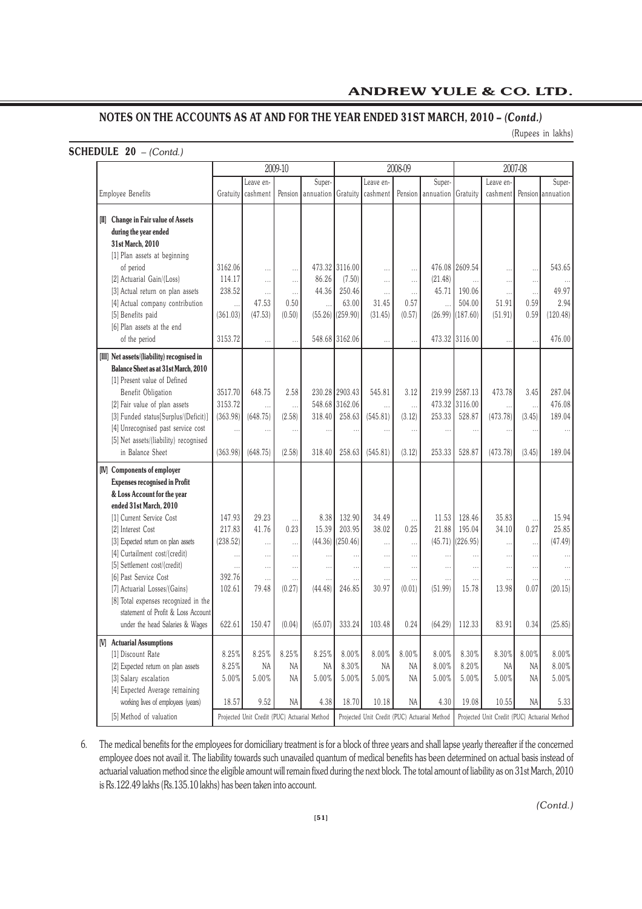(Rupees in lakhs)

# **SCHEDULE 20** *– (Contd.)*

|                                                                                                                           | 2009-10   |                                              |           |           | 2008-09              |                                              |          |                      | 2007-08              |                                              |                      |                   |
|---------------------------------------------------------------------------------------------------------------------------|-----------|----------------------------------------------|-----------|-----------|----------------------|----------------------------------------------|----------|----------------------|----------------------|----------------------------------------------|----------------------|-------------------|
|                                                                                                                           |           | Leave en-                                    |           | Super-    |                      | Leave en-                                    |          | Super-               |                      | Leave en-                                    |                      | Super-            |
| Employee Benefits                                                                                                         | Gratuity  | cashment                                     | Pension   | annuation | Gratuity             | cashment                                     | Pension  | annuation            | Gratuity             | cashment                                     |                      | Pension annuation |
| [II] Change in Fair value of Assets<br>during the year ended<br>31st March, 2010<br>[1] Plan assets at beginning          |           |                                              |           |           |                      |                                              |          |                      |                      |                                              |                      |                   |
| of period                                                                                                                 | 3162.06   | .                                            | .         |           | 473.32 3116.00       | $\cdots$                                     | $\cdots$ |                      | 476.08 2609.54       |                                              |                      | 543.65            |
| [2] Actuarial Gain/(Loss)                                                                                                 | 114.17    | .                                            | .         | 86.26     | (7.50)               | $\cdots$                                     | $\cdots$ | (21.48)              |                      | .                                            |                      |                   |
| [3] Actual return on plan assets                                                                                          | 238.52    | $\ddotsc$                                    | $\cdots$  | 44.36     | 250.46               | $\ldots$                                     | $\cdots$ | 45.71                | 190.06               |                                              | $\cdots$             | 49.97             |
| [4] Actual company contribution                                                                                           | $\ddotsc$ | 47.53                                        | 0.50      |           | 63.00                | 31.45                                        | 0.57     | $\ddotsc$            | 504.00               | 51.91                                        | 0.59                 | 2.94              |
| [5] Benefits paid                                                                                                         | (361.03)  | (47.53)                                      | (0.50)    |           | $(55.26)$ $(259.90)$ | (31.45)                                      | (0.57)   |                      | $(26.99)$ $(187.60)$ | (51.91)                                      | 0.59                 | (120.48)          |
| [6] Plan assets at the end<br>of the period                                                                               | 3153.72   | $\ddotsc$                                    | $\ddotsc$ |           | 548.68 3162.06       |                                              | $\cdots$ |                      | 473.32 3116.00       |                                              | $\ddot{\phantom{0}}$ | 476.00            |
| [III] Net assets/(liability) recognised in<br><b>Balance Sheet as at 31st March, 2010</b><br>[1] Present value of Defined |           |                                              |           |           |                      |                                              |          |                      |                      |                                              |                      |                   |
| Benefit Obligation                                                                                                        | 3517.70   | 648.75                                       | 2.58      |           | 230.28 2903.43       | 545.81                                       | 3.12     |                      | 219.99 2587.13       | 473.78                                       | 3.45                 | 287.04            |
| [2] Fair value of plan assets                                                                                             | 3153.72   | .                                            | $\cdots$  |           | 548.68 3162.06       | $\cdots$                                     |          |                      | 473.32 3116.00       | $\cdots$                                     |                      | 476.08            |
| [3] Funded status[Surplus/(Deficit)]                                                                                      | (363.98)  | (648.75)                                     | (2.58)    | 318.40    | 258.63               | (545.81)                                     | (3.12)   | 253.33               | 528.87               | (473.78)                                     | (3.45)               | 189.04            |
| [4] Unrecognised past service cost                                                                                        | $\ddotsc$ | $\cdots$                                     | $\ddotsc$ | $\ddotsc$ |                      |                                              | $\cdots$ | $\cdots$             | $\ddot{\phantom{a}}$ |                                              |                      |                   |
| [5] Net assets/(liability) recognised                                                                                     |           |                                              |           |           |                      |                                              |          |                      |                      |                                              |                      |                   |
| in Balance Sheet                                                                                                          | (363.98)  | (648.75)                                     | (2.58)    | 318.40    | 258.63               | (545.81)                                     | (3.12)   | 253.33               | 528.87               | (473.78)                                     | (3.45)               | 189.04            |
| [IV] Components of employer                                                                                               |           |                                              |           |           |                      |                                              |          |                      |                      |                                              |                      |                   |
| <b>Expenses recognised in Profit</b><br>& Loss Account for the year<br>ended 31st March, 2010                             |           |                                              |           |           |                      |                                              |          |                      |                      |                                              |                      |                   |
| [1] Current Service Cost                                                                                                  | 147.93    | 29.23                                        |           | 8.38      | 132.90               | 34.49                                        |          | 11.53                | 128.46               | 35.83                                        |                      | 15.94             |
| [2] Interest Cost                                                                                                         | 217.83    | 41.76                                        | 0.23      | 15.39     | 203.95               | 38.02                                        | 0.25     | 21.88                | 195.04               | 34.10                                        | 0.27                 | 25.85             |
| [3] Expected return on plan assets                                                                                        | (238.52)  | .                                            |           |           | $(44.36)$ $(250.46)$ | .                                            | $\cdots$ |                      | $(45.71)$ (226.95)   | Ω.                                           | $\cdots$             | (47.49)           |
| [4] Curtailment cost/(credit)                                                                                             | $\ddotsc$ | .                                            | .         |           |                      | $\cdots$                                     | $\cdots$ | $\ddot{\phantom{a}}$ | $\ddotsc$            | $\ddotsc$                                    | $\cdots$             |                   |
| [5] Settlement cost/(credit)                                                                                              | $\ddotsc$ | $\cdots$                                     | $\cdots$  | $\ddotsc$ | $\ddotsc$            | $\cdots$                                     | $\cdots$ | .                    | .                    | .                                            | $\cdots$             |                   |
| [6] Past Service Cost                                                                                                     | 392.76    | .                                            |           |           |                      |                                              | .        |                      | .                    | .                                            |                      |                   |
| [7] Actuarial Losses/(Gains)<br>[8] Total expenses recognized in the<br>statement of Profit & Loss Account                | 102.61    | 79.48                                        | (0.27)    | (44.48)   | 246.85               | 30.97                                        | (0.01)   | (51.99)              | 15.78                | 13.98                                        | 0.07                 | (20.15)           |
| under the head Salaries & Wages                                                                                           | 622.61    | 150.47                                       | (0.04)    | (65.07)   | 333.24               | 103.48                                       | 0.24     | (64.29)              | 112.33               | 83.91                                        | 0.34                 | (25.85)           |
| [V] Actuarial Assumptions                                                                                                 |           |                                              |           |           |                      |                                              |          |                      |                      |                                              |                      |                   |
| [1] Discount Rate                                                                                                         | 8.25%     | 8.25%                                        | 8.25%     | 8.25%     | $8.00\%$             | 8.00%                                        | $8.00\%$ | 8.00%                | 8.30%                | 8.30%                                        | $8.00\%$             | 8.00%             |
| [2] Expected return on plan assets                                                                                        | $8.25\%$  | NA                                           | NA        | NA        | $8.30\%$             | NA                                           | NA       | $8.00\%$             | 8.20%                | NA                                           | NA                   | $8.00\%$          |
| [3] Salary escalation                                                                                                     | 5.00%     | $5.00\%$                                     | NA        | 5.00%     | 5.00%                | 5.00%                                        | NA       | 5.00%                | 5.00%                | $5.00\%$                                     | NA                   | $5.00\%$          |
| [4] Expected Average remaining<br>working lives of employees (years)                                                      | 18.57     | 9.52                                         | NA        | 4.38      | 18.70                | 10.18                                        | NA       | 4.30                 | 19.08                | 10.55                                        | NA                   | 5.33              |
| [5] Method of valuation                                                                                                   |           | Projected Unit Credit (PUC) Actuarial Method |           |           |                      | Projected Unit Credit (PUC) Actuarial Method |          |                      |                      | Projected Unit Credit (PUC) Actuarial Method |                      |                   |

6. The medical benefits for the employees for domiciliary treatment is for a block of three years and shall lapse yearly thereafter if the concerned employee does not avail it. The liability towards such unavailed quantum of medical benefits has been determined on actual basis instead of actuarial valuation method since the eligible amount will remain fixed during the next block. The total amount of liability as on 31st March, 2010 is Rs.122.49 lakhs (Rs.135.10 lakhs) has been taken into account.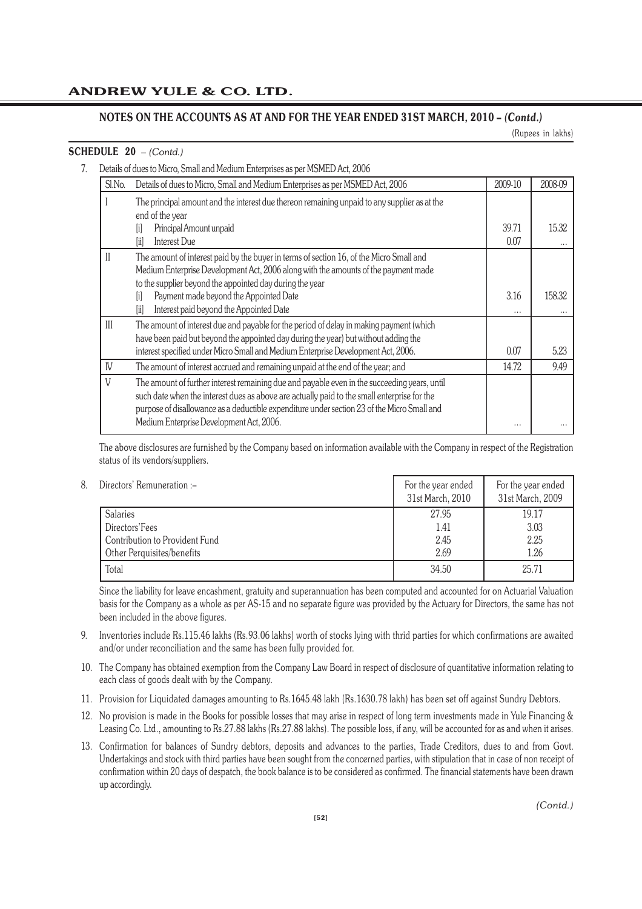(Rupees in lakhs)

# **SCHEDULE 20** *– (Contd.)*

7. Details of dues to Micro, Small and Medium Enterprises as per MSMED Act, 2006

| Sl.No.       | Details of dues to Micro, Small and Medium Enterprises as per MSMED Act, 2006                                                                                                                                                                                                                                                                                             | 2009-10          | 2008-09           |
|--------------|---------------------------------------------------------------------------------------------------------------------------------------------------------------------------------------------------------------------------------------------------------------------------------------------------------------------------------------------------------------------------|------------------|-------------------|
|              | The principal amount and the interest due thereon remaining unpaid to any supplier as at the<br>end of the year                                                                                                                                                                                                                                                           |                  |                   |
|              | Principal Amount unpaid<br>ΙiΙ<br>Interest Due<br>liil                                                                                                                                                                                                                                                                                                                    | 39.71<br>0.07    | 15.32<br>$\cdots$ |
| $\mathbf{H}$ | The amount of interest paid by the buyer in terms of section 16, of the Micro Small and<br>Medium Enterprise Development Act, 2006 along with the amounts of the payment made<br>to the supplier beyond the appointed day during the year<br>Payment made beyond the Appointed Date<br>fil<br>Interest paid beyond the Appointed Date<br>$\left[\ddot{\mathrm{i}}\right]$ | 3.16<br>$\cdots$ | 158.32<br>        |
| III          | The amount of interest due and payable for the period of delay in making payment (which<br>have been paid but beyond the appointed day during the year) but without adding the<br>interest specified under Micro Small and Medium Enterprise Development Act, 2006.                                                                                                       | 0.07             | 5.23              |
| IV           | The amount of interest accrued and remaining unpaid at the end of the year; and                                                                                                                                                                                                                                                                                           | 14.72            | 9.49              |
| V            | The amount of further interest remaining due and payable even in the succeeding years, until<br>such date when the interest dues as above are actually paid to the small enterprise for the<br>purpose of disallowance as a deductible expenditure under section 23 of the Micro Small and<br>Medium Enterprise Development Act, 2006.                                    | $\cdots$         |                   |

The above disclosures are furnished by the Company based on information available with the Company in respect of the Registration status of its vendors/suppliers.

| 8. | Directors' Remuneration :-     | For the year ended<br>31st March, 2010 | For the year ended<br>31st March, 2009 |
|----|--------------------------------|----------------------------------------|----------------------------------------|
|    | <b>Salaries</b>                | 27.95                                  | 19.17                                  |
|    | Directors'Fees                 | 1.41                                   | 3.03                                   |
|    | Contribution to Provident Fund | 2.45                                   | 2.25                                   |
|    | Other Perquisites/benefits     | 2.69                                   | 1.26                                   |
|    | Total                          | 34.50                                  | 25.71                                  |

Since the liability for leave encashment, gratuity and superannuation has been computed and accounted for on Actuarial Valuation basis for the Company as a whole as per AS-15 and no separate figure was provided by the Actuary for Directors, the same has not been included in the above figures.

- 9. Inventories include Rs.115.46 lakhs (Rs.93.06 lakhs) worth of stocks lying with thrid parties for which confirmations are awaited and/or under reconciliation and the same has been fully provided for.
- 10. The Company has obtained exemption from the Company Law Board in respect of disclosure of quantitative information relating to each class of goods dealt with by the Company.
- 11. Provision for Liquidated damages amounting to Rs.1645.48 lakh (Rs.1630.78 lakh) has been set off against Sundry Debtors.
- 12. No provision is made in the Books for possible losses that may arise in respect of long term investments made in Yule Financing & Leasing Co. Ltd., amounting to Rs.27.88 lakhs (Rs.27.88 lakhs). The possible loss, if any, will be accounted for as and when it arises.
- 13. Confirmation for balances of Sundry debtors, deposits and advances to the parties, Trade Creditors, dues to and from Govt. Undertakings and stock with third parties have been sought from the concerned parties, with stipulation that in case of non receipt of confirmation within 20 days of despatch, the book balance is to be considered as confirmed. The financial statements have been drawn up accordingly.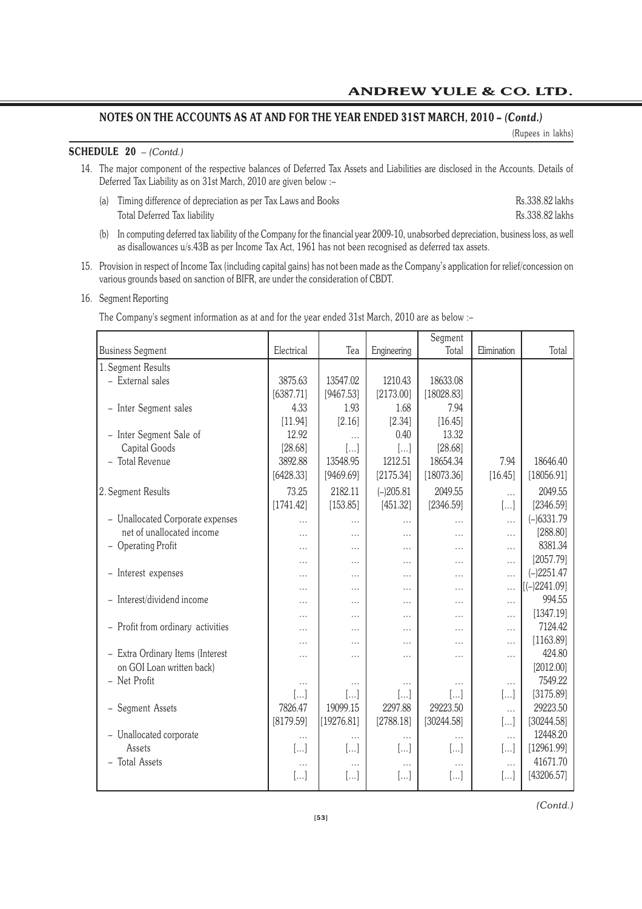(Rupees in lakhs)

# **SCHEDULE 20** *– (Contd.)*

- 14. The major component of the respective balances of Deferred Tax Assets and Liabilities are disclosed in the Accounts. Details of Deferred Tax Liability as on 31st March, 2010 are given below :–
	- (a) Timing difference of depreciation as per Tax Laws and Books Rs.338.82 lakhs Total Deferred Tax liability Rs.338.82 lakhs
	- (b) In computing deferred tax liability of the Company for the financial year 2009-10, unabsorbed depreciation, business loss, as well as disallowances u/s.43B as per Income Tax Act, 1961 has not been recognised as deferred tax assets.
- 15. Provision in respect of Income Tax (including capital gains) has not been made as the Company's application for relief/concession on various grounds based on sanction of BIFR, are under the consideration of CBDT.

# 16. Segment Reporting

The Company's segment information as at and for the year ended 31st March, 2010 are as below :–

|                                   |            |            |             | Segment               |             |                |
|-----------------------------------|------------|------------|-------------|-----------------------|-------------|----------------|
| <b>Business Segment</b>           | Electrical | Tea        | Engineering | Total                 | Elimination | Total          |
| 1. Segment Results                |            |            |             |                       |             |                |
| - External sales                  | 3875.63    | 13547.02   | 1210.43     | 18633.08              |             |                |
|                                   | [6387.71]  | [9467.53]  | [2173.00]   | [18028.83]            |             |                |
| - Inter Segment sales             | 4.33       | 1.93       | 1.68        | 7.94                  |             |                |
|                                   | [11.94]    | [2.16]     | [2.34]      | [16.45]               |             |                |
| - Inter Segment Sale of           | 12.92      |            | 0.40        | 13.32                 |             |                |
| <b>Capital Goods</b>              | [28.68]    | $[\dots]$  | $[]$        | [28.68]               |             |                |
| - Total Revenue                   | 3892.88    | 13548.95   | 1212.51     | 18654.34              | 7.94        | 18646.40       |
|                                   | [6428.33]  | [9469.69]  | [2175.34]   | [18073.36]            | [16.45]     | [18056.91]     |
| 2. Segment Results                | 73.25      | 2182.11    | $(-)205.81$ | 2049.55               | $\cdots$    | 2049.55        |
|                                   | [1741.42]  | [153.85]   | [451.32]    | [2346.59]             | $[]$        | [2346.59]      |
| - Unallocated Corporate expenses  | $\cdots$   | $\cdots$   | $\cdots$    | $\cdots$              | $\cdots$    | $(-)6331.79$   |
| net of unallocated income         | $\cdots$   | $\cdots$   | $\cdots$    | $\cdots$              | $\cdots$    | [288.80]       |
| - Operating Profit                | $\cdots$   | $\cdots$   | $\cdots$    | $\cdots$              | $\cdots$    | 8381.34        |
|                                   | .          | $\cdots$   | .           | .                     | $\cdots$    | [2057.79]      |
| - Interest expenses               |            | $\cdots$   | $\cdots$    | $\cdots$              | $\cdots$    | $(-)2251.47$   |
|                                   | .          | $\cdots$   | .           | $\cdots$              | $\cdots$    | $[(-)2241.09]$ |
| - Interest/dividend income        | .          | $\cdots$   | .           | $\cdots$              | $\cdots$    | 994.55         |
|                                   | .          | $\cdots$   | .           | $\cdots$              | $\cdots$    | [1347.19]      |
| - Profit from ordinary activities | .          | $\cdots$   | .           | $\cdots$              | $\cdots$    | 7124.42        |
|                                   | .          | $\cdots$   | .           | $\cdots$              | $\cdots$    | [1163.89]      |
| - Extra Ordinary Items (Interest  | .          | $\cdots$   | .           | $\cdots$              | $\cdots$    | 424.80         |
| on GOI Loan written back)         |            |            |             |                       |             | [2012.00]      |
| - Net Profit                      | $\cdots$   | $\cdots$   | $\cdots$    | $\cdots$              | $\cdots$    | 7549.22        |
|                                   | $[]$       | []         | $[]$        | $\left[\ldots\right]$ | $[\dots]$   | [3175.89]      |
| - Segment Assets                  | 7826.47    | 19099.15   | 2297.88     | 29223.50              | $\ddotsc$   | 29223.50       |
|                                   | [8179.59]  | [19276.81] | [2788.18]   | [30244.58]            | []          | [30244.58]     |
| - Unallocated corporate           | $\cdots$   | .          | $\cdots$    | $\cdots$              | $\cdots$    | 12448.20       |
| Assets                            | $[]$       | []         | $[\ldots]$  | $[]$                  | []          | [12961.99]     |
| <b>Total Assets</b><br>$\equiv$   | $\cdots$   | $\cdots$   | $\cdots$    | $\cdots$              | $\cdots$    | 41671.70       |
|                                   | $[]$       | $[]$       | $[]$        | []                    | $[]$        | [43206.57]     |
|                                   |            |            |             |                       |             |                |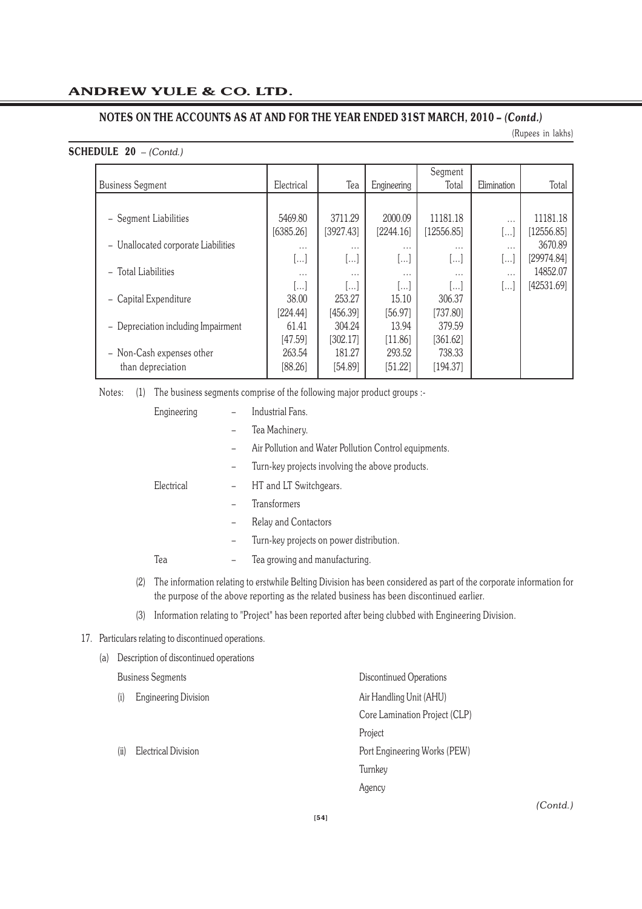(Rupees in lakhs)

# **SCHEDULE 20** *– (Contd.)*

| <b>Business Segment</b>             | Electrical | Tea                   | Engineering           | Segment<br>Total        | Elimination | Total      |
|-------------------------------------|------------|-----------------------|-----------------------|-------------------------|-------------|------------|
|                                     |            |                       |                       |                         |             |            |
| - Segment Liabilities               | 5469.80    | 3711.29               | 2000.09               | 11181.18                | $\cdots$    | 11181.18   |
|                                     | [6385.26]  | [3927.43]             | [2244.16]             | [12556.85]              |             | [12556.85] |
| - Unallocated corporate Liabilities | $\cdots$   | $\cdots$              | $\cdots$              | $\cdots$                | $\cdots$    | 3670.89    |
|                                     | []         | $\left[\ldots\right]$ | البنا                 | $\left[ \ldots \right]$ | []          | [29974.84] |
| - Total Liabilities                 | $\cdots$   | $\cdots$              | $\cdots$              | $\cdots$                | $\cdots$    | 14852.07   |
|                                     | ا…ا        |                       | $\left[\ldots\right]$ | $\left  \ldots \right $ | ا…ا         | [42531.69] |
| - Capital Expenditure               | 38.00      | 253.27                | 15.10                 | 306.37                  |             |            |
|                                     | [224.44]   | [456.39]              | [56.97]               | [737.80]                |             |            |
| - Depreciation including Impairment | 61.41      | 304.24                | 13.94                 | 379.59                  |             |            |
|                                     | [47.59]    | [302.17]              | [11.86]               | [361.62]                |             |            |
| - Non-Cash expenses other           | 263.54     | 181.27                | 293.52                | 738.33                  |             |            |
| than depreciation                   | [88.26]    | [54.89]               | [51.22]               | [194.37]                |             |            |

Notes: (1) The business segments comprise of the following major product groups :-

| Engineering |                   | Industrial Fans.                                                                                    |
|-------------|-------------------|-----------------------------------------------------------------------------------------------------|
|             |                   | Tea Machinery.                                                                                      |
|             |                   | Air Pollution and Water Pollution Control equipments.                                               |
|             |                   | Turn-key projects involving the above products.                                                     |
| Electrical  |                   | HT and LT Switchgears.                                                                              |
|             |                   | Transformers                                                                                        |
|             |                   | Relay and Contactors                                                                                |
|             | $\qquad \qquad -$ | Turn-key projects on power distribution.                                                            |
| Tea         | $\qquad \qquad -$ | Tea growing and manufacturing.                                                                      |
|             |                   | (9) The information relating to evolutile Delting Division has been considered as nort of the serve |

- (2) The information relating to erstwhile Belting Division has been considered as part of the corporate information for the purpose of the above reporting as the related business has been discontinued earlier.
- (3) Information relating to "Project" has been reported after being clubbed with Engineering Division.

# 17. Particulars relating to discontinued operations.

| (a) |      | Description of discontinued operations |                               |
|-----|------|----------------------------------------|-------------------------------|
|     |      | <b>Business Segments</b>               | Discontinued Operations       |
|     | (i)  | <b>Engineering Division</b>            | Air Handling Unit (AHU)       |
|     |      |                                        | Core Lamination Project (CLP) |
|     |      |                                        | Project                       |
|     | (ii) | Electrical Division                    | Port Engineering Works (PEW)  |
|     |      |                                        | Turnkey                       |
|     |      |                                        | Agency                        |
|     |      |                                        |                               |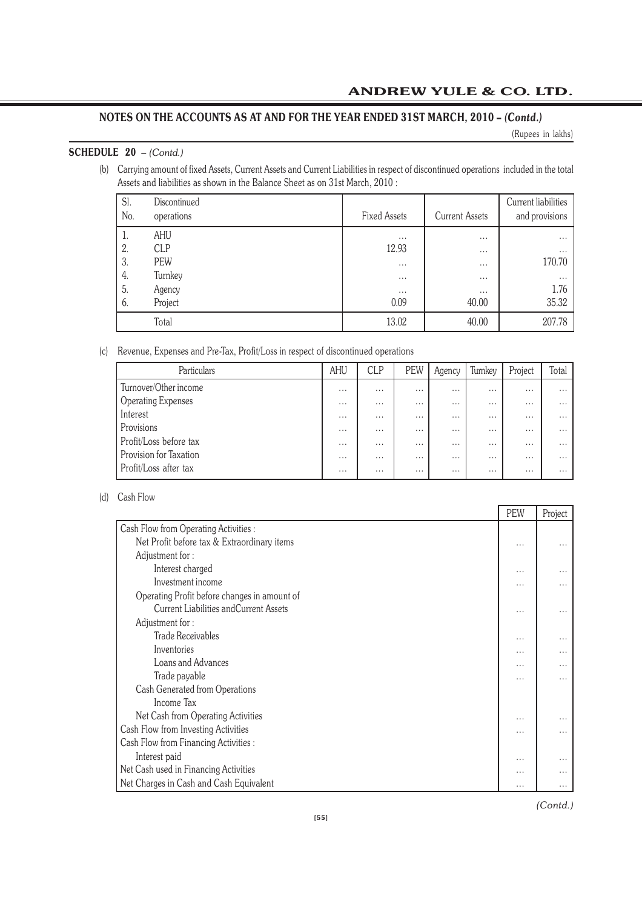(Rupees in lakhs)

# **SCHEDULE 20** *– (Contd.)*

(b) Carrying amount of fixed Assets, Current Assets and Current Liabilities in respect of discontinued operations included in the total Assets and liabilities as shown in the Balance Sheet as on 31st March, 2010 :

| Sl.<br>No. | Discontinued<br>operations | <b>Fixed Assets</b> | <b>Current Assets</b> | Current liabilities<br>and provisions |
|------------|----------------------------|---------------------|-----------------------|---------------------------------------|
|            | AHU                        | $\cdots$            | $\cdots$              | $\cdots$                              |
| 2.         | <b>CLP</b>                 | 12.93               | $\cdots$              | $\cdots$                              |
| 3.         | PEW                        | $\cdots$            | $\cdots$              | 170.70                                |
| 4.         | Turnkey                    | $\cdots$            | $\cdots$              | $\cdots$                              |
| 5.         | Agency                     | $\cdots$            | $\cdots$              | 1.76                                  |
| 6.         | Project                    | 0.09                | 40.00                 | 35.32                                 |
|            | Total                      | 13.02               | 40.00                 | 207.78                                |

(c) Revenue, Expenses and Pre-Tax, Profit/Loss in respect of discontinued operations

| Particulars            | AHU      | <b>CLP</b> | PEW      | Agency   | Turnkey  | Project  | Total    |
|------------------------|----------|------------|----------|----------|----------|----------|----------|
| Turnover/Other income  | $\cdots$ | $\cdots$   | $\cdots$ | $\cdots$ | $\cdots$ | $\cdots$ | $\cdots$ |
| Operating Expenses     | $\cdots$ | $\cdots$   | $\cdots$ | $\cdots$ | $\cdots$ | $\cdots$ | $\cdots$ |
| Interest               | $\cdots$ | $\cdots$   | $\cdots$ | $\cdots$ | $\cdots$ | $\cdots$ | $\cdots$ |
| Provisions             | $\cdots$ | $\cdots$   | $\cdots$ | $\cdots$ | $\cdots$ | $\cdots$ | $\cdots$ |
| Profit/Loss before tax | $\cdots$ | $\cdots$   | $\cdots$ | $\cdots$ | $\cdots$ | $\cdots$ | $\cdots$ |
| Provision for Taxation | $\cdots$ | $\cdots$   | $\cdots$ | $\cdots$ | $\cdots$ | $\cdots$ | $\cdots$ |
| Profit/Loss after tax  | $\cdots$ | $\cdots$   | $\cdots$ | $\cdots$ | $\cdots$ | $\cdots$ | $\cdots$ |

# (d) Cash Flow

|                                               | PEW      | Project  |
|-----------------------------------------------|----------|----------|
| Cash Flow from Operating Activities :         |          |          |
| Net Profit before tax & Extraordinary items   | $\cdots$ | $\cdots$ |
| Adjustment for:                               |          |          |
| Interest charged                              | $\cdots$ | $\cdots$ |
| Investment income                             | $\cdots$ | $\cdots$ |
| Operating Profit before changes in amount of  |          |          |
| <b>Current Liabilities and Current Assets</b> | $\cdots$ | $\cdots$ |
| Adjustment for:                               |          |          |
| <b>Trade Receivables</b>                      | $\cdots$ | $\cdots$ |
| Inventories                                   | $\cdots$ | $\cdots$ |
| Loans and Advances                            | $\cdots$ | $\cdots$ |
| Trade payable                                 | $\cdots$ | $\cdots$ |
| Cash Generated from Operations                |          |          |
| Income Tax                                    |          |          |
| Net Cash from Operating Activities            | $\cdots$ | $\cdots$ |
| Cash Flow from Investing Activities           | $\cdots$ | $\cdots$ |
| Cash Flow from Financing Activities :         |          |          |
| Interest paid                                 | $\cdots$ | $\cdots$ |
| Net Cash used in Financing Activities         | $\cdots$ | $\cdots$ |
| Net Charges in Cash and Cash Equivalent       | $\cdots$ | $\cdots$ |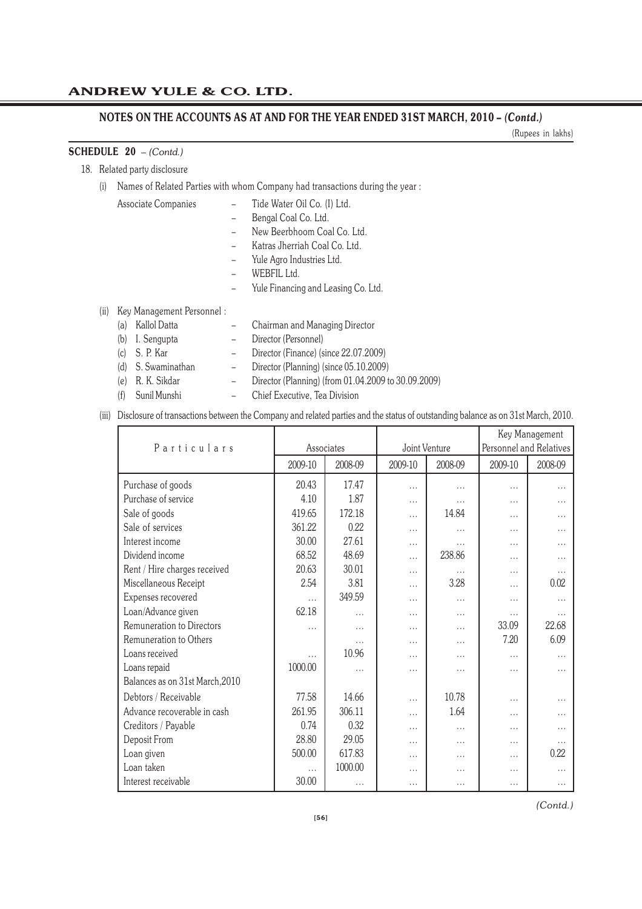(Rupees in lakhs)

# **SCHEDULE 20** *– (Contd.)*

18. Related party disclosure

(i) Names of Related Parties with whom Company had transactions during the year :

Associate Companies – Tide Water Oil Co. (I) Ltd.

- Bengal Coal Co. Ltd.
- New Beerbhoom Coal Co. Ltd.
- Katras Jherriah Coal Co. Ltd.
- Yule Agro Industries Ltd.
- 
- WEBFIL Ltd.
- Yule Financing and Leasing Co. Ltd.
- (ii) Key Management Personnel :
	- (a) Kallol Datta Chairman and Managing Director (b) I. Sengupta – Director (Personnel) (c) S. P. Kar – Director (Finance) (since 22.07.2009)
	- (d) S. Swaminathan Director (Planning) (since 05.10.2009) (e) R. K. Sikdar – Director (Planning) (from 01.04.2009 to 30.09.2009)
	-
	- (f) Sunil Munshi Chief Executive, Tea Division
- (iii) Disclosure of transactions between the Company and related parties and the status of outstanding balance as on 31st March, 2010.

|                                 |          |            |               |          | Key Management          |          |  |
|---------------------------------|----------|------------|---------------|----------|-------------------------|----------|--|
| Particulars                     |          | Associates | Joint Venture |          | Personnel and Relatives |          |  |
|                                 | 2009-10  | 2008-09    | 2009-10       | 2008-09  | 2009-10                 | 2008-09  |  |
| Purchase of goods               | 20.43    | 17.47      | .             | .        | $\cdots$                | .        |  |
| Purchase of service             | 4.10     | 1.87       | .             | .        | $\cdots$                | $\cdots$ |  |
| Sale of goods                   | 419.65   | 172.18     | $\cdots$      | 14.84    | $\cdots$                |          |  |
| Sale of services                | 361.22   | 0.22       | .             | .        | $\cdots$                | .        |  |
| Interest income                 | 30.00    | 27.61      | .             | $\cdots$ | $\cdots$                | $\cdots$ |  |
| Dividend income                 | 68.52    | 48.69      | .             | 238.86   | $\cdots$                | .        |  |
| Rent / Hire charges received    | 20.63    | 30.01      | .             | .        | $\cdots$                |          |  |
| Miscellaneous Receipt           | 2.54     | 3.81       | .             | 3.28     | $\cdots$                | 0.02     |  |
| Expenses recovered              | $\cdots$ | 349.59     | .             | .        | $\cdots$                | $\cdots$ |  |
| Loan/Advance given              | 62.18    | $\cdots$   | .             | .        | $\cdots$                | .        |  |
| Remuneration to Directors       | $\cdots$ | .          | .             | .        | 33.09                   | 22.68    |  |
| Remuneration to Others          |          | $\cdots$   | .             | .        | 7.20                    | 6.09     |  |
| Loans received                  | $\cdots$ | 10.96      | .             | .        | $\cdots$                | $\cdots$ |  |
| Loans repaid                    | 1000.00  | $\cdots$   | .             | $\cdots$ | $\cdots$                |          |  |
| Balances as on 31st March, 2010 |          |            |               |          |                         |          |  |
| Debtors / Receivable            | 77.58    | 14.66      | .             | 10.78    | $\cdots$                |          |  |
| Advance recoverable in cash     | 261.95   | 306.11     | .             | 1.64     | $\cdots$                |          |  |
| Creditors / Payable             | 0.74     | 0.32       | .             | .        | $\cdots$                |          |  |
| Deposit From                    | 28.80    | 29.05      | $\cdots$      | $\cdots$ | $\cdots$                | $\cdots$ |  |
| Loan given                      | 500.00   | 617.83     | .             | .        | $\cdots$                | 0.22     |  |
| Loan taken                      | $\cdots$ | 1000.00    | .             | .        | $\cdots$                | $\cdots$ |  |
| Interest receivable             | 30.00    | $\cdots$   | $\cdots$      | $\cdots$ | $\cdots$                | $\cdots$ |  |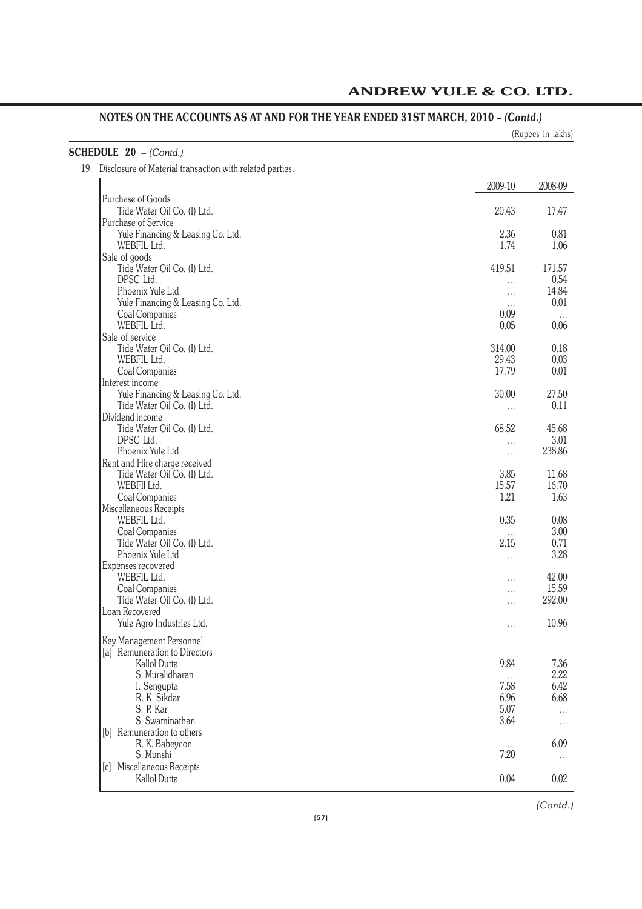(Rupees in lakhs)

| <b>SCHEDULE 20</b> $-$ (Contd.)                              |  |
|--------------------------------------------------------------|--|
| 19. Disclosure of Material transaction with related parties. |  |

|                                   | 2009-10          | 2008-09  |
|-----------------------------------|------------------|----------|
| Purchase of Goods                 |                  |          |
| Tide Water Oil Co. (I) Ltd.       | 20.43            | 17.47    |
| Purchase of Service               |                  |          |
| Yule Financing & Leasing Co. Ltd. | 2.36             | 0.81     |
| WEBFIL Ltd.                       | 1.74             | 1.06     |
| Sale of goods                     |                  |          |
| Tide Water Oil Co. (I) Ltd.       | 419.51           | 171.57   |
| DPSC Ltd.                         | $\cdots$         | 0.54     |
| Phoenix Yule Ltd.                 | $\cdots$         | 14.84    |
| Yule Financing & Leasing Co. Ltd. | $\cdots$<br>0.09 | 0.01     |
| Coal Companies<br>WEBFIL Ltd.     | 0.05             | 0.06     |
| Sale of service                   |                  |          |
| Tide Water Oil Co. (I) Ltd.       | 314.00           | 0.18     |
| WEBFIL Ltd.                       | 29.43            | 0.03     |
| Coal Companies                    | 17.79            | 0.01     |
| Interest income                   |                  |          |
| Yule Financing & Leasing Co. Ltd. | 30.00            | 27.50    |
| Tide Water Oil Co. (I) Ltd.       | $\cdots$         | 0.11     |
| Dividend income                   |                  |          |
| Tide Water Oil Co. (I) Ltd.       | 68.52            | 45.68    |
| DPSC Ltd.                         | .                | 3.01     |
| Phoenix Yule Ltd.                 | $\cdots$         | 238.86   |
| Rent and Hire charge received     |                  |          |
| Tide Water Oil Co. (I) Ltd.       | 3.85             | 11.68    |
| WEBFII Ltd.                       | 15.57            | 16.70    |
| Coal Companies                    | 1.21             | 1.63     |
| Miscellaneous Receipts            |                  |          |
| WEBFIL Ltd.                       | 0.35             | 0.08     |
| Coal Companies                    | $\cdots$         | 3.00     |
| Tide Water Oil Co. (I) Ltd.       | 2.15             | 0.71     |
| Phoenix Yule Ltd.                 | $\cdots$         | 3.28     |
| Expenses recovered<br>WEBFIL Ltd. |                  | 42.00    |
| Coal Companies                    | $\cdots$         | 15.59    |
| Tide Water Oil Co. (I) Ltd.       | $\cdots$         | 292.00   |
| Loan Recovered                    | .                |          |
| Yule Agro Industries Ltd.         |                  | 10.96    |
|                                   | $\cdots$         |          |
| Key Management Personnel          |                  |          |
| [a] Remuneration to Directors     |                  |          |
| Kallol Dutta                      | 9.84             | 7.36     |
| S. Muralidharan                   | $\cdots$         | 2.22     |
| I. Sengupta                       | 7.58             | 6.42     |
| R. K. Sikdar<br>S. P. Kar         | 6.96             | 6.68     |
| S. Swaminathan                    | 5.07             | $\cdots$ |
| [b] Remuneration to others        | 3.64             | $\cdots$ |
| R. K. Babeycon                    |                  | 6.09     |
| S. Munshi                         | $\cdots$<br>7.20 |          |
| [c] Miscellaneous Receipts        |                  | $\cdots$ |
| Kallol Dutta                      | 0.04             | 0.02     |
|                                   |                  |          |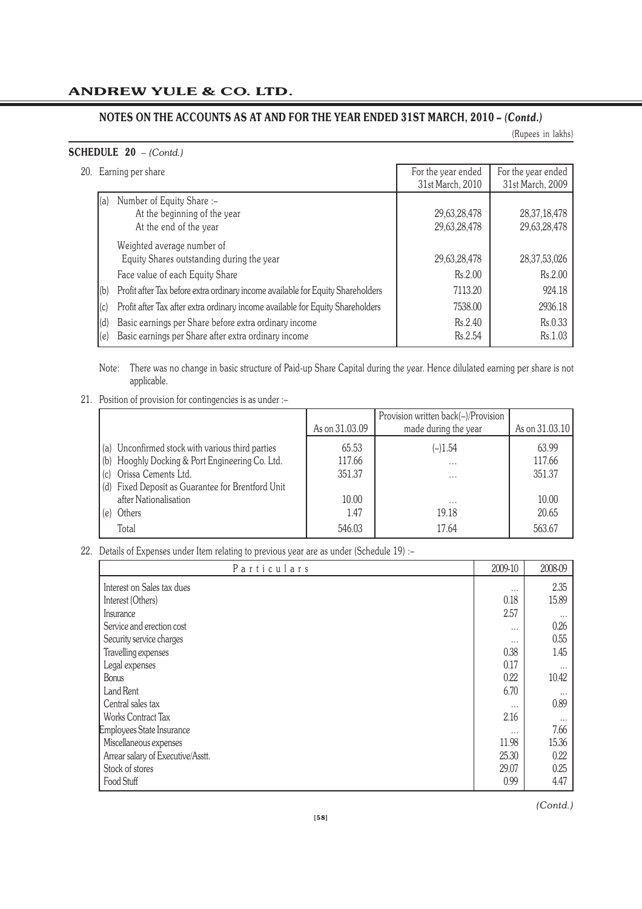(Rupees in lakhs)

# **SCHEDULE 20** *– (Contd.)*

| 20. Earning per share |  |
|-----------------------|--|
|                       |  |

| 20.      Earning per share                                                             | For the year ended<br>31st March, 2010 | For the year ended<br>31st March, 2009 |
|----------------------------------------------------------------------------------------|----------------------------------------|----------------------------------------|
|                                                                                        |                                        |                                        |
| Number of Equity Share :-<br>(a)<br>At the beginning of the year                       | 29,63,28,478                           | 28, 37, 18, 478                        |
| At the end of the year                                                                 | 29,63,28,478                           | 29,63,28,478                           |
| Weighted average number of                                                             |                                        |                                        |
| Equity Shares outstanding during the year                                              | 29,63,28,478                           | 28, 37, 53, 026                        |
| Face value of each Equity Share                                                        | Rs.2.00                                | Rs.2.00                                |
| Profit after Tax before extra ordinary income available for Equity Shareholders<br>(b) | 7113.20                                | 924.18                                 |
| Profit after Tax after extra ordinary income available for Equity Shareholders<br>(c)  | 7538.00                                | 2936.18                                |
| Basic earnings per Share before extra ordinary income<br>(d)                           | Rs.2.40                                | Rs.0.33                                |
| Basic earnings per Share after extra ordinary income<br>(e)                            | Rs.2.54                                | Rs.1.03                                |

Note: There was no change in basic structure of Paid-up Share Capital during the year. Hence dilulated earning per share is not applicable.

21. Position of provision for contingencies is as under :–

|                                                   | As on 31.03.09 | Provision written back(-)/Provision<br>made during the year | As on 31.03.10 |
|---------------------------------------------------|----------------|-------------------------------------------------------------|----------------|
|                                                   |                |                                                             |                |
| (a) Unconfirmed stock with various third parties  | 65.53          | $(-)1.54$                                                   | 63.99          |
| (b) Hooghly Docking & Port Engineering Co. Ltd.   | 117.66         | $\cdots$                                                    | 117.66         |
| Orissa Cements Ltd.                               | 351.37         | $\cdots$                                                    | 351.37         |
| (d) Fixed Deposit as Guarantee for Brentford Unit |                |                                                             |                |
| after Nationalisation                             | 10.00          | $\cdots$                                                    | 10.00          |
| Others                                            | 1.47           | 19.18                                                       | 20.65          |
| Total                                             | 546.03         | 17.64                                                       | 563.67         |

22. Details of Expenses under Item relating to previous year are as under (Schedule 19) :–

| Particulars                       | 2009-10  | 2008-09  |
|-----------------------------------|----------|----------|
| Interest on Sales tax dues        | $\cdots$ | 2.35     |
| Interest (Others)                 | 0.18     | 15.89    |
| Insurance                         | 2.57     | $\cdots$ |
| Service and erection cost         | $\cdots$ | 0.26     |
| Security service charges          | $\cdots$ | 0.55     |
| Travelling expenses               | 0.38     | 1.45     |
| Legal expenses                    | 0.17     | $\cdots$ |
| <b>Bonus</b>                      | 0.22     | 10.42    |
| Land Rent                         | 6.70     | $\cdots$ |
| Central sales tax                 | $\cdots$ | 0.89     |
| Works Contract Tax                | 2.16     | $\cdots$ |
| Employees State Insurance         | $\cdots$ | 7.66     |
| Miscellaneous expenses            | 11.98    | 15.36    |
| Arrear salary of Executive/Asstt. | 25.30    | 0.22     |
| Stock of stores                   | 29.07    | 0.25     |
| Food Stuff                        | 0.99     | 4.47     |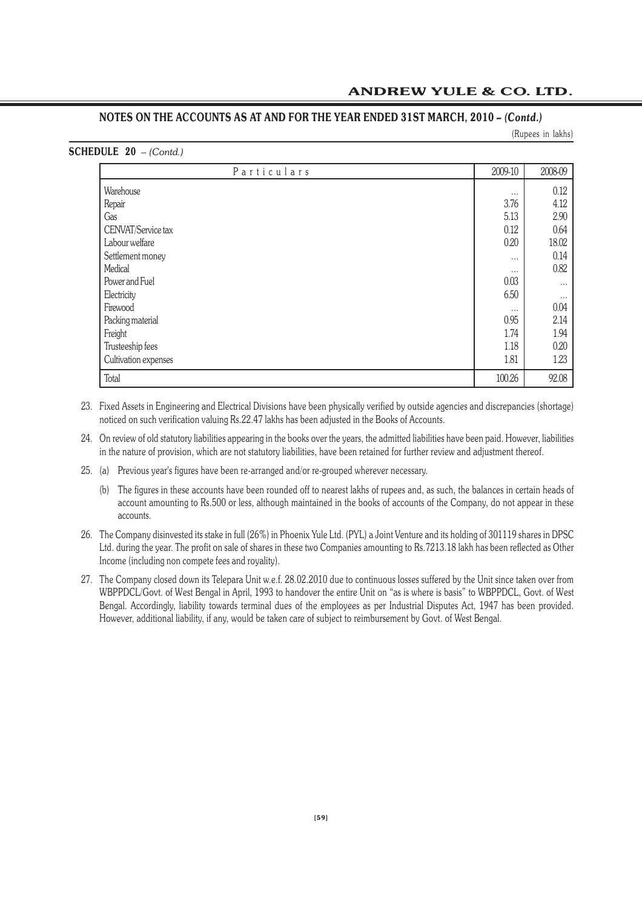(Rupees in lakhs)

| <b>SCHEDULE 20</b> $-$ (Contd.) |  |  |
|---------------------------------|--|--|
|---------------------------------|--|--|

| Particulars          | 2009-10  | 2008-09  |
|----------------------|----------|----------|
| Warehouse            | $\cdots$ | 0.12     |
| Repair               | 3.76     | 4.12     |
| Gas                  | 5.13     | 2.90     |
| CENVAT/Service tax   | 0.12     | 0.64     |
| Labour welfare       | 0.20     | 18.02    |
| Settlement money     | $\cdots$ | 0.14     |
| Medical              | $\cdots$ | 0.82     |
| Power and Fuel       | 0.03     | $\cdots$ |
| Electricity          | 6.50     | $\cdots$ |
| Firewood             | $\cdots$ | 0.04     |
| Packing material     | 0.95     | 2.14     |
| Freight              | 1.74     | 1.94     |
| Trusteeship fees     | 1.18     | 0.20     |
| Cultivation expenses | 1.81     | 1.23     |
| Total                | 100.26   | 92.08    |

- 23. Fixed Assets in Engineering and Electrical Divisions have been physically verified by outside agencies and discrepancies (shortage) noticed on such verification valuing Rs.22.47 lakhs has been adjusted in the Books of Accounts.
- 24. On review of old statutory liabilities appearing in the books over the years, the admitted liabilities have been paid. However, liabilities in the nature of provision, which are not statutory liabilities, have been retained for further review and adjustment thereof.
- 25. (a) Previous year's figures have been re-arranged and/or re-grouped wherever necessary.
	- (b) The figures in these accounts have been rounded off to nearest lakhs of rupees and, as such, the balances in certain heads of account amounting to Rs.500 or less, although maintained in the books of accounts of the Company, do not appear in these accounts.
- 26. The Company disinvested its stake in full (26%) in Phoenix Yule Ltd. (PYL) a Joint Venture and its holding of 301119 shares in DPSC Ltd. during the year. The profit on sale of shares in these two Companies amounting to Rs.7213.18 lakh has been reflected as Other Income (including non compete fees and royality).
- 27. The Company closed down its Telepara Unit w.e.f. 28.02.2010 due to continuous losses suffered by the Unit since taken over from WBPPDCL/Govt. of West Bengal in April, 1993 to handover the entire Unit on "as is where is basis" to WBPPDCL, Govt. of West Bengal. Accordingly, liability towards terminal dues of the employees as per Industrial Disputes Act, 1947 has been provided. However, additional liability, if any, would be taken care of subject to reimbursement by Govt. of West Bengal.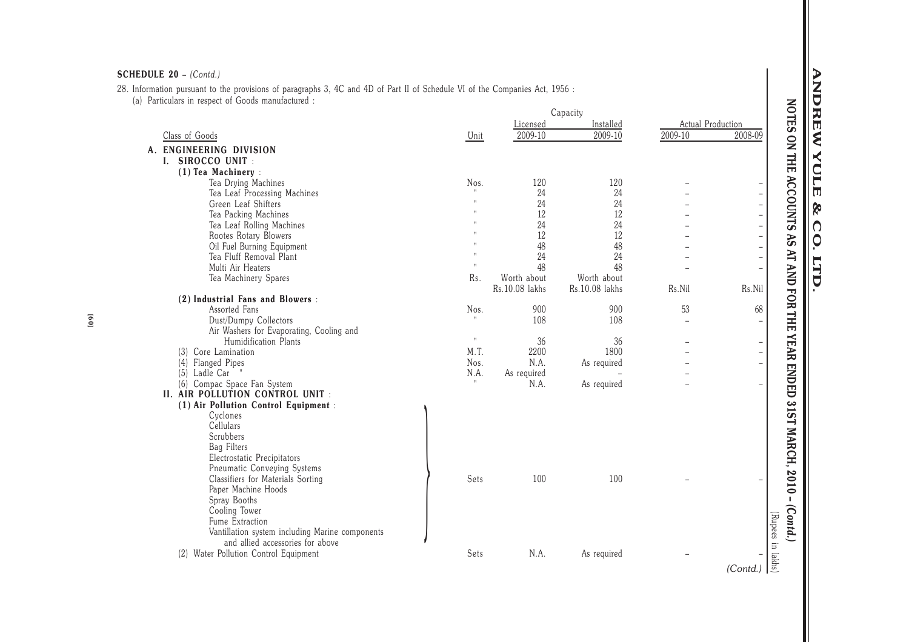28. Information pursuant to the provisions of paragraphs 3, 4C and 4D of Part II of Schedule VI of the Companies Act, 1956 : (a) Particulars in respect of Goods manufactured :

|                                                 |                           |                | Capacity       |                          |                          |
|-------------------------------------------------|---------------------------|----------------|----------------|--------------------------|--------------------------|
|                                                 |                           | Licensed       | Installed      |                          | Actual Production        |
| Class of Goods                                  | Unit                      | 2009-10        | 2009-10        | 2009-10                  | 2008-09                  |
| A. ENGINEERING DIVISION                         |                           |                |                |                          |                          |
| I. SIROCCO UNIT :                               |                           |                |                |                          |                          |
| (1) Tea Machinery:                              |                           |                |                |                          |                          |
| Tea Drying Machines                             | Nos.                      | 120            | 120            |                          | $\qquad \qquad -$        |
| Tea Leaf Processing Machines                    |                           | 24             | 24             |                          | $\qquad \qquad -$        |
| Green Leaf Shifters                             | $\mathbf{u}$              | 24             | 24             |                          | $\overline{\phantom{0}}$ |
| Tea Packing Machines                            |                           | 12             | 12             |                          | $\overline{\phantom{0}}$ |
| Tea Leaf Rolling Machines                       |                           | 24             | 24             |                          | $\overline{a}$           |
| Rootes Rotary Blowers                           |                           | 12             | 12             |                          | $\overline{\phantom{0}}$ |
| Oil Fuel Burning Equipment                      |                           | 48             | 48             |                          | $\overline{\phantom{0}}$ |
| Tea Fluff Removal Plant                         | $\mathbf{H}$              | 24             | 24             |                          | $\frac{1}{2}$            |
| Multi Air Heaters                               | $\mathbf{H}$              | 48             | 48             |                          | $\overline{\phantom{0}}$ |
| Tea Machinery Spares                            | Rs.                       | Worth about    | Worth about    |                          |                          |
|                                                 |                           | Rs.10.08 lakhs | Rs.10.08 lakhs | Rs.Nil                   | Rs.Nil                   |
| (2) Industrial Fans and Blowers :               |                           |                |                |                          |                          |
| Assorted Fans                                   | Nos.                      | 900            | 900            | 53                       | 68                       |
| Dust/Dumpy Collectors                           |                           | 108            | 108            | $\overline{\phantom{0}}$ | $\overline{\phantom{0}}$ |
| Air Washers for Evaporating, Cooling and        |                           |                |                |                          |                          |
| Humidification Plants                           | $\boldsymbol{\mathsf{H}}$ | 36             | 36             |                          | $\qquad \qquad -$        |
| Core Lamination<br>(3)                          | M.T.                      | 2200           | 1800           |                          | $\overline{\phantom{0}}$ |
| (4)<br>Flanged Pipes                            | Nos.                      | N.A.           | As required    |                          | $\frac{1}{2}$            |
| (5) Ladle Car                                   | N.A.                      | As required    |                |                          |                          |
| Compac Space Fan System<br>(6)                  |                           | N.A.           | As required    |                          | $\overline{\phantom{0}}$ |
| II. AIR POLLUTION CONTROL UNIT :                |                           |                |                |                          |                          |
| (1) Air Pollution Control Equipment :           |                           |                |                |                          |                          |
| Cyclones                                        |                           |                |                |                          |                          |
| <b>Cellulars</b>                                |                           |                |                |                          |                          |
| Scrubbers                                       |                           |                |                |                          |                          |
| <b>Bag Filters</b>                              |                           |                |                |                          |                          |
| Electrostatic Precipitators                     |                           |                |                |                          |                          |
| Pneumatic Conveying Systems                     |                           |                |                |                          |                          |
| Classifiers for Materials Sorting               | Sets                      | 100            | 100            |                          |                          |
| Paper Machine Hoods                             |                           |                |                |                          |                          |
| Spray Booths                                    |                           |                |                |                          |                          |
| Cooling Tower                                   |                           |                |                |                          |                          |
| Fume Extraction                                 |                           |                |                |                          |                          |
| Vantillation system including Marine components |                           |                |                |                          |                          |
| and allied accessories for above                |                           |                |                |                          |                          |
| Water Pollution Control Equipment<br>(2)        | Sets                      | N.A.           | As required    |                          |                          |
|                                                 |                           |                |                |                          |                          |
|                                                 |                           |                |                |                          | (Contd.)                 |

# LTD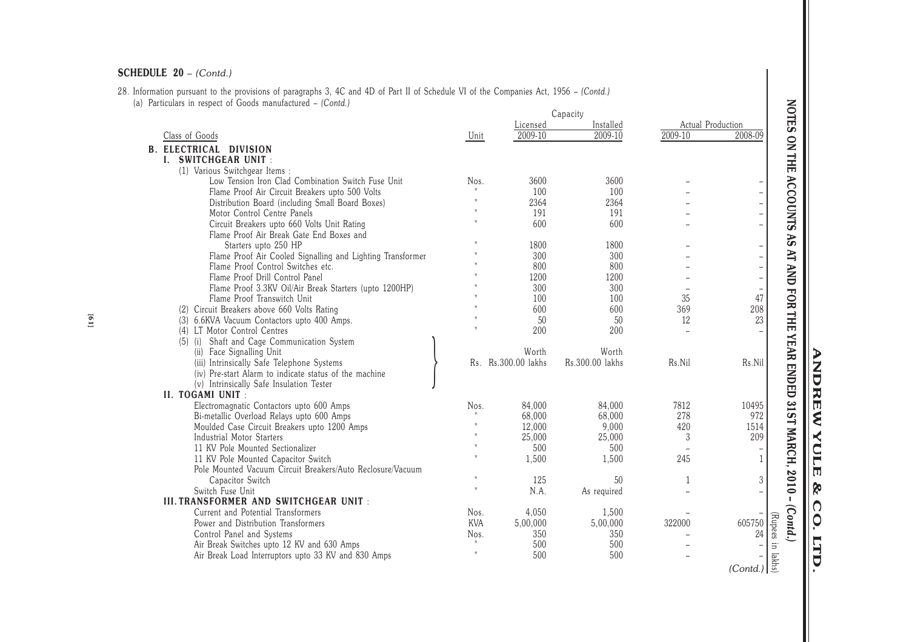28. Information pursuant to the provisions of paragraphs 3, 4C and 4D of Part II of Schedule VI of the Companies Act, 1956 – *(Contd.)*(a) Particulars in respect of Goods manufactured – *(Contd.)*

| Particulars in respect of Goods manufactured - (Contd.)    |              |                     | Capacity        |                |                                                                                                                             |
|------------------------------------------------------------|--------------|---------------------|-----------------|----------------|-----------------------------------------------------------------------------------------------------------------------------|
|                                                            |              | Licensed            | Installed       |                | Actual Production                                                                                                           |
| Class of Goods                                             | Unit         | 2009-10             | $2009-10$       | 2009-10        | 2008-09                                                                                                                     |
| <b>B. ELECTRICAL DIVISION</b>                              |              |                     |                 |                |                                                                                                                             |
| I. SWITCHGEAR UNIT:                                        |              |                     |                 |                |                                                                                                                             |
| (1) Various Switchgear Items:                              |              |                     |                 |                |                                                                                                                             |
| Low Tension Iron Clad Combination Switch Fuse Unit         | Nos.         | 3600                | 3600            |                |                                                                                                                             |
| Flame Proof Air Circuit Breakers upto 500 Volts            |              | 100                 | 100             |                |                                                                                                                             |
| Distribution Board (including Small Board Boxes)           |              | 2364                | 2364            |                | $\overline{a}$                                                                                                              |
| Motor Control Centre Panels                                |              | 191                 | 191             |                | $\overline{\phantom{0}}$                                                                                                    |
| Circuit Breakers upto 660 Volts Unit Rating                |              | 600                 | 600             |                | $\overline{\phantom{0}}$                                                                                                    |
| Flame Proof Air Break Gate End Boxes and                   |              |                     |                 |                |                                                                                                                             |
| Starters upto 250 HP                                       |              | 1800                | 1800            |                | $\qquad \qquad -$                                                                                                           |
| Flame Proof Air Cooled Signalling and Lighting Transformer |              | 300                 | 300             |                |                                                                                                                             |
| Flame Proof Control Switches etc.                          |              | 800                 | 800             |                |                                                                                                                             |
| Flame Proof Drill Control Panel                            |              | 1200                | 1200            |                | $\overline{\phantom{0}}$                                                                                                    |
| Flame Proof 3.3KV Oil/Air Break Starters (upto 1200HP)     |              | 300                 | 300             |                |                                                                                                                             |
| Flame Proof Transwitch Unit                                |              | 100                 | 100             | 35             | 47                                                                                                                          |
| (2) Circuit Breakers above 660 Volts Rating                |              | 600                 | 600             | 369            | 208                                                                                                                         |
| (3) 6.6KVA Vacuum Contactors upto 400 Amps.                |              | 50                  | 50              | 12             | 23                                                                                                                          |
| (4) LT Motor Control Centres                               |              | 200                 | 200             | $\overline{a}$ |                                                                                                                             |
| (5) (i) Shaft and Cage Communication System                |              |                     |                 |                |                                                                                                                             |
| (ii) Face Signalling Unit                                  |              | Worth               | Worth           |                |                                                                                                                             |
| (iii) Intrinsically Safe Telephone Systems                 |              | Rs. Rs.300.00 lakhs | Rs.300.00 lakhs | Rs.Nil         | Rs.Nil                                                                                                                      |
| (iv) Pre-start Alarm to indicate status of the machine     |              |                     |                 |                |                                                                                                                             |
| (v) Intrinsically Safe Insulation Tester                   |              |                     |                 |                |                                                                                                                             |
| II. TOGAMI UNIT :                                          |              |                     |                 |                |                                                                                                                             |
| Electromagnatic Contactors upto 600 Amps                   | Nos.         | 84,000              | 84,000          | 7812           | 10495                                                                                                                       |
| Bi-metallic Overload Relays upto 600 Amps                  |              | 68,000              | 68,000          | 278            | 972                                                                                                                         |
| Moulded Case Circuit Breakers upto 1200 Amps               |              | 12,000              | 9,000           | 420            | 1514                                                                                                                        |
| <b>Industrial Motor Starters</b>                           |              | 25,000              | 25,000          | 3              | 209                                                                                                                         |
| 11 KV Pole Mounted Sectionalizer                           |              | 500                 | 500             |                |                                                                                                                             |
| 11 KV Pole Mounted Capacitor Switch                        |              | 1,500               | 1,500           | 245            | $\mathbf{1}$                                                                                                                |
| Pole Mounted Vacuum Circuit Breakers/Auto Reclosure/Vacuum |              |                     |                 |                |                                                                                                                             |
| Capacitor Switch                                           |              | 125                 | 50              | 1              | 3                                                                                                                           |
| Switch Fuse Unit                                           |              | N.A.                | As required     |                |                                                                                                                             |
| III. TRANSFORMER AND SWITCHGEAR UNIT :                     |              |                     |                 |                |                                                                                                                             |
| Current and Potential Transformers                         | Nos.         | 4,050               | 1.500           |                |                                                                                                                             |
| Power and Distribution Transformers                        | <b>KVA</b>   | 5,00,000            | 5,00,000        | 322000         | 605750                                                                                                                      |
| Control Panel and Systems                                  | Nos.         | 350                 | 350             |                | 24                                                                                                                          |
| Air Break Switches upto 12 KV and 630 Amps                 | $\mathbf{H}$ | 500                 | 500             |                |                                                                                                                             |
| Air Break Load Interruptors upto 33 KV and 830 Amps        |              | 500                 | 500             |                |                                                                                                                             |
|                                                            |              |                     |                 |                | $\begin{array}{c} \begin{array}{c} \frac{1}{\sqrt{2}} \\ -\frac{1}{\sqrt{2}} \\ \frac{1}{\sqrt{2}} \end{array} \end{array}$ |
|                                                            |              |                     |                 |                |                                                                                                                             |

**ANDREW YULE & CO. LTD.**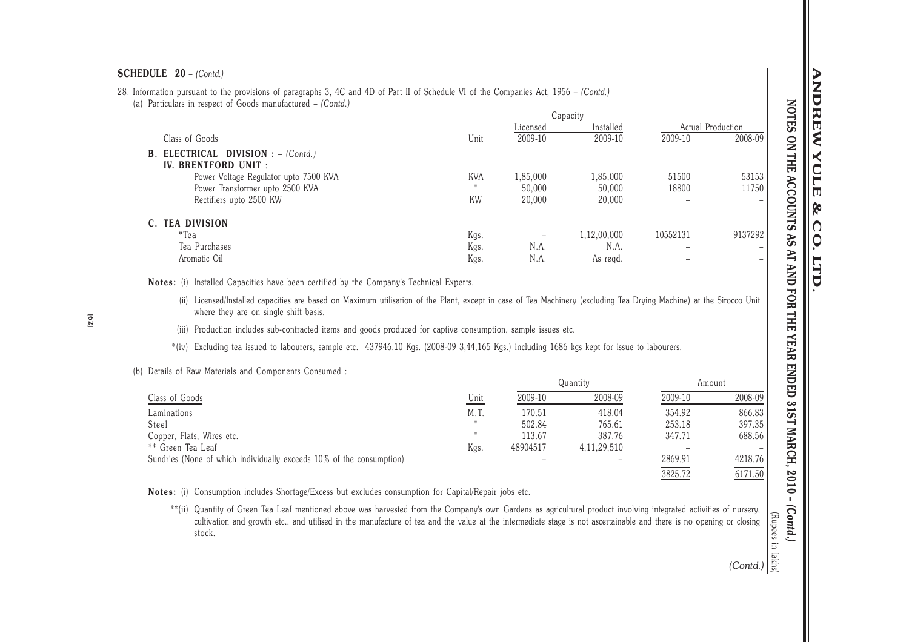28. Information pursuant to the provisions of paragraphs 3, 4C and 4D of Part II of Schedule VI of the Companies Act, 1956 – *(Contd.)*(a) Particulars in respect of Goods manufactured – *(Contd.)*

|                                            |            |          | Capacity    |                   |         |
|--------------------------------------------|------------|----------|-------------|-------------------|---------|
|                                            |            | Licensed | Installed   | Actual Production |         |
| Class of Goods                             | Unit       | 2009-10  | 2009-10     | 2009-10           | 2008-09 |
| <b>B. ELECTRICAL DIVISION : - (Contd.)</b> |            |          |             |                   |         |
| IV. BRENTFORD UNIT :                       |            |          |             |                   |         |
| Power Voltage Regulator upto 7500 KVA      | <b>KVA</b> | 1,85,000 | 1,85,000    | 51500             | 53153   |
| Power Transformer upto 2500 KVA            |            | 50,000   | 50,000      | 18800             | 11750   |
| Rectifiers upto 2500 KW                    | <b>KW</b>  | 20,000   | 20,000      |                   | -       |
| C. TEA DIVISION                            |            |          |             |                   |         |
| $*$ Tea                                    | Kgs.       |          | 1,12,00,000 | 10552131          | 9137292 |
| Tea Purchases                              | Kgs.       | N.A.     | N.A.        |                   | -       |
| Aromatic Oil                               | Kgs.       | N.A.     | As regd.    |                   | -       |

**Notes:** (i) Installed Capacities have been certified by the Company's Technical Experts.

(ii) Licensed/Installed capacities are based on Maximum utilisation of the Plant, except in case of Tea Machinery (excluding Tea Drying Machine) at the Sirocco Unit where they are on single shift basis.

 $Q_{\text{max}}$ 

- (iii) Production includes sub-contracted items and goods produced for captive consumption, sample issues etc.
- \*(iv) Excluding tea issued to labourers, sample etc. 437946.10 Kgs. (2008-09 3,44,165 Kgs.) including 1686 kgs kept for issue to labourers.

## (b) Details of Raw Materials and Components Consumed :

|                                                                      |      |          | Quantity       | Amount  |         |  |
|----------------------------------------------------------------------|------|----------|----------------|---------|---------|--|
| Class of Goods                                                       | Unit | 2009-10  | 2008-09        | 2009-10 | 2008-09 |  |
| Laminations                                                          | M.T. | 170.51   | 418.04         | 354.92  | 866.83  |  |
| Steel                                                                |      | 502.84   | 765.61         | 253.18  | 397.35  |  |
| Copper, Flats, Wires etc.                                            |      | 113.67   | 387.76         | 347.71  | 688.56  |  |
| ** Green Tea Leaf                                                    | Kgs. | 48904517 | 4, 11, 29, 510 |         |         |  |
| Sundries (None of which individually exceeds 10% of the consumption) |      |          |                | 2869.91 | 4218.76 |  |
|                                                                      |      |          |                | 3825.72 | 6171.50 |  |

**Notes:** (i) Consumption includes Shortage/Excess but excludes consumption for Capital/Repair jobs etc.

(Rupees in lattice)<br>
(Contd.)<br>
(Contd.) \*\*(ii) Quantity of Green Tea Leaf mentioned above was harvested from the Company's own Gardens as agricultural product involving integrated activities of nursery, cultivation and growth etc., and utilised in the manufacture of tea and the value at the intermediate stage is not ascertainable and there is no opening or closingstock.

**NOTES ON THE ACCOUNTS AS AT AND FOR THE YEAR ENDED 31ST MARCH, 2010 –** *(Contd.)*

YEAR ENDED 31ST MARCH, 2010

 $\mathbf{I}$ 

 $(Contd.)$ 

NOTES ON THE ACCOUNTS AS AT AND FOR THE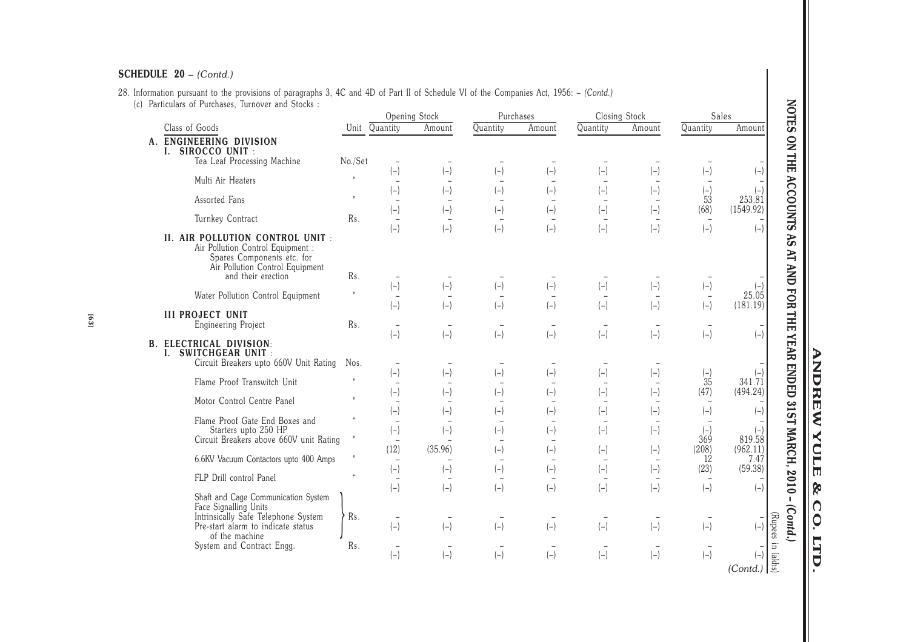# 28. Information pursuant to the provisions of paragraphs 3, 4C and 4D of Part II of Schedule VI of the Companies Act, 1956: – *(Contd.)* (c) Particulars of Purchases, Turnover and Stocks :

| Particulars of Purchases, Turnover and Stocks :                                                                                        |                                                                  |                                   |                                   |                                   |                                   |               |        |                                   |                                              |
|----------------------------------------------------------------------------------------------------------------------------------------|------------------------------------------------------------------|-----------------------------------|-----------------------------------|-----------------------------------|-----------------------------------|---------------|--------|-----------------------------------|----------------------------------------------|
|                                                                                                                                        |                                                                  |                                   | Opening Stock                     |                                   | Purchases                         | Closing Stock |        |                                   | Sales                                        |
| Class of Goods                                                                                                                         | Unit Quantity                                                    |                                   | Amount                            | Quantity                          | Amount                            | Quantity      | Amount | Quantity                          | Amount                                       |
| A. ENGINEERING DIVISION                                                                                                                |                                                                  |                                   |                                   |                                   |                                   |               |        |                                   |                                              |
| I. SIROCCO UNIT :<br>Tea Leaf Processing Machine                                                                                       | No./Set                                                          |                                   |                                   |                                   |                                   |               |        |                                   |                                              |
|                                                                                                                                        |                                                                  | $(-)$                             | $(-)$                             | $(-)$                             | $(-)$                             | $(-)$         | $(-)$  | $(-)$                             | $(-)$                                        |
| Multi Air Heaters                                                                                                                      | $\mathbf{u}$                                                     | $\overline{\phantom{m}}$          |                                   |                                   |                                   |               |        |                                   |                                              |
| Assorted Fans                                                                                                                          | $\mathbf{u}$                                                     | $(-)$                             | $(-)$                             | $(-)$                             | $(-)$                             | $(-)$         | $(-)$  | $\binom{-}{53}$                   | $\begin{array}{c} (-) \\ 253.81 \end{array}$ |
|                                                                                                                                        |                                                                  | $(-)$                             | $(-)$                             | $(-)$                             | $(-)$                             | $(-)$         | $(-)$  | (68)                              | (1549.92)                                    |
| Turnkey Contract                                                                                                                       | Rs.                                                              | $(-)$                             | $(-)$                             | $(-)$                             | $(-)$                             | $(-)$         | $(-)$  | $(-)$                             | $(-)$                                        |
| II. AIR POLLUTION CONTROL UNIT :<br>Air Pollution Control Equipment :<br>Spares Components etc. for<br>Air Pollution Control Equipment |                                                                  |                                   |                                   |                                   |                                   |               |        |                                   |                                              |
| and their erection                                                                                                                     | Rs.                                                              |                                   |                                   |                                   |                                   |               |        |                                   |                                              |
| Water Pollution Control Equipment                                                                                                      |                                                                  | $(-)$<br>$\overline{\phantom{0}}$ | $\left( -\right)$                 | $(-)$                             | $(-)$                             | $(-)$         | $(-)$  | $(-)$<br>$\overline{\phantom{a}}$ | 25.05                                        |
|                                                                                                                                        |                                                                  | $(-)$                             | $(-)$                             | $(-)$                             | $(-)$                             | $(-)$         | $(-)$  | $(-)$                             | (181.19)                                     |
| <b>III PROJECT UNIT</b><br>Engineering Project                                                                                         | Rs.                                                              | $\overline{\phantom{a}}$          |                                   |                                   |                                   |               |        |                                   |                                              |
|                                                                                                                                        |                                                                  | $(-)$                             | $(-)$                             | $(-)$                             | $(-)$                             | $(-)$         | $(-)$  | $(-)$                             | $\overline{(-)}$                             |
| ELECTRICAL DIVISION:<br><b>SWITCHGEAR UNIT:</b><br>I.                                                                                  |                                                                  |                                   |                                   |                                   |                                   |               |        |                                   |                                              |
| Circuit Breakers upto 660V Unit Rating                                                                                                 | Nos.                                                             |                                   |                                   |                                   |                                   |               |        |                                   |                                              |
| Flame Proof Transwitch Unit                                                                                                            | $\mathbf{H}$                                                     | $(-)$                             | $(-)$                             | $(-)$                             | $(-)$                             | $(-)$         | $(-)$  | $(-)$<br>35                       | 341.71                                       |
|                                                                                                                                        |                                                                  | $\overline{\phantom{a}}$<br>$(-)$ | $(-)$                             | $(-)$                             | $(-)$                             | $(-)$         | $(-)$  | (47)                              | (494.24)                                     |
| Motor Control Centre Panel                                                                                                             | $\mathbf{H}$                                                     | $\overline{\phantom{a}}$          |                                   |                                   |                                   |               |        |                                   |                                              |
| Flame Proof Gate End Boxes and                                                                                                         | $\mathcal{U}$                                                    | $(-)$                             | $(-)$                             | $(-)$                             | $(-)$                             | $(-)$         | $(-)$  | $(-)$                             | $(-)$                                        |
| Starters upto 250 HP                                                                                                                   | $\boldsymbol{\mathsf{H}}$                                        | $(-)$                             | $(-)$                             | $(-)$                             | $(-)$                             | $(-)$         | $(-)$  | $(-)$                             | $\begin{array}{c} (-) \\ 819.58 \end{array}$ |
| Circuit Breakers above 660V unit Rating                                                                                                |                                                                  | (12)                              | (35.96)                           | $(-)$                             | $(-)$                             | $(-)$         | $(-)$  | 369<br>(208)                      | (962.11)                                     |
| 6.6KV Vacuum Contactors upto 400 Amps                                                                                                  | $\mathsf{H}% _{T}=\mathsf{H}_{T}\left( \mathcal{N}_{T}\right) ,$ |                                   |                                   |                                   |                                   |               |        | 12                                | 7.47                                         |
| FLP Drill control Panel                                                                                                                | $\mathcal{U}$                                                    | $(-)$                             | $(-)$                             | $(-)$                             | $(-)$                             | $(-)$         | $(-)$  | (23)                              | (59.38)                                      |
|                                                                                                                                        |                                                                  | $\overline{\phantom{a}}$<br>$(-)$ | $(-)$                             | $(-)$                             | $(-)$                             | $(-)$         | $(-)$  | $(-)$                             | $(-)$                                        |
| Shaft and Cage Communication System<br>Face Signalling Units<br>Intrinsically Safe Telephone System                                    | Rs.                                                              | $\overline{\phantom{m}}$          | $\overline{\phantom{a}}$          | $\overline{\phantom{0}}$          |                                   |               |        |                                   |                                              |
| Pre-start alarm to indicate status<br>of the machine                                                                                   |                                                                  | $(-)$                             | $(-)$                             | $(-)$                             | $(-)$                             | $(-)$         | $(-)$  | $(-)$                             | $(-)$                                        |
| System and Contract Engg.                                                                                                              | Rs.                                                              | $(-)$                             | $\overline{\phantom{a}}$<br>$(-)$ | $\overline{\phantom{0}}$<br>$(-)$ | $\overline{\phantom{a}}$<br>$(-)$ | $(-)$         | $(-)$  | $(-)$                             | $(-)$<br>(Contd.)                            |

**ANDREW YULE ANDREW YULE & CO. LTD.**  $8^{\circ}$  $\overline{\text{co}}$ **LTD**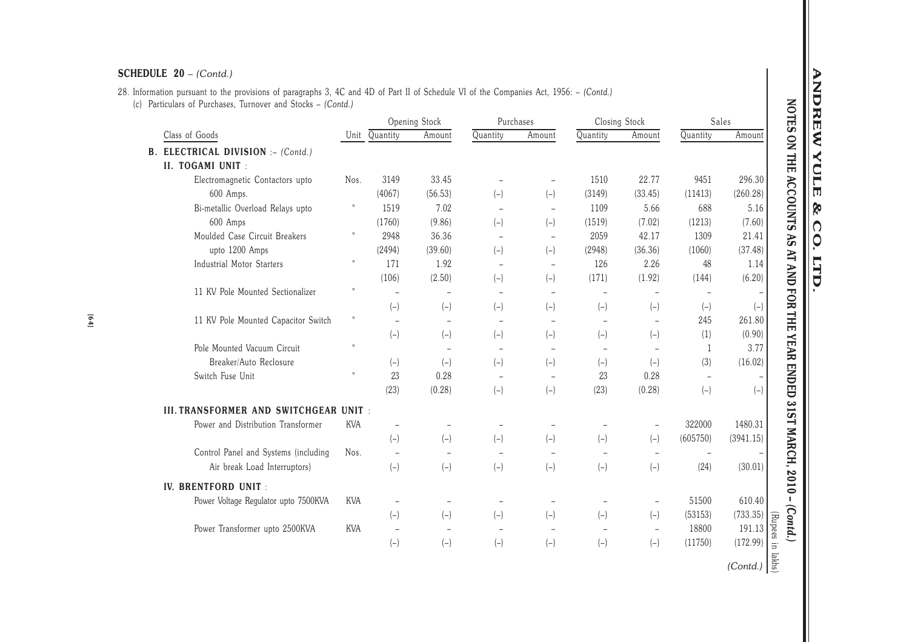# 28. Information pursuant to the provisions of paragraphs 3, 4C and 4D of Part II of Schedule VI of the Companies Act, 1956: – *(Contd.)*(c) Particulars of Purchases, Turnover and Stocks – *(Contd.)*

|                                           |              |                          | Opening Stock            | Purchases                |                          |          | Closing Stock            |                          | Sales                |
|-------------------------------------------|--------------|--------------------------|--------------------------|--------------------------|--------------------------|----------|--------------------------|--------------------------|----------------------|
| Class of Goods                            |              | Unit Quantity            | Amount                   | Quantity                 | Amount                   | Quantity | Amount                   | Quantity                 | Amount               |
| <b>B. ELECTRICAL DIVISION :- (Contd.)</b> |              |                          |                          |                          |                          |          |                          |                          |                      |
| II. TOGAMI UNIT :                         |              |                          |                          |                          |                          |          |                          |                          |                      |
| Electromagnetic Contactors upto           | Nos.         | 3149                     | 33.45                    |                          | $\overline{\phantom{a}}$ | 1510     | 22.77                    | 9451                     | 296.30               |
| 600 Amps.                                 |              | (4067)                   | (56.53)                  | $(-)$                    | $(-)$                    | (3149)   | (33.45)                  | (11413)                  | (260.28)             |
| Bi-metallic Overload Relays upto          | $\mathsf{H}$ | 1519                     | 7.02                     | $\overline{\phantom{a}}$ | $\qquad \qquad -$        | 1109     | 5.66                     | 688                      | 5.16                 |
| 600 Amps                                  |              | (1760)                   | (9.86)                   | $(-)$                    | $(-)$                    | (1519)   | (7.02)                   | (1213)                   | (7.60)               |
| Moulded Case Circuit Breakers             | $\sf H$      | 2948                     | 36.36                    | $\overline{\phantom{a}}$ | $\overline{\phantom{a}}$ | 2059     | 42.17                    | 1309                     | 21.41                |
| upto 1200 Amps                            |              | (2494)                   | (39.60)                  | $(-)$                    | $(-)$                    | (2948)   | (36.36)                  | (1060)                   | (37.48)              |
| <b>Industrial Motor Starters</b>          | $\sf H$      | 171                      | 1.92                     | $\overline{\phantom{a}}$ | $\overline{\phantom{a}}$ | 126      | 2.26                     | 48                       | 1.14                 |
|                                           |              | (106)                    | (2.50)                   | $(-)$                    | $(-)$                    | (171)    | (1.92)                   | (144)                    | (6.20)               |
| 11 KV Pole Mounted Sectionalizer          |              | $\overline{a}$           | $\qquad \qquad -$        | $\overline{\phantom{0}}$ | $\overline{\phantom{a}}$ | $\!-$    |                          |                          |                      |
|                                           |              | $(-)$                    | $(-)$                    | $(-)$                    | $(-)$                    | $(-)$    | $(-)$                    | $(-)$                    | $(-)$                |
| 11 KV Pole Mounted Capacitor Switch       | $\sf H$      | $\qquad \qquad -$        | $\overline{\phantom{a}}$ | $\overline{\phantom{a}}$ |                          |          | $\overline{\phantom{a}}$ | 245                      | 261.80               |
|                                           |              | $(-)$                    | $(-)$                    | $(-)$                    | $(-)$                    | $(-)$    | $(-)$                    | (1)                      | (0.90)               |
| Pole Mounted Vacuum Circuit               |              |                          |                          | $\overline{\phantom{m}}$ | $\overline{\phantom{a}}$ |          |                          | -1                       | 3.77                 |
| Breaker/Auto Reclosure                    |              | $(-)$                    | $(-)$                    | $(-)$                    | $(-)$                    | $(-)$    | $(-)$                    | (3)                      | (16.02)              |
| Switch Fuse Unit                          |              | 23                       | 0.28                     |                          |                          | 23       | 0.28                     |                          |                      |
|                                           |              | (23)                     | (0.28)                   | $(-)$                    | $(-)$                    | (23)     | (0.28)                   | $(-)$                    | $(-)$                |
| III. TRANSFORMER AND SWITCHGEAR UNIT :    |              |                          |                          |                          |                          |          |                          |                          |                      |
| Power and Distribution Transformer        | <b>KVA</b>   |                          |                          |                          |                          |          | $\overline{\phantom{a}}$ | 322000                   | 1480.31              |
|                                           |              | $(-)$                    | $(-)$                    | $(-)$                    | $(-)$                    | $(-)$    | $(-)$                    | (605750)                 | (3941.15)            |
| Control Panel and Systems (including      | Nos.         |                          |                          | $\overline{\phantom{a}}$ |                          |          |                          | $\overline{\phantom{a}}$ |                      |
| Air break Load Interruptors)              |              | $(-)$                    | $(-)$                    | $(-)$                    | $(-)$                    | $(-)$    | $(-)$                    | (24)                     | (30.01)              |
| <b>IV. BRENTFORD UNIT :</b>               |              |                          |                          |                          |                          |          |                          |                          |                      |
| Power Voltage Regulator upto 7500KVA      | KVA          | $\overline{\phantom{a}}$ | $\qquad \qquad -$        | $\overline{\phantom{a}}$ |                          |          | $\overline{\phantom{a}}$ | 51500                    | 610.40               |
|                                           |              | $(-)$                    | $(-)$                    | $(-)$                    | $(-)$                    | $(-)$    | $(-)$                    | (53153)                  | (733.35)             |
| Power Transformer upto 2500KVA            | <b>KVA</b>   | $\qquad \qquad -$        |                          | $\overline{\phantom{a}}$ |                          |          | $\overline{\phantom{a}}$ | 18800                    | (Rupees in<br>191.13 |
|                                           |              | $(-)$                    | $(-)$                    | $(-)$                    | $(-)$                    | $(-)$    | $(-)$                    | (11750)                  | (172.99)             |

**ANDREW YULE ANDREW YULE & CO. LTD.**  $\boldsymbol{\mathcal{R}}$ CO. **LTD** 

 $(Cond.)\left[\frac{F}{g}\right]$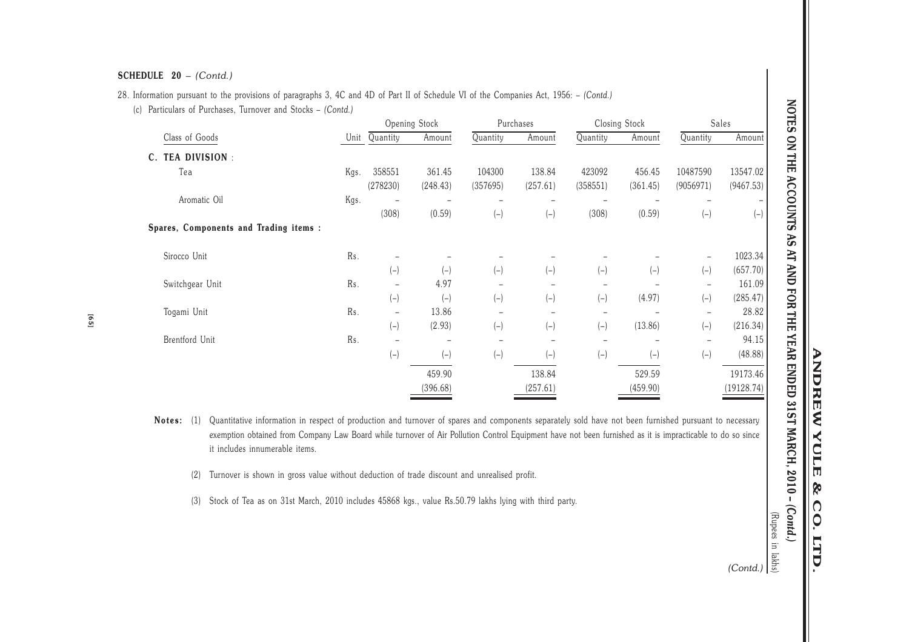# 28. Information pursuant to the provisions of paragraphs 3, 4C and 4D of Part II of Schedule VI of the Companies Act, 1956: – *(Contd.)*

(c) Particulars of Purchases, Turnover and Stocks – *(Contd.)*

|                                        |      |                          | Opening Stock      |                          | Purchases          |                    | Closing Stock      | Sales                    |                       |  |
|----------------------------------------|------|--------------------------|--------------------|--------------------------|--------------------|--------------------|--------------------|--------------------------|-----------------------|--|
| Class of Goods                         | Unit | Quantity                 | Amount             | Quantity                 | Amount             | Quantity           | Amount             | Quantity                 | Amount                |  |
| <b>TEA DIVISION:</b><br>$\mathbf{C}$ . |      |                          |                    |                          |                    |                    |                    |                          |                       |  |
| Tea                                    | Kgs. | 358551<br>(278230)       | 361.45<br>(248.43) | 104300<br>(357695)       | 138.84<br>(257.61) | 423092<br>(358551) | 456.45<br>(361.45) | 10487590<br>(9056971)    | 13547.02<br>(9467.53) |  |
| Aromatic Oil                           | Kgs. | (308)                    | (0.59)             | $(-)$                    | $(-)$              | (308)              | (0.59)             | $(-)$                    | $(-)$                 |  |
| Spares, Components and Trading items : |      |                          |                    |                          |                    |                    |                    |                          |                       |  |
| Sirocco Unit                           | Rs.  |                          |                    |                          |                    |                    |                    |                          | 1023.34               |  |
|                                        |      | $(-)$                    | $(-)$              | $(-)$                    | $(-)$              | $(-)$              | $(-)$              | $(-)$                    | (657.70)              |  |
| Switchgear Unit                        | Rs.  | $\overline{\phantom{0}}$ | 4.97               | $\overline{\phantom{0}}$ |                    |                    |                    | $\overline{\phantom{0}}$ | 161.09                |  |
|                                        |      | $(-)$                    | $(-)$              | $(-)$                    | $(-)$              | $(-)$              | (4.97)             | $(-)$                    | (285.47)              |  |
| Togami Unit                            | Rs.  | $\overline{\phantom{0}}$ | 13.86              | -                        |                    |                    |                    |                          | 28.82                 |  |
|                                        |      | $(-)$                    | (2.93)             | $(-)$                    | $(-)$              | $(-)$              | (13.86)            | $(-)$                    | (216.34)              |  |
| Brentford Unit                         | Rs.  |                          |                    | $\overline{\phantom{0}}$ |                    |                    |                    |                          | 94.15                 |  |
|                                        |      | $(-)$                    | $(-)$              | $(-)$                    | $(-)$              | $(-)$              | $(-)$              | $(-)$                    | (48.88)               |  |
|                                        |      |                          | 459.90             |                          | 138.84             |                    | 529.59             |                          | 19173.46              |  |
|                                        |      |                          | (396.68)           |                          | (257.61)           |                    | (459.90)           |                          | (19128.74)            |  |

- **Notes:** (1) Quantitative information in respect of production and turnover of spares and components separately sold have not been furnished pursuant to necessary exemption obtained from Company Law Board while turnover of Air Pollution Control Equipment have not been furnished as it is impracticable to do so sinceit includes innumerable items.
	- (2) Turnover is shown in gross value without deduction of trade discount and unrealised profit.
	- (3) Stock of Tea as on 31st March, 2010 includes 45868 kgs., value Rs.50.79 lakhs lying with third party.

(Rupees in lakehood)<br>
(Contd.)<br>
(Contd.)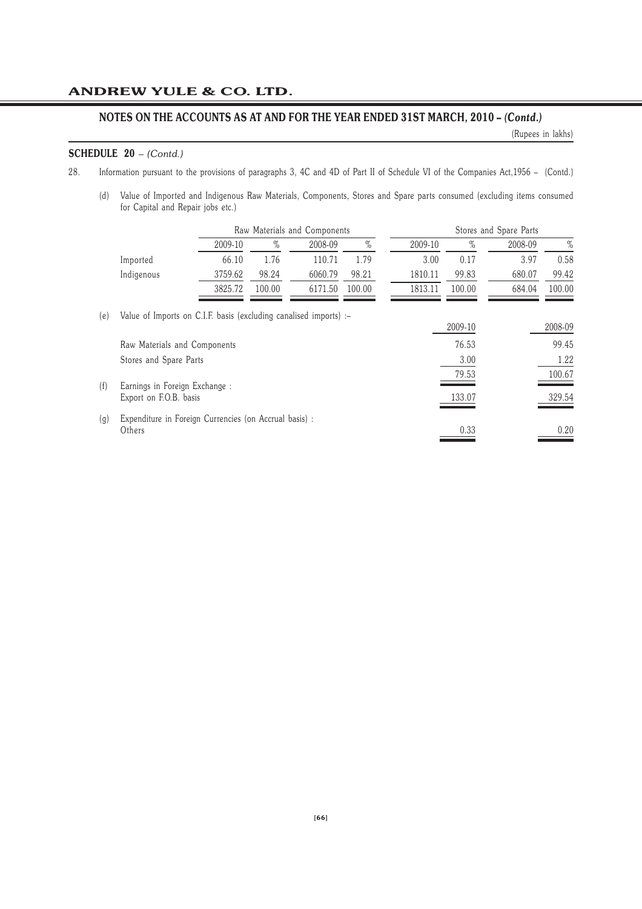# **NOTES ON THE ACCOUNTS AS AT AND FOR THE YEAR ENDED 31ST MARCH, 2010 –** *(Contd.)*

(Rupees in lakhs)

# **SCHEDULE 20** – *(Contd.)*

- 28. Information pursuant to the provisions of paragraphs 3, 4C and 4D of Part II of Schedule VI of the Companies Act,1956 (Contd.)
	- (d) Value of Imported and Indigenous Raw Materials, Components, Stores and Spare parts consumed (excluding items consumed for Capital and Repair jobs etc.)

|     |                                                                   |         |        | Raw Materials and Components |        |         |         | Stores and Spare Parts |         |
|-----|-------------------------------------------------------------------|---------|--------|------------------------------|--------|---------|---------|------------------------|---------|
|     |                                                                   | 2009-10 | $\%$   | 2008-09                      | $\%$   | 2009-10 | $\%$    | 2008-09                | $\%$    |
|     | Imported                                                          | 66.10   | 1.76   | 110.71                       | 1.79   | 3.00    | 0.17    | 3.97                   | 0.58    |
|     | Indigenous                                                        | 3759.62 | 98.24  | 6060.79                      | 98.21  | 1810.11 | 99.83   | 680.07                 | 99.42   |
|     |                                                                   | 3825.72 | 100.00 | 6171.50                      | 100.00 | 1813.11 | 100.00  | 684.04                 | 100.00  |
| (e) | Value of Imports on C.I.F. basis (excluding canalised imports) :- |         |        |                              |        |         | 2009-10 |                        | 2008-09 |
|     | Raw Materials and Components                                      |         |        |                              |        |         | 76.53   |                        | 99.45   |
|     | Stores and Spare Parts                                            |         |        |                              |        |         | 3.00    |                        | 1.22    |
|     |                                                                   |         |        |                              |        |         | 79.53   |                        | 100.67  |
| (f) | Earnings in Foreign Exchange :<br>Export on F.O.B. basis          |         |        |                              |        |         | 133.07  |                        | 329.54  |
| (g) | Expenditure in Foreign Currencies (on Accrual basis) :<br>Others  |         |        |                              |        |         | 0.33    |                        | 0.20    |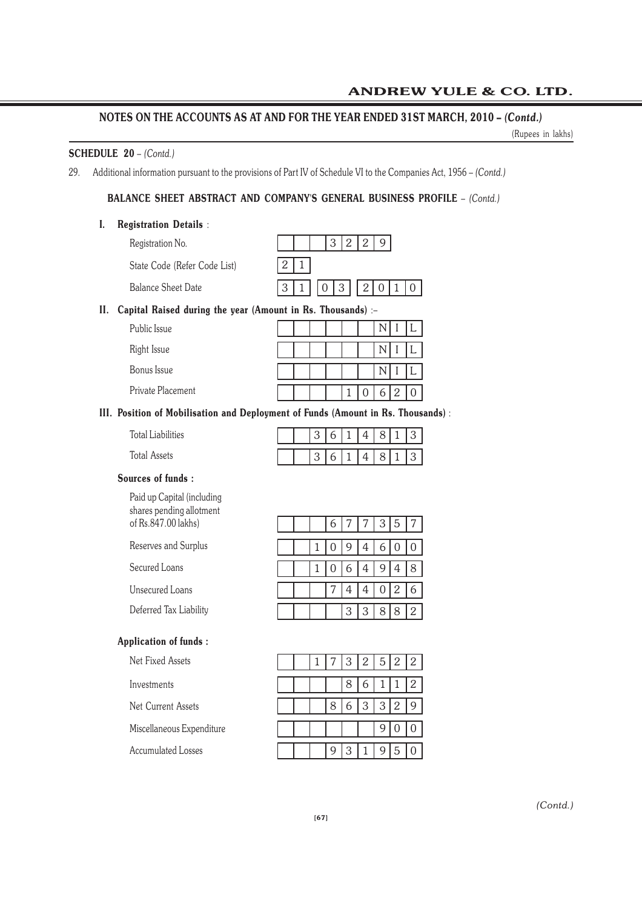# **NOTES ON THE ACCOUNTS AS AT AND FOR THE YEAR ENDED 31ST MARCH, 2010 –** *(Contd.)*

(Rupees in lakhs)

# **SCHEDULE 20** – *(Contd.)*

29. Additional information pursuant to the provisions of Part IV of Schedule VI to the Companies Act, 1956 – *(Contd.)*

# **BALANCE SHEET ABSTRACT AND COMPANY'S GENERAL BUSINESS PROFILE** – *(Contd.)*

# **I. Registration Details** :

| Registration No.             |                   |  |  |  |  |
|------------------------------|-------------------|--|--|--|--|
| State Code (Refer Code List) | $\left 2\right 1$ |  |  |  |  |
| <b>Balance Sheet Date</b>    | 3 1 0 3 2010      |  |  |  |  |

# **II. Capital Raised during the year (Amount in Rs. Thousands)** :–

| Public Issue      |  |  |  |  |  |
|-------------------|--|--|--|--|--|
| Right Issue       |  |  |  |  |  |
| Bonus Issue       |  |  |  |  |  |
| Private Placement |  |  |  |  |  |

# **III. Position of Mobilisation and Deployment of Funds (Amount in Rs. Thousands)** :

| Total Liabilities |  | 3 | $\begin{array}{ c c c } \hline 6 & 1 \\ \hline \end{array}$ |                                           |  | 4 8 1 3 |  |
|-------------------|--|---|-------------------------------------------------------------|-------------------------------------------|--|---------|--|
| Total Assets      |  |   |                                                             | $\begin{bmatrix} 3 & 6 & 1 \end{bmatrix}$ |  | 4 8 1 3 |  |

# **Sources of funds :**

Paid up Capital (including shares pending allotment of Rs.847.00 lakhs)

Reserves and Surplus

Secured Loans

Unsecured Loans

Deferred Tax Liability

# **Application of funds :**

Net Fixed Assets

Investments

Net Current Assets

Miscellaneous Expenditure

Accumulated Losses

|  |  |               |  | 6 7 7 3 5 7   |
|--|--|---------------|--|---------------|
|  |  |               |  | 1 0 9 4 6 0 0 |
|  |  | 1 0 6 4 9 4 8 |  |               |
|  |  | 7 4 4 0 2 6   |  |               |
|  |  | 3 3 8 8 2     |  |               |

|  |   |   | 3 2 5 2 2 |                   |            |              |
|--|---|---|-----------|-------------------|------------|--------------|
|  |   | 8 | 6         |                   |            | $\mathbf{2}$ |
|  | 8 | 6 |           | $3 \mid 3 \mid 2$ |            |              |
|  |   |   |           |                   |            |              |
|  |   | 3 |           | 9                 | $\sqrt{5}$ |              |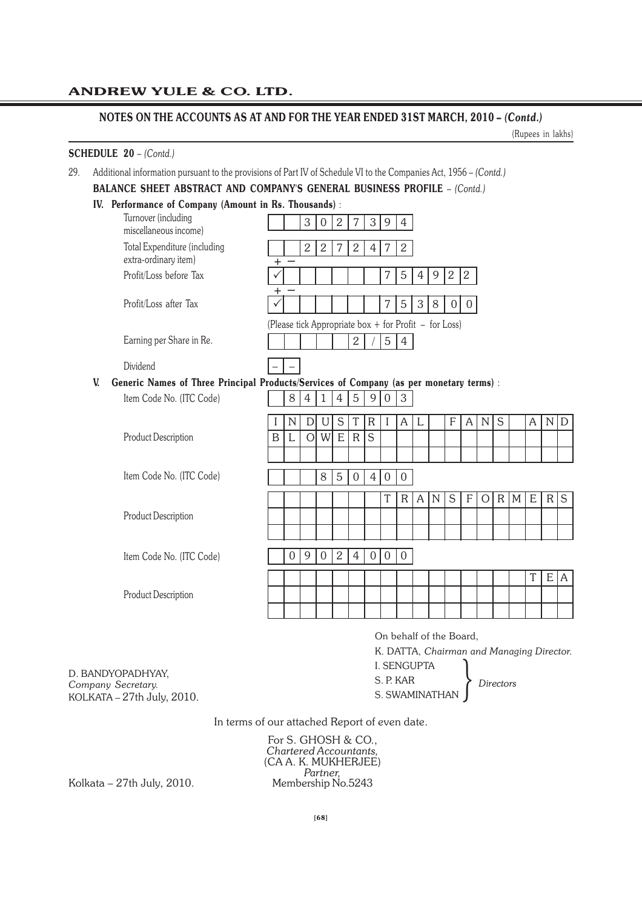# **NOTES ON THE ACCOUNTS AS AT AND FOR THE YEAR ENDED 31ST MARCH, 2010 –** *(Contd.)*

29. Additional information pursuant to the provisions of Part IV of Schedule VI to the Companies Act, 1956 – *(Contd.)*

(Rupees in lakhs)

# **SCHEDULE 20** – *(Contd.)*

|                                                                                               | IV. Performance of Company (Amount in Rs. Thousands): |                |                |                  |                |                |                |                  |                                                       |                |             |                  |                |                |   |     |             |           |              |
|-----------------------------------------------------------------------------------------------|-------------------------------------------------------|----------------|----------------|------------------|----------------|----------------|----------------|------------------|-------------------------------------------------------|----------------|-------------|------------------|----------------|----------------|---|-----|-------------|-----------|--------------|
| Turnover (including<br>miscellaneous income)                                                  |                                                       |                | 3              | $\boldsymbol{0}$ | $\mathbf{2}$   | $\overline{7}$ |                | 3 9              | $\overline{4}$                                        |                |             |                  |                |                |   |     |             |           |              |
| Total Expenditure (including<br>extra-ordinary item)                                          | $\pm$                                                 |                | $\overline{2}$ | $\overline{2}$   | 7              | $\overline{2}$ | $\overline{4}$ | $\overline{7}$   | 2                                                     |                |             |                  |                |                |   |     |             |           |              |
| Profit/Loss before Tax                                                                        | +                                                     |                |                |                  |                |                |                | 7                | $\mathbf 5$                                           | $\overline{4}$ | 9           | $\sqrt{2}$       | $ 2\rangle$    |                |   |     |             |           |              |
| Profit/Loss after Tax                                                                         |                                                       |                |                |                  |                |                |                | 7                | 5                                                     | 3              | 8           | $\boldsymbol{0}$ | $\overline{0}$ |                |   |     |             |           |              |
|                                                                                               |                                                       |                |                |                  |                |                |                |                  | (Please tick Appropriate box + for Profit - for Loss) |                |             |                  |                |                |   |     |             |           |              |
| Earning per Share in Re.                                                                      |                                                       |                |                |                  |                | $\overline{2}$ |                | 5 <sup>1</sup>   | $\overline{4}$                                        |                |             |                  |                |                |   |     |             |           |              |
| Dividend                                                                                      |                                                       |                |                |                  |                |                |                |                  |                                                       |                |             |                  |                |                |   |     |             |           |              |
| Generic Names of Three Principal Products/Services of Company (as per monetary terms) :<br>V. |                                                       |                |                |                  |                |                |                |                  |                                                       |                |             |                  |                |                |   |     |             |           |              |
| Item Code No. (ITC Code)                                                                      |                                                       | $8\,$          | $\overline{4}$ | $\mathbf{1}$     | $\overline{4}$ | 5              | 9 <sup>1</sup> | $\overline{0}$   | $\mathfrak{S}$                                        |                |             |                  |                |                |   |     |             |           |              |
|                                                                                               |                                                       | $\mathbb N$    | D              | U                | S              | T              | $\mathsf{R}$   | I                | A                                                     | L              |             | $\mathbf F$      | $\mathsf{A}$   | ${\bf N}$      | S |     | A           | ${\bf N}$ | D            |
| Product Description                                                                           | $\mathbf B$                                           | L              | $\overline{O}$ | W                | $\mathbf E$    | $\rm R$        | S              |                  |                                                       |                |             |                  |                |                |   |     |             |           |              |
|                                                                                               |                                                       |                |                |                  |                |                |                |                  |                                                       |                |             |                  |                |                |   |     |             |           |              |
| Item Code No. (ITC Code)                                                                      |                                                       |                |                | 8                | 5              | $\Omega$       | $\overline{4}$ | $\theta$         | $\overline{0}$                                        |                |             |                  |                |                |   |     |             |           |              |
|                                                                                               |                                                       |                |                |                  |                |                |                | T                | $\mathsf{R}$                                          | $\mathsf{A}$   | $\mathbb N$ | S                | F              | $\overline{O}$ |   | R M | $\mathbf E$ |           | $R \mid S$   |
| Product Description                                                                           |                                                       |                |                |                  |                |                |                |                  |                                                       |                |             |                  |                |                |   |     |             |           |              |
|                                                                                               |                                                       |                |                |                  |                |                |                |                  |                                                       |                |             |                  |                |                |   |     |             |           |              |
|                                                                                               |                                                       | $\overline{0}$ | $\overline{9}$ | $\overline{0}$   | $\overline{2}$ | $\overline{4}$ | $\overline{0}$ | $\boldsymbol{0}$ | $\overline{0}$                                        |                |             |                  |                |                |   |     |             |           |              |
| Item Code No. (ITC Code)                                                                      |                                                       |                |                |                  |                |                |                |                  |                                                       |                |             |                  |                |                |   |     | $\mathbf T$ | ${\sf E}$ | $\mathsf{A}$ |
|                                                                                               |                                                       |                |                |                  |                |                |                |                  |                                                       |                |             |                  |                |                |   |     |             |           |              |
| Product Description                                                                           |                                                       |                |                |                  |                |                |                |                  |                                                       |                |             |                  |                |                |   |     |             |           |              |

I. SENGUPTA S. P. KAR S. P. KAR<br>S. SWAMINATHAN *Directors* 

D. BANDYOPADHYAY, *Company Secretary.* KOLKATA – 27th July, 2010.

In terms of our attached Report of even date.

For S. GHOSH & CO., *Chartered Accountants,* (CA A. K. MUKHERJEE) Partner,<br>*Partner*,<br>Membership No.5243

Kolkata –  $27th$  July,  $2010$ .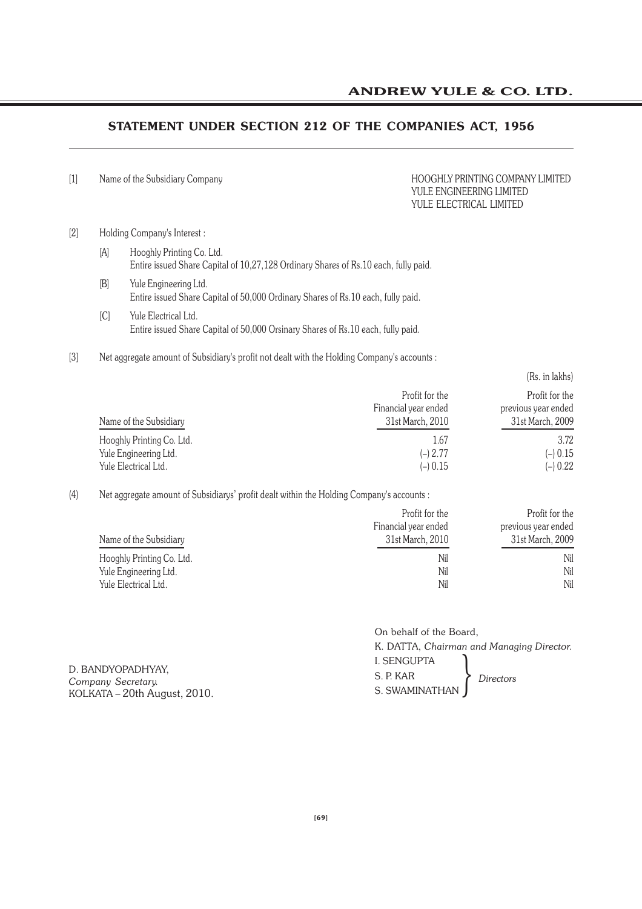# **STATEMENT UNDER SECTION 212 OF THE COMPANIES ACT, 1956**

[1] Name of the Subsidiary Company **HOOGHLY PRINTING COMPANY LIMITED** 

# YULE ENGINEERING LIMITED YULE ELECTRICAL LIMITED

# [2] Holding Company's Interest :

- [A] Hooghly Printing Co. Ltd. Entire issued Share Capital of 10,27,128 Ordinary Shares of Rs.10 each, fully paid.
- [B] Yule Engineering Ltd. Entire issued Share Capital of 50,000 Ordinary Shares of Rs.10 each, fully paid.
- [C] Yule Electrical Ltd. Entire issued Share Capital of 50,000 Orsinary Shares of Rs.10 each, fully paid.
- [3] Net aggregate amount of Subsidiary's profit not dealt with the Holding Company's accounts :

|                                                                            |                                                            | (Rs. in lakhs)                                            |
|----------------------------------------------------------------------------|------------------------------------------------------------|-----------------------------------------------------------|
| Name of the Subsidiary                                                     | Profit for the<br>Financial year ended<br>31st March, 2010 | Profit for the<br>previous year ended<br>31st March, 2009 |
| Hooghly Printing Co. Ltd.<br>Yule Engineering Ltd.<br>Yule Electrical Ltd. | 1.67<br>$(-) 2.77$<br>$(-) 0.15$                           | 3.72<br>$(-) 0.15$<br>$(-) 0.22$                          |

# (4) Net aggregate amount of Subsidiarys' profit dealt within the Holding Company's accounts :

|                           | Profit for the       | Profit for the      |
|---------------------------|----------------------|---------------------|
|                           | Financial year ended | previous year ended |
| Name of the Subsidiary    | 31st March, 2010     | 31st March, 2009    |
| Hooghly Printing Co. Ltd. | Nil                  | Nil                 |
| Yule Engineering Ltd.     | Nil                  | Nil                 |
| Yule Electrical Ltd.      | Nil                  | Nil                 |

|                                                                         | On behalf of the Board, |                                           |  |
|-------------------------------------------------------------------------|-------------------------|-------------------------------------------|--|
|                                                                         |                         | K. DATTA, Chairman and Managing Director. |  |
| D. BANDYOPADHYAY,<br>Company Secretary.<br>KOLKATA – 20th August, 2010. | <b>I. SENGUPTA</b>      |                                           |  |
|                                                                         | S. P. KAR<br>Directors  |                                           |  |
|                                                                         | S. SWAMINATHAN          |                                           |  |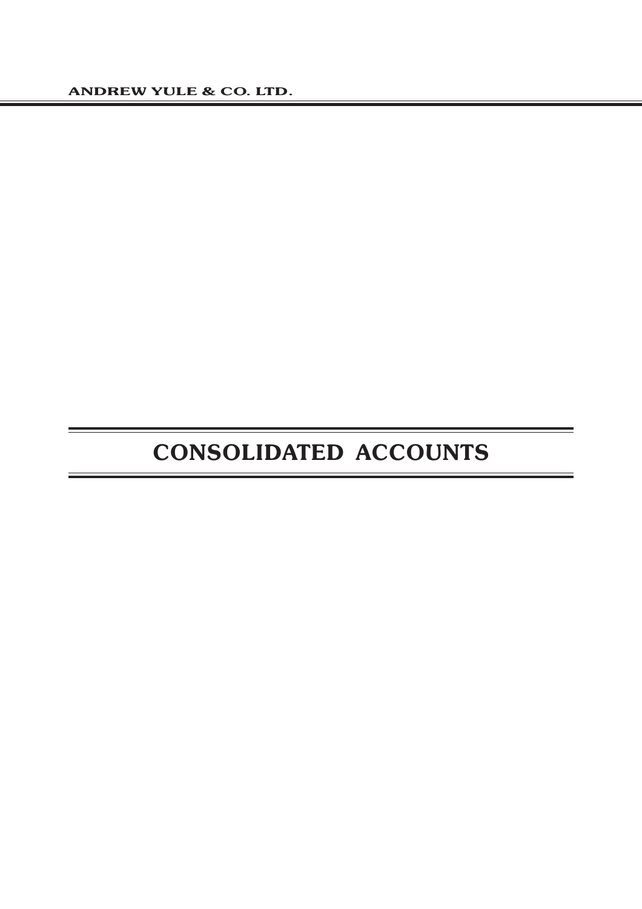# **CONSOLIDATED ACCOUNTS**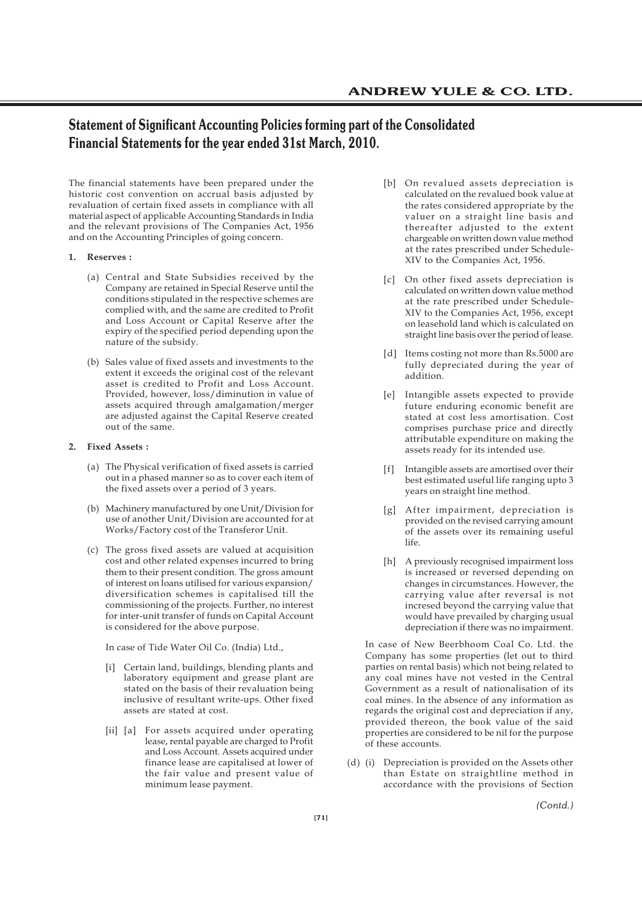# **Statement of Significant Accounting Policies forming part of the Consolidated Financial Statements for the year ended 31st March, 2010.**

The financial statements have been prepared under the historic cost convention on accrual basis adjusted by revaluation of certain fixed assets in compliance with all material aspect of applicable Accounting Standards in India and the relevant provisions of The Companies Act, 1956 and on the Accounting Principles of going concern.

### **1. Reserves :**

- (a) Central and State Subsidies received by the Company are retained in Special Reserve until the conditions stipulated in the respective schemes are complied with, and the same are credited to Profit and Loss Account or Capital Reserve after the expiry of the specified period depending upon the nature of the subsidy.
- (b) Sales value of fixed assets and investments to the extent it exceeds the original cost of the relevant asset is credited to Profit and Loss Account. Provided, however, loss/diminution in value of assets acquired through amalgamation/merger are adjusted against the Capital Reserve created out of the same.

# **2. Fixed Assets :**

- (a) The Physical verification of fixed assets is carried out in a phased manner so as to cover each item of the fixed assets over a period of 3 years.
- (b) Machinery manufactured by one Unit/Division for use of another Unit/Division are accounted for at Works/Factory cost of the Transferor Unit.
- (c) The gross fixed assets are valued at acquisition cost and other related expenses incurred to bring them to their present condition. The gross amount of interest on loans utilised for various expansion/ diversification schemes is capitalised till the commissioning of the projects. Further, no interest for inter-unit transfer of funds on Capital Account is considered for the above purpose.

In case of Tide Water Oil Co. (India) Ltd.,

- [i] Certain land, buildings, blending plants and laboratory equipment and grease plant are stated on the basis of their revaluation being inclusive of resultant write-ups. Other fixed assets are stated at cost.
- [ii] [a] For assets acquired under operating lease, rental payable are charged to Profit and Loss Account. Assets acquired under finance lease are capitalised at lower of the fair value and present value of minimum lease payment.
- [b] On revalued assets depreciation is calculated on the revalued book value at the rates considered appropriate by the valuer on a straight line basis and thereafter adjusted to the extent chargeable on written down value method at the rates prescribed under Schedule-XIV to the Companies Act, 1956.
- [c] On other fixed assets depreciation is calculated on written down value method at the rate prescribed under Schedule-XIV to the Companies Act, 1956, except on leasehold land which is calculated on straight line basis over the period of lease.
- [d] Items costing not more than Rs.5000 are fully depreciated during the year of addition.
- [e] Intangible assets expected to provide future enduring economic benefit are stated at cost less amortisation. Cost comprises purchase price and directly attributable expenditure on making the assets ready for its intended use.
- [f] Intangible assets are amortised over their best estimated useful life ranging upto 3 years on straight line method.
- [g] After impairment, depreciation is provided on the revised carrying amount of the assets over its remaining useful  $l$ ife.
- [h] A previously recognised impairment loss is increased or reversed depending on changes in circumstances. However, the carrying value after reversal is not incresed beyond the carrying value that would have prevailed by charging usual depreciation if there was no impairment.

In case of New Beerbhoom Coal Co. Ltd. the Company has some properties (let out to third parties on rental basis) which not being related to any coal mines have not vested in the Central Government as a result of nationalisation of its coal mines. In the absence of any information as regards the original cost and depreciation if any, provided thereon, the book value of the said properties are considered to be nil for the purpose of these accounts.

(d) (i) Depreciation is provided on the Assets other than Estate on straightline method in accordance with the provisions of Section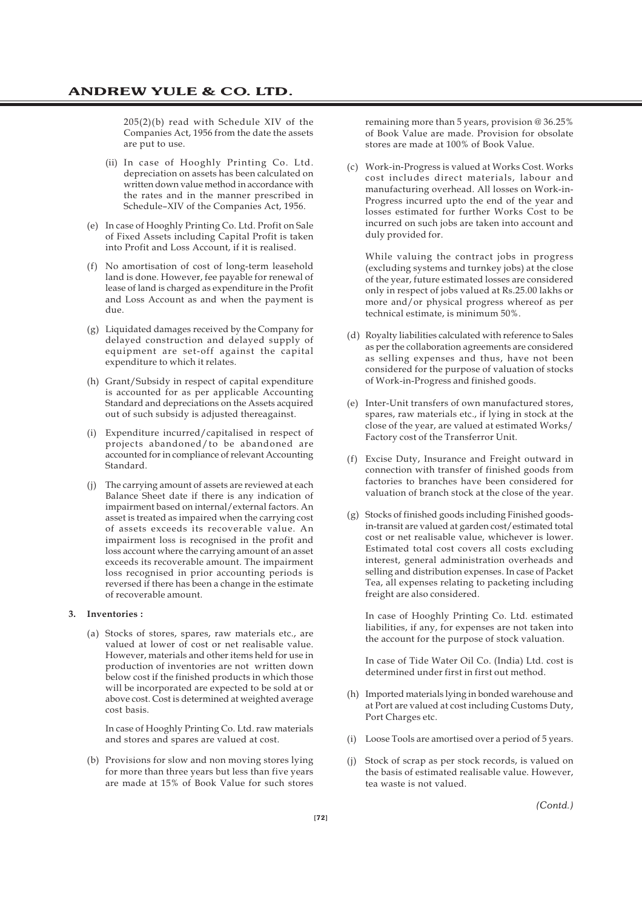205(2)(b) read with Schedule XIV of the Companies Act, 1956 from the date the assets are put to use.

- (ii) In case of Hooghly Printing Co. Ltd. depreciation on assets has been calculated on written down value method in accordance with the rates and in the manner prescribed in Schedule–XIV of the Companies Act, 1956.
- (e) In case of Hooghly Printing Co. Ltd. Profit on Sale of Fixed Assets including Capital Profit is taken into Profit and Loss Account, if it is realised.
- (f) No amortisation of cost of long-term leasehold land is done. However, fee payable for renewal of lease of land is charged as expenditure in the Profit and Loss Account as and when the payment is due.
- (g) Liquidated damages received by the Company for delayed construction and delayed supply of equipment are set-off against the capital expenditure to which it relates.
- (h) Grant/Subsidy in respect of capital expenditure is accounted for as per applicable Accounting Standard and depreciations on the Assets acquired out of such subsidy is adjusted thereagainst.
- (i) Expenditure incurred/capitalised in respect of projects abandoned/to be abandoned are accounted for in compliance of relevant Accounting Standard.
- (j) The carrying amount of assets are reviewed at each Balance Sheet date if there is any indication of impairment based on internal/external factors. An asset is treated as impaired when the carrying cost of assets exceeds its recoverable value. An impairment loss is recognised in the profit and loss account where the carrying amount of an asset exceeds its recoverable amount. The impairment loss recognised in prior accounting periods is reversed if there has been a change in the estimate of recoverable amount.

### **3. Inventories :**

(a) Stocks of stores, spares, raw materials etc., are valued at lower of cost or net realisable value. However, materials and other items held for use in production of inventories are not written down below cost if the finished products in which those will be incorporated are expected to be sold at or above cost. Cost is determined at weighted average cost basis.

In case of Hooghly Printing Co. Ltd. raw materials and stores and spares are valued at cost.

(b) Provisions for slow and non moving stores lying for more than three years but less than five years are made at 15% of Book Value for such stores

remaining more than 5 years, provision @ 36.25% of Book Value are made. Provision for obsolate stores are made at 100% of Book Value.

(c) Work-in-Progress is valued at Works Cost. Works cost includes direct materials, labour and manufacturing overhead. All losses on Work-in-Progress incurred upto the end of the year and losses estimated for further Works Cost to be incurred on such jobs are taken into account and duly provided for.

While valuing the contract jobs in progress (excluding systems and turnkey jobs) at the close of the year, future estimated losses are considered only in respect of jobs valued at Rs.25.00 lakhs or more and/or physical progress whereof as per technical estimate, is minimum 50%.

- (d) Royalty liabilities calculated with reference to Sales as per the collaboration agreements are considered as selling expenses and thus, have not been considered for the purpose of valuation of stocks of Work-in-Progress and finished goods.
- (e) Inter-Unit transfers of own manufactured stores, spares, raw materials etc., if lying in stock at the close of the year, are valued at estimated Works/ Factory cost of the Transferror Unit.
- (f) Excise Duty, Insurance and Freight outward in connection with transfer of finished goods from factories to branches have been considered for valuation of branch stock at the close of the year.
- (g) Stocks of finished goods including Finished goodsin-transit are valued at garden cost/estimated total cost or net realisable value, whichever is lower. Estimated total cost covers all costs excluding interest, general administration overheads and selling and distribution expenses. In case of Packet Tea, all expenses relating to packeting including freight are also considered.

In case of Hooghly Printing Co. Ltd. estimated liabilities, if any, for expenses are not taken into the account for the purpose of stock valuation.

In case of Tide Water Oil Co. (India) Ltd. cost is determined under first in first out method.

- (h) Imported materials lying in bonded warehouse and at Port are valued at cost including Customs Duty, Port Charges etc.
- (i) Loose Tools are amortised over a period of 5 years.
- (j) Stock of scrap as per stock records, is valued on the basis of estimated realisable value. However, tea waste is not valued.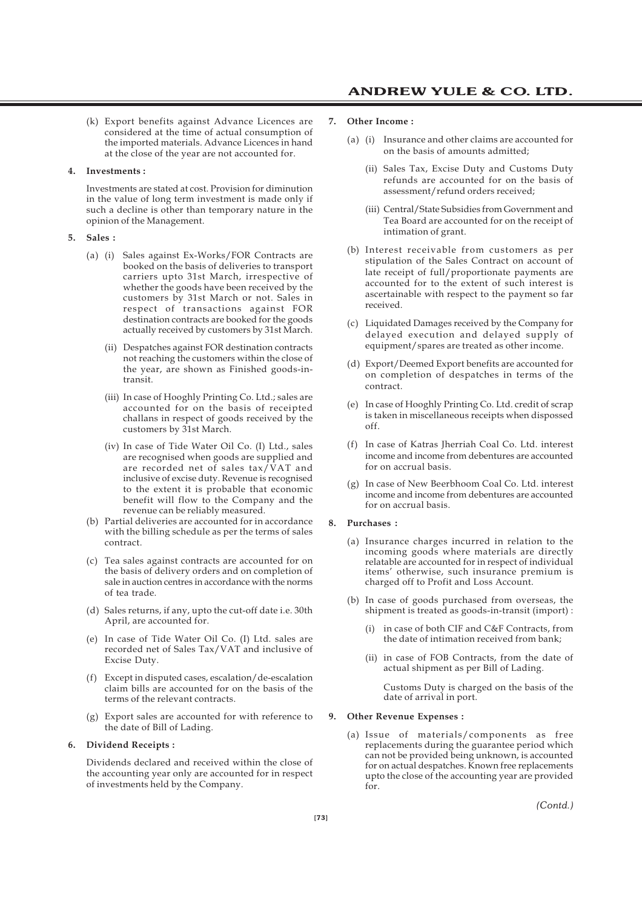(k) Export benefits against Advance Licences are considered at the time of actual consumption of the imported materials. Advance Licences in hand at the close of the year are not accounted for.

#### **4. Investments :**

Investments are stated at cost. Provision for diminution in the value of long term investment is made only if such a decline is other than temporary nature in the opinion of the Management.

#### **5. Sales :**

- (a) (i) Sales against Ex-Works/FOR Contracts are booked on the basis of deliveries to transport carriers upto 31st March, irrespective of whether the goods have been received by the customers by 31st March or not. Sales in respect of transactions against FOR destination contracts are booked for the goods actually received by customers by 31st March.
	- (ii) Despatches against FOR destination contracts not reaching the customers within the close of the year, are shown as Finished goods-intransit.
	- (iii) In case of Hooghly Printing Co. Ltd.; sales are accounted for on the basis of receipted challans in respect of goods received by the customers by 31st March.
	- (iv) In case of Tide Water Oil Co. (I) Ltd., sales are recognised when goods are supplied and are recorded net of sales tax/VAT and inclusive of excise duty. Revenue is recognised to the extent it is probable that economic benefit will flow to the Company and the revenue can be reliably measured.
- (b) Partial deliveries are accounted for in accordance with the billing schedule as per the terms of sales contract.
- (c) Tea sales against contracts are accounted for on the basis of delivery orders and on completion of sale in auction centres in accordance with the norms of tea trade.
- (d) Sales returns, if any, upto the cut-off date i.e. 30th April, are accounted for.
- (e) In case of Tide Water Oil Co. (I) Ltd. sales are recorded net of Sales Tax/VAT and inclusive of Excise Duty.
- (f) Except in disputed cases, escalation/de-escalation claim bills are accounted for on the basis of the terms of the relevant contracts.
- (g) Export sales are accounted for with reference to the date of Bill of Lading.

#### **6. Dividend Receipts :**

Dividends declared and received within the close of the accounting year only are accounted for in respect of investments held by the Company.

#### **7. Other Income :**

- (a) (i) Insurance and other claims are accounted for on the basis of amounts admitted;
	- (ii) Sales Tax, Excise Duty and Customs Duty refunds are accounted for on the basis of assessment/refund orders received;
	- (iii) Central/State Subsidies from Government and Tea Board are accounted for on the receipt of intimation of grant.
- (b) Interest receivable from customers as per stipulation of the Sales Contract on account of late receipt of full/proportionate payments are accounted for to the extent of such interest is ascertainable with respect to the payment so far received.
- (c) Liquidated Damages received by the Company for delayed execution and delayed supply of equipment/spares are treated as other income.
- (d) Export/Deemed Export benefits are accounted for on completion of despatches in terms of the contract.
- (e) In case of Hooghly Printing Co. Ltd. credit of scrap is taken in miscellaneous receipts when dispossed off.
- (f) In case of Katras Jherriah Coal Co. Ltd. interest income and income from debentures are accounted for on accrual basis.
- (g) In case of New Beerbhoom Coal Co. Ltd. interest income and income from debentures are accounted for on accrual basis.

#### **8. Purchases :**

- (a) Insurance charges incurred in relation to the incoming goods where materials are directly relatable are accounted for in respect of individual items' otherwise, such insurance premium is charged off to Profit and Loss Account.
- (b) In case of goods purchased from overseas, the shipment is treated as goods-in-transit (import) :
	- in case of both CIF and C&F Contracts, from the date of intimation received from bank;
	- (ii) in case of FOB Contracts, from the date of actual shipment as per Bill of Lading.

Customs Duty is charged on the basis of the date of arrival in port.

#### **9. Other Revenue Expenses :**

(a) Issue of materials/components as free replacements during the guarantee period which can not be provided being unknown, is accounted for on actual despatches. Known free replacements upto the close of the accounting year are provided for.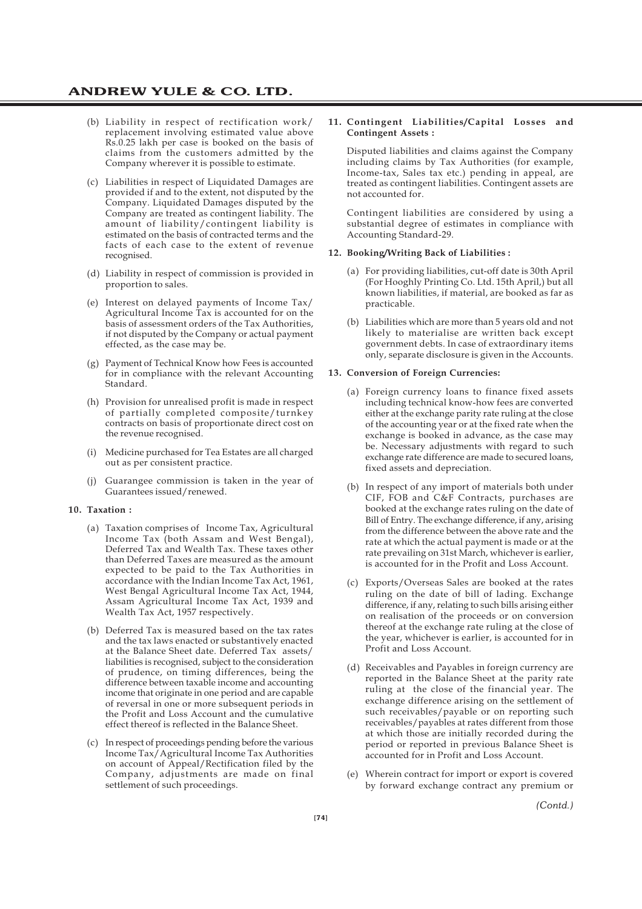- (b) Liability in respect of rectification work/ replacement involving estimated value above Rs.0.25 lakh per case is booked on the basis of claims from the customers admitted by the Company wherever it is possible to estimate.
- (c) Liabilities in respect of Liquidated Damages are provided if and to the extent, not disputed by the Company. Liquidated Damages disputed by the Company are treated as contingent liability. The amount of liability/contingent liability is estimated on the basis of contracted terms and the facts of each case to the extent of revenue recognised.
- (d) Liability in respect of commission is provided in proportion to sales.
- (e) Interest on delayed payments of Income Tax/ Agricultural Income Tax is accounted for on the basis of assessment orders of the Tax Authorities, if not disputed by the Company or actual payment effected, as the case may be.
- (g) Payment of Technical Know how Fees is accounted for in compliance with the relevant Accounting Standard.
- (h) Provision for unrealised profit is made in respect of partially completed composite/turnkey contracts on basis of proportionate direct cost on the revenue recognised.
- (i) Medicine purchased for Tea Estates are all charged out as per consistent practice.
- Guarangee commission is taken in the year of Guarantees issued/renewed.

### **10. Taxation :**

- (a) Taxation comprises of Income Tax, Agricultural Income Tax (both Assam and West Bengal), Deferred Tax and Wealth Tax. These taxes other than Deferred Taxes are measured as the amount expected to be paid to the Tax Authorities in accordance with the Indian Income Tax Act, 1961, West Bengal Agricultural Income Tax Act, 1944, Assam Agricultural Income Tax Act, 1939 and Wealth Tax Act, 1957 respectively.
- (b) Deferred Tax is measured based on the tax rates and the tax laws enacted or substantively enacted at the Balance Sheet date. Deferred Tax assets/ liabilities is recognised, subject to the consideration of prudence, on timing differences, being the difference between taxable income and accounting income that originate in one period and are capable of reversal in one or more subsequent periods in the Profit and Loss Account and the cumulative effect thereof is reflected in the Balance Sheet.
- (c) In respect of proceedings pending before the various Income Tax/Agricultural Income Tax Authorities on account of Appeal/Rectification filed by the Company, adjustments are made on final settlement of such proceedings.

#### **11. Contingent Liabilities/Capital Losses and Contingent Assets :**

Disputed liabilities and claims against the Company including claims by Tax Authorities (for example, Income-tax, Sales tax etc.) pending in appeal, are treated as contingent liabilities. Contingent assets are not accounted for.

Contingent liabilities are considered by using a substantial degree of estimates in compliance with Accounting Standard-29.

#### **12. Booking/Writing Back of Liabilities :**

- (a) For providing liabilities, cut-off date is 30th April (For Hooghly Printing Co. Ltd. 15th April,) but all known liabilities, if material, are booked as far as practicable.
- (b) Liabilities which are more than 5 years old and not likely to materialise are written back except government debts. In case of extraordinary items only, separate disclosure is given in the Accounts.

### **13. Conversion of Foreign Currencies:**

- (a) Foreign currency loans to finance fixed assets including technical know-how fees are converted either at the exchange parity rate ruling at the close of the accounting year or at the fixed rate when the exchange is booked in advance, as the case may be. Necessary adjustments with regard to such exchange rate difference are made to secured loans, fixed assets and depreciation.
- (b) In respect of any import of materials both under CIF, FOB and C&F Contracts, purchases are booked at the exchange rates ruling on the date of Bill of Entry. The exchange difference, if any, arising from the difference between the above rate and the rate at which the actual payment is made or at the rate prevailing on 31st March, whichever is earlier, is accounted for in the Profit and Loss Account.
- (c) Exports/Overseas Sales are booked at the rates ruling on the date of bill of lading. Exchange difference, if any, relating to such bills arising either on realisation of the proceeds or on conversion thereof at the exchange rate ruling at the close of the year, whichever is earlier, is accounted for in Profit and Loss Account.
- (d) Receivables and Payables in foreign currency are reported in the Balance Sheet at the parity rate ruling at the close of the financial year. The exchange difference arising on the settlement of such receivables/payable or on reporting such receivables/payables at rates different from those at which those are initially recorded during the period or reported in previous Balance Sheet is accounted for in Profit and Loss Account.
- (e) Wherein contract for import or export is covered by forward exchange contract any premium or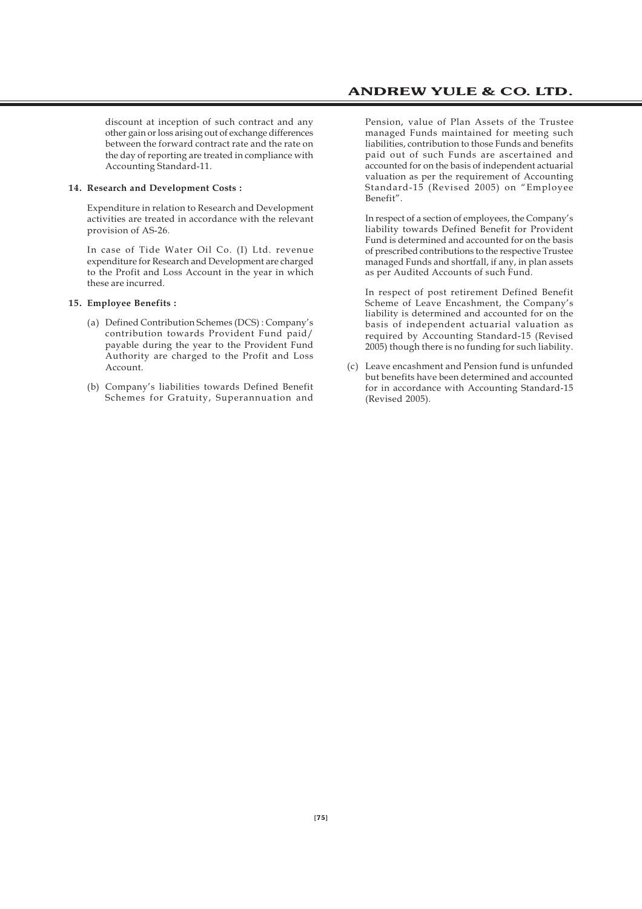discount at inception of such contract and any other gain or loss arising out of exchange differences between the forward contract rate and the rate on the day of reporting are treated in compliance with Accounting Standard-11.

#### **14. Research and Development Costs :**

Expenditure in relation to Research and Development activities are treated in accordance with the relevant provision of AS-26.

In case of Tide Water Oil Co. (I) Ltd. revenue expenditure for Research and Development are charged to the Profit and Loss Account in the year in which these are incurred.

#### **15. Employee Benefits :**

- (a) Defined Contribution Schemes (DCS) : Company's contribution towards Provident Fund paid/ payable during the year to the Provident Fund Authority are charged to the Profit and Loss Account.
- (b) Company's liabilities towards Defined Benefit Schemes for Gratuity, Superannuation and

Pension, value of Plan Assets of the Trustee managed Funds maintained for meeting such liabilities, contribution to those Funds and benefits paid out of such Funds are ascertained and accounted for on the basis of independent actuarial valuation as per the requirement of Accounting Standard-15 (Revised 2005) on "Employee Benefit".

In respect of a section of employees, the Company's liability towards Defined Benefit for Provident Fund is determined and accounted for on the basis of prescribed contributions to the respective Trustee managed Funds and shortfall, if any, in plan assets as per Audited Accounts of such Fund.

In respect of post retirement Defined Benefit Scheme of Leave Encashment, the Company's liability is determined and accounted for on the basis of independent actuarial valuation as required by Accounting Standard-15 (Revised 2005) though there is no funding for such liability.

(c) Leave encashment and Pension fund is unfunded but benefits have been determined and accounted for in accordance with Accounting Standard-15 (Revised 2005).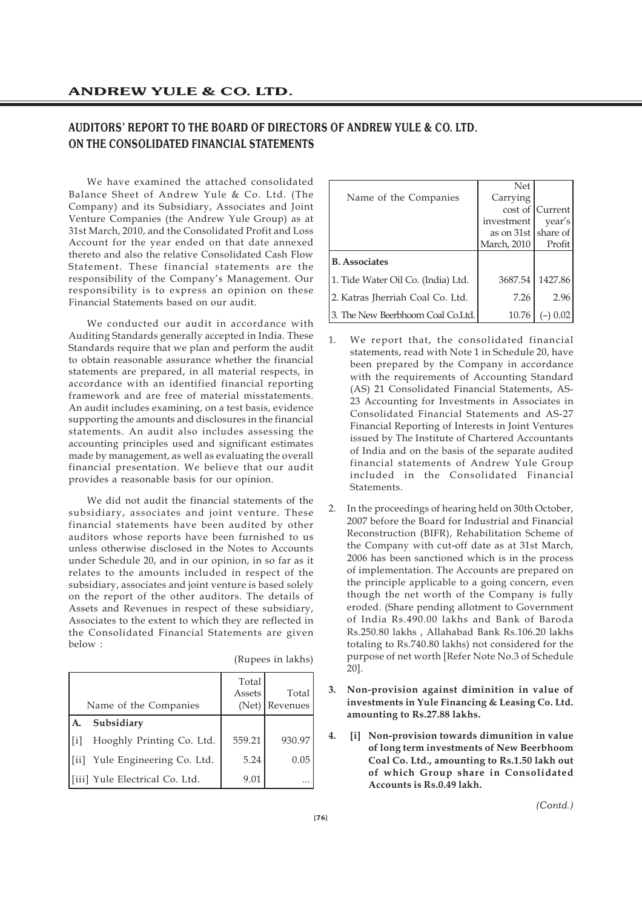# **AUDITORS' REPORT TO THE BOARD OF DIRECTORS OF ANDREW YULE & CO. LTD. ON THE CONSOLIDATED FINANCIAL STATEMENTS**

We have examined the attached consolidated Balance Sheet of Andrew Yule & Co. Ltd. (The Company) and its Subsidiary, Associates and Joint Venture Companies (the Andrew Yule Group) as at 31st March, 2010, and the Consolidated Profit and Loss Account for the year ended on that date annexed thereto and also the relative Consolidated Cash Flow Statement. These financial statements are the responsibility of the Company's Management. Our responsibility is to express an opinion on these Financial Statements based on our audit.

We conducted our audit in accordance with Auditing Standards generally accepted in India. These Standards require that we plan and perform the audit to obtain reasonable assurance whether the financial statements are prepared, in all material respects, in accordance with an identified financial reporting framework and are free of material misstatements. An audit includes examining, on a test basis, evidence supporting the amounts and disclosures in the financial statements. An audit also includes assessing the accounting principles used and significant estimates made by management, as well as evaluating the overall financial presentation. We believe that our audit provides a reasonable basis for our opinion.

We did not audit the financial statements of the subsidiary, associates and joint venture. These financial statements have been audited by other auditors whose reports have been furnished to us unless otherwise disclosed in the Notes to Accounts under Schedule 20, and in our opinion, in so far as it relates to the amounts included in respect of the subsidiary, associates and joint venture is based solely on the report of the other auditors. The details of Assets and Revenues in respect of these subsidiary, Associates to the extent to which they are reflected in the Consolidated Financial Statements are given below :

|        | Name of the Companies           | Total<br>Assets<br>(Net) | Total<br>Revenues |
|--------|---------------------------------|--------------------------|-------------------|
|        | Subsidiary                      |                          |                   |
| l [i]  | Hooghly Printing Co. Ltd.       | 559.21                   | 930.97            |
| l [ii] | Yule Engineering Co. Ltd.       | 5.24                     | 0.05              |
|        | [[iii] Yule Electrical Co. Ltd. | 9.01                     |                   |

|                                    | Net                 |                 |
|------------------------------------|---------------------|-----------------|
| Name of the Companies              | Carrying            |                 |
|                                    |                     | cost of Current |
|                                    | investment          | year's          |
|                                    | as on 31st          | share of        |
|                                    | <b>March</b> , 2010 | Profit          |
| <b>B.</b> Associates               |                     |                 |
| 1. Tide Water Oil Co. (India) Ltd. | 3687.54             | 1427.86         |
| 2. Katras Iherriah Coal Co. Ltd.   | 7.26                | 2.96            |
| 3. The New Beerbhoom Coal Co.Ltd.  | 10.76               |                 |

- 1. We report that, the consolidated financial statements, read with Note 1 in Schedule 20, have been prepared by the Company in accordance with the requirements of Accounting Standard (AS) 21 Consolidated Financial Statements, AS-23 Accounting for Investments in Associates in Consolidated Financial Statements and AS-27 Financial Reporting of Interests in Joint Ventures issued by The Institute of Chartered Accountants of India and on the basis of the separate audited financial statements of Andrew Yule Group included in the Consolidated Financial **Statements**
- 2. In the proceedings of hearing held on 30th October, 2007 before the Board for Industrial and Financial Reconstruction (BIFR), Rehabilitation Scheme of the Company with cut-off date as at 31st March, 2006 has been sanctioned which is in the process of implementation. The Accounts are prepared on the principle applicable to a going concern, even though the net worth of the Company is fully eroded. (Share pending allotment to Government of India Rs.490.00 lakhs and Bank of Baroda Rs.250.80 lakhs , Allahabad Bank Rs.106.20 lakhs totaling to Rs.740.80 lakhs) not considered for the purpose of net worth [Refer Note No.3 of Schedule 20].
- **3. Non-provision against diminition in value of investments in Yule Financing & Leasing Co. Ltd. amounting to Rs.27.88 lakhs.**
- **4. [i] Non-provision towards dimunition in value of long term investments of New Beerbhoom Coal Co. Ltd., amounting to Rs.1.50 lakh out of which Group share in Consolidated Accounts is Rs.0.49 lakh.**

*(Contd.)*

(Rupees in lakhs)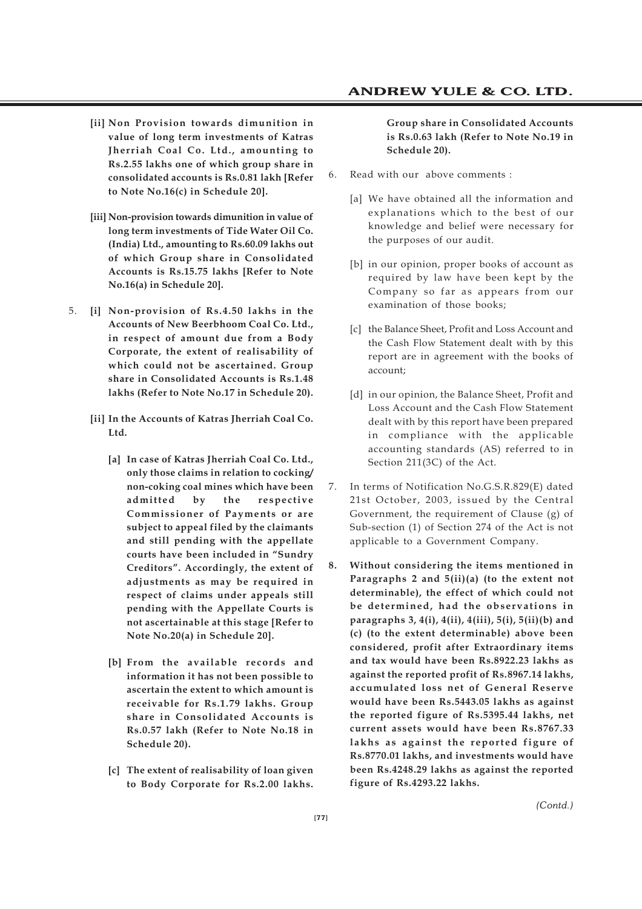- **[ii] Non Provision towards dimunition in value of long term investments of Katras Jherriah Coal Co. Ltd., amounting to Rs.2.55 lakhs one of which group share in consolidated accounts is Rs.0.81 lakh [Refer to Note No.16(c) in Schedule 20].**
- **[iii] Non-provision towards dimunition in value of long term investments of Tide Water Oil Co. (India) Ltd., amounting to Rs.60.09 lakhs out of which Group share in Consolidated Accounts is Rs.15.75 lakhs [Refer to Note No.16(a) in Schedule 20].**
- 5. **[i] Non-provision of Rs.4.50 lakhs in the Accounts of New Beerbhoom Coal Co. Ltd., in respect of amount due from a Body Corporate, the extent of realisability of which could not be ascertained. Group share in Consolidated Accounts is Rs.1.48 lakhs (Refer to Note No.17 in Schedule 20).**
	- **[ii] In the Accounts of Katras Jherriah Coal Co. Ltd.**
		- **[a] In case of Katras Jherriah Coal Co. Ltd., only those claims in relation to cocking/ non-coking coal mines which have been admitted by the respective Commissioner of Payments or are subject to appeal filed by the claimants and still pending with the appellate courts have been included in "Sundry Creditors". Accordingly, the extent of adjustments as may be required in respect of claims under appeals still pending with the Appellate Courts is not ascertainable at this stage [Refer to Note No.20(a) in Schedule 20].**
		- **[b] From the available records and information it has not been possible to ascertain the extent to which amount is receivable for Rs.1.79 lakhs. Group share in Consolidated Accounts is Rs.0.57 lakh (Refer to Note No.18 in Schedule 20).**
		- **[c] The extent of realisability of loan given to Body Corporate for Rs.2.00 lakhs.**

### **Group share in Consolidated Accounts is Rs.0.63 lakh (Refer to Note No.19 in Schedule 20).**

- 6. Read with our above comments :
	- [a] We have obtained all the information and explanations which to the best of our knowledge and belief were necessary for the purposes of our audit.
	- [b] in our opinion, proper books of account as required by law have been kept by the Company so far as appears from our examination of those books;
	- [c] the Balance Sheet, Profit and Loss Account and the Cash Flow Statement dealt with by this report are in agreement with the books of account;
	- [d] in our opinion, the Balance Sheet, Profit and Loss Account and the Cash Flow Statement dealt with by this report have been prepared in compliance with the applicable accounting standards (AS) referred to in Section 211(3C) of the Act.
- 7. In terms of Notification No.G.S.R.829(E) dated 21st October, 2003, issued by the Central Government, the requirement of Clause (g) of Sub-section (1) of Section 274 of the Act is not applicable to a Government Company.
- **8. Without considering the items mentioned in Paragraphs 2 and 5(ii)(a) (to the extent not determinable), the effect of which could not be determined, had the observations in paragraphs 3, 4(i), 4(ii), 4(iii), 5(i), 5(ii)(b) and (c) (to the extent determinable) above been considered, profit after Extraordinary items and tax would have been Rs.8922.23 lakhs as against the reported profit of Rs.8967.14 lakhs, accumulated loss net of General Reserve would have been Rs.5443.05 lakhs as against the reported figure of Rs.5395.44 lakhs, net current assets would have been Rs.8767.33 lakhs as against the reported figure of Rs.8770.01 lakhs, and investments would have been Rs.4248.29 lakhs as against the reported figure of Rs.4293.22 lakhs.**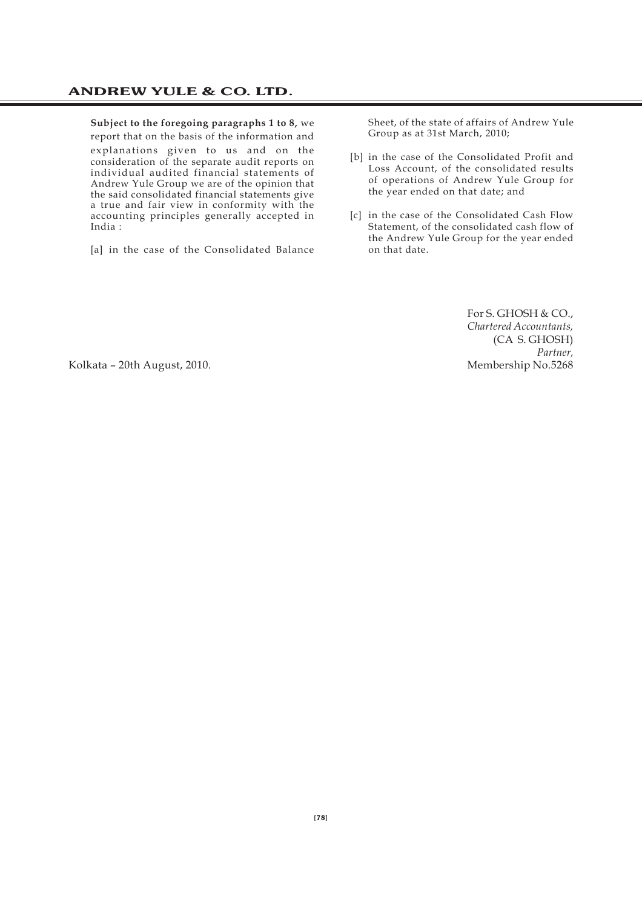# **Subject to the foregoing paragraphs 1 to 8,** we

report that on the basis of the information and explanations given to us and on the consideration of the separate audit reports on individual audited financial statements of Andrew Yule Group we are of the opinion that the said consolidated financial statements give a true and fair view in conformity with the accounting principles generally accepted in India :

[a] in the case of the Consolidated Balance

Sheet, of the state of affairs of Andrew Yule Group as at 31st March, 2010;

- [b] in the case of the Consolidated Profit and Loss Account, of the consolidated results of operations of Andrew Yule Group for the year ended on that date; and
- [c] in the case of the Consolidated Cash Flow Statement, of the consolidated cash flow of the Andrew Yule Group for the year ended on that date.

For S. GHOSH & CO., *Chartered Accountants,* (CA S. GHOSH) *Partner,*

Kolkata – 20th August, 2010. New York 2010. Membership No.5268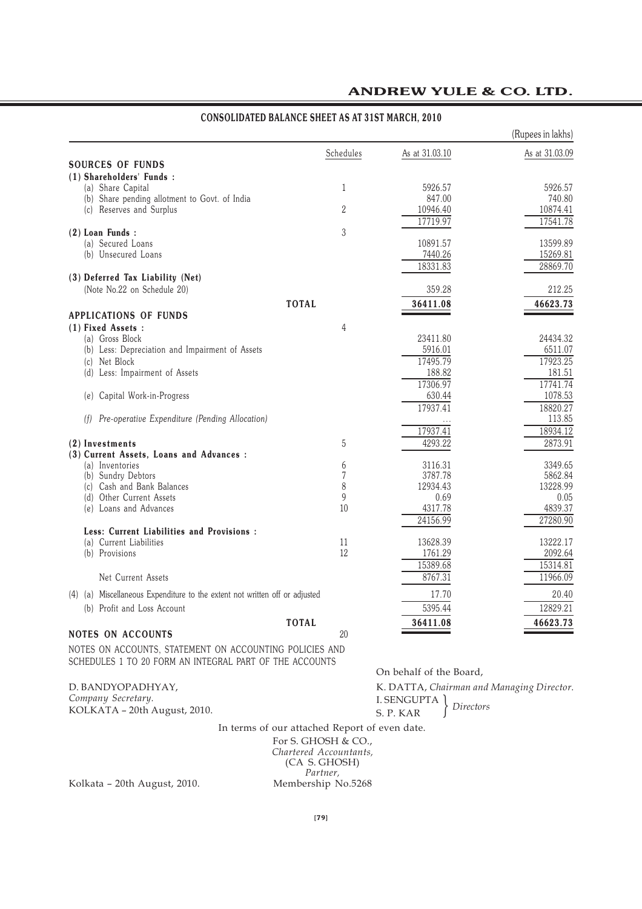### (Rupees in lakhs) Schedules As at 31.03.10 As at 31.03.09 **SOURCES OF FUNDS (1) Shareholders' Funds :** (a) Share Capital 61 5926.57 5926.57 5926.57 5926.57 5926.57 5926.57 5926.57 5926.57 5926.57 5926.57 5926.57 5926.57 5926.57 5926.57 5926.57 5926.57 5926.57 5926.57 5926.57 5926.57 5926.57 5926.57 5926.57 5926.57 5926.57 5 (b) Share pending allotment to Govt. of India  $\begin{array}{ccc}\n & 847.00 & 847.00 \\
\hline\n & 847.00 & 740.80 \\
\hline\n\end{array}$ (c) Reserves and Surplus 17719.97 17541.78 **(2) Loan Funds :** 3 (a) Secured Loans 10891.57 13599.89<br>
(b) Unsecured Loans 15269.81 13599.89 15269.81 (b) Unsecured Loans 18331.83 28869.70 **(3) Deferred Tax Liability (Net)** (Note No.22 on Schedule 20) 359.28 212.25 **TOTA L 36411.08 46623.73 APPLICATIONS OF FUNDS (1) Fixed Assets :** 4 (a) Gross Block 23411.80 24434.32 (b) Less: Depreciation and Impairment of Assets 5916.01 6511.07 (c) Net Block 17495.79 17923.25 (d) Less: Impairment of Assets 181.51 (d) Less: Impairment of Assets 188.82 181.51 17306.97<br>630.44 1078.53 (e) Capital Work-in-Progress 630.44 1078.53  $\overline{17937.41}$  18820.27<br>113.85 *(f) Pre-operative Expenditure (Pending Allocation)* ... 113.85 17937.41 18934.12 **(2)** Investments 5 4293.22 2873.91 **(3) Current Assets, Loans and Advances :** (a) Inventories 3116.31 3349.65<br>
(b) Sundry Debtors 6 3116.31 3349.65<br>
7 3787.78 5862.84 (b) Sundry Debtors 6862.84 (c) Sundry Debtors 5862.84 (c) 3787.78 5862.84 (c) 3787.78 5862.84 (c) 3787.78 5862.84 (c)  $\frac{13228.99}{2934.43}$ (c) Cash and Bank Balances 8 12934.43 1294.43 1294.43 1294.43 13228.999.43 13228.999.99 (d) Other Current Assets 6 0.05 (e) Loans and Advances (e) Loans and Advances (e)  $\frac{9}{10}$  0.69 (e)  $\frac{4317.78}{4839.37}$  4839.37 (e) Loans and Advances 24156.99 27280.90 **Less: Current Liabilities and Provisions :** (a) Current Liabilities  $\begin{array}{ccccccc}\n & & & & & & 11 & & & & 13628.39 & & & & 13222.17 \\
\hline\n\text{(b)} & \text{Proviions} & & & & & 19 & & 1761.99 & & & & 909.64\n\end{array}$ (b) Provisions 2092.64 15389.68 15314.81 Net Current Assets 11966.09 (4) (a) Miscellaneous Expenditure to the extent not written off or adjusted 17.70 20.40 (b) Profit and Loss Account 12829.21 12829.21 12829.21 12829.21 12829.21 12829.21 **TOTA L 36411.08 46623.73 NOTES ON ACCOUNTS** 20

# **ANDREW YULE & CO. LTD.**

### **CONSOLIDATED BALANCE SHEET AS AT 31ST MARCH, 2010**

NOTES ON ACCOUNTS, STATEMENT ON ACCOUNTING POLICIES AND SCHEDULES 1 TO 20 FORM AN INTEGRAL PART OF THE ACCOUNTS

D. BANDYOPADHYAY, *Company Secretary.* KOLKATA – 20th August, 2010. On behalf of the Board,

K. DATTA, *Chairman and Managing Director.* I. SENGUPTA S. P. KAR Pirectors

In terms of our attached Report of even date.

For S. GHOSH & CO., *Chartered Accountants,* (CA S. GHOSH) *Partner,*<br>Membership No.5268

Kolkata - 20th August, 2010.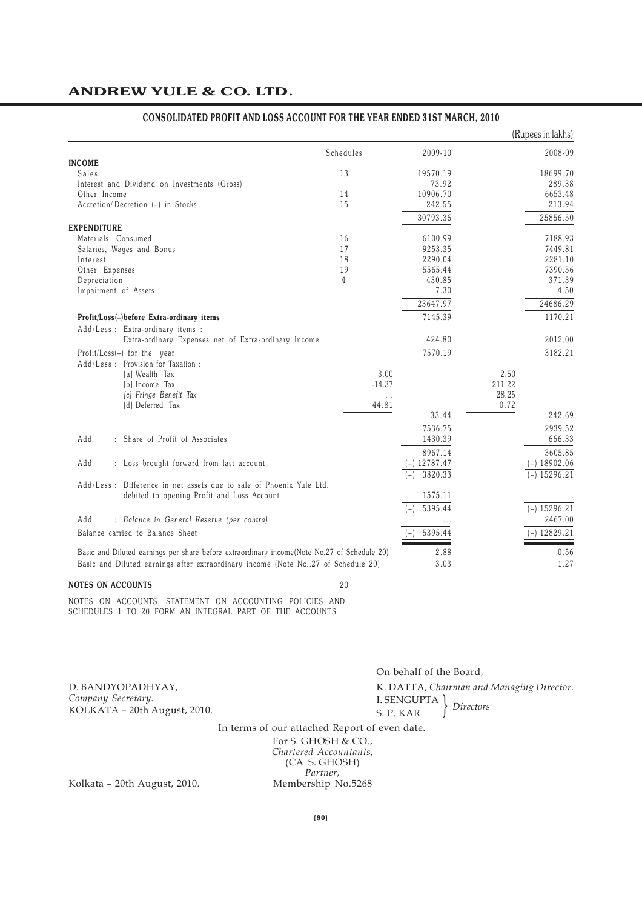|                                                                                             |           |                |        | (Rupees in lakhs) |
|---------------------------------------------------------------------------------------------|-----------|----------------|--------|-------------------|
|                                                                                             | Schedules | 2009-10        |        | 2008-09           |
| <b>INCOME</b>                                                                               |           |                |        |                   |
| <b>Sales</b>                                                                                | 13        | 19570.19       |        | 18699.70          |
| Interest and Dividend on Investments (Gross)                                                |           | 73.92          |        | 289.38            |
| Other Income                                                                                | 14        | 10906.70       |        | 6653.48           |
| Accretion/Decretion (-) in Stocks                                                           | 15        | 242.55         |        | 213.94            |
|                                                                                             |           | 30793.36       |        | 25856.50          |
| <b>EXPENDITURE</b>                                                                          |           |                |        |                   |
| Materials Consumed                                                                          | 16        | 6100.99        |        | 7188.93           |
| Salaries, Wages and Bonus                                                                   | 17        | 9253.35        |        | 7449.81           |
| Interest                                                                                    | 18        | 2290.04        |        | 2281.10           |
| Other Expenses                                                                              | 19        | 5565.44        |        | 7390.56           |
| Depreciation                                                                                | 4         | 430.85         |        | 371.39            |
| Impairment of Assets                                                                        |           | 7.30           |        | 4.50              |
|                                                                                             |           | 23647.97       |        | 24686.29          |
| Profit/Loss(-)before Extra-ordinary items                                                   |           | 7145.39        |        | 1170.21           |
| Add/Less : Extra-ordinary items :                                                           |           |                |        |                   |
| Extra-ordinary Expenses net of Extra-ordinary Income                                        |           | 424.80         |        | 2012.00           |
| Profit/Loss(-) for the year                                                                 |           | 7570.19        |        | 3182.21           |
| Add/Less: Provision for Taxation:                                                           |           |                |        |                   |
| [a] Wealth Tax                                                                              | 3.00      |                | 2.50   |                   |
| [b] Income Tax                                                                              | $-14.37$  |                | 211.22 |                   |
| [c] Fringe Benefit Tax                                                                      | $\cdots$  |                | 28.25  |                   |
| [d] Deferred Tax                                                                            | 44.81     |                | 0.72   |                   |
|                                                                                             |           | 33.44          |        | 242.69            |
|                                                                                             |           |                |        |                   |
|                                                                                             |           | 7536.75        |        | 2939.52           |
| Add<br>: Share of Profit of Associates                                                      |           | 1430.39        |        | 666.33            |
|                                                                                             |           | 8967.14        |        | 3605.85           |
| Add<br>: Loss brought forward from last account                                             |           | $(-)$ 12787.47 |        | $(-) 18902.06$    |
|                                                                                             |           | 3820.33        |        | $-)$ 15296.21     |
| Add/Less: Difference in net assets due to sale of Phoenix Yule Ltd.                         |           |                |        |                   |
| debited to opening Profit and Loss Account                                                  |           | 1575.11        |        |                   |
|                                                                                             |           | 5395.44        |        | $(-) 15296.21$    |
| Add<br>: Balance in General Reserve (per contra)                                            |           |                |        | 2467.00           |
| Balance carried to Balance Sheet                                                            |           | 5395.44        |        | $-)$ 12829.21     |
|                                                                                             |           |                |        |                   |
| Basic and Diluted earnings per share before extraordinary income(Note No.27 of Schedule 20) |           | 2.88           |        | 0.56              |
| Basic and Diluted earnings after extraordinary income (Note No27 of Schedule 20)            |           | 3.03           |        | 1.27              |
|                                                                                             |           |                |        |                   |

### **CONSOLIDATED PROFIT AND LOSS ACCOUNT FOR THE YEAR ENDED 31ST MARCH, 2010**

**NOTES ON ACCOUNTS** 20

NOTES ON ACCOUNTS, STATEMENT ON ACCOUNTING POLICIES AND SCHEDULES 1 TO 20 FORM AN INTEGRAL PART OF THE ACCOUNTS

D. BANDYOPADHYAY, *Company Secretary.* KOLKATA – 20th August, 2010.

On behalf of the Board, K. DATTA, *Chairman and Managing Director.* I. SENGUPTA S. P. KAR *Directors* 

In terms of our attached Report of even date.

For S. GHOSH & CO., *Chartered Accountants,* (CA S. GHOSH) Partner,<br>Membership No.5268

Kolkata - 20th August, 2010.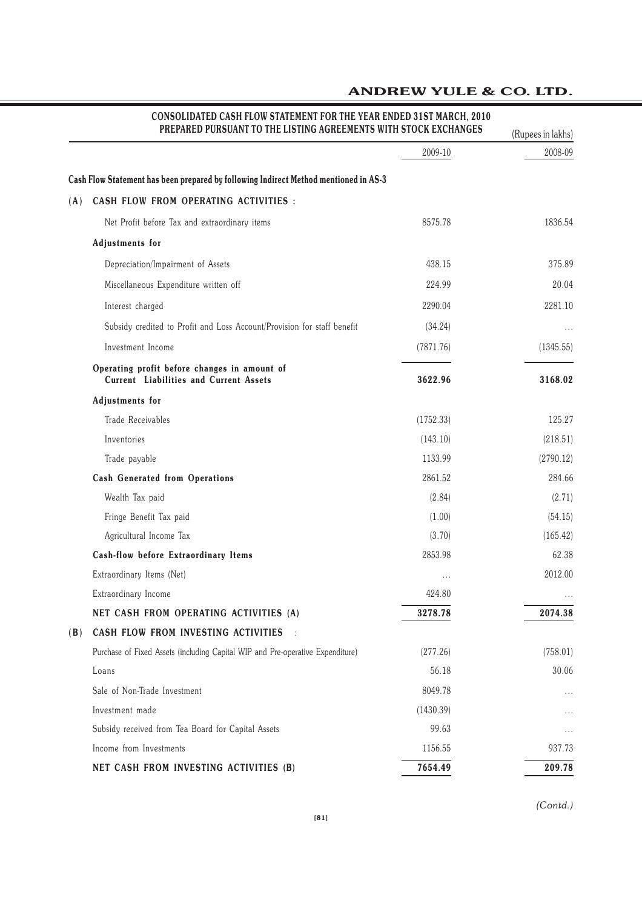|     | PREPARED PURSUANT TO THE LISTING AGREEMENTS WITH STOCK EXCHANGES                              |           | (Rupees in lakhs) |  |
|-----|-----------------------------------------------------------------------------------------------|-----------|-------------------|--|
|     |                                                                                               | 2009-10   | 2008-09           |  |
|     | Cash Flow Statement has been prepared by following Indirect Method mentioned in AS-3          |           |                   |  |
| (A) | CASH FLOW FROM OPERATING ACTIVITIES :                                                         |           |                   |  |
|     | Net Profit before Tax and extraordinary items                                                 | 8575.78   | 1836.54           |  |
|     | <b>Adjustments</b> for                                                                        |           |                   |  |
|     | Depreciation/Impairment of Assets                                                             | 438.15    | 375.89            |  |
|     | Miscellaneous Expenditure written off                                                         | 224.99    | 20.04             |  |
|     | Interest charged                                                                              | 2290.04   | 2281.10           |  |
|     | Subsidy credited to Profit and Loss Account/Provision for staff benefit                       | (34.24)   | $\cdots$          |  |
|     | Investment Income                                                                             | (7871.76) | (1345.55)         |  |
|     | Operating profit before changes in amount of<br><b>Current Liabilities and Current Assets</b> | 3622.96   | 3168.02           |  |
|     | <b>Adjustments</b> for                                                                        |           |                   |  |
|     | Trade Receivables                                                                             | (1752.33) | 125.27            |  |
|     | Inventories                                                                                   | (143.10)  | (218.51)          |  |
|     | Trade payable                                                                                 | 1133.99   | (2790.12)         |  |
|     | <b>Cash Generated from Operations</b>                                                         | 2861.52   | 284.66            |  |
|     | Wealth Tax paid                                                                               | (2.84)    | (2.71)            |  |
|     | Fringe Benefit Tax paid                                                                       | (1.00)    | (54.15)           |  |
|     | Agricultural Income Tax                                                                       | (3.70)    | (165.42)          |  |
|     | <b>Cash-flow before Extraordinary Items</b>                                                   | 2853.98   | 62.38             |  |
|     | Extraordinary Items (Net)                                                                     |           | 2012.00           |  |
|     | Extraordinary Income                                                                          | 424.80    |                   |  |
|     | NET CASH FROM OPERATING ACTIVITIES (A)                                                        | 3278.78   | 2074.38           |  |
| (B) | CASH FLOW FROM INVESTING ACTIVITIES                                                           |           |                   |  |
|     | Purchase of Fixed Assets (including Capital WIP and Pre-operative Expenditure)                | (277.26)  | (758.01)          |  |
|     | Loans                                                                                         | 56.18     | 30.06             |  |
|     | Sale of Non-Trade Investment                                                                  | 8049.78   | .                 |  |
|     | Investment made                                                                               | (1430.39) | .                 |  |
|     | Subsidy received from Tea Board for Capital Assets                                            | 99.63     | $\cdots$          |  |
|     | Income from Investments                                                                       | 1156.55   | 937.73            |  |
|     | NET CASH FROM INVESTING ACTIVITIES (B)                                                        | 7654.49   | 209.78            |  |

# **CONSOLIDATED CASH FLOW STATEMENT FOR THE YEAR ENDED 31ST MARCH, 2010**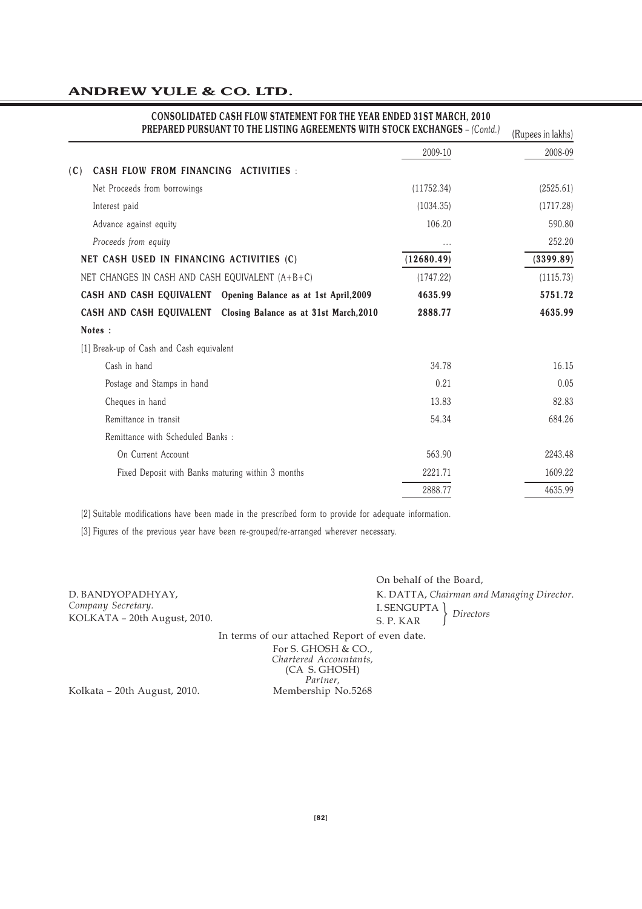| PREPARED PURSUANT TO THE LISTING AGREEMENTS WITH STOCK EXCHANGES - (Contd.)<br>(Rupees in lakhs) |            |           |  |  |  |
|--------------------------------------------------------------------------------------------------|------------|-----------|--|--|--|
|                                                                                                  | 2009-10    | 2008-09   |  |  |  |
| CASH FLOW FROM FINANCING ACTIVITIES :<br>(C)                                                     |            |           |  |  |  |
| Net Proceeds from borrowings                                                                     | (11752.34) | (2525.61) |  |  |  |
| Interest paid                                                                                    | (1034.35)  | (1717.28) |  |  |  |
| Advance against equity                                                                           | 106.20     | 590.80    |  |  |  |
| Proceeds from equity                                                                             | .          | 252.20    |  |  |  |
| NET CASH USED IN FINANCING ACTIVITIES (C)                                                        | (12680.49) | (3399.89) |  |  |  |
| NET CHANGES IN CASH AND CASH EQUIVALENT (A+B+C)                                                  | (1747.22)  | (1115.73) |  |  |  |
| CASH AND CASH EQUIVALENT Opening Balance as at 1st April, 2009                                   | 4635.99    | 5751.72   |  |  |  |
| CASH AND CASH EQUIVALENT Closing Balance as at 31st March, 2010                                  | 2888.77    | 4635.99   |  |  |  |
| Notes:                                                                                           |            |           |  |  |  |
| [1] Break-up of Cash and Cash equivalent                                                         |            |           |  |  |  |
| Cash in hand                                                                                     | 34.78      | 16.15     |  |  |  |
| Postage and Stamps in hand                                                                       | 0.21       | 0.05      |  |  |  |
| Cheques in hand                                                                                  | 13.83      | 82.83     |  |  |  |
| Remittance in transit                                                                            | 54.34      | 684.26    |  |  |  |
| Remittance with Scheduled Banks:                                                                 |            |           |  |  |  |
| On Current Account                                                                               | 563.90     | 2243.48   |  |  |  |
| Fixed Deposit with Banks maturing within 3 months                                                | 2221.71    | 1609.22   |  |  |  |
|                                                                                                  | 2888.77    | 4635.99   |  |  |  |

# **CONSOLIDATED CASH FLOW STATEMENT FOR THE YEAR ENDED 31ST MARCH, 2010**

[2] Suitable modifications have been made in the prescribed form to provide for adequate information.

[3] Figures of the previous year have been re-grouped/re-arranged wherever necessary.

| D. BANDYOPADHYAY,            |  |
|------------------------------|--|
| Company Secretary.           |  |
| KOLKATA - 20th August, 2010. |  |

On behalf of the Board, K. DATTA, *Chairman and Managing Director.* I. SENGUPTA S. P. KAR } *Directors*

In terms of our attached Report of even date.

For S. GHOSH & CO., *Chartered Accountants,* (CA S. GHOSH) *Partner,*

Kolkata - 20th August, 2010. Membership No.5268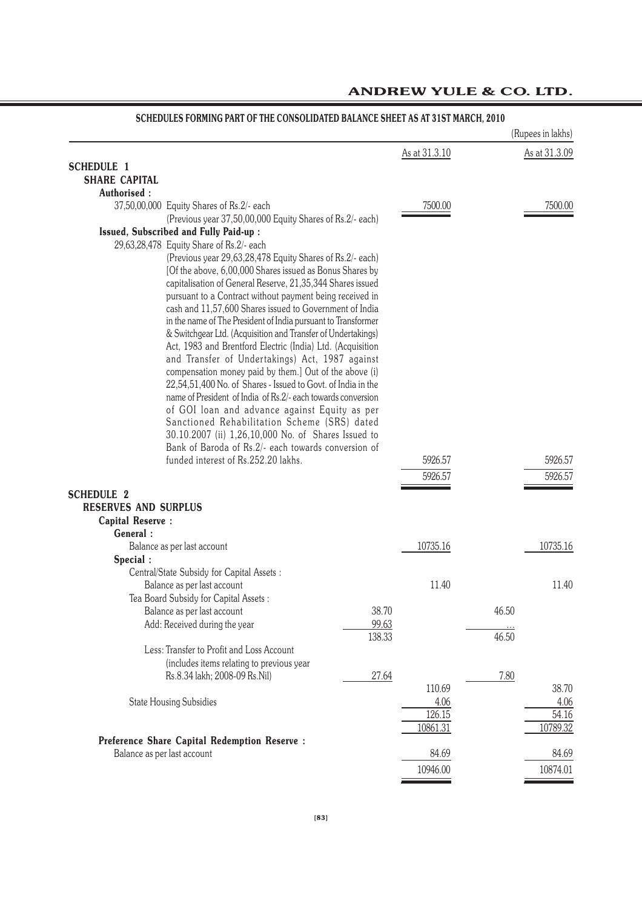|                                     |                                                                                                               |        |                    |       | (Rupees in lakhs) |
|-------------------------------------|---------------------------------------------------------------------------------------------------------------|--------|--------------------|-------|-------------------|
|                                     |                                                                                                               |        | As at 31.3.10      |       | As at 31.3.09     |
| <b>SCHEDULE 1</b>                   |                                                                                                               |        |                    |       |                   |
| <b>SHARE CAPITAL</b>                |                                                                                                               |        |                    |       |                   |
| Authorised:                         |                                                                                                               |        |                    |       |                   |
|                                     | 37,50,00,000 Equity Shares of Rs.2/- each                                                                     |        | 7500.00            |       | 7500.00           |
|                                     | (Previous year 37,50,00,000 Equity Shares of Rs.2/- each)                                                     |        |                    |       |                   |
|                                     | Issued, Subscribed and Fully Paid-up :<br>29,63,28,478 Equity Share of Rs.2/- each                            |        |                    |       |                   |
|                                     | (Previous year 29,63,28,478 Equity Shares of Rs.2/- each)                                                     |        |                    |       |                   |
|                                     | [Of the above, 6,00,000 Shares issued as Bonus Shares by                                                      |        |                    |       |                   |
|                                     | capitalisation of General Reserve, 21,35,344 Shares issued                                                    |        |                    |       |                   |
|                                     | pursuant to a Contract without payment being received in                                                      |        |                    |       |                   |
|                                     | cash and 11,57,600 Shares issued to Government of India                                                       |        |                    |       |                   |
|                                     | in the name of The President of India pursuant to Transformer                                                 |        |                    |       |                   |
|                                     | & Switchgear Ltd. (Acquisition and Transfer of Undertakings)                                                  |        |                    |       |                   |
|                                     | Act, 1983 and Brentford Electric (India) Ltd. (Acquisition<br>and Transfer of Undertakings) Act, 1987 against |        |                    |       |                   |
|                                     | compensation money paid by them.] Out of the above (i)                                                        |        |                    |       |                   |
|                                     | 22,54,51,400 No. of Shares - Issued to Govt. of India in the                                                  |        |                    |       |                   |
|                                     | name of President of India of Rs.2/- each towards conversion                                                  |        |                    |       |                   |
|                                     | of GOI loan and advance against Equity as per                                                                 |        |                    |       |                   |
|                                     | Sanctioned Rehabilitation Scheme (SRS) dated                                                                  |        |                    |       |                   |
|                                     | 30.10.2007 (ii) 1,26,10,000 No. of Shares Issued to                                                           |        |                    |       |                   |
|                                     | Bank of Baroda of Rs.2/- each towards conversion of<br>funded interest of Rs.252.20 lakhs.                    |        | 5926.57            |       | 5926.57           |
|                                     |                                                                                                               |        | 5926.57            |       | 5926.57           |
|                                     |                                                                                                               |        |                    |       |                   |
| <b>SCHEDULE 2</b>                   |                                                                                                               |        |                    |       |                   |
| <b>RESERVES AND SURPLUS</b>         |                                                                                                               |        |                    |       |                   |
| <b>Capital Reserve:</b><br>General: |                                                                                                               |        |                    |       |                   |
|                                     | Balance as per last account                                                                                   |        | 10735.16           |       | 10735.16          |
| Special:                            |                                                                                                               |        |                    |       |                   |
|                                     | Central/State Subsidy for Capital Assets :                                                                    |        |                    |       |                   |
|                                     | Balance as per last account                                                                                   |        | 11.40              |       | 11.40             |
|                                     | Tea Board Subsidy for Capital Assets:                                                                         |        |                    |       |                   |
|                                     | Balance as per last account                                                                                   | 38.70  |                    | 46.50 |                   |
|                                     |                                                                                                               |        |                    |       |                   |
|                                     | Add: Received during the year                                                                                 | 99.63  |                    |       |                   |
|                                     |                                                                                                               | 138.33 |                    | 46.50 |                   |
|                                     | Less: Transfer to Profit and Loss Account                                                                     |        |                    |       |                   |
|                                     | (includes items relating to previous year                                                                     |        |                    |       |                   |
|                                     | Rs.8.34 lakh; 2008-09 Rs.Nil)                                                                                 | 27.64  |                    | 7.80  |                   |
|                                     |                                                                                                               |        | 110.69             |       | 38.70             |
|                                     | <b>State Housing Subsidies</b>                                                                                |        | 4.06               |       | 4.06              |
|                                     |                                                                                                               |        | 126.15<br>10861.31 |       | 54.16<br>10789.32 |
|                                     | <b>Preference Share Capital Redemption Reserve:</b>                                                           |        |                    |       |                   |
|                                     | Balance as per last account                                                                                   |        | 84.69              |       | 84.69             |

# **SCHEDULES FORMING PART OF THE CONSOLIDATED BALANCE SHEET AS AT 31ST MARCH, 2010**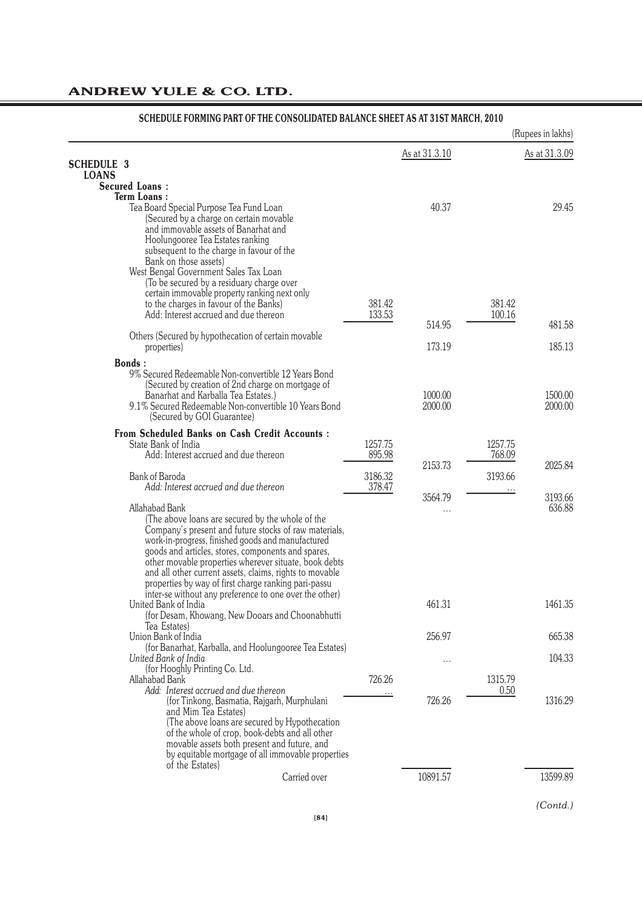|                                                                                                                                                                                                                                                                                                                                                                                                                    |                   |                    |                   | (Rupees in lakhs)  |
|--------------------------------------------------------------------------------------------------------------------------------------------------------------------------------------------------------------------------------------------------------------------------------------------------------------------------------------------------------------------------------------------------------------------|-------------------|--------------------|-------------------|--------------------|
|                                                                                                                                                                                                                                                                                                                                                                                                                    |                   | As at 31.3.10      |                   | As at 31.3.09      |
| <b>SCHEDULE 3</b><br><b>LOANS</b>                                                                                                                                                                                                                                                                                                                                                                                  |                   |                    |                   |                    |
| <b>Secured Loans:</b>                                                                                                                                                                                                                                                                                                                                                                                              |                   |                    |                   |                    |
| <b>Term Loans:</b>                                                                                                                                                                                                                                                                                                                                                                                                 |                   | 40.37              |                   | 29.45              |
| Tea Board Special Purpose Tea Fund Loan<br>(Secured by a charge on certain movable<br>and immovable assets of Banarhat and<br>Hoolungooree Tea Estates ranking<br>subsequent to the charge in favour of the<br>Bank on those assets)                                                                                                                                                                               |                   |                    |                   |                    |
| West Bengal Government Sales Tax Loan<br>(To be secured by a residuary charge over<br>certain immovable property ranking next only<br>to the charges in favour of the Banks)                                                                                                                                                                                                                                       | 381.42            |                    | 381.42            |                    |
| Add: Interest accrued and due thereon                                                                                                                                                                                                                                                                                                                                                                              | 133.53            |                    | 100.16            |                    |
| Others (Secured by hypothecation of certain movable                                                                                                                                                                                                                                                                                                                                                                |                   | 514.95             |                   | 481.58             |
| properties)                                                                                                                                                                                                                                                                                                                                                                                                        |                   | 173.19             |                   | 185.13             |
| <b>Bonds:</b><br>9% Secured Redeemable Non-convertible 12 Years Bond<br>(Secured by creation of 2nd charge on mortgage of<br>Banarhat and Karballa Tea Estates.)<br>9.1% Secured Redeemable Non-convertible 10 Years Bond<br>(Secured by GOI Guarantee)                                                                                                                                                            |                   | 1000.00<br>2000.00 |                   | 1500.00<br>2000.00 |
| <b>From Scheduled Banks on Cash Credit Accounts:</b><br>State Bank of India<br>Add: Interest accrued and due thereon                                                                                                                                                                                                                                                                                               | 1257.75<br>895.98 |                    | 1257.75<br>768.09 |                    |
| <b>Bank of Baroda</b><br>Add: Interest accrued and due thereon                                                                                                                                                                                                                                                                                                                                                     | 3186.32<br>378.47 | 2153.73            | 3193.66           | 2025.84            |
| Allahabad Bank<br>(The above loans are secured by the whole of the<br>Company's present and future stocks of raw materials,<br>work-in-progress, finished goods and manufactured<br>goods and articles, stores, components and spares,<br>other movable properties wherever situate, book debts<br>and all other current assets, claims, rights to movable<br>properties by way of first charge ranking pari-passu |                   | 3564.79<br>.       |                   | 3193.66<br>636.88  |
| inter-se without any preference to one over the other)<br>United Bank of India<br>(for Desam, Khowang, New Dooars and Choonabhutti<br>Tea Estates)                                                                                                                                                                                                                                                                 |                   | 461.31             |                   | 1461.35            |
| Union Bank of India                                                                                                                                                                                                                                                                                                                                                                                                |                   | 256.97             |                   | 665.38             |
| (for Banarhat, Karballa, and Hoolungooree Tea Estates)<br>United Bank of India<br>(for Hooghly Printing Co. Ltd.                                                                                                                                                                                                                                                                                                   |                   | .                  |                   | 104.33             |
| Allahabad Bank<br>Add: Interest accrued and due thereon<br>(for Tinkong, Basmatia, Rajgarh, Murphulani<br>and Mim Tea Estates)<br>(The above loans are secured by Hypothecation<br>of the whole of crop, book-debts and all other<br>movable assets both present and future, and<br>by equitable mortgage of all immovable properties                                                                              | 726.26            | 726.26             | 1315.79<br>0.50   | 1316.29            |
| of the Estates)<br>Carried over                                                                                                                                                                                                                                                                                                                                                                                    |                   | 10891.57           |                   | 13599.89           |
|                                                                                                                                                                                                                                                                                                                                                                                                                    |                   |                    |                   |                    |

### **SCHEDULE FORMING PART OF THE CONSOLIDATED BALANCE SHEET AS AT 31ST MARCH, 2010**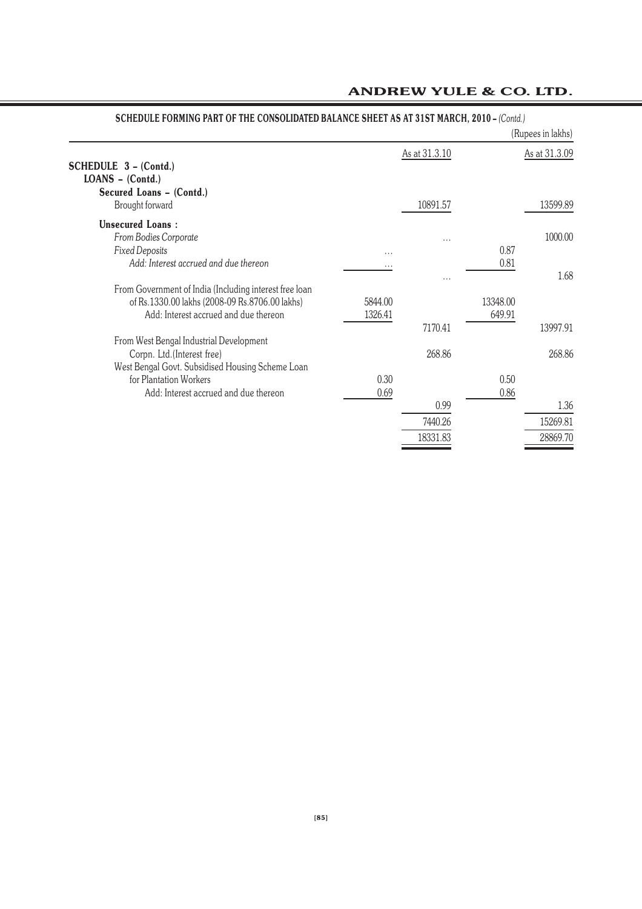|                                                                                                          |          |               |          | (Rupees in lakhs) |
|----------------------------------------------------------------------------------------------------------|----------|---------------|----------|-------------------|
| SCHEDULE 3 - (Contd.)<br>$LOANS - (Contd.)$                                                              |          | As at 31.3.10 |          | As at 31.3.09     |
| Secured Loans - (Contd.)<br>Brought forward                                                              |          | 10891.57      |          | 13599.89          |
| <b>Unsecured Loans:</b>                                                                                  |          |               |          |                   |
| From Bodies Corporate<br><b>Fixed Deposits</b>                                                           | .        | .             | 0.87     | 1000.00           |
| Add: Interest accrued and due thereon                                                                    | $\cdots$ |               | 0.81     |                   |
| From Government of India (Including interest free loan<br>of Rs.1330.00 lakhs (2008-09 Rs.8706.00 lakhs) | 5844.00  |               | 13348.00 | 1.68              |
| Add: Interest accrued and due thereon                                                                    | 1326.41  | 7170.41       | 649.91   | 13997.91          |
| From West Bengal Industrial Development                                                                  |          |               |          |                   |
| Corpn. Ltd. (Interest free)<br>West Bengal Govt. Subsidised Housing Scheme Loan                          |          | 268.86        |          | 268.86            |
| for Plantation Workers                                                                                   | 0.30     |               | 0.50     |                   |
| Add: Interest accrued and due thereon                                                                    | 0.69     |               | 0.86     |                   |
|                                                                                                          |          | 0.99          |          | 1.36              |
|                                                                                                          |          | 7440.26       |          | 15269.81          |
|                                                                                                          |          | 18331.83      |          | 28869.70          |

### **SCHEDULE FORMING PART OF THE CONSOLIDATED BALANCE SHEET AS AT 31ST MARCH, 2010 –** *(Contd.)*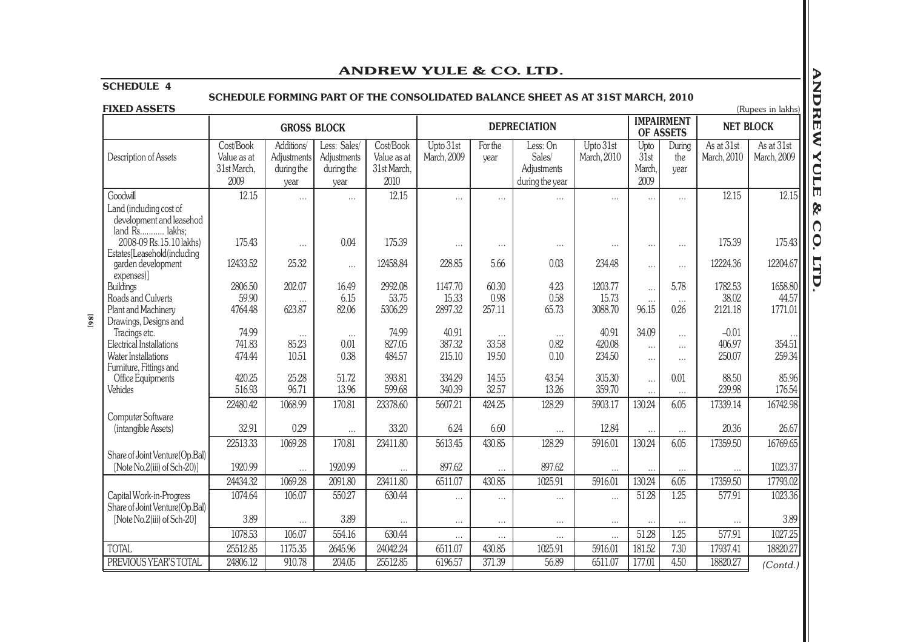### **SCHEDULE 4**

# **SCHEDULE FORMING PART OF THE CONSOLIDATED BALANCE SHEET AS AT 31ST MARCH, 2010**

|                                                                                           |                                                 |                                                 |                                                   |                                                 | ANDREW YOLE & CO. LID.      |                            |                                                                                |                             |                                |                                |                             |                             |
|-------------------------------------------------------------------------------------------|-------------------------------------------------|-------------------------------------------------|---------------------------------------------------|-------------------------------------------------|-----------------------------|----------------------------|--------------------------------------------------------------------------------|-----------------------------|--------------------------------|--------------------------------|-----------------------------|-----------------------------|
| <b>SCHEDULE 4</b>                                                                         |                                                 |                                                 |                                                   |                                                 |                             |                            |                                                                                |                             |                                |                                |                             |                             |
|                                                                                           |                                                 |                                                 |                                                   |                                                 |                             |                            | SCHEDULE FORMING PART OF THE CONSOLIDATED BALANCE SHEET AS AT 31ST MARCH, 2010 |                             |                                |                                |                             |                             |
| <b>FIXED ASSETS</b>                                                                       |                                                 |                                                 |                                                   |                                                 |                             |                            |                                                                                |                             |                                |                                |                             | (Rupees in lakhs)           |
|                                                                                           |                                                 | <b>GROSS BLOCK</b>                              |                                                   |                                                 |                             |                            | <b>DEPRECIATION</b>                                                            |                             |                                | <b>IMPAIRMENT</b><br>OF ASSETS |                             | <b>NET BLOCK</b>            |
| Description of Assets                                                                     | Cost/Book<br>Value as at<br>31st March,<br>2009 | Additions/<br>Adjustments<br>during the<br>year | Less: Sales/<br>Adjustments<br>during the<br>year | Cost/Book<br>Value as at<br>31st March,<br>2010 | Upto 31st<br>March, 2009    | For the<br>year            | Less: On<br>Sales/<br>Adjustments<br>during the year                           | Upto 31st<br>March, 2010    | Upto<br>31st<br>March.<br>2009 | During<br>the<br>year          | As at 31st<br>March, 2010   | As at 31st<br>March, 2009   |
| Goodwill<br>Land (including cost of<br>development and leasehod<br>land Rs lakhs;         | 12.15                                           | $\cdots$                                        | $\cdots$                                          | 12.15                                           | $\cdots$                    | $\cdots$                   | $\cdots$                                                                       | $\cdots$                    | $\cdots$                       | $\cdots$                       | 12.15                       | 12.15                       |
| 2008-09 Rs.15.10 lakhs)<br>Estates[Leasehold(including                                    | 175.43                                          | $\cdots$                                        | 0.04                                              | 175.39                                          | $\cdots$                    | $\cdots$                   | $\cdots$                                                                       | $\cdots$                    | $\cdots$                       | $\cdots$                       | 175.39                      | 175.43                      |
| garden development<br>expenses)]                                                          | 12433.52                                        | 25.32                                           | $\cdots$                                          | 12458.84                                        | 228.85                      | 5.66                       | 0.03                                                                           | 234.48                      | $\cdots$                       | $\cdots$                       | 12224.36                    | 12204.67                    |
| Buildings<br>Roads and Culverts<br>Plant and Machinery                                    | 2806.50<br>59.90<br>4764.48                     | 202.07<br>$\cdots$<br>623.87                    | 16.49<br>6.15<br>82.06                            | 2992.08<br>53.75<br>5306.29                     | 1147.70<br>15.33<br>2897.32 | 60.30<br>0.98<br>257.11    | 4.23<br>0.58<br>65.73                                                          | 1203.77<br>15.73<br>3088.70 | $\cdots$<br>$\cdots$<br>96.15  | 5.78<br>$\cdots$<br>0.26       | 1782.53<br>38.02<br>2121.18 | 1658.80<br>44.57<br>1771.01 |
| Drawings, Designs and<br>Tracings etc.<br>Electrical Installations<br>Water Installations | 74.99<br>741.83<br>474.44                       | $\cdots$<br>85.23<br>10.51                      | $\cdots$<br>0.01<br>0.38                          | 74.99<br>827.05<br>484.57                       | 40.91<br>387.32<br>215.10   | $\cdots$<br>33.58<br>19.50 | $\cdots$<br>0.82<br>0.10                                                       | 40.91<br>420.08<br>234.50   | 34.09<br>$\cdots$<br>$\cdots$  | <br>$\cdots$<br>$\cdots$       | $-0.01$<br>406.97<br>250.07 | 354.51<br>259.34            |
| Furniture, Fittings and<br>Office Equipments<br>Vehicles                                  | 420.25<br>516.93                                | 25.28<br>96.71                                  | 51.72<br>13.96                                    | 393.81<br>599.68                                | 334.29<br>340.39            | 14.55<br>32.57             | 43.54<br>13.26                                                                 | 305.30<br>359.70            | $\cdots$<br>$\cdots$           | 0.01<br>$\cdots$               | 88.50<br>239.98             | 85.96<br>176.54             |
|                                                                                           | 22480.42                                        | 1068.99                                         | 170.81                                            | 23378.60                                        | 5607.21                     | 424.25                     | 128.29                                                                         | 5903.17                     | 130.24                         | 6.05                           | 17339.14                    | 16742.98                    |
| Computer Software<br>(intangible Assets)                                                  | 32.91                                           | 0.29                                            | $\cdots$                                          | 33.20                                           | 6.24                        | 6.60                       | $\cdots$                                                                       | 12.84                       |                                |                                | 20.36                       | 26.67                       |
| Share of Joint Venture(Op.Bal)                                                            | 22513.33                                        | 1069.28                                         | 170.81                                            | 23411.80                                        | 5613.45                     | 430.85                     | 128.29                                                                         | 5916.01                     | 130.24                         | 6.05                           | 17359.50                    | 16769.65                    |
| [Note No.2(iii) of Sch-20)]                                                               | 1920.99                                         | $\cdots$                                        | 1920.99                                           | $\cdots$                                        | 897.62                      | $\cdots$                   | 897.62                                                                         | $\cdots$                    | $\cdots$                       | $\cdots$                       | $\cdots$                    | 1023.37                     |
|                                                                                           | 24434.32                                        | 1069.28                                         | 2091.80                                           | 23411.80                                        | 6511.07                     | 430.85                     | 1025.91                                                                        | 5916.01                     | 130.24                         | 6.05                           | 17359.50                    | 17793.02                    |
| Capital Work-in-Progress<br>Share of Joint Venture(Op.Bal)                                | 1074.64                                         | 106.07                                          | 550.27                                            | 630.44                                          | $\cdots$                    | $\cdots$                   | $\cdots$                                                                       | $\ddotsc$                   | 51.28                          | 1.25                           | 577.91                      | 1023.36                     |
| [Note No.2(iii) of Sch-20]                                                                | 3.89                                            | $\cdots$                                        | 3.89                                              | $\cdots$                                        | $\cdots$                    | $\cdots$                   | $\cdots$                                                                       | $\cdots$                    | $\cdots$                       | $\cdots$                       | $\cdots$                    | 3.89                        |
|                                                                                           | 1078.53                                         | 106.07                                          | 554.16                                            | 630.44                                          | $\cdots$                    | $\cdots$                   | $\cdots$                                                                       | $\cdots$                    | 51.28                          | 1.25                           | 577.91                      | 1027.25                     |
| <b>TOTAL</b>                                                                              | 25512.85                                        | 1175.35                                         | 2645.96                                           | 24042.24                                        | 6511.07                     | 430.85                     | 1025.91                                                                        | 5916.01                     | 181.52                         | 7.30                           | 17937.41                    | 18820.27                    |
| PREVIOUS YEAR'S TOTAL                                                                     | 24806.12                                        | 910.78                                          | 204.05                                            | 25512.85                                        | 6196.57                     | 371.39                     | 56.89                                                                          | 6511.07                     | 177.01                         | 4.50                           | 18820.27                    | (Contd.)                    |
|                                                                                           |                                                 |                                                 |                                                   |                                                 |                             |                            |                                                                                |                             |                                |                                |                             |                             |

**[86]**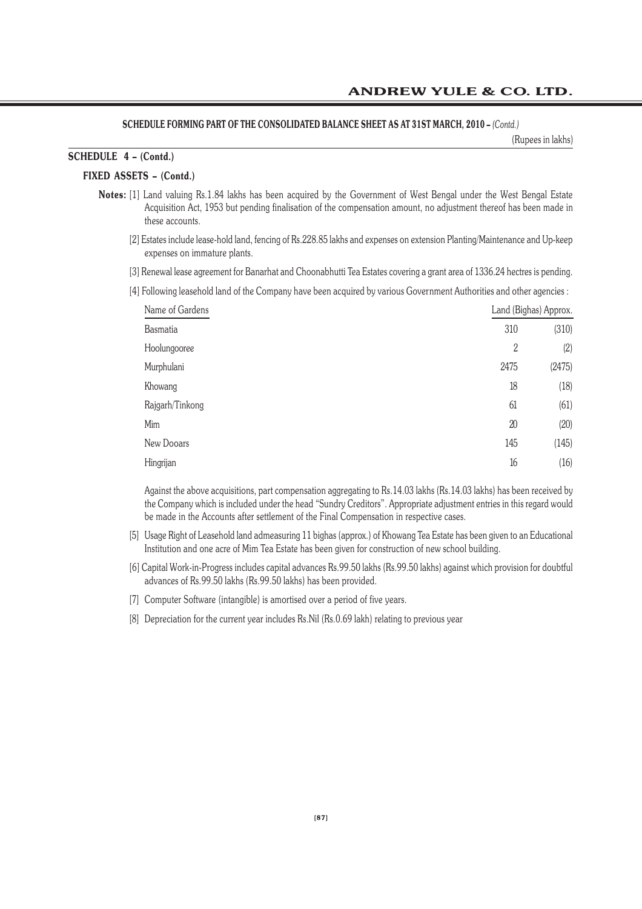### **SCHEDULE FORMING PART OF THE CONSOLIDATED BALANCE SHEET AS AT 31ST MARCH, 2010 –** *(Contd.)*

(Rupees in lakhs)

# **SCHEDULE 4 – (Contd.)**

### **FIXED ASSETS – (Contd.)**

- **Notes:** [1] Land valuing Rs.1.84 lakhs has been acquired by the Government of West Bengal under the West Bengal Estate Acquisition Act, 1953 but pending finalisation of the compensation amount, no adjustment thereof has been made in these accounts.
	- [2] Estates include lease-hold land, fencing of Rs.228.85 lakhs and expenses on extension Planting/Maintenance and Up-keep expenses on immature plants.
	- [3] Renewal lease agreement for Banarhat and Choonabhutti Tea Estates covering a grant area of 1336.24 hectres is pending.
	- [4] Following leasehold land of the Company have been acquired by various Government Authorities and other agencies :

| Name of Gardens |                | Land (Bighas) Approx. |
|-----------------|----------------|-----------------------|
| <b>Basmatia</b> | 310            | (310)                 |
| Hoolungooree    | $\overline{2}$ | (2)                   |
| Murphulani      | 2475           | (2475)                |
| Khowang         | 18             | (18)                  |
| Rajgarh/Tinkong | 61             | (61)                  |
| Mim             | 20             | (20)                  |
| New Dooars      | 145            | (145)                 |
| Hingrijan       | 16             | (16)                  |

Against the above acquisitions, part compensation aggregating to Rs.14.03 lakhs (Rs.14.03 lakhs) has been received by the Company which is included under the head "Sundry Creditors". Appropriate adjustment entries in this regard would be made in the Accounts after settlement of the Final Compensation in respective cases.

- [5] Usage Right of Leasehold land admeasuring 11 bighas (approx.) of Khowang Tea Estate has been given to an Educational Institution and one acre of Mim Tea Estate has been given for construction of new school building.
- [6] Capital Work-in-Progress includes capital advances Rs.99.50 lakhs (Rs.99.50 lakhs) against which provision for doubtful advances of Rs.99.50 lakhs (Rs.99.50 lakhs) has been provided.
- [7] Computer Software (intangible) is amortised over a period of five years.
- [8] Depreciation for the current year includes Rs.Nil (Rs.0.69 lakh) relating to previous year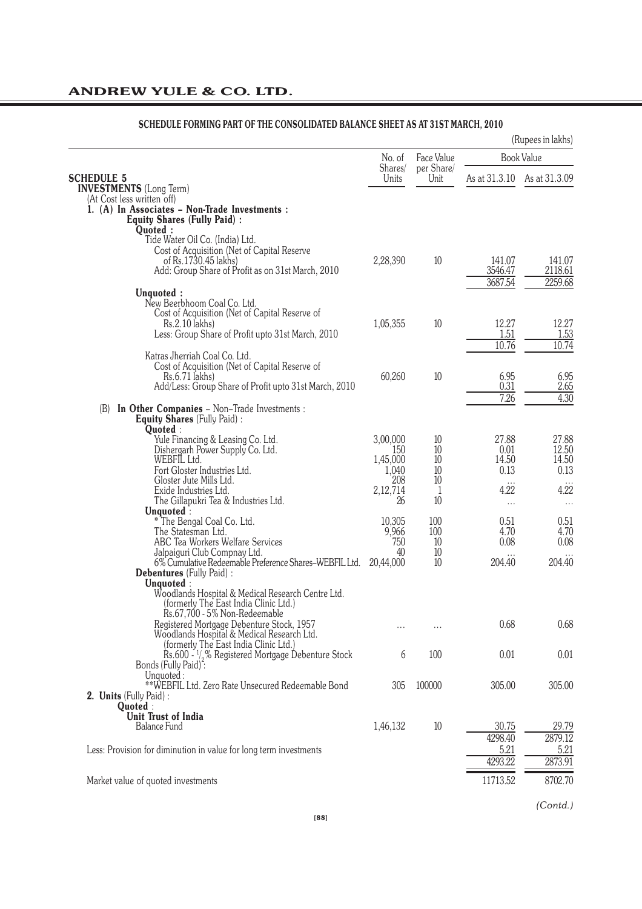|                                                                                                                                                                          |                                      |                        |                                | (Rupees in lakhs)               |
|--------------------------------------------------------------------------------------------------------------------------------------------------------------------------|--------------------------------------|------------------------|--------------------------------|---------------------------------|
|                                                                                                                                                                          | No. of                               | Face Value             |                                | <b>Book Value</b>               |
| <b>SCHEDULE 5</b><br><b>INVESTMENTS</b> (Long Term)<br>(At Cost less written off)                                                                                        | Shares/<br>Units                     | per Share/<br>Unit     |                                | As at 31.3.10 As at 31.3.09     |
| 1. (A) In Associates - Non-Trade Investments :<br><b>Equity Shares (Fully Paid):</b><br>Quoted:<br>Tide Water Oil Co. (India) Ltd.                                       |                                      |                        |                                |                                 |
| Cost of Acquisition (Net of Capital Reserve<br>of Rs.1730.45 lakhs)<br>Add: Group Share of Profit as on 31st March, 2010                                                 | 2,28,390                             | 10                     | 141.07<br>3546.47<br>3687.54   | 141.07<br>2118.61<br>2259.68    |
| Unquoted:                                                                                                                                                                |                                      |                        |                                |                                 |
| New Beerbhoom Coal Co. Ltd.<br>Cost of Acquisition (Net of Capital Reserve of<br>Rs.2.10 lakhs)<br>Less: Group Share of Profit upto 31st March, 2010                     | 1,05,355                             | 10                     | 12.27<br>1.51<br>10.76         | 12.27<br>1.53<br>10.74          |
| Katras Jherriah Coal Co. Ltd.<br>Cost of Acquisition (Net of Capital Reserve of<br>Rs.6.71 lakhs)<br>Add/Less: Group Share of Profit upto 31st March, 2010               | 60,260                               | 10                     | 6.95<br>0.31                   | 6.95<br>2.65                    |
| <b>In Other Companies</b> - Non-Trade Investments :<br>(B)<br>Equity Shares (Fully Paid) :<br>Quoted:                                                                    |                                      |                        | 7.26                           | $4.\overline{30}$               |
| Yule Financing & Leasing Co. Ltd.<br>Dishergarh Power Supply Co. Ltd.<br>WEBFIL Ltd.<br>Fort Gloster Industries Ltd.                                                     | 3,00,000<br>150<br>1,45,000<br>1,040 | 10<br>10<br>10<br>10   | 27.88<br>0.01<br>14.50<br>0.13 | 27.88<br>12.50<br>14.50<br>0.13 |
| Gloster Jute Mills Ltd.<br>Exide Industries Ltd.<br>The Gillapukri Tea & Industries Ltd.                                                                                 | 208<br>2,12,714<br>26                | 10<br>1<br>10          | $\cdots$<br>4.22<br>$\cdots$   | $\cdots$<br>4.22<br>$\cdots$    |
| Unquoted:<br>* The Bengal Coal Co. Ltd.<br>The Statesman Ltd.<br>ABC Tea Workers Welfare Services                                                                        | 10,305<br>9,966<br>750<br>40         | 100<br>100<br>10<br>10 | 0.51<br>4.70<br>0.08           | 0.51<br>4.70<br>0.08            |
| Jalpaiguri Club Compnay Ltd.<br>6% Cumulative Redeemable Preference Shares-WEBFIL Ltd.<br><b>Debentures</b> (Fully Paid) :<br>Unquoted:                                  | 20.44.000                            | 10                     | 204.40                         | 204.40                          |
| Woodlands Hospital & Medical Research Centre Ltd.<br>(formerly The East India Clinic Ltd.)<br>Rs.67,700 - 5% Non-Redeemable<br>Registered Mortgage Debenture Stock, 1957 | .                                    | .                      | 0.68                           | 0.68                            |
| Woodlands Hospital & Medical Research Ltd.<br>(formerly The East India Clinic Ltd.)                                                                                      | 6                                    | 100                    | 0.01                           | 0.01                            |
| Rs.600 - 1/ <sub>2</sub> % Registered Mortgage Debenture Stock<br>Bonds (Fully Paid):<br>Unquoted:                                                                       |                                      |                        |                                |                                 |
| **WEBFIL Ltd. Zero Rate Unsecured Redeemable Bond<br>2. Units (Fully Paid) :<br>Quoted:                                                                                  | 305                                  | 100000                 | 305.00                         | 305.00                          |
| <b>Unit Trust of India</b><br><b>Balance Fund</b>                                                                                                                        | 1,46,132                             | 10                     | 30.75                          | 29.79                           |
| Less: Provision for diminution in value for long term investments                                                                                                        |                                      |                        | 4298.40<br>5.21<br>4293.22     | 2879.12<br>5.21<br>2873.91      |
| Market value of quoted investments                                                                                                                                       |                                      |                        | 11713.52                       | 8702.70                         |

# **SCHEDULE FORMING PART OF THE CONSOLIDATED BALANCE SHEET AS AT 31ST MARCH, 2010**

*(Contd.)*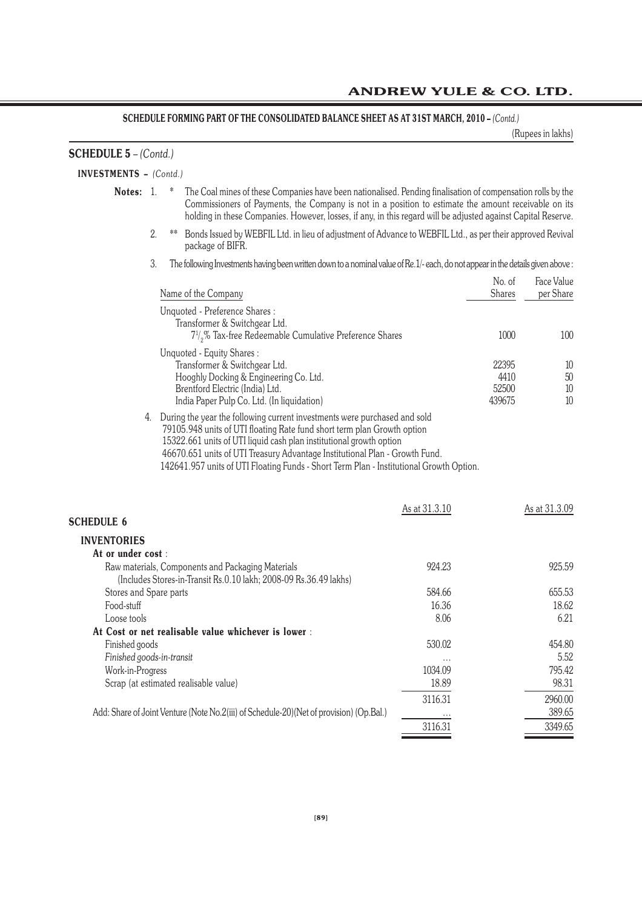# SCHEDULE FORMING PART OF THE CONSOLIDATED BALANCE SHEET AS AT 31ST MARCH, 2010 – *(Contd.)*

(Rupees in lakhs)

| <b>SCHEDULE 5</b> - (Contd.)  |    |                                                                                                                                                                                                                                                                                                                                                                                                          |               |                                  |                         |
|-------------------------------|----|----------------------------------------------------------------------------------------------------------------------------------------------------------------------------------------------------------------------------------------------------------------------------------------------------------------------------------------------------------------------------------------------------------|---------------|----------------------------------|-------------------------|
| <b>INVESTMENTS</b> - (Contd.) |    |                                                                                                                                                                                                                                                                                                                                                                                                          |               |                                  |                         |
| Notes: 1.                     |    | $\ast$<br>The Coal mines of these Companies have been nationalised. Pending finalisation of compensation rolls by the<br>Commissioners of Payments, the Company is not in a position to estimate the amount receivable on its<br>holding in these Companies. However, losses, if any, in this regard will be adjusted against Capital Reserve.                                                           |               |                                  |                         |
|                               | 2. | Bonds Issued by WEBFIL Ltd. in lieu of adjustment of Advance to WEBFIL Ltd., as per their approved Revival<br>**<br>package of BIFR.                                                                                                                                                                                                                                                                     |               |                                  |                         |
|                               | 3. | The following Investments having been written down to a nominal value of Re. 1/- each, do not appear in the details given above:                                                                                                                                                                                                                                                                         |               |                                  |                         |
|                               |    | Name of the Company                                                                                                                                                                                                                                                                                                                                                                                      |               | No. of<br><b>Shares</b>          | Face Value<br>per Share |
|                               |    | Unquoted - Preference Shares:<br>Transformer & Switchgear Ltd.<br>$7\frac{1}{2}\%$ Tax-free Redeemable Cumulative Preference Shares                                                                                                                                                                                                                                                                      |               | 1000                             | 100                     |
|                               |    | Unquoted - Equity Shares:<br>Transformer & Switchgear Ltd.<br>Hooghly Docking & Engineering Co. Ltd.<br>Brentford Electric (India) Ltd.<br>India Paper Pulp Co. Ltd. (In liquidation)                                                                                                                                                                                                                    |               | 22395<br>4410<br>52500<br>439675 | 10<br>50<br>10<br>10    |
|                               |    | 4. During the year the following current investments were purchased and sold<br>79105.948 units of UTI floating Rate fund short term plan Growth option<br>15322.661 units of UTI liquid cash plan institutional growth option<br>46670.651 units of UTI Treasury Advantage Institutional Plan - Growth Fund.<br>142641.957 units of UTI Floating Funds - Short Term Plan - Institutional Growth Option. |               |                                  |                         |
| <b>SCHEDULE 6</b>             |    |                                                                                                                                                                                                                                                                                                                                                                                                          | As at 31.3.10 |                                  | As at 31.3.09           |
| <b>INVENTORIES</b>            |    |                                                                                                                                                                                                                                                                                                                                                                                                          |               |                                  |                         |
| At or under cost:             |    |                                                                                                                                                                                                                                                                                                                                                                                                          |               |                                  |                         |
|                               |    | Raw materials, Components and Packaging Materials<br>(Includes Stores-in-Transit Rs.0.10 lakh; 2008-09 Rs.36.49 lakhs)                                                                                                                                                                                                                                                                                   | 924.23        |                                  | 925.59                  |
| Stores and Spare parts        |    |                                                                                                                                                                                                                                                                                                                                                                                                          | 584.66        |                                  | 655.53                  |
| Food-stuff                    |    |                                                                                                                                                                                                                                                                                                                                                                                                          | 16.36         |                                  | 18.62                   |
| Loose tools                   |    |                                                                                                                                                                                                                                                                                                                                                                                                          | 8.06          |                                  | 6.21                    |
|                               |    | At Cost or net realisable value whichever is lower :                                                                                                                                                                                                                                                                                                                                                     |               |                                  |                         |
| Finished goods                |    |                                                                                                                                                                                                                                                                                                                                                                                                          | 530.02        |                                  | 454.80                  |
| Finished goods-in-transit     |    |                                                                                                                                                                                                                                                                                                                                                                                                          |               |                                  | 5.52                    |
| Work-in-Progress              |    |                                                                                                                                                                                                                                                                                                                                                                                                          | 1034.09       |                                  | 795.42                  |
|                               |    | Scrap (at estimated realisable value)                                                                                                                                                                                                                                                                                                                                                                    | 18.89         |                                  | 98.31                   |
|                               |    |                                                                                                                                                                                                                                                                                                                                                                                                          | 3116.31       |                                  | 2960.00                 |
|                               |    | Add: Share of Joint Venture (Note No.2(iii) of Schedule-20) (Net of provision) (Op.Bal.)                                                                                                                                                                                                                                                                                                                 |               |                                  | 389.65                  |
|                               |    |                                                                                                                                                                                                                                                                                                                                                                                                          | 3116.31       |                                  | 3349.65                 |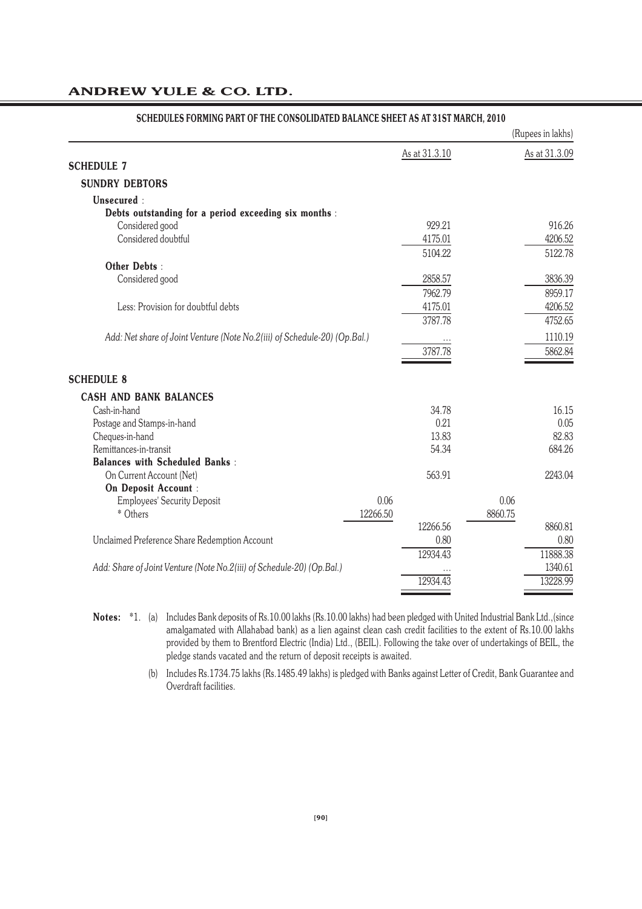|                                                                           |               |         | (Rupees in lakhs) |
|---------------------------------------------------------------------------|---------------|---------|-------------------|
|                                                                           | As at 31.3.10 |         | As at 31.3.09     |
| <b>SCHEDULE 7</b>                                                         |               |         |                   |
| <b>SUNDRY DEBTORS</b>                                                     |               |         |                   |
| Unsecured:                                                                |               |         |                   |
| Debts outstanding for a period exceeding six months :                     |               |         |                   |
| Considered good                                                           | 929.21        |         | 916.26            |
| Considered doubtful                                                       | 4175.01       |         | 4206.52           |
|                                                                           | 5104.22       |         | 5122.78           |
| Other Debts:                                                              |               |         |                   |
| Considered good                                                           | 2858.57       |         | 3836.39           |
|                                                                           | 7962.79       |         | 8959.17           |
| Less: Provision for doubtful debts                                        | 4175.01       |         | 4206.52           |
|                                                                           | 3787.78       |         | 4752.65           |
| Add: Net share of Joint Venture (Note No.2(iii) of Schedule-20) (Op.Bal.) |               |         | 1110.19           |
|                                                                           | 3787.78       |         | 5862.84           |
|                                                                           |               |         |                   |
| <b>SCHEDULE 8</b>                                                         |               |         |                   |
| <b>CASH AND BANK BALANCES</b>                                             |               |         |                   |
| Cash-in-hand                                                              | 34.78         |         | 16.15             |
| Postage and Stamps-in-hand                                                | 0.21          |         | 0.05              |
| Cheques-in-hand                                                           | 13.83         |         | 82.83             |
| Remittances-in-transit                                                    | 54.34         |         | 684.26            |
| <b>Balances with Scheduled Banks:</b>                                     |               |         |                   |
| On Current Account (Net)                                                  | 563.91        |         | 2243.04           |
| On Deposit Account :                                                      |               |         |                   |
| 0.06<br><b>Employees' Security Deposit</b>                                |               | 0.06    |                   |
| * Others<br>12266.50                                                      |               | 8860.75 |                   |
|                                                                           | 12266.56      |         | 8860.81           |
| Unclaimed Preference Share Redemption Account                             | 0.80          |         | 0.80              |
|                                                                           | 12934.43      |         | 11888.38          |
| Add: Share of Joint Venture (Note No.2(iii) of Schedule-20) (Op.Bal.)     |               |         | 1340.61           |
|                                                                           | 12934.43      |         | 13228.99          |
|                                                                           |               |         |                   |

### **SCHEDULES FORMING PART OF THE CONSOLIDATED BALANCE SHEET AS AT 31ST MARCH, 2010**

**Notes:** \*1. (a) Includes Bank deposits of Rs.10.00 lakhs (Rs.10.00 lakhs) had been pledged with United Industrial Bank Ltd.,(since amalgamated with Allahabad bank) as a lien against clean cash credit facilities to the extent of Rs.10.00 lakhs provided by them to Brentford Electric (India) Ltd., (BEIL). Following the take over of undertakings of BEIL, the pledge stands vacated and the return of deposit receipts is awaited.

> (b) Includes Rs.1734.75 lakhs (Rs.1485.49 lakhs) is pledged with Banks against Letter of Credit, Bank Guarantee and Overdraft facilities.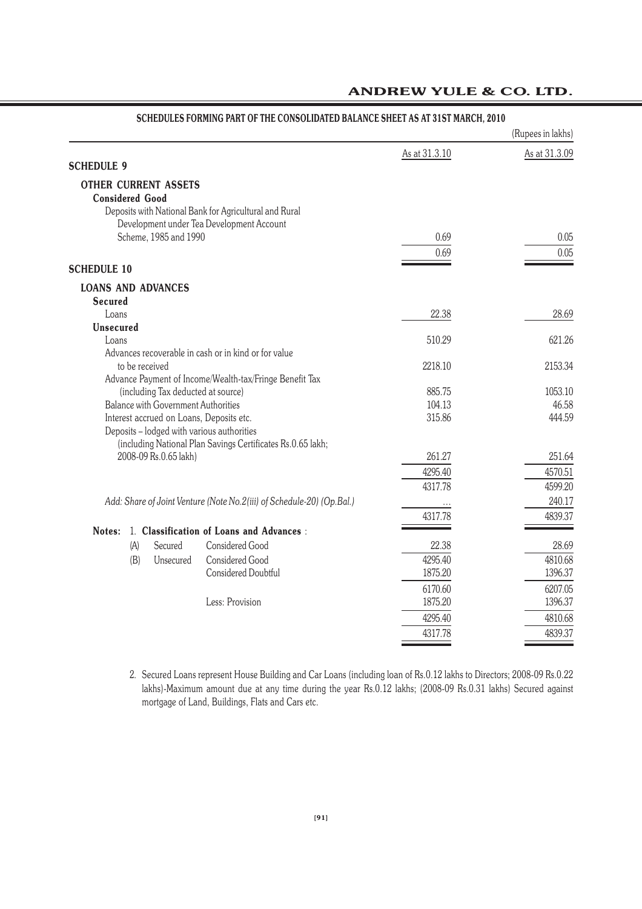|                                                                                      |               | (Rupees in lakhs) |
|--------------------------------------------------------------------------------------|---------------|-------------------|
|                                                                                      | As at 31.3.10 | As at 31.3.09     |
| <b>SCHEDULE 9</b>                                                                    |               |                   |
| <b>OTHER CURRENT ASSETS</b>                                                          |               |                   |
| <b>Considered Good</b>                                                               |               |                   |
| Deposits with National Bank for Agricultural and Rural                               |               |                   |
| Development under Tea Development Account                                            |               |                   |
| Scheme, 1985 and 1990                                                                | 0.69          | 0.05              |
|                                                                                      | 0.69          | 0.05              |
| <b>SCHEDULE 10</b>                                                                   |               |                   |
| <b>LOANS AND ADVANCES</b>                                                            |               |                   |
| <b>Secured</b>                                                                       |               |                   |
| Loans                                                                                | 22.38         | 28.69             |
| <b>Unsecured</b>                                                                     |               |                   |
| Loans<br>Advances recoverable in cash or in kind or for value                        | 510.29        | 621.26            |
| to be received                                                                       | 2218.10       | 2153.34           |
| Advance Payment of Income/Wealth-tax/Fringe Benefit Tax                              |               |                   |
| (including Tax deducted at source)                                                   | 885.75        | 1053.10           |
| Balance with Government Authorities                                                  | 104.13        | 46.58             |
| Interest accrued on Loans, Deposits etc.                                             | 315.86        | 444.59            |
| Deposits - lodged with various authorities                                           |               |                   |
| (including National Plan Savings Certificates Rs.0.65 lakh;<br>2008-09 Rs.0.65 lakh) | 261.27        | 251.64            |
|                                                                                      | 4295.40       | 4570.51           |
|                                                                                      | 4317.78       | 4599.20           |
| Add: Share of Joint Venture (Note No.2(iii) of Schedule-20) (Op.Bal.)                |               | 240.17            |
|                                                                                      | 4317.78       | 4839.37           |
| 1. Classification of Loans and Advances :<br>Notes:                                  |               |                   |
| <b>Considered Good</b><br>(A)<br>Secured                                             | 22.38         | 28.69             |
| <b>Considered Good</b><br>(B)<br>Unsecured                                           | 4295.40       | 4810.68           |
| Considered Doubtful                                                                  | 1875.20       | 1396.37           |
|                                                                                      | 6170.60       | 6207.05           |
| Less: Provision                                                                      | 1875.20       | 1396.37           |
|                                                                                      | 4295.40       | 4810.68           |
|                                                                                      | 4317.78       | 4839.37           |
|                                                                                      |               |                   |

### **SCHEDULES FORMING PART OF THE CONSOLIDATED BALANCE SHEET AS AT 31ST MARCH, 2010**

2. Secured Loans represent House Building and Car Loans (including loan of Rs.0.12 lakhs to Directors; 2008-09 Rs.0.22 lakhs)-Maximum amount due at any time during the year Rs.0.12 lakhs; (2008-09 Rs.0.31 lakhs) Secured against mortgage of Land, Buildings, Flats and Cars etc.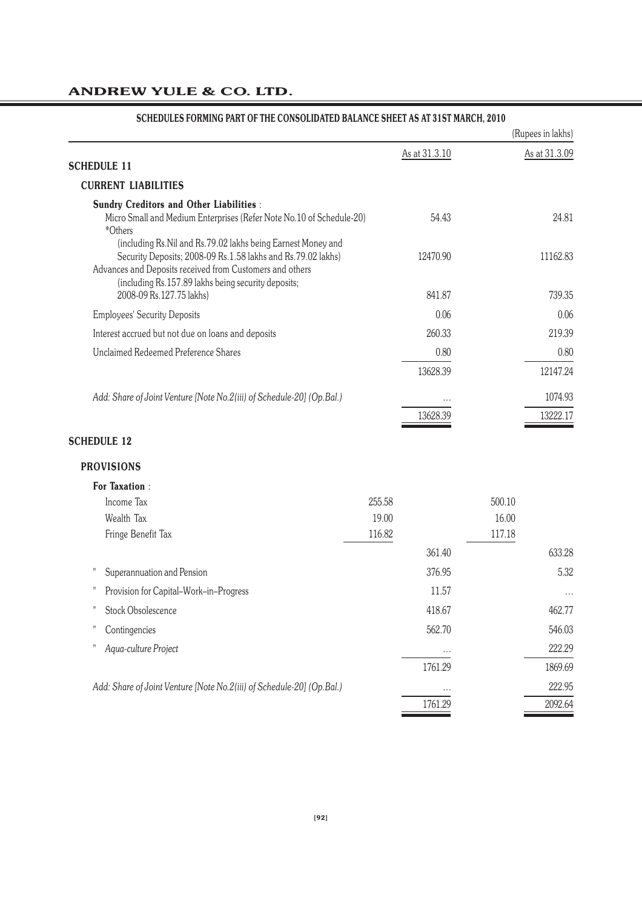|                                                                                                                                                                                                                                                 |        |               |        | (Rupees in lakhs) |
|-------------------------------------------------------------------------------------------------------------------------------------------------------------------------------------------------------------------------------------------------|--------|---------------|--------|-------------------|
|                                                                                                                                                                                                                                                 |        | As at 31.3.10 |        | As at 31.3.09     |
| <b>SCHEDULE 11</b>                                                                                                                                                                                                                              |        |               |        |                   |
| <b>CURRENT LIABILITIES</b>                                                                                                                                                                                                                      |        |               |        |                   |
| <b>Sundry Creditors and Other Liabilities:</b><br>Micro Small and Medium Enterprises (Refer Note No.10 of Schedule-20)<br>*Others                                                                                                               |        | 54.43         |        | 24.81             |
| (including Rs.Nil and Rs.79.02 lakhs being Earnest Money and<br>Security Deposits; 2008-09 Rs.1.58 lakhs and Rs.79.02 lakhs)<br>Advances and Deposits received from Customers and others<br>(including Rs.157.89 lakhs being security deposits; |        | 12470.90      |        | 11162.83          |
| 2008-09 Rs.127.75 lakhs)                                                                                                                                                                                                                        |        | 841.87        |        | 739.35            |
| <b>Employees' Security Deposits</b>                                                                                                                                                                                                             |        | 0.06          |        | 0.06              |
| Interest accrued but not due on loans and deposits                                                                                                                                                                                              |        | 260.33        |        | 219.39            |
| Unclaimed Redeemed Preference Shares                                                                                                                                                                                                            |        | 0.80          |        | 0.80              |
|                                                                                                                                                                                                                                                 |        | 13628.39      |        | 12147.24          |
| Add: Share of Joint Venture [Note No.2(iii) of Schedule-20] (Op.Bal.)                                                                                                                                                                           |        |               |        | 1074.93           |
|                                                                                                                                                                                                                                                 |        | 13628.39      |        | 13222.17          |
| <b>SCHEDULE 12</b>                                                                                                                                                                                                                              |        |               |        |                   |
| <b>PROVISIONS</b>                                                                                                                                                                                                                               |        |               |        |                   |
| <b>For Taxation:</b>                                                                                                                                                                                                                            |        |               |        |                   |
| Income Tax                                                                                                                                                                                                                                      | 255.58 |               | 500.10 |                   |
| Wealth Tax                                                                                                                                                                                                                                      | 19.00  |               | 16.00  |                   |
| Fringe Benefit Tax                                                                                                                                                                                                                              | 116.82 |               | 117.18 |                   |
|                                                                                                                                                                                                                                                 |        | 361.40        |        | 633.28            |
| Π<br>Superannuation and Pension                                                                                                                                                                                                                 |        | 376.95        |        | 5.32              |
| Π<br>Provision for Capital-Work-in-Progress                                                                                                                                                                                                     |        | 11.57         |        |                   |
| Ħ<br><b>Stock Obsolescence</b>                                                                                                                                                                                                                  |        | 418.67        |        | 462.77            |
| Π<br>Contingencies                                                                                                                                                                                                                              |        | 562.70        |        | 546.03            |
| Ħ<br>Aqua-culture Project                                                                                                                                                                                                                       |        |               |        | 222.29            |
|                                                                                                                                                                                                                                                 |        | 1761.29       |        | 1869.69           |
| Add: Share of Joint Venture [Note No.2(iii) of Schedule-20] (Op.Bal.)                                                                                                                                                                           |        |               |        | 222.95            |
|                                                                                                                                                                                                                                                 |        | 1761.29       |        | 2092.64           |

# **SCHEDULES FORMING PART OF THE CONSOLIDATED BALANCE SHEET AS AT 31ST MARCH, 2010**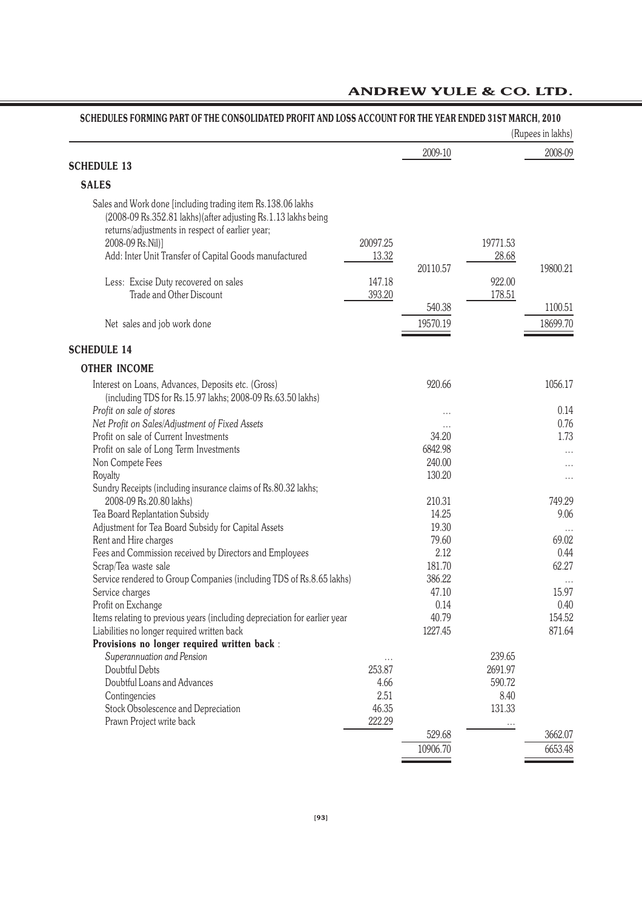# **SCHEDULES FORMING PART OF THE CONSOLIDATED PROFIT AND LOSS ACCOUNT FOR THE YEAR ENDED 31ST MARCH, 2010**

|                                                                                                                                                                                                                                                                |                   |                    |                   | (Rupees in lakhs)   |
|----------------------------------------------------------------------------------------------------------------------------------------------------------------------------------------------------------------------------------------------------------------|-------------------|--------------------|-------------------|---------------------|
|                                                                                                                                                                                                                                                                |                   | 2009-10            |                   | 2008-09             |
| <b>SCHEDULE 13</b>                                                                                                                                                                                                                                             |                   |                    |                   |                     |
| <b>SALES</b>                                                                                                                                                                                                                                                   |                   |                    |                   |                     |
| Sales and Work done [including trading item Rs.138.06 lakhs<br>(2008-09 Rs.352.81 lakhs) (after adjusting Rs.1.13 lakhs being<br>returns/adjustments in respect of earlier year;<br>2008-09 Rs.Nil)]<br>Add: Inter Unit Transfer of Capital Goods manufactured | 20097.25<br>13.32 | 20110.57           | 19771.53<br>28.68 | 19800.21            |
| Less: Excise Duty recovered on sales                                                                                                                                                                                                                           | 147.18            |                    | 922.00            |                     |
| Trade and Other Discount                                                                                                                                                                                                                                       | 393.20            |                    | 178.51            |                     |
| Net sales and job work done                                                                                                                                                                                                                                    |                   | 540.38<br>19570.19 |                   | 1100.51<br>18699.70 |
| <b>SCHEDULE 14</b>                                                                                                                                                                                                                                             |                   |                    |                   |                     |
| <b>OTHER INCOME</b>                                                                                                                                                                                                                                            |                   |                    |                   |                     |
| Interest on Loans, Advances, Deposits etc. (Gross)<br>(including TDS for Rs.15.97 lakhs; 2008-09 Rs.63.50 lakhs)                                                                                                                                               |                   | 920.66             |                   | 1056.17             |
| Profit on sale of stores                                                                                                                                                                                                                                       |                   |                    |                   | 0.14                |
| Net Profit on Sales/Adjustment of Fixed Assets                                                                                                                                                                                                                 |                   |                    |                   | 0.76                |
| Profit on sale of Current Investments                                                                                                                                                                                                                          |                   | 34.20              |                   | 1.73                |
| Profit on sale of Long Term Investments                                                                                                                                                                                                                        |                   | 6842.98            |                   | $\cdots$            |
| Non Compete Fees                                                                                                                                                                                                                                               |                   | 240.00             |                   | $\cdots$            |
| Royalty                                                                                                                                                                                                                                                        |                   | 130.20             |                   | $\cdots$            |
| Sundry Receipts (including insurance claims of Rs.80.32 lakhs;                                                                                                                                                                                                 |                   |                    |                   |                     |
| 2008-09 Rs.20.80 lakhs)                                                                                                                                                                                                                                        |                   | 210.31             |                   | 749.29              |
| Tea Board Replantation Subsidy                                                                                                                                                                                                                                 |                   | 14.25              |                   | 9.06                |
| Adjustment for Tea Board Subsidy for Capital Assets                                                                                                                                                                                                            |                   | 19.30              |                   |                     |
| Rent and Hire charges                                                                                                                                                                                                                                          |                   | 79.60              |                   | 69.02               |
| Fees and Commission received by Directors and Employees                                                                                                                                                                                                        |                   | 2.12               |                   | 0.44                |
| Scrap/Tea waste sale                                                                                                                                                                                                                                           |                   | 181.70             |                   | 62.27               |
| Service rendered to Group Companies (including TDS of Rs.8.65 lakhs)                                                                                                                                                                                           |                   | 386.22             |                   |                     |
| Service charges                                                                                                                                                                                                                                                |                   | 47.10              |                   | 15.97               |
| Profit on Exchange                                                                                                                                                                                                                                             |                   | 0.14               |                   | 0.40                |
| Items relating to previous years (including depreciation for earlier year                                                                                                                                                                                      |                   | 40.79              |                   | 154.52              |
| Liabilities no longer required written back                                                                                                                                                                                                                    |                   | 1227.45            |                   | 871.64              |
| Provisions no longer required written back :                                                                                                                                                                                                                   |                   |                    |                   |                     |
| Superannuation and Pension                                                                                                                                                                                                                                     | .                 |                    | 239.65            |                     |
| Doubtful Debts                                                                                                                                                                                                                                                 | 253.87            |                    | 2691.97           |                     |
| Doubtful Loans and Advances                                                                                                                                                                                                                                    | 4.66              |                    | 590.72            |                     |
| Contingencies                                                                                                                                                                                                                                                  | 2.51              |                    | 8.40              |                     |
| Stock Obsolescence and Depreciation                                                                                                                                                                                                                            | 46.35             |                    | 131.33            |                     |
| Prawn Project write back                                                                                                                                                                                                                                       | 222.29            |                    | $\cdots$          |                     |
|                                                                                                                                                                                                                                                                |                   | 529.68             |                   | 3662.07             |
|                                                                                                                                                                                                                                                                |                   | 10906.70           |                   | 6653.48             |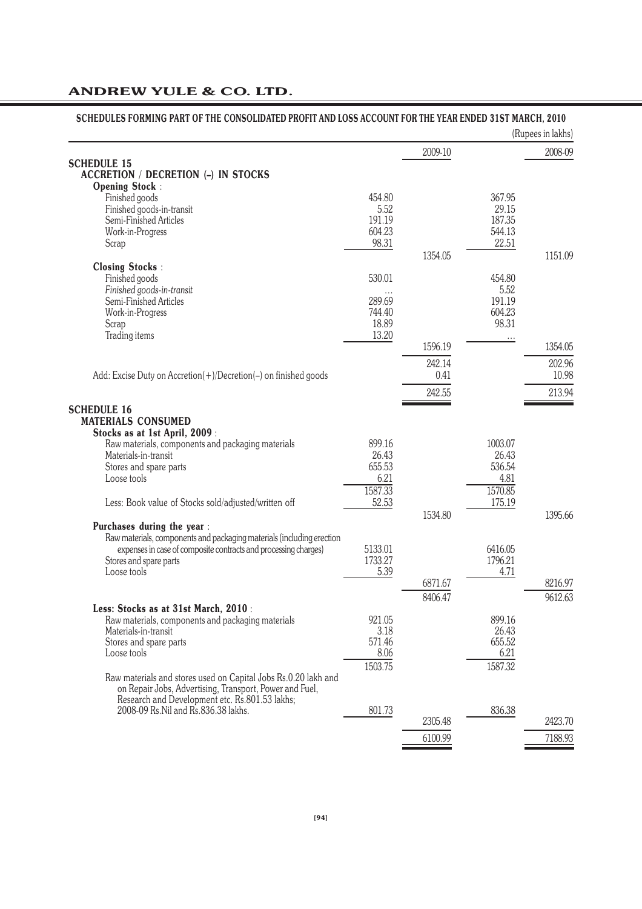| <b>SCHEDULE 15</b>                                                                                        |                  | 2009-10 |                  | 2008-09 |
|-----------------------------------------------------------------------------------------------------------|------------------|---------|------------------|---------|
| <b>ACCRETION / DECRETION (-) IN STOCKS</b>                                                                |                  |         |                  |         |
| <b>Opening Stock:</b>                                                                                     |                  |         |                  |         |
| Finished goods                                                                                            | 454.80           |         | 367.95           |         |
| Finished goods-in-transit                                                                                 | 5.52             |         | 29.15            |         |
| Semi-Finished Articles<br>Work-in-Progress                                                                | 191.19<br>604.23 |         | 187.35<br>544.13 |         |
| Scrap                                                                                                     | 98.31            |         | 22.51            |         |
|                                                                                                           |                  | 1354.05 |                  | 1151.09 |
| <b>Closing Stocks:</b>                                                                                    |                  |         |                  |         |
| Finished goods                                                                                            | 530.01           |         | 454.80           |         |
| Finished goods-in-transit                                                                                 |                  |         | 5.52             |         |
| Semi-Finished Articles                                                                                    | 289.69           |         | 191.19           |         |
| Work-in-Progress                                                                                          | 744.40           |         | 604.23           |         |
| Scrap                                                                                                     | 18.89            |         | 98.31            |         |
| Trading items                                                                                             | 13.20            |         | .                |         |
|                                                                                                           |                  | 1596.19 |                  | 1354.05 |
|                                                                                                           |                  | 242.14  |                  | 202.96  |
| Add: Excise Duty on Accretion(+)/Decretion(-) on finished goods                                           |                  | 0.41    |                  | 10.98   |
|                                                                                                           |                  | 242.55  |                  | 213.94  |
| <b>SCHEDULE 16</b>                                                                                        |                  |         |                  |         |
| <b>MATERIALS CONSUMED</b>                                                                                 |                  |         |                  |         |
| Stocks as at 1st April, 2009:                                                                             |                  |         |                  |         |
| Raw materials, components and packaging materials                                                         | 899.16           |         | 1003.07          |         |
| Materials-in-transit                                                                                      | 26.43            |         | 26.43            |         |
| Stores and spare parts                                                                                    | 655.53           |         | 536.54           |         |
| Loose tools                                                                                               | 6.21             |         | 4.81             |         |
|                                                                                                           | 1587.33          |         | 1570.85          |         |
| Less: Book value of Stocks sold/adjusted/written off                                                      | 52.53            |         | 175.19           |         |
|                                                                                                           |                  | 1534.80 |                  | 1395.66 |
| Purchases during the year :                                                                               |                  |         |                  |         |
| Raw materials, components and packaging materials (including erection                                     | 5133.01          |         | 6416.05          |         |
| expenses in case of composite contracts and processing charges)<br>Stores and spare parts                 | 1733.27          |         | 1796.21          |         |
| Loose tools                                                                                               | 5.39             |         | 4.71             |         |
|                                                                                                           |                  | 6871.67 |                  | 8216.97 |
|                                                                                                           |                  | 8406.47 |                  | 9612.63 |
| Less: Stocks as at 31st March, 2010:                                                                      |                  |         |                  |         |
| Raw materials, components and packaging materials                                                         | 921.05           |         | 899.16           |         |
| Materials-in-transit                                                                                      | 3.18             |         | 26.43            |         |
| Stores and spare parts                                                                                    | 571.46           |         | 655.52           |         |
| Loose tools                                                                                               | 8.06             |         | 6.21             |         |
|                                                                                                           | 1503.75          |         | 1587.32          |         |
| Raw materials and stores used on Capital Jobs Rs.0.20 lakh and                                            |                  |         |                  |         |
| on Repair Jobs, Advertising, Transport, Power and Fuel,<br>Research and Development etc. Rs.801.53 lakhs; |                  |         |                  |         |
| 2008-09 Rs. Nil and Rs. 836. 38 lakhs.                                                                    | 801.73           |         | 836.38           |         |
|                                                                                                           |                  |         |                  |         |
|                                                                                                           |                  | 2305.48 |                  | 2423.70 |

# **SCHEDULES FORMING PART OF THE CONSOLIDATED PROFIT AND LOSS ACCOUNT FOR THE YEAR ENDED 31ST MARCH, 2010**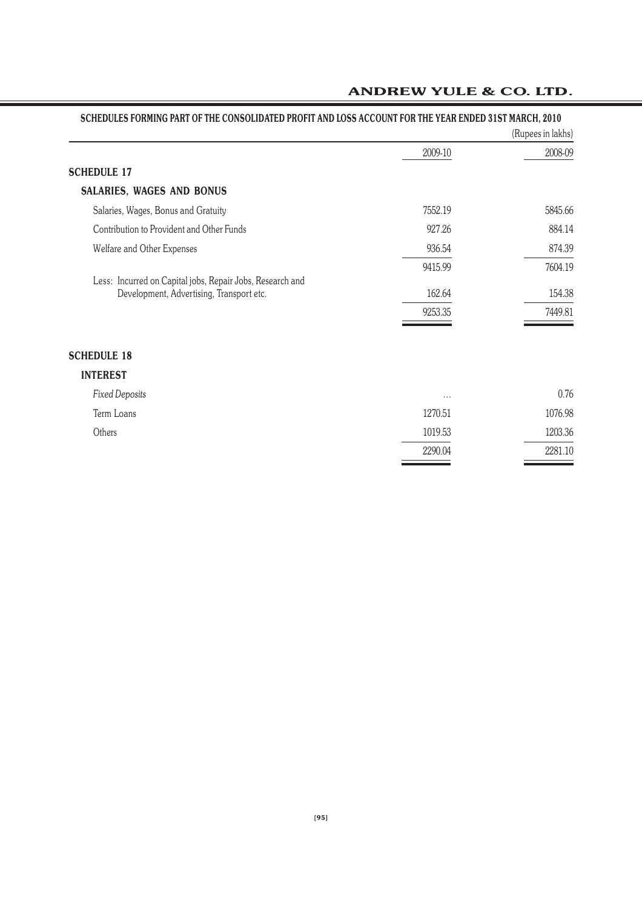| SCHEDULES FORMING PART OF THE CONSOLIDATED PROFIT AND LOSS ACCOUNT FOR THE YEAR ENDED 31ST MARCH, 2010 |          | (Rupees in lakhs) |
|--------------------------------------------------------------------------------------------------------|----------|-------------------|
|                                                                                                        | 2009-10  | 2008-09           |
| <b>SCHEDULE 17</b>                                                                                     |          |                   |
| SALARIES, WAGES AND BONUS                                                                              |          |                   |
| Salaries, Wages, Bonus and Gratuity                                                                    | 7552.19  | 5845.66           |
| Contribution to Provident and Other Funds                                                              | 927.26   | 884.14            |
| Welfare and Other Expenses                                                                             | 936.54   | 874.39            |
|                                                                                                        | 9415.99  | 7604.19           |
| Less: Incurred on Capital jobs, Repair Jobs, Research and<br>Development, Advertising, Transport etc.  | 162.64   | 154.38            |
|                                                                                                        | 9253.35  | 7449.81           |
| <b>SCHEDULE 18</b>                                                                                     |          |                   |
| <b>INTEREST</b>                                                                                        |          |                   |
| <b>Fixed Deposits</b>                                                                                  | $\cdots$ | 0.76              |
| Term Loans                                                                                             | 1270.51  | 1076.98           |
| Others                                                                                                 | 1019.53  | 1203.36           |
|                                                                                                        | 2290.04  | 2281.10           |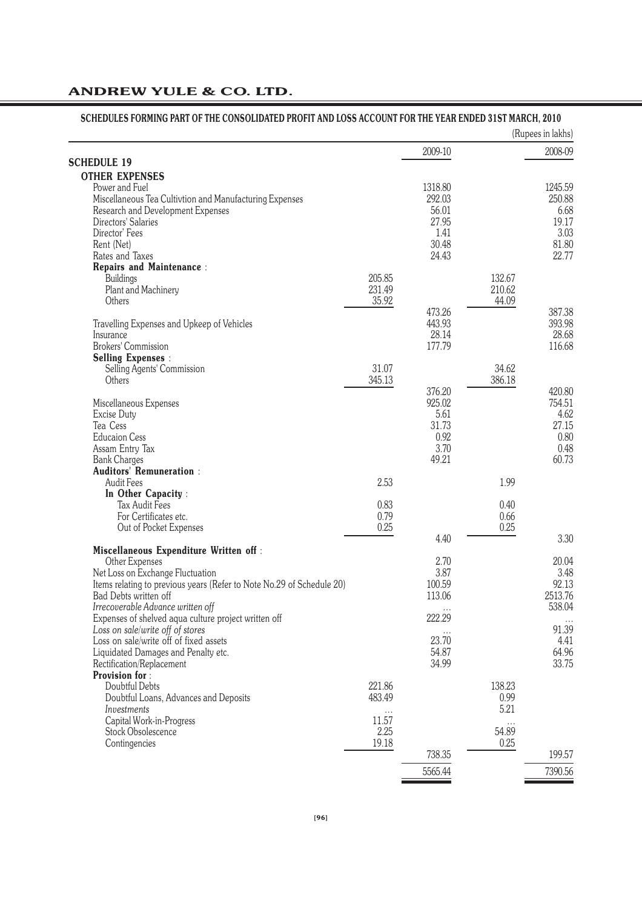|                                                                       |               |         |            | (Rupees in lakhs) |
|-----------------------------------------------------------------------|---------------|---------|------------|-------------------|
| <b>SCHEDULE 19</b>                                                    |               | 2009-10 |            | 2008-09           |
| <b>OTHER EXPENSES</b>                                                 |               |         |            |                   |
| Power and Fuel                                                        |               | 1318.80 |            | 1245.59           |
| Miscellaneous Tea Cultivtion and Manufacturing Expenses               |               | 292.03  |            | 250.88            |
| Research and Development Expenses                                     |               | 56.01   |            | 6.68              |
| Directors' Salaries                                                   |               | 27.95   |            | 19.17             |
| Director' Fees                                                        |               | 1.41    |            | 3.03              |
| Rent (Net)                                                            |               | 30.48   |            | 81.80             |
| Rates and Taxes                                                       |               | 24.43   |            | 22.77             |
| <b>Repairs and Maintenance:</b>                                       |               |         |            |                   |
| <b>Buildings</b>                                                      | 205.85        |         | 132.67     |                   |
| Plant and Machinery                                                   | 231.49        |         | 210.62     |                   |
| Others                                                                | 35.92         |         | 44.09      |                   |
|                                                                       |               | 473.26  |            | 387.38            |
| Travelling Expenses and Upkeep of Vehicles                            |               | 443.93  |            | 393.98            |
| Insurance<br><b>Brokers' Commission</b>                               |               | 28.14   |            | 28.68             |
|                                                                       |               | 177.79  |            | 116.68            |
| <b>Selling Expenses:</b><br>Selling Agents' Commission                | 31.07         |         | 34.62      |                   |
| Others                                                                | 345.13        |         | 386.18     |                   |
|                                                                       |               | 376.20  |            | 420.80            |
| Miscellaneous Expenses                                                |               | 925.02  |            | 754.51            |
| Excise Duty                                                           |               | 5.61    |            | 4.62              |
| Tea Cess                                                              |               | 31.73   |            | 27.15             |
| <b>Educaion Cess</b>                                                  |               | 0.92    |            | 0.80              |
| Assam Entry Tax                                                       |               | 3.70    |            | 0.48              |
| <b>Bank Charges</b>                                                   |               | 49.21   |            | 60.73             |
| <b>Auditors' Remuneration:</b>                                        |               |         |            |                   |
| Audit Fees                                                            | 2.53          |         | 1.99       |                   |
| In Other Capacity:                                                    |               |         |            |                   |
| <b>Tax Audit Fees</b>                                                 | 0.83          |         | 0.40       |                   |
| For Certificates etc.                                                 | 0.79          |         | 0.66       |                   |
| Out of Pocket Expenses                                                | 0.25          |         | 0.25       | 3.30              |
| <b>Miscellaneous Expenditure Written off:</b>                         |               | 4.40    |            |                   |
| Other Expenses                                                        |               | 2.70    |            | 20.04             |
| Net Loss on Exchange Fluctuation                                      |               | 3.87    |            | 3.48              |
| Items relating to previous years (Refer to Note No.29 of Schedule 20) |               | 100.59  |            | 92.13             |
| Bad Debts written off                                                 |               | 113.06  |            | 2513.76           |
| Irrecoverable Advance written off                                     |               |         |            | 538.04            |
| Expenses of shelved aqua culture project written off                  |               | 222.29  |            |                   |
| Loss on sale/write off of stores                                      |               |         |            | 91.39             |
| Loss on sale/write off of fixed assets                                |               | 23.70   |            | 4.41              |
| Liquidated Damages and Penalty etc.                                   |               | 54.87   |            | 64.96             |
| Rectification/Replacement                                             |               | 34.99   |            | 33.75             |
| <b>Provision for:</b>                                                 |               |         |            |                   |
| Doubtful Debts                                                        | 221.86        |         | 138.23     |                   |
| Doubtful Loans, Advances and Deposits                                 | 483.49        |         | 0.99       |                   |
| Investments                                                           |               |         | 5.21       |                   |
| Capital Work-in-Progress<br>Stock Obsolescence                        | 11.57<br>2.25 |         | .<br>54.89 |                   |
| Contingencies                                                         | 19.18         |         | 0.25       |                   |
|                                                                       |               | 738.35  |            | 199.57            |
|                                                                       |               |         |            |                   |
|                                                                       |               | 5565.44 |            | 7390.56           |

#### **[96]**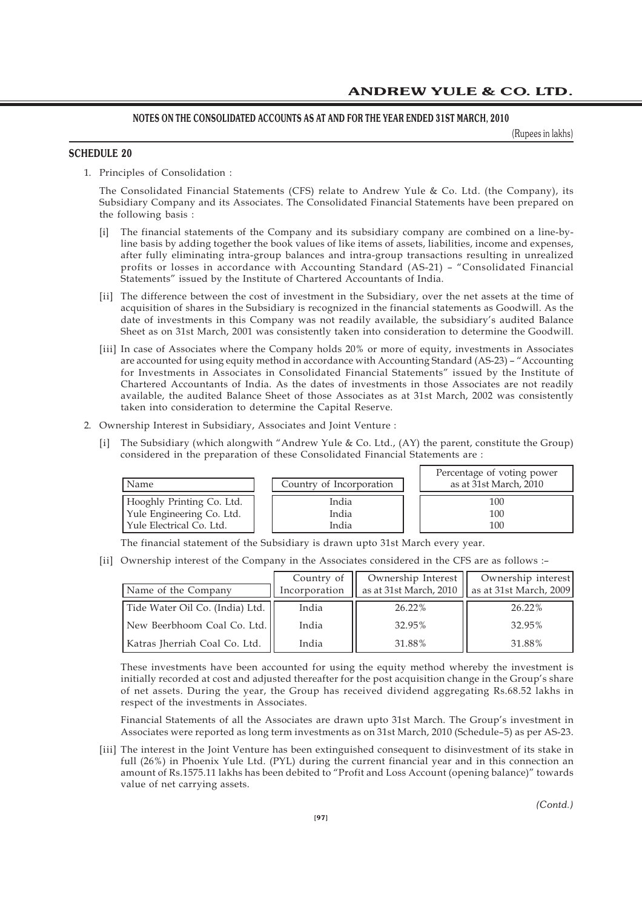(Rupees in lakhs)

### **SCHEDULE 20**

1. Principles of Consolidation :

The Consolidated Financial Statements (CFS) relate to Andrew Yule & Co. Ltd. (the Company), its Subsidiary Company and its Associates. The Consolidated Financial Statements have been prepared on the following basis :

- [i] The financial statements of the Company and its subsidiary company are combined on a line-byline basis by adding together the book values of like items of assets, liabilities, income and expenses, after fully eliminating intra-group balances and intra-group transactions resulting in unrealized profits or losses in accordance with Accounting Standard (AS-21) – "Consolidated Financial Statements" issued by the Institute of Chartered Accountants of India.
- [ii] The difference between the cost of investment in the Subsidiary, over the net assets at the time of acquisition of shares in the Subsidiary is recognized in the financial statements as Goodwill. As the date of investments in this Company was not readily available, the subsidiary's audited Balance Sheet as on 31st March, 2001 was consistently taken into consideration to determine the Goodwill.
- [iii] In case of Associates where the Company holds 20% or more of equity, investments in Associates are accounted for using equity method in accordance with Accounting Standard (AS-23) – "Accounting for Investments in Associates in Consolidated Financial Statements" issued by the Institute of Chartered Accountants of India. As the dates of investments in those Associates are not readily available, the audited Balance Sheet of those Associates as at 31st March, 2002 was consistently taken into consideration to determine the Capital Reserve.
- 2. Ownership Interest in Subsidiary, Associates and Joint Venture :
	- [i] The Subsidiary (which alongwith "Andrew Yule & Co. Ltd., (AY) the parent, constitute the Group) considered in the preparation of these Consolidated Financial Statements are :

| Name                      | Country of Incorporation | Percentage of voting power<br>as at 31st March, 2010 |
|---------------------------|--------------------------|------------------------------------------------------|
| Hooghly Printing Co. Ltd. | India                    | 100                                                  |
| Yule Engineering Co. Ltd. | India                    | 100                                                  |
| Yule Electrical Co. Ltd.  | India                    | 100                                                  |

The financial statement of the Subsidiary is drawn upto 31st March every year.

[ii] Ownership interest of the Company in the Associates considered in the CFS are as follows :–

| Name of the Company             | Country of<br>Incorporation | Ownership Interest<br>as at 31st March, 2010 | Ownership interest<br>as at 31st March, 2009 |
|---------------------------------|-----------------------------|----------------------------------------------|----------------------------------------------|
| Tide Water Oil Co. (India) Ltd. | India                       | 26.22%                                       | 26.22%                                       |
| New Beerbhoom Coal Co. Ltd.     | India                       | 32.95%                                       | 32.95%                                       |
| Katras Iherriah Coal Co. Ltd.   | India                       | 31.88%                                       | 31.88%                                       |

These investments have been accounted for using the equity method whereby the investment is initially recorded at cost and adjusted thereafter for the post acquisition change in the Group's share of net assets. During the year, the Group has received dividend aggregating Rs.68.52 lakhs in respect of the investments in Associates.

Financial Statements of all the Associates are drawn upto 31st March. The Group's investment in Associates were reported as long term investments as on 31st March, 2010 (Schedule–5) as per AS-23.

[iii] The interest in the Joint Venture has been extinguished consequent to disinvestment of its stake in full (26%) in Phoenix Yule Ltd. (PYL) during the current financial year and in this connection an amount of Rs.1575.11 lakhs has been debited to "Profit and Loss Account (opening balance)" towards value of net carrying assets.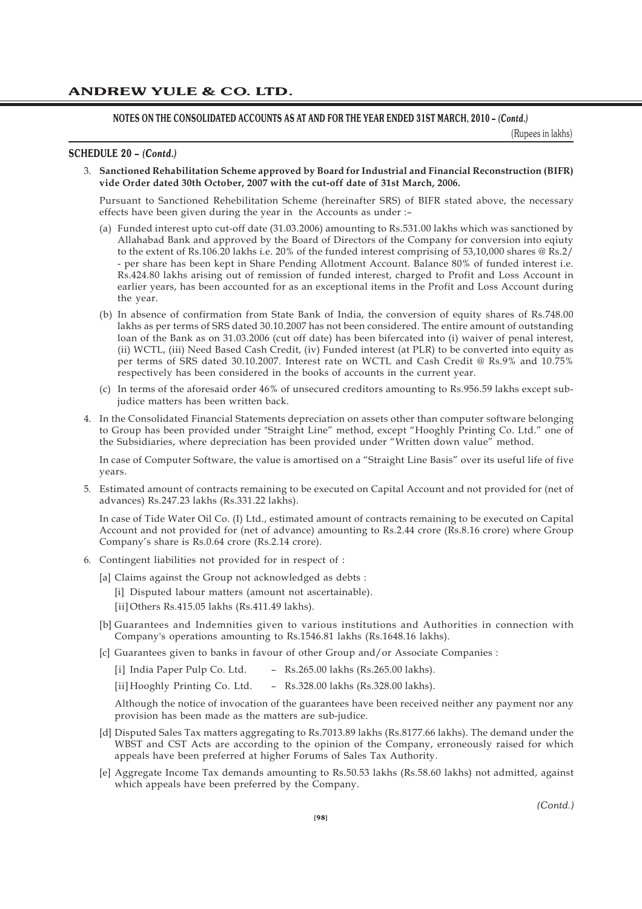#### **NOTES ON THE CONSOLIDATED ACCOUNTS AS AT AND FOR THE YEAR ENDED 31ST MARCH, 2010 –** *(Contd.)*

(Rupees in lakhs)

#### **SCHEDULE 20 –** *(Contd.)*

3. **Sanctioned Rehabilitation Scheme approved by Board for Industrial and Financial Reconstruction (BIFR) vide Order dated 30th October, 2007 with the cut-off date of 31st March, 2006.**

Pursuant to Sanctioned Rehebilitation Scheme (hereinafter SRS) of BIFR stated above, the necessary effects have been given during the year in the Accounts as under :–

- (a) Funded interest upto cut-off date (31.03.2006) amounting to Rs.531.00 lakhs which was sanctioned by Allahabad Bank and approved by the Board of Directors of the Company for conversion into eqiuty to the extent of Rs.106.20 lakhs i.e. 20% of the funded interest comprising of 53,10,000 shares @ Rs.2/ - per share has been kept in Share Pending Allotment Account. Balance 80% of funded interest i.e. Rs.424.80 lakhs arising out of remission of funded interest, charged to Profit and Loss Account in earlier years, has been accounted for as an exceptional items in the Profit and Loss Account during the year.
- (b) In absence of confirmation from State Bank of India, the conversion of equity shares of Rs.748.00 lakhs as per terms of SRS dated 30.10.2007 has not been considered. The entire amount of outstanding loan of the Bank as on 31.03.2006 (cut off date) has been bifercated into (i) waiver of penal interest, (ii) WCTL, (iii) Need Based Cash Credit, (iv) Funded interest (at PLR) to be converted into equity as per terms of SRS dated 30.10.2007. Interest rate on WCTL and Cash Credit @ Rs.9% and 10.75% respectively has been considered in the books of accounts in the current year.
- (c) In terms of the aforesaid order 46% of unsecured creditors amounting to Rs.956.59 lakhs except subjudice matters has been written back.
- 4. In the Consolidated Financial Statements depreciation on assets other than computer software belonging to Group has been provided under "Straight Line" method, except "Hooghly Printing Co. Ltd." one of the Subsidiaries, where depreciation has been provided under "Written down value" method.

In case of Computer Software, the value is amortised on a "Straight Line Basis" over its useful life of five years.

5. Estimated amount of contracts remaining to be executed on Capital Account and not provided for (net of advances) Rs.247.23 lakhs (Rs.331.22 lakhs).

In case of Tide Water Oil Co. (I) Ltd., estimated amount of contracts remaining to be executed on Capital Account and not provided for (net of advance) amounting to Rs.2.44 crore (Rs.8.16 crore) where Group Company's share is Rs.0.64 crore (Rs.2.14 crore).

- 6. Contingent liabilities not provided for in respect of :
	- [a] Claims against the Group not acknowledged as debts :
		- [i] Disputed labour matters (amount not ascertainable).
		- [ii] Others Rs.415.05 lakhs (Rs.411.49 lakhs).
	- [b] Guarantees and Indemnities given to various institutions and Authorities in connection with Company's operations amounting to Rs.1546.81 lakhs (Rs.1648.16 lakhs).
	- [c] Guarantees given to banks in favour of other Group and/or Associate Companies :
		- [i] India Paper Pulp Co. Ltd. Rs.265.00 lakhs (Rs.265.00 lakhs).

[ii] Hooghly Printing Co. Ltd. - Rs.328.00 lakhs (Rs.328.00 lakhs).

Although the notice of invocation of the guarantees have been received neither any payment nor any provision has been made as the matters are sub-judice.

- [d] Disputed Sales Tax matters aggregating to Rs.7013.89 lakhs (Rs.8177.66 lakhs). The demand under the WBST and CST Acts are according to the opinion of the Company, erroneously raised for which appeals have been preferred at higher Forums of Sales Tax Authority.
- [e] Aggregate Income Tax demands amounting to Rs.50.53 lakhs (Rs.58.60 lakhs) not admitted, against which appeals have been preferred by the Company.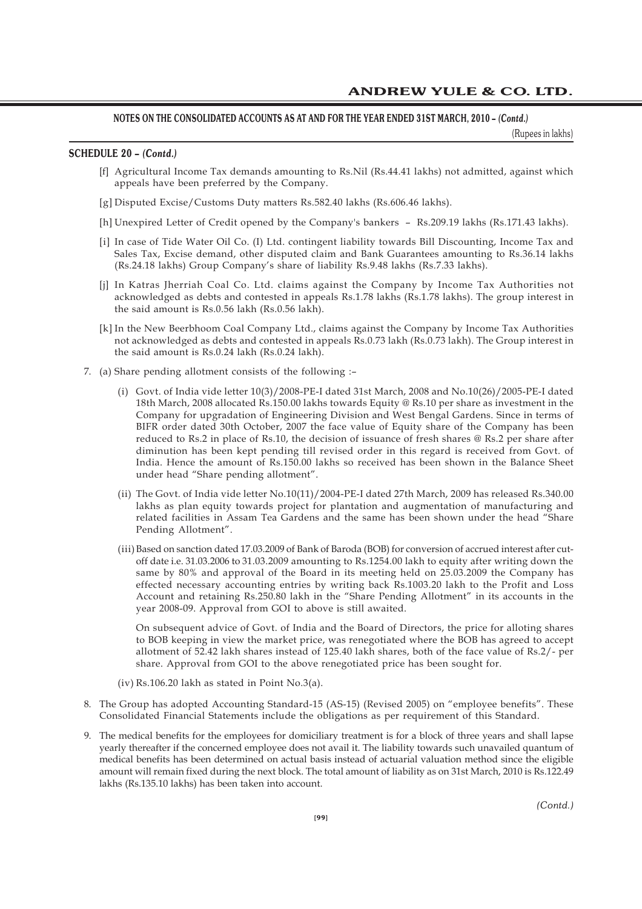### **NOTES ON THE CONSOLIDATED ACCOUNTS AS AT AND FOR THE YEAR ENDED 31ST MARCH, 2010 –** *(Contd.)*

(Rupees in lakhs)

#### **SCHEDULE 20 –** *(Contd.)*

- [f] Agricultural Income Tax demands amounting to Rs.Nil (Rs.44.41 lakhs) not admitted, against which appeals have been preferred by the Company.
- [g] Disputed Excise/Customs Duty matters Rs.582.40 lakhs (Rs.606.46 lakhs).
- [h] Unexpired Letter of Credit opened by the Company's bankers Rs.209.19 lakhs (Rs.171.43 lakhs).
- [i] In case of Tide Water Oil Co. (I) Ltd. contingent liability towards Bill Discounting, Income Tax and Sales Tax, Excise demand, other disputed claim and Bank Guarantees amounting to Rs.36.14 lakhs (Rs.24.18 lakhs) Group Company's share of liability Rs.9.48 lakhs (Rs.7.33 lakhs).
- [j] In Katras Jherriah Coal Co. Ltd. claims against the Company by Income Tax Authorities not acknowledged as debts and contested in appeals Rs.1.78 lakhs (Rs.1.78 lakhs). The group interest in the said amount is Rs.0.56 lakh (Rs.0.56 lakh).
- [k] In the New Beerbhoom Coal Company Ltd., claims against the Company by Income Tax Authorities not acknowledged as debts and contested in appeals Rs.0.73 lakh (Rs.0.73 lakh). The Group interest in the said amount is Rs.0.24 lakh (Rs.0.24 lakh).
- 7. (a) Share pending allotment consists of the following :–
	- (i) Govt. of India vide letter 10(3)/2008-PE-I dated 31st March, 2008 and No.10(26)/2005-PE-I dated 18th March, 2008 allocated Rs.150.00 lakhs towards Equity @ Rs.10 per share as investment in the Company for upgradation of Engineering Division and West Bengal Gardens. Since in terms of BIFR order dated 30th October, 2007 the face value of Equity share of the Company has been reduced to Rs.2 in place of Rs.10, the decision of issuance of fresh shares @ Rs.2 per share after diminution has been kept pending till revised order in this regard is received from Govt. of India. Hence the amount of Rs.150.00 lakhs so received has been shown in the Balance Sheet under head "Share pending allotment".
	- (ii) The Govt. of India vide letter No.10(11)/2004-PE-I dated 27th March, 2009 has released Rs.340.00 lakhs as plan equity towards project for plantation and augmentation of manufacturing and related facilities in Assam Tea Gardens and the same has been shown under the head "Share Pending Allotment".
	- (iii)Based on sanction dated 17.03.2009 of Bank of Baroda (BOB) for conversion of accrued interest after cutoff date i.e. 31.03.2006 to 31.03.2009 amounting to Rs.1254.00 lakh to equity after writing down the same by 80% and approval of the Board in its meeting held on 25.03.2009 the Company has effected necessary accounting entries by writing back Rs.1003.20 lakh to the Profit and Loss Account and retaining Rs.250.80 lakh in the "Share Pending Allotment" in its accounts in the year 2008-09. Approval from GOI to above is still awaited.

On subsequent advice of Govt. of India and the Board of Directors, the price for alloting shares to BOB keeping in view the market price, was renegotiated where the BOB has agreed to accept allotment of 52.42 lakh shares instead of 125.40 lakh shares, both of the face value of Rs.2/- per share. Approval from GOI to the above renegotiated price has been sought for.

- (iv) Rs.106.20 lakh as stated in Point No.3(a).
- 8. The Group has adopted Accounting Standard-15 (AS-15) (Revised 2005) on "employee benefits". These Consolidated Financial Statements include the obligations as per requirement of this Standard.
- 9. The medical benefits for the employees for domiciliary treatment is for a block of three years and shall lapse yearly thereafter if the concerned employee does not avail it. The liability towards such unavailed quantum of medical benefits has been determined on actual basis instead of actuarial valuation method since the eligible amount will remain fixed during the next block. The total amount of liability as on 31st March, 2010 is Rs.122.49 lakhs (Rs.135.10 lakhs) has been taken into account.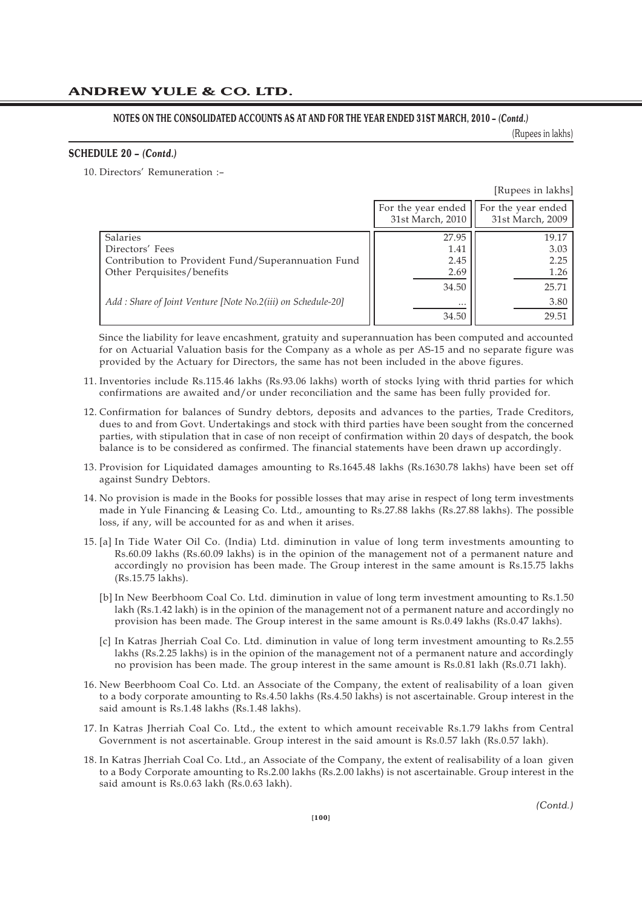### **NOTES ON THE CONSOLIDATED ACCOUNTS AS AT AND FOR THE YEAR ENDED 31ST MARCH, 2010 –** *(Contd.)*

(Rupees in lakhs)

#### **SCHEDULE 20 –** *(Contd.)*

10. Directors' Remuneration :–

|                                                             |                    | [Rupees in lakhs]  |
|-------------------------------------------------------------|--------------------|--------------------|
|                                                             | For the year ended | For the year ended |
|                                                             | 31st March, 2010   | 31st March, 2009   |
| Salaries                                                    | 27.95              | 19.17              |
| Directors' Fees                                             | 1.41               | 3.03               |
| Contribution to Provident Fund/Superannuation Fund          | 2.45               | 2.25               |
| Other Perquisites/benefits                                  | 2.69               | 1.26               |
|                                                             | 34.50              | 25.71              |
| Add: Share of Joint Venture [Note No.2(iii) on Schedule-20] |                    | 3.80               |
|                                                             | 34.50              | 29.51              |

Since the liability for leave encashment, gratuity and superannuation has been computed and accounted for on Actuarial Valuation basis for the Company as a whole as per AS-15 and no separate figure was provided by the Actuary for Directors, the same has not been included in the above figures.

- 11. Inventories include Rs.115.46 lakhs (Rs.93.06 lakhs) worth of stocks lying with thrid parties for which confirmations are awaited and/or under reconciliation and the same has been fully provided for.
- 12. Confirmation for balances of Sundry debtors, deposits and advances to the parties, Trade Creditors, dues to and from Govt. Undertakings and stock with third parties have been sought from the concerned parties, with stipulation that in case of non receipt of confirmation within 20 days of despatch, the book balance is to be considered as confirmed. The financial statements have been drawn up accordingly.
- 13. Provision for Liquidated damages amounting to Rs.1645.48 lakhs (Rs.1630.78 lakhs) have been set off against Sundry Debtors.
- 14. No provision is made in the Books for possible losses that may arise in respect of long term investments made in Yule Financing & Leasing Co. Ltd., amounting to Rs.27.88 lakhs (Rs.27.88 lakhs). The possible loss, if any, will be accounted for as and when it arises.
- 15. [a] In Tide Water Oil Co. (India) Ltd. diminution in value of long term investments amounting to Rs.60.09 lakhs (Rs.60.09 lakhs) is in the opinion of the management not of a permanent nature and accordingly no provision has been made. The Group interest in the same amount is Rs.15.75 lakhs (Rs.15.75 lakhs).
	- [b] In New Beerbhoom Coal Co. Ltd. diminution in value of long term investment amounting to Rs.1.50 lakh (Rs.1.42 lakh) is in the opinion of the management not of a permanent nature and accordingly no provision has been made. The Group interest in the same amount is Rs.0.49 lakhs (Rs.0.47 lakhs).
	- [c] In Katras Jherriah Coal Co. Ltd. diminution in value of long term investment amounting to Rs.2.55 lakhs (Rs.2.25 lakhs) is in the opinion of the management not of a permanent nature and accordingly no provision has been made. The group interest in the same amount is Rs.0.81 lakh (Rs.0.71 lakh).
- 16. New Beerbhoom Coal Co. Ltd. an Associate of the Company, the extent of realisability of a loan given to a body corporate amounting to Rs.4.50 lakhs (Rs.4.50 lakhs) is not ascertainable. Group interest in the said amount is Rs.1.48 lakhs (Rs.1.48 lakhs).
- 17. In Katras Jherriah Coal Co. Ltd., the extent to which amount receivable Rs.1.79 lakhs from Central Government is not ascertainable. Group interest in the said amount is Rs.0.57 lakh (Rs.0.57 lakh).
- 18. In Katras Jherriah Coal Co. Ltd., an Associate of the Company, the extent of realisability of a loan given to a Body Corporate amounting to Rs.2.00 lakhs (Rs.2.00 lakhs) is not ascertainable. Group interest in the said amount is Rs.0.63 lakh (Rs.0.63 lakh).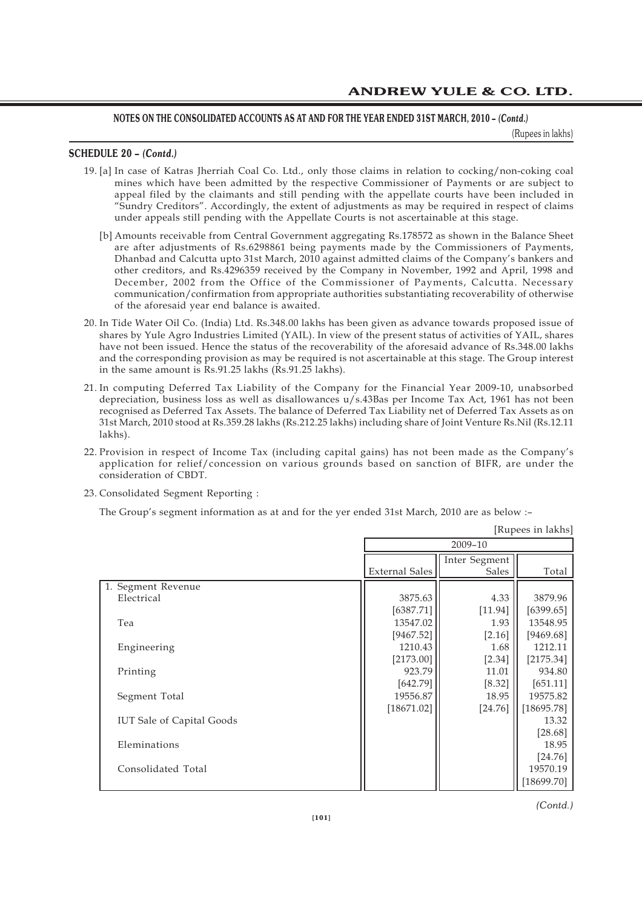(Rupees in lakhs)

### **SCHEDULE 20 –** *(Contd.)*

- 19. [a] In case of Katras Jherriah Coal Co. Ltd., only those claims in relation to cocking/non-coking coal mines which have been admitted by the respective Commissioner of Payments or are subject to appeal filed by the claimants and still pending with the appellate courts have been included in "Sundry Creditors". Accordingly, the extent of adjustments as may be required in respect of claims under appeals still pending with the Appellate Courts is not ascertainable at this stage.
	- [b] Amounts receivable from Central Government aggregating Rs.178572 as shown in the Balance Sheet are after adjustments of Rs.6298861 being payments made by the Commissioners of Payments, Dhanbad and Calcutta upto 31st March, 2010 against admitted claims of the Company's bankers and other creditors, and Rs.4296359 received by the Company in November, 1992 and April, 1998 and December, 2002 from the Office of the Commissioner of Payments, Calcutta. Necessary communication/confirmation from appropriate authorities substantiating recoverability of otherwise of the aforesaid year end balance is awaited.
- 20. In Tide Water Oil Co. (India) Ltd. Rs.348.00 lakhs has been given as advance towards proposed issue of shares by Yule Agro Industries Limited (YAIL). In view of the present status of activities of YAIL, shares have not been issued. Hence the status of the recoverability of the aforesaid advance of Rs.348.00 lakhs and the corresponding provision as may be required is not ascertainable at this stage. The Group interest in the same amount is Rs.91.25 lakhs (Rs.91.25 lakhs).
- 21. In computing Deferred Tax Liability of the Company for the Financial Year 2009-10, unabsorbed depreciation, business loss as well as disallowances u/s.43Bas per Income Tax Act, 1961 has not been recognised as Deferred Tax Assets. The balance of Deferred Tax Liability net of Deferred Tax Assets as on 31st March, 2010 stood at Rs.359.28 lakhs (Rs.212.25 lakhs) including share of Joint Venture Rs.Nil (Rs.12.11 lakhs).
- 22. Provision in respect of Income Tax (including capital gains) has not been made as the Company's application for relief/concession on various grounds based on sanction of BIFR, are under the consideration of CBDT.
- 23. Consolidated Segment Reporting :

The Group's segment information as at and for the yer ended 31st March, 2010 are as below :–

|                                  | [Rupees in lakhs]     |                        |            |  |  |
|----------------------------------|-----------------------|------------------------|------------|--|--|
|                                  | 2009-10               |                        |            |  |  |
|                                  | <b>External Sales</b> | Inter Segment<br>Sales | Total      |  |  |
| 1. Segment Revenue               |                       |                        |            |  |  |
| Electrical                       | 3875.63               | 4.33                   | 3879.96    |  |  |
|                                  | [6387.71]             | [11.94]                | [6399.65]  |  |  |
| Tea                              | 13547.02              | 1.93                   | 13548.95   |  |  |
|                                  | [9467.52]             | [2.16]                 | [9469.68]  |  |  |
| Engineering                      | 1210.43               | 1.68                   | 1212.11    |  |  |
|                                  | [2173.00]             | $[2.34]$               | [2175.34]  |  |  |
| Printing                         | 923.79                | 11.01                  | 934.80     |  |  |
|                                  | [642.79]              | [8.32]                 | [651.11]   |  |  |
| Segment Total                    | 19556.87              | 18.95                  | 19575.82   |  |  |
|                                  | [18671.02]            | $[24.76]$              | [18695.78] |  |  |
| <b>IUT Sale of Capital Goods</b> |                       |                        | 13.32      |  |  |
|                                  |                       |                        | $[28.68]$  |  |  |
| Eleminations                     |                       |                        | 18.95      |  |  |
|                                  |                       |                        | $[24.76]$  |  |  |
| Consolidated Total               |                       |                        | 19570.19   |  |  |
|                                  |                       |                        | [18699.70] |  |  |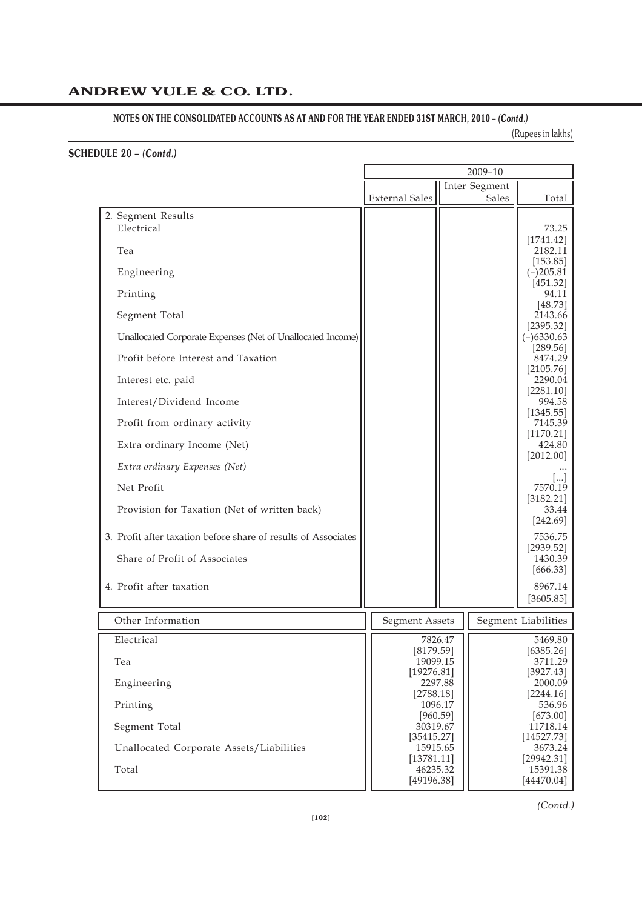# NOTES ON THE CONSOLIDATED ACCOUNTS AS AT AND FOR THE YEAR ENDED 31ST MARCH, 2010 – *(Contd.)*

(Rupees in lakhs)

# **SCHEDULE 20 –** *(Contd.)*

|                                                                | 2009-10                                                |         |                    |                          |  |
|----------------------------------------------------------------|--------------------------------------------------------|---------|--------------------|--------------------------|--|
|                                                                | <b>Inter Segment</b><br><b>External Sales</b><br>Sales |         |                    |                          |  |
| 2. Segment Results                                             |                                                        |         |                    | Total                    |  |
| Electrical                                                     |                                                        |         |                    | 73.25<br>[1741.42]       |  |
| Tea                                                            |                                                        |         |                    | 2182.11<br>[153.85]      |  |
| Engineering                                                    |                                                        |         |                    | $(-)205.81$<br>[451.32]  |  |
| Printing                                                       |                                                        |         |                    | 94.11<br>[48.73]         |  |
| Segment Total                                                  |                                                        |         |                    | 2143.66<br>[2395.32]     |  |
| Unallocated Corporate Expenses (Net of Unallocated Income)     |                                                        |         |                    | $(-)6330.63$<br>[289.56] |  |
| Profit before Interest and Taxation                            |                                                        |         |                    | 8474.29<br>[2105.76]     |  |
| Interest etc. paid                                             |                                                        |         |                    | 2290.04<br>[2281.10]     |  |
| Interest/Dividend Income                                       |                                                        |         |                    | 994.58<br>[1345.55]      |  |
| Profit from ordinary activity                                  |                                                        |         |                    | 7145.39<br>[1170.21]     |  |
| Extra ordinary Income (Net)                                    |                                                        |         |                    | 424.80<br>[2012.00]      |  |
| Extra ordinary Expenses (Net)                                  |                                                        |         |                    |                          |  |
| Net Profit                                                     |                                                        |         |                    | 7570.19<br>[3182.21]     |  |
| Provision for Taxation (Net of written back)                   |                                                        |         |                    | 33.44<br>[242.69]        |  |
| 3. Profit after taxation before share of results of Associates |                                                        |         |                    | 7536.75<br>[2939.52]     |  |
| Share of Profit of Associates                                  |                                                        |         |                    | 1430.39<br>[666.33]      |  |
| 4. Profit after taxation                                       |                                                        |         |                    | 8967.14<br>[3605.85]     |  |
| Other Information                                              | <b>Segment Assets</b>                                  |         |                    | Segment Liabilities      |  |
| Electrical                                                     | [8179.59]                                              | 7826.47 |                    | 5469.80<br>[6385.26]     |  |
| Tea                                                            | 19099.15                                               |         |                    | 3711.29<br>[3927.43]     |  |
| Engineering                                                    | [19276.81]<br>2297.88                                  |         |                    | 2000.09<br>[2244.16]     |  |
| Printing                                                       | [2788.18]<br>1096.17<br>[960.59]                       |         | 536.96<br>[673.00] |                          |  |
| Segment Total                                                  | 30319.67<br>[35415.27]                                 |         |                    | 11718.14<br>[14527.73]   |  |
| Unallocated Corporate Assets/Liabilities                       | 15915.65<br>[13781.11]                                 |         |                    | 3673.24<br>[29942.31]    |  |
| Total                                                          | 46235.32<br>[49196.38]                                 |         |                    | 15391.38<br>[44470.04]   |  |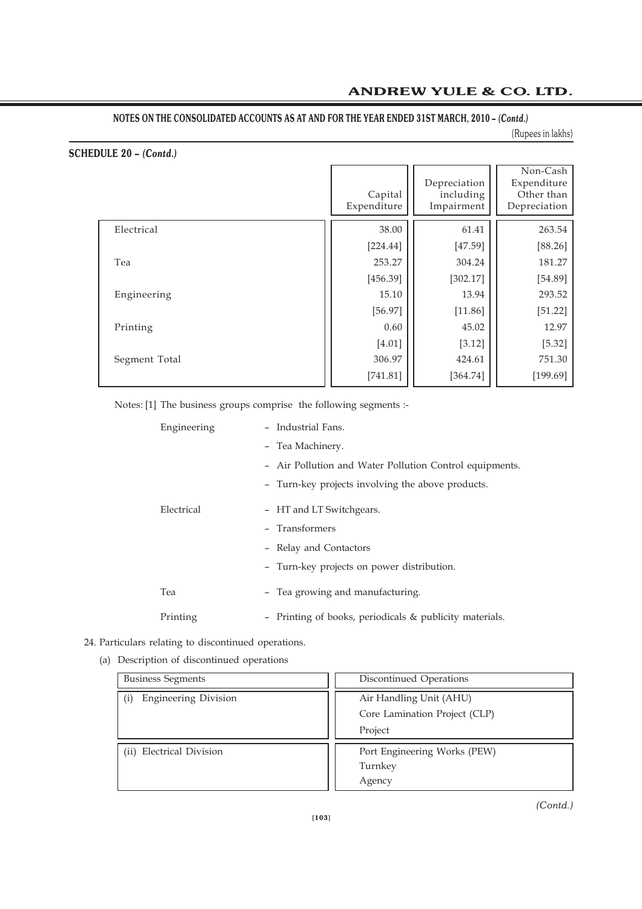### (Rupees in lakhs)

# **SCHEDULE 20 –** *(Contd.)*

|               | Capital<br>Expenditure | Depreciation<br>including<br>Impairment | Non-Cash<br>Expenditure<br>Other than<br>Depreciation |
|---------------|------------------------|-----------------------------------------|-------------------------------------------------------|
| Electrical    | 38.00                  | 61.41                                   | 263.54                                                |
|               | [224.44]               | [47.59]                                 | [88.26]                                               |
| Tea           | 253.27                 | 304.24                                  | 181.27                                                |
|               | [456.39]               | [302.17]                                | [54.89]                                               |
| Engineering   | 15.10                  | 13.94                                   | 293.52                                                |
|               | [56.97]                | [11.86]                                 | [51.22]                                               |
| Printing      | 0.60                   | 45.02                                   | 12.97                                                 |
|               | [4.01]                 | [3.12]                                  | [5.32]                                                |
| Segment Total | 306.97                 | 424.61                                  | 751.30                                                |
|               | [741.81]               | [364.74]                                | [199.69]                                              |

Notes: [1] The business groups comprise the following segments :-

| Engineering | - Industrial Fans.                                      |
|-------------|---------------------------------------------------------|
|             | - Tea Machinery.                                        |
|             | - Air Pollution and Water Pollution Control equipments. |
|             | - Turn-key projects involving the above products.       |
| Electrical  | - HT and LT Switchgears.                                |
|             | - Transformers                                          |
|             | - Relay and Contactors                                  |
|             | - Turn-key projects on power distribution.              |
| Tea         | - Tea growing and manufacturing.                        |
| Printing    | - Printing of books, periodicals & publicity materials. |

# 24. Particulars relating to discontinued operations.

(a) Description of discontinued operations

| <b>Business Segments</b>           | Discontinued Operations       |
|------------------------------------|-------------------------------|
| <b>Engineering Division</b>        | Air Handling Unit (AHU)       |
|                                    | Core Lamination Project (CLP) |
|                                    | Project                       |
| <b>Electrical Division</b><br>(ii) | Port Engineering Works (PEW)  |
|                                    | Turnkey                       |
|                                    | Agency                        |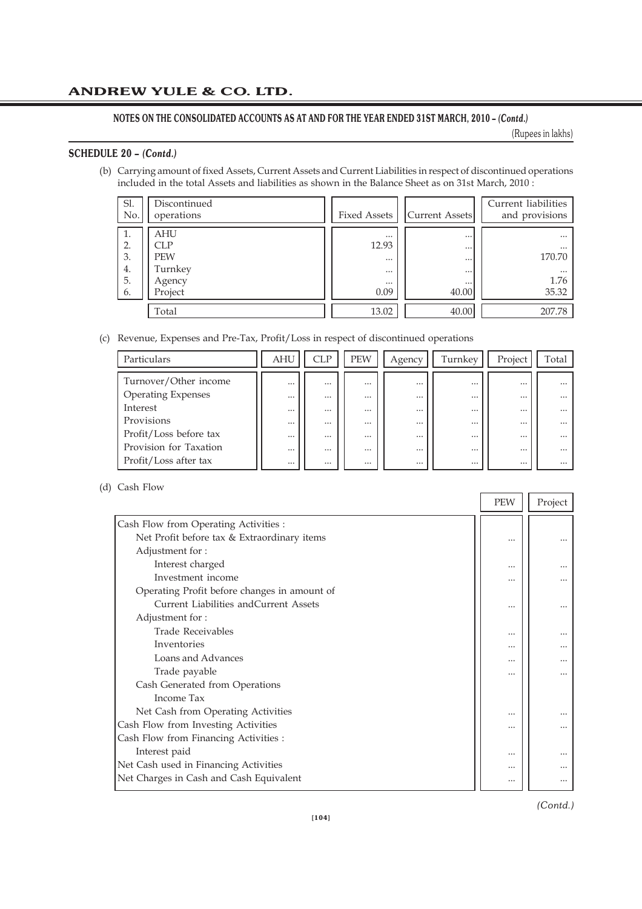### NOTES ON THE CONSOLIDATED ACCOUNTS AS AT AND FOR THE YEAR ENDED 31ST MARCH, 2010 - *(Contd.)*

(Rupees in lakhs)

n H

### **SCHEDULE 20 –** *(Contd.)*

(b) Carrying amount of fixed Assets, Current Assets and Current Liabilities in respect of discontinued operations included in the total Assets and liabilities as shown in the Balance Sheet as on 31st March, 2010 :

| Sl.<br>No.                       | Discontinued<br>operations                               | <b>Fixed Assets</b>                                           | Current Assets                                                    | Current liabilities<br>and provisions                       |
|----------------------------------|----------------------------------------------------------|---------------------------------------------------------------|-------------------------------------------------------------------|-------------------------------------------------------------|
| Ι.<br>2.<br>3.<br>4.<br>5.<br>6. | AHU<br>CLP<br><b>PEW</b><br>Turnkey<br>Agency<br>Project | $\cdots$<br>12.93<br>$\cdots$<br>$\cdots$<br>$\cdots$<br>0.09 | $\cdots$<br>$\cdots$<br>$\cdots$<br>$\cdots$<br>$\cdots$<br>40.00 | $\cdots$<br>$\cdots$<br>170.70<br>$\cdots$<br>1.76<br>35.32 |
|                                  | Total                                                    | 13.02                                                         | 40.00                                                             | 207.78                                                      |

### (c) Revenue, Expenses and Pre-Tax, Profit/Loss in respect of discontinued operations

| Particulars               | <b>AHU</b> | CLP      | <b>PEW</b> | Agency   | Turnkev  | Project  | Гоtal    |
|---------------------------|------------|----------|------------|----------|----------|----------|----------|
|                           |            |          |            |          |          |          |          |
| Turnover/Other income     | $\cdots$   | $\cdots$ | $\cdots$   | $\cdots$ | $\cdots$ | $\cdots$ |          |
| <b>Operating Expenses</b> | $\cdots$   | $\cdots$ | $\cdots$   | $\cdots$ | $\cdots$ | $\cdots$ |          |
| Interest                  | $\cdots$   | $\cdots$ | $\cdots$   | $\cdots$ | $\cdots$ | $\cdots$ | $\cdots$ |
| Provisions                | $\cdots$   | $\cdots$ | $\cdots$   | $\cdots$ | $\cdots$ | $\cdots$ |          |
| Profit/Loss before tax    | $\cdots$   | $\cdots$ | $\cdots$   | $\cdots$ | $\cdots$ | $\cdots$ | $\cdots$ |
| Provision for Taxation    | $\cdots$   | $\cdots$ | $\cdots$   | $\cdots$ | $\cdots$ | $\cdots$ | $\cdots$ |
| Profit/Loss after tax     | $\cdots$   | $\cdots$ | $\cdots$   | $\cdots$ | $\cdots$ | $\cdots$ | $\cdots$ |

#### (d) Cash Flow

|                                              | <b>PEW</b> | Project |
|----------------------------------------------|------------|---------|
| Cash Flow from Operating Activities :        |            |         |
| Net Profit before tax & Extraordinary items  |            |         |
| Adjustment for:                              |            |         |
| Interest charged                             |            |         |
| Investment income                            |            |         |
| Operating Profit before changes in amount of |            |         |
| Current Liabilities and Current Assets       |            |         |
| Adjustment for:                              |            |         |
| <b>Trade Receivables</b>                     | $\cdots$   |         |
| Inventories                                  |            |         |
| Loans and Advances                           |            |         |
| Trade payable                                |            |         |
| Cash Generated from Operations               |            |         |
| Income Tax                                   |            |         |
| Net Cash from Operating Activities           |            |         |
| Cash Flow from Investing Activities          |            |         |
| Cash Flow from Financing Activities :        |            |         |
| Interest paid                                |            |         |
| Net Cash used in Financing Activities        |            |         |
| Net Charges in Cash and Cash Equivalent      | $\cdots$   |         |
|                                              |            |         |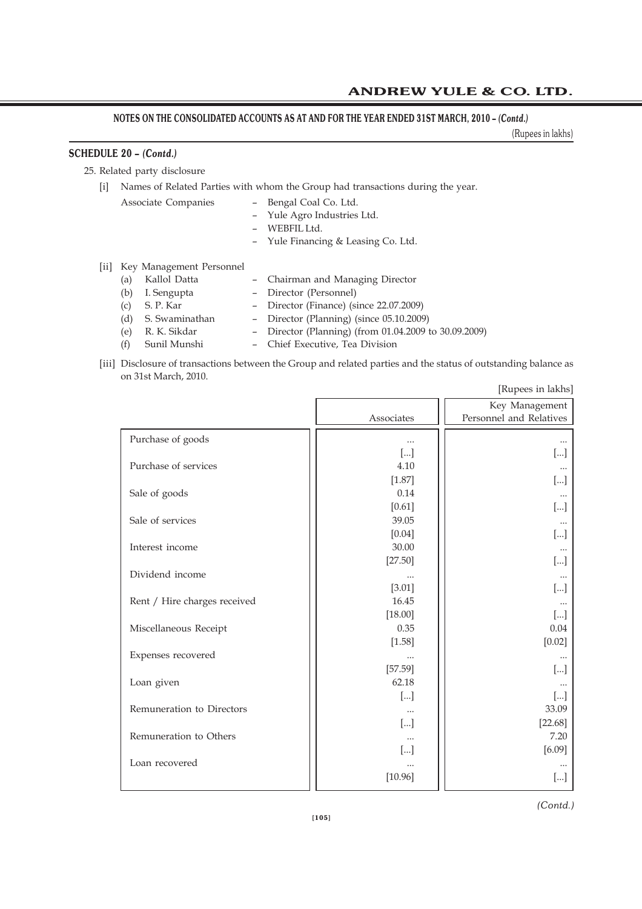(Rupees in lakhs)

# **SCHEDULE 20 –** *(Contd.)*

25. Related party disclosure

### [i] Names of Related Parties with whom the Group had transactions during the year.

- Associate Companies Bengal Coal Co. Ltd.
	- Yule Agro Industries Ltd.
	- WEBFIL Ltd.
	- Yule Financing & Leasing Co. Ltd.
- [ii] Key Management Personnel
	- (a) Kallol Datta Chairman and Managing Director
	- (b) I. Sengupta Director (Personnel)
	- (c) S. P. Kar Director (Finance) (since 22.07.2009)
	- (d) S. Swaminathan Director (Planning) (since 05.10.2009)
	- (e) R. K. Sikdar Director (Planning) (from 01.04.2009 to 30.09.2009)
	- (f) Sunil Munshi Chief Executive, Tea Division
- [iii] Disclosure of transactions between the Group and related parties and the status of outstanding balance as on 31st March, 2010. [Rupees in lakhs]

|                              | [Rupees in lakns] |                         |  |  |  |
|------------------------------|-------------------|-------------------------|--|--|--|
|                              |                   | Key Management          |  |  |  |
|                              | Associates        | Personnel and Relatives |  |  |  |
|                              |                   |                         |  |  |  |
| Purchase of goods            | $\cdots$          |                         |  |  |  |
|                              | $[\ldots]$        | []                      |  |  |  |
| Purchase of services         | 4.10              |                         |  |  |  |
|                              | [1.87]            | $\left[\ldots\right]$   |  |  |  |
| Sale of goods                | 0.14              |                         |  |  |  |
|                              | $[0.61]$          | $\left[\ldots\right]$   |  |  |  |
| Sale of services             | 39.05             |                         |  |  |  |
|                              | $[0.04]$          | []                      |  |  |  |
| Interest income              | 30.00             |                         |  |  |  |
|                              | [27.50]           | []                      |  |  |  |
| Dividend income              |                   |                         |  |  |  |
|                              | [3.01]            | []                      |  |  |  |
| Rent / Hire charges received | 16.45             | $\cdots$                |  |  |  |
|                              | [18.00]           | $[]$                    |  |  |  |
| Miscellaneous Receipt        | 0.35              | 0.04                    |  |  |  |
|                              | [1.58]            | $[0.02]$                |  |  |  |
| Expenses recovered           |                   |                         |  |  |  |
|                              | [57.59]           |                         |  |  |  |
|                              | 62.18             | $[]$                    |  |  |  |
| Loan given                   |                   |                         |  |  |  |
|                              | []                | $[]$                    |  |  |  |
| Remuneration to Directors    |                   | 33.09                   |  |  |  |
|                              | $[]$              | $[22.68]$               |  |  |  |
| Remuneration to Others       |                   | 7.20                    |  |  |  |
|                              | []                | [6.09]                  |  |  |  |
| Loan recovered               |                   |                         |  |  |  |
|                              | [10.96]           | $[]$                    |  |  |  |
|                              |                   |                         |  |  |  |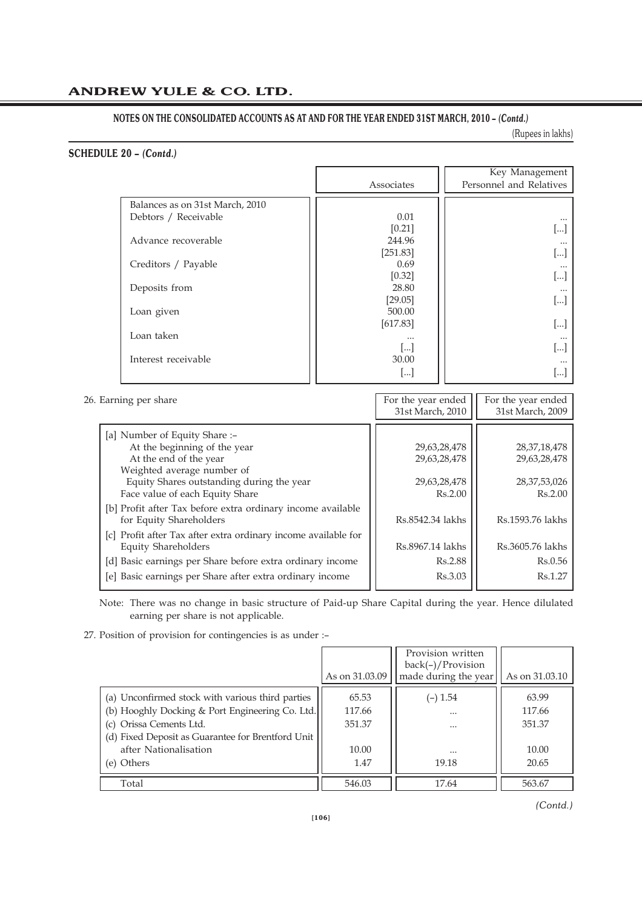(Rupees in lakhs)

# **SCHEDULE 20 –** *(Contd.)*

|                                 | Associates           | Key Management<br>Personnel and Relatives |
|---------------------------------|----------------------|-------------------------------------------|
|                                 |                      |                                           |
| Balances as on 31st March, 2010 |                      |                                           |
| Debtors / Receivable            | 0.01                 |                                           |
|                                 | [0.21]               |                                           |
| Advance recoverable             | 244.96               |                                           |
|                                 | [251.83]             |                                           |
| Creditors / Payable             | 0.69                 |                                           |
|                                 | $[0.32]$             |                                           |
| Deposits from                   | 28.80                |                                           |
|                                 | [29.05]              | $\left[\ldots\right]$                     |
| Loan given                      | 500.00               |                                           |
|                                 | [617.83]             |                                           |
| Loan taken                      | $\cdots$             |                                           |
|                                 | $\left   \right $    | ا…ا                                       |
| Interest receivable             | 30.00                |                                           |
|                                 | $\left[\dots\right]$ | ا…ا                                       |

| 26. Earning per share                                                                                                                                                                                 | For the year ended<br>31st March, 2010                  | For the year ended<br>31st March, 2009                        |
|-------------------------------------------------------------------------------------------------------------------------------------------------------------------------------------------------------|---------------------------------------------------------|---------------------------------------------------------------|
| [a] Number of Equity Share :-<br>At the beginning of the year<br>At the end of the year<br>Weighted average number of<br>Equity Shares outstanding during the year<br>Face value of each Equity Share | 29,63,28,478<br>29,63,28,478<br>29,63,28,478<br>Rs.2.00 | 28, 37, 18, 478<br>29,63,28,478<br>28, 37, 53, 026<br>Rs.2.00 |
| [b] Profit after Tax before extra ordinary income available<br>for Equity Shareholders                                                                                                                | Rs.8542.34 lakhs                                        | Rs.1593.76 lakhs                                              |
| [c] Profit after Tax after extra ordinary income available for<br>Equity Shareholders                                                                                                                 | Rs.8967.14 lakhs                                        | Rs.3605.76 lakhs                                              |
| [d] Basic earnings per Share before extra ordinary income<br>[e] Basic earnings per Share after extra ordinary income                                                                                 | Rs.2.88<br>Rs.3.03                                      | Rs.0.56<br>Rs.1.27                                            |

Note: There was no change in basic structure of Paid-up Share Capital during the year. Hence dilulated earning per share is not applicable.

27. Position of provision for contingencies is as under :–

|                                                                                                                                                                                                                            | As on 31.03.09                             | Provision written<br>$back(-)/$ Provision<br>made during the year | As on 31.03.10                              |
|----------------------------------------------------------------------------------------------------------------------------------------------------------------------------------------------------------------------------|--------------------------------------------|-------------------------------------------------------------------|---------------------------------------------|
| (a) Unconfirmed stock with various third parties<br>(b) Hooghly Docking & Port Engineering Co. Ltd.<br>(c) Orissa Cements Ltd.<br>(d) Fixed Deposit as Guarantee for Brentford Unit<br>after Nationalisation<br>(e) Others | 65.53<br>117.66<br>351.37<br>10.00<br>1.47 | $(-) 1.54$<br>$\cdots$<br><br>$\cdots$<br>19.18                   | 63.99<br>117.66<br>351.37<br>10.00<br>20.65 |
| Total                                                                                                                                                                                                                      | 546.03                                     | 17.64                                                             | 563.67                                      |